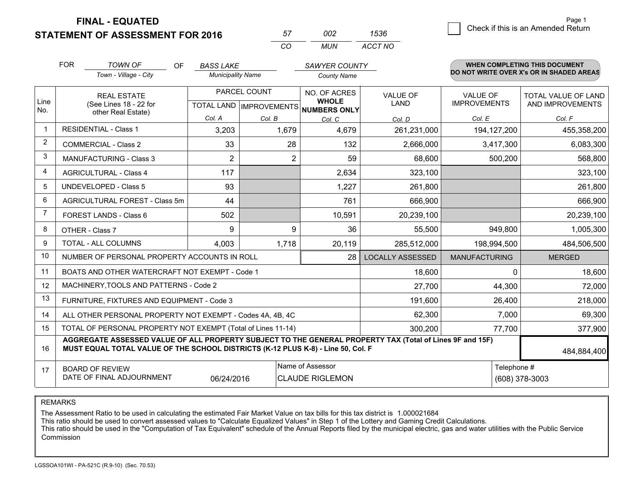**FINAL - EQUATED**

**STATEMENT OF ASSESSMENT FOR 2016** 

| 57       | כמח  | 1536    |
|----------|------|---------|
| $\cdots$ | MUN. | ACCT NO |

|                | <b>FOR</b>                                                                                                                                                                                   | <b>TOWN OF</b><br><b>OF</b>                               | <b>BASS LAKE</b>         |              | <b>SAWYER COUNTY</b>                     |                                |                                        | WHEN COMPLETING THIS DOCUMENT            |
|----------------|----------------------------------------------------------------------------------------------------------------------------------------------------------------------------------------------|-----------------------------------------------------------|--------------------------|--------------|------------------------------------------|--------------------------------|----------------------------------------|------------------------------------------|
|                |                                                                                                                                                                                              | Town - Village - City                                     | <b>Municipality Name</b> |              | <b>County Name</b>                       |                                |                                        | DO NOT WRITE OVER X's OR IN SHADED AREAS |
| Line           |                                                                                                                                                                                              | <b>REAL ESTATE</b>                                        |                          | PARCEL COUNT | NO. OF ACRES<br><b>WHOLE</b>             | <b>VALUE OF</b><br><b>LAND</b> | <b>VALUE OF</b><br><b>IMPROVEMENTS</b> | <b>TOTAL VALUE OF LAND</b>               |
| No.            |                                                                                                                                                                                              | (See Lines 18 - 22 for<br>other Real Estate)              |                          |              | TOTAL LAND   IMPROVEMENTS   NUMBERS ONLY |                                |                                        | AND IMPROVEMENTS                         |
|                |                                                                                                                                                                                              |                                                           | Col. A                   | Col. B       | Col. C                                   | Col. D                         | Col. E                                 | Col. F                                   |
| $\mathbf{1}$   |                                                                                                                                                                                              | <b>RESIDENTIAL - Class 1</b>                              | 3,203                    | 1,679        | 4,679                                    | 261,231,000                    | 194, 127, 200                          | 455,358,200                              |
| 2              |                                                                                                                                                                                              | <b>COMMERCIAL - Class 2</b>                               | 33                       | 28           | 132                                      | 2,666,000                      | 3,417,300                              | 6,083,300                                |
| 3              |                                                                                                                                                                                              | <b>MANUFACTURING - Class 3</b>                            | $\overline{2}$           | 2            | 59                                       | 68,600                         | 500,200                                | 568,800                                  |
| 4              |                                                                                                                                                                                              | <b>AGRICULTURAL - Class 4</b>                             | 117                      |              | 2,634                                    | 323,100                        |                                        | 323,100                                  |
| 5              |                                                                                                                                                                                              | <b>UNDEVELOPED - Class 5</b>                              | 93                       |              | 1,227                                    | 261,800                        |                                        | 261,800                                  |
| 6              |                                                                                                                                                                                              | AGRICULTURAL FOREST - Class 5m                            | 44                       |              | 761                                      | 666,900                        |                                        | 666,900                                  |
| $\overline{7}$ |                                                                                                                                                                                              | FOREST LANDS - Class 6                                    | 502                      |              | 10,591                                   | 20,239,100                     |                                        | 20,239,100                               |
| 8              |                                                                                                                                                                                              | OTHER - Class 7                                           | 9                        | 9            | 36                                       | 55,500                         | 949,800                                | 1,005,300                                |
| 9              |                                                                                                                                                                                              | TOTAL - ALL COLUMNS                                       | 4,003                    | 1,718        | 20,119                                   | 285,512,000                    | 198,994,500                            | 484,506,500                              |
| 10             |                                                                                                                                                                                              | NUMBER OF PERSONAL PROPERTY ACCOUNTS IN ROLL              |                          |              | 28                                       | <b>LOCALLY ASSESSED</b>        | <b>MANUFACTURING</b>                   | <b>MERGED</b>                            |
| 11             |                                                                                                                                                                                              | BOATS AND OTHER WATERCRAFT NOT EXEMPT - Code 1            |                          |              |                                          | 18,600                         | 0                                      | 18,600                                   |
| 12             |                                                                                                                                                                                              | MACHINERY, TOOLS AND PATTERNS - Code 2                    |                          |              |                                          | 27,700                         | 44,300                                 | 72,000                                   |
| 13             |                                                                                                                                                                                              | FURNITURE, FIXTURES AND EQUIPMENT - Code 3                |                          |              |                                          | 191,600                        | 26,400                                 | 218,000                                  |
| 14             |                                                                                                                                                                                              | ALL OTHER PERSONAL PROPERTY NOT EXEMPT - Codes 4A, 4B, 4C |                          |              |                                          | 62,300                         | 7,000                                  | 69,300                                   |
| 15             | TOTAL OF PERSONAL PROPERTY NOT EXEMPT (Total of Lines 11-14)                                                                                                                                 |                                                           |                          |              |                                          | 300,200                        | 77,700                                 | 377,900                                  |
| 16             | AGGREGATE ASSESSED VALUE OF ALL PROPERTY SUBJECT TO THE GENERAL PROPERTY TAX (Total of Lines 9F and 15F)<br>MUST EQUAL TOTAL VALUE OF THE SCHOOL DISTRICTS (K-12 PLUS K-8) - Line 50, Col. F |                                                           |                          |              |                                          |                                | 484,884,400                            |                                          |
| 17             |                                                                                                                                                                                              | <b>BOARD OF REVIEW</b>                                    |                          |              | Name of Assessor                         |                                | Telephone #                            |                                          |
|                | DATE OF FINAL ADJOURNMENT<br>06/24/2016                                                                                                                                                      |                                                           |                          |              | <b>CLAUDE RIGLEMON</b>                   |                                |                                        | (608) 378-3003                           |

REMARKS

The Assessment Ratio to be used in calculating the estimated Fair Market Value on tax bills for this tax district is 1.000021684<br>This ratio should be used to convert assessed values to "Calculate Equalized Values" in Step Commission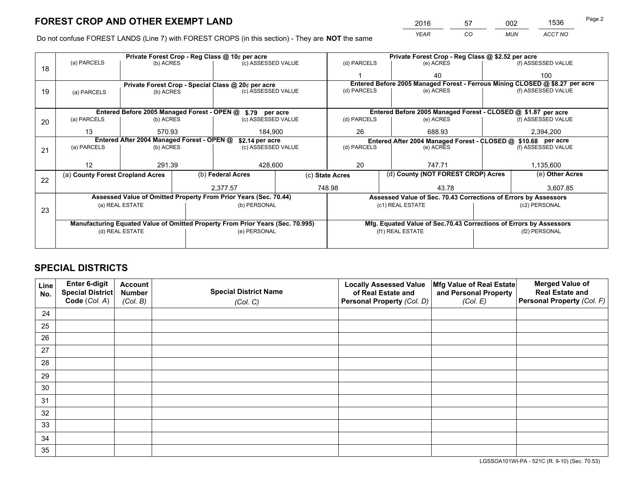*YEAR CO MUN ACCT NO* <sup>2016</sup> <sup>57</sup> <sup>002</sup> <sup>1536</sup>

Do not confuse FOREST LANDS (Line 7) with FOREST CROPS (in this section) - They are **NOT** the same

|    | Private Forest Crop - Reg Class @ 10¢ per acre                                 |                                                               |  |                                                                  |                                                                    | Private Forest Crop - Reg Class @ \$2.52 per acre             |                                                                              |                 |                    |  |
|----|--------------------------------------------------------------------------------|---------------------------------------------------------------|--|------------------------------------------------------------------|--------------------------------------------------------------------|---------------------------------------------------------------|------------------------------------------------------------------------------|-----------------|--------------------|--|
| 18 | (a) PARCELS                                                                    | (b) ACRES                                                     |  | (c) ASSESSED VALUE                                               |                                                                    | (d) PARCELS                                                   | (e) ACRES                                                                    |                 | (f) ASSESSED VALUE |  |
|    |                                                                                |                                                               |  |                                                                  |                                                                    |                                                               | 40                                                                           |                 | 100                |  |
|    |                                                                                |                                                               |  | Private Forest Crop - Special Class @ 20¢ per acre               |                                                                    |                                                               | Entered Before 2005 Managed Forest - Ferrous Mining CLOSED @ \$8.27 per acre |                 |                    |  |
| 19 | (a) PARCELS                                                                    | (b) ACRES                                                     |  | (c) ASSESSED VALUE                                               |                                                                    | (d) PARCELS                                                   | (e) ACRES                                                                    |                 | (f) ASSESSED VALUE |  |
|    |                                                                                |                                                               |  |                                                                  |                                                                    |                                                               |                                                                              |                 |                    |  |
|    |                                                                                |                                                               |  | Entered Before 2005 Managed Forest - OPEN @ \$.79 per acre       |                                                                    |                                                               | Entered Before 2005 Managed Forest - CLOSED @ \$1.87 per acre                |                 |                    |  |
| 20 | (a) PARCELS                                                                    | (b) ACRES                                                     |  | (c) ASSESSED VALUE                                               |                                                                    | (d) PARCELS                                                   | (e) ACRES                                                                    |                 | (f) ASSESSED VALUE |  |
|    | 13                                                                             | 570.93                                                        |  | 184.900                                                          |                                                                    | 26                                                            | 688.93                                                                       |                 | 2,394,200          |  |
|    |                                                                                | Entered After 2004 Managed Forest - OPEN @<br>\$2.14 per acre |  |                                                                  |                                                                    | Entered After 2004 Managed Forest - CLOSED @ \$10.68 per acre |                                                                              |                 |                    |  |
| 21 | (a) PARCELS                                                                    | (b) ACRES                                                     |  | (c) ASSESSED VALUE                                               |                                                                    | (d) PARCELS                                                   | (e) ACRES                                                                    |                 | (f) ASSESSED VALUE |  |
|    |                                                                                |                                                               |  |                                                                  |                                                                    |                                                               |                                                                              |                 |                    |  |
|    | 12                                                                             | 291.39                                                        |  | 428,600                                                          |                                                                    | 20                                                            | 747.71                                                                       |                 | 1,135,600          |  |
| 22 | (a) County Forest Cropland Acres                                               |                                                               |  | (b) Federal Acres                                                |                                                                    | (d) County (NOT FOREST CROP) Acres<br>(c) State Acres         |                                                                              | (e) Other Acres |                    |  |
|    |                                                                                |                                                               |  | 2,377.57                                                         |                                                                    | 748.98                                                        | 43.78                                                                        |                 | 3,607.85           |  |
|    |                                                                                |                                                               |  | Assessed Value of Omitted Property From Prior Years (Sec. 70.44) |                                                                    |                                                               | Assessed Value of Sec. 70.43 Corrections of Errors by Assessors              |                 |                    |  |
|    |                                                                                | (a) REAL ESTATE                                               |  | (b) PERSONAL                                                     |                                                                    |                                                               | (c1) REAL ESTATE                                                             |                 | (c2) PERSONAL      |  |
| 23 |                                                                                |                                                               |  |                                                                  |                                                                    |                                                               |                                                                              |                 |                    |  |
|    | Manufacturing Equated Value of Omitted Property From Prior Years (Sec. 70.995) |                                                               |  |                                                                  | Mfg. Equated Value of Sec.70.43 Corrections of Errors by Assessors |                                                               |                                                                              |                 |                    |  |
|    | (d) REAL ESTATE<br>(e) PERSONAL                                                |                                                               |  |                                                                  | (f1) REAL ESTATE                                                   |                                                               | (f2) PERSONAL                                                                |                 |                    |  |
|    |                                                                                |                                                               |  |                                                                  |                                                                    |                                                               |                                                                              |                 |                    |  |

## **SPECIAL DISTRICTS**

| Line<br>No. | Enter 6-digit<br>Special District<br>Code (Col. A) | <b>Account</b><br><b>Number</b> | <b>Special District Name</b> | <b>Locally Assessed Value</b><br>of Real Estate and | Mfg Value of Real Estate<br>and Personal Property | <b>Merged Value of</b><br><b>Real Estate and</b><br>Personal Property (Col. F) |
|-------------|----------------------------------------------------|---------------------------------|------------------------------|-----------------------------------------------------|---------------------------------------------------|--------------------------------------------------------------------------------|
|             |                                                    | (Col. B)                        | (Col. C)                     | Personal Property (Col. D)                          | (Col. E)                                          |                                                                                |
| 24          |                                                    |                                 |                              |                                                     |                                                   |                                                                                |
| 25          |                                                    |                                 |                              |                                                     |                                                   |                                                                                |
| 26          |                                                    |                                 |                              |                                                     |                                                   |                                                                                |
| 27          |                                                    |                                 |                              |                                                     |                                                   |                                                                                |
| 28          |                                                    |                                 |                              |                                                     |                                                   |                                                                                |
| 29          |                                                    |                                 |                              |                                                     |                                                   |                                                                                |
| 30          |                                                    |                                 |                              |                                                     |                                                   |                                                                                |
| 31          |                                                    |                                 |                              |                                                     |                                                   |                                                                                |
| 32          |                                                    |                                 |                              |                                                     |                                                   |                                                                                |
| 33          |                                                    |                                 |                              |                                                     |                                                   |                                                                                |
| 34          |                                                    |                                 |                              |                                                     |                                                   |                                                                                |
| 35          |                                                    |                                 |                              |                                                     |                                                   |                                                                                |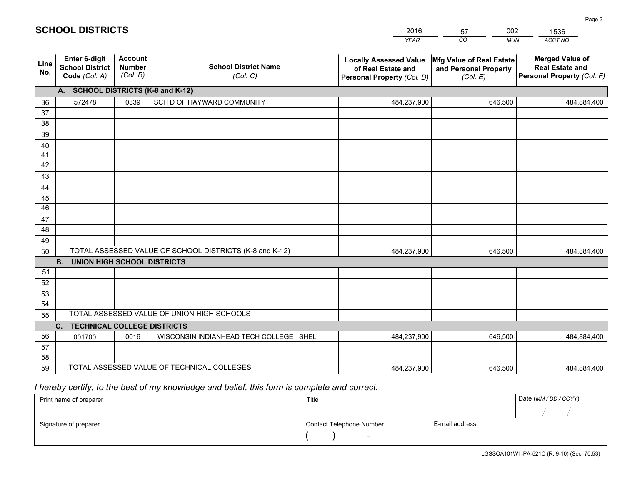|             |                                                          |                                             |                                                         | <b>YEAR</b>                                                                       | CO<br><b>MUN</b>                                              | ACCT NO                                                                        |
|-------------|----------------------------------------------------------|---------------------------------------------|---------------------------------------------------------|-----------------------------------------------------------------------------------|---------------------------------------------------------------|--------------------------------------------------------------------------------|
| Line<br>No. | Enter 6-digit<br><b>School District</b><br>Code (Col. A) | <b>Account</b><br><b>Number</b><br>(Col. B) | <b>School District Name</b><br>(Col. C)                 | <b>Locally Assessed Value</b><br>of Real Estate and<br>Personal Property (Col. D) | Mfg Value of Real Estate<br>and Personal Property<br>(Col. E) | <b>Merged Value of</b><br><b>Real Estate and</b><br>Personal Property (Col. F) |
|             | A. SCHOOL DISTRICTS (K-8 and K-12)                       |                                             |                                                         |                                                                                   |                                                               |                                                                                |
| 36          | 572478                                                   | 0339                                        | SCH D OF HAYWARD COMMUNITY                              | 484,237,900                                                                       | 646.500                                                       | 484,884,400                                                                    |
| 37          |                                                          |                                             |                                                         |                                                                                   |                                                               |                                                                                |
| 38          |                                                          |                                             |                                                         |                                                                                   |                                                               |                                                                                |
| 39          |                                                          |                                             |                                                         |                                                                                   |                                                               |                                                                                |
| 40          |                                                          |                                             |                                                         |                                                                                   |                                                               |                                                                                |
| 41<br>42    |                                                          |                                             |                                                         |                                                                                   |                                                               |                                                                                |
| 43          |                                                          |                                             |                                                         |                                                                                   |                                                               |                                                                                |
| 44          |                                                          |                                             |                                                         |                                                                                   |                                                               |                                                                                |
| 45          |                                                          |                                             |                                                         |                                                                                   |                                                               |                                                                                |
| 46          |                                                          |                                             |                                                         |                                                                                   |                                                               |                                                                                |
| 47          |                                                          |                                             |                                                         |                                                                                   |                                                               |                                                                                |
| 48          |                                                          |                                             |                                                         |                                                                                   |                                                               |                                                                                |
| 49          |                                                          |                                             |                                                         |                                                                                   |                                                               |                                                                                |
| 50          |                                                          |                                             | TOTAL ASSESSED VALUE OF SCHOOL DISTRICTS (K-8 and K-12) | 484,237,900                                                                       | 646,500                                                       | 484,884,400                                                                    |
|             | <b>B.</b><br><b>UNION HIGH SCHOOL DISTRICTS</b>          |                                             |                                                         |                                                                                   |                                                               |                                                                                |
| 51          |                                                          |                                             |                                                         |                                                                                   |                                                               |                                                                                |
| 52          |                                                          |                                             |                                                         |                                                                                   |                                                               |                                                                                |
| 53          |                                                          |                                             |                                                         |                                                                                   |                                                               |                                                                                |
| 54          |                                                          |                                             | TOTAL ASSESSED VALUE OF UNION HIGH SCHOOLS              |                                                                                   |                                                               |                                                                                |
| 55          | C.<br><b>TECHNICAL COLLEGE DISTRICTS</b>                 |                                             |                                                         |                                                                                   |                                                               |                                                                                |
| 56          | 001700                                                   | 0016                                        | WISCONSIN INDIANHEAD TECH COLLEGE SHEL                  | 484,237,900                                                                       | 646,500                                                       | 484,884,400                                                                    |
| 57          |                                                          |                                             |                                                         |                                                                                   |                                                               |                                                                                |
| 58          |                                                          |                                             |                                                         |                                                                                   |                                                               |                                                                                |
| 59          |                                                          |                                             | TOTAL ASSESSED VALUE OF TECHNICAL COLLEGES              | 484,237,900                                                                       | 646,500                                                       | 484,884,400                                                                    |

57

002

 *I hereby certify, to the best of my knowledge and belief, this form is complete and correct.*

**SCHOOL DISTRICTS**

| Print name of preparer | Title                    |                | Date (MM / DD / CCYY) |
|------------------------|--------------------------|----------------|-----------------------|
|                        |                          |                |                       |
| Signature of preparer  | Contact Telephone Number | E-mail address |                       |
|                        | $\overline{\phantom{0}}$ |                |                       |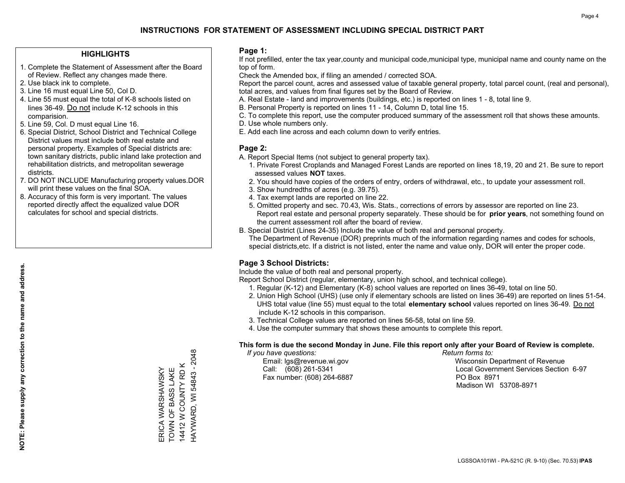### **HIGHLIGHTS**

- 1. Complete the Statement of Assessment after the Board of Review. Reflect any changes made there.
- 2. Use black ink to complete.
- 3. Line 16 must equal Line 50, Col D.
- 4. Line 55 must equal the total of K-8 schools listed on lines 36-49. Do not include K-12 schools in this comparision.
- 5. Line 59, Col. D must equal Line 16.
- 6. Special District, School District and Technical College District values must include both real estate and personal property. Examples of Special districts are: town sanitary districts, public inland lake protection and rehabilitation districts, and metropolitan sewerage districts.
- 7. DO NOT INCLUDE Manufacturing property values.DOR will print these values on the final SOA.

ERICA WARSHAWSKY TOWN OF BASS LAKE 14412 W COUNTY RD K HAYWARD, WI 54843 - 2048

HAYWARD, WI 54843 - 2048 14412 W COUNTY RD K ERICA WARSHAWSKY<br>TOWN OF BASS LAKE

 8. Accuracy of this form is very important. The values reported directly affect the equalized value DOR calculates for school and special districts.

### **Page 1:**

 If not prefilled, enter the tax year,county and municipal code,municipal type, municipal name and county name on the top of form.

Check the Amended box, if filing an amended / corrected SOA.

 Report the parcel count, acres and assessed value of taxable general property, total parcel count, (real and personal), total acres, and values from final figures set by the Board of Review.

- A. Real Estate land and improvements (buildings, etc.) is reported on lines 1 8, total line 9.
- B. Personal Property is reported on lines 11 14, Column D, total line 15.
- C. To complete this report, use the computer produced summary of the assessment roll that shows these amounts.
- D. Use whole numbers only.
- E. Add each line across and each column down to verify entries.

### **Page 2:**

- A. Report Special Items (not subject to general property tax).
- 1. Private Forest Croplands and Managed Forest Lands are reported on lines 18,19, 20 and 21. Be sure to report assessed values **NOT** taxes.
- 2. You should have copies of the orders of entry, orders of withdrawal, etc., to update your assessment roll.
	- 3. Show hundredths of acres (e.g. 39.75).
- 4. Tax exempt lands are reported on line 22.
- 5. Omitted property and sec. 70.43, Wis. Stats., corrections of errors by assessor are reported on line 23. Report real estate and personal property separately. These should be for **prior years**, not something found on the current assessment roll after the board of review.
- B. Special District (Lines 24-35) Include the value of both real and personal property.

 The Department of Revenue (DOR) preprints much of the information regarding names and codes for schools, special districts,etc. If a district is not listed, enter the name and value only, DOR will enter the proper code.

### **Page 3 School Districts:**

Include the value of both real and personal property.

Report School District (regular, elementary, union high school, and technical college).

- 1. Regular (K-12) and Elementary (K-8) school values are reported on lines 36-49, total on line 50.
- 2. Union High School (UHS) (use only if elementary schools are listed on lines 36-49) are reported on lines 51-54. UHS total value (line 55) must equal to the total **elementary school** values reported on lines 36-49. Do notinclude K-12 schools in this comparison.
- 3. Technical College values are reported on lines 56-58, total on line 59.
- 4. Use the computer summary that shows these amounts to complete this report.

#### **This form is due the second Monday in June. File this report only after your Board of Review is complete.**

 *If you have questions: Return forms to:*

Fax number: (608) 264-6887 PO Box 8971

 Email: lgs@revenue.wi.gov Wisconsin Department of Revenue Call: (608) 261-5341 Local Government Services Section 6-97Madison WI 53708-8971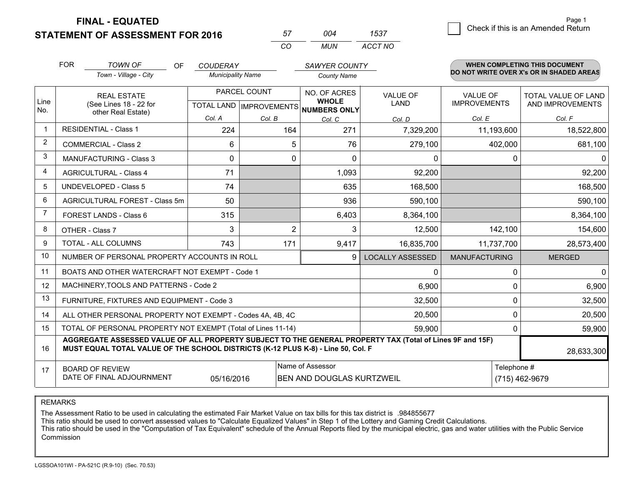**STATEMENT OF ASSESSMENT FOR 2016 FINAL - EQUATED**

 *MUN <sup>57</sup> <sup>004</sup> 1537*

*ACCT NO*

*CO*

|                | <b>FOR</b>                                                                                                                                                                                   | <b>TOWN OF</b><br>OF                                      | <b>COUDERAY</b>          |                | <b>SAWYER COUNTY</b>                                 |                         |                      | <b>WHEN COMPLETING THIS DOCUMENT</b>     |  |
|----------------|----------------------------------------------------------------------------------------------------------------------------------------------------------------------------------------------|-----------------------------------------------------------|--------------------------|----------------|------------------------------------------------------|-------------------------|----------------------|------------------------------------------|--|
|                |                                                                                                                                                                                              | Town - Village - City                                     | <b>Municipality Name</b> |                | <b>County Name</b>                                   |                         |                      | DO NOT WRITE OVER X's OR IN SHADED AREAS |  |
|                |                                                                                                                                                                                              | <b>REAL ESTATE</b>                                        |                          | PARCEL COUNT   | NO. OF ACRES                                         | <b>VALUE OF</b>         | <b>VALUE OF</b>      | TOTAL VALUE OF LAND                      |  |
| Line<br>No.    |                                                                                                                                                                                              | (See Lines 18 - 22 for<br>other Real Estate)              |                          |                | <b>WHOLE</b><br>TOTAL LAND IMPROVEMENTS NUMBERS ONLY | LAND                    | <b>IMPROVEMENTS</b>  | AND IMPROVEMENTS                         |  |
|                |                                                                                                                                                                                              |                                                           | Col. A                   | Col. B         | Col. C                                               | Col. D                  | Col. E               | Col. F                                   |  |
| $\mathbf{1}$   |                                                                                                                                                                                              | <b>RESIDENTIAL - Class 1</b>                              | 224                      | 164            | 271                                                  | 7,329,200               | 11,193,600           | 18,522,800                               |  |
| 2              |                                                                                                                                                                                              | <b>COMMERCIAL - Class 2</b>                               | 6                        | 5              | 76                                                   | 279,100                 | 402,000              | 681,100                                  |  |
| 3              |                                                                                                                                                                                              | <b>MANUFACTURING - Class 3</b>                            | $\Omega$                 | $\Omega$       | $\Omega$                                             | $\Omega$                | $\Omega$             | 01                                       |  |
| $\overline{4}$ |                                                                                                                                                                                              | <b>AGRICULTURAL - Class 4</b>                             | 71                       |                | 1,093                                                | 92,200                  |                      | 92,200                                   |  |
| 5              |                                                                                                                                                                                              | <b>UNDEVELOPED - Class 5</b>                              | 74                       |                | 635                                                  | 168,500                 |                      | 168,500                                  |  |
| 6              |                                                                                                                                                                                              | AGRICULTURAL FOREST - Class 5m                            | 50                       |                | 936                                                  | 590,100                 |                      | 590,100                                  |  |
| $\overline{7}$ |                                                                                                                                                                                              | FOREST LANDS - Class 6                                    | 315                      |                | 6,403                                                | 8,364,100               |                      | 8,364,100                                |  |
| 8              |                                                                                                                                                                                              | OTHER - Class 7                                           | 3                        | $\overline{2}$ | 3                                                    | 12,500                  | 142,100              | 154,600                                  |  |
| 9              |                                                                                                                                                                                              | TOTAL - ALL COLUMNS                                       | 743                      | 171            | 9,417                                                | 16,835,700              | 11,737,700           | 28,573,400                               |  |
| 10             |                                                                                                                                                                                              | NUMBER OF PERSONAL PROPERTY ACCOUNTS IN ROLL              |                          |                | 9                                                    | <b>LOCALLY ASSESSED</b> | <b>MANUFACTURING</b> | <b>MERGED</b>                            |  |
| 11             |                                                                                                                                                                                              | BOATS AND OTHER WATERCRAFT NOT EXEMPT - Code 1            |                          |                |                                                      | 0                       | 0                    | 0                                        |  |
| 12             |                                                                                                                                                                                              | MACHINERY, TOOLS AND PATTERNS - Code 2                    |                          |                |                                                      | 6,900                   | 0                    | 6,900                                    |  |
| 13             |                                                                                                                                                                                              | FURNITURE, FIXTURES AND EQUIPMENT - Code 3                |                          |                |                                                      | 32,500                  | 0                    | 32,500                                   |  |
| 14             |                                                                                                                                                                                              | ALL OTHER PERSONAL PROPERTY NOT EXEMPT - Codes 4A, 4B, 4C |                          |                |                                                      | 20,500                  | $\mathbf 0$          | 20,500                                   |  |
| 15             | TOTAL OF PERSONAL PROPERTY NOT EXEMPT (Total of Lines 11-14)                                                                                                                                 |                                                           |                          |                |                                                      | 59,900                  | 0                    | 59,900                                   |  |
| 16             | AGGREGATE ASSESSED VALUE OF ALL PROPERTY SUBJECT TO THE GENERAL PROPERTY TAX (Total of Lines 9F and 15F)<br>MUST EQUAL TOTAL VALUE OF THE SCHOOL DISTRICTS (K-12 PLUS K-8) - Line 50, Col. F |                                                           |                          |                |                                                      |                         | 28,633,300           |                                          |  |
| 17             |                                                                                                                                                                                              | <b>BOARD OF REVIEW</b>                                    |                          |                | Name of Assessor                                     |                         | Telephone #          |                                          |  |
|                |                                                                                                                                                                                              | DATE OF FINAL ADJOURNMENT                                 | 05/16/2016               |                | <b>BEN AND DOUGLAS KURTZWEIL</b>                     |                         |                      | (715) 462-9679                           |  |

REMARKS

The Assessment Ratio to be used in calculating the estimated Fair Market Value on tax bills for this tax district is .984855677<br>This ratio should be used to convert assessed values to "Calculate Equalized Values" in Step 1 Commission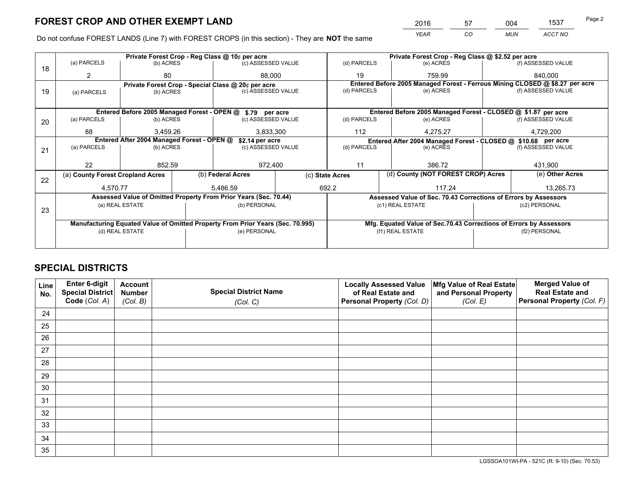*YEAR CO MUN ACCT NO* <sup>2016</sup> <sup>57</sup> <sup>004</sup> <sup>1537</sup>

Do not confuse FOREST LANDS (Line 7) with FOREST CROPS (in this section) - They are **NOT** the same

|    |                                                                                |                                             | Private Forest Crop - Reg Class @ 10¢ per acre                   |                                                               | Private Forest Crop - Reg Class @ \$2.52 per acre                            |                                                                 |                 |                    |  |
|----|--------------------------------------------------------------------------------|---------------------------------------------|------------------------------------------------------------------|---------------------------------------------------------------|------------------------------------------------------------------------------|-----------------------------------------------------------------|-----------------|--------------------|--|
| 18 | (a) PARCELS                                                                    | (b) ACRES                                   | (c) ASSESSED VALUE                                               |                                                               | (d) PARCELS                                                                  | (e) ACRES                                                       |                 | (f) ASSESSED VALUE |  |
|    |                                                                                | 80                                          |                                                                  | 88.000                                                        | 19                                                                           | 759.99                                                          |                 | 840.000            |  |
|    |                                                                                |                                             | Private Forest Crop - Special Class @ 20¢ per acre               |                                                               | Entered Before 2005 Managed Forest - Ferrous Mining CLOSED @ \$8.27 per acre |                                                                 |                 |                    |  |
| 19 | (a) PARCELS                                                                    | (b) ACRES                                   | (c) ASSESSED VALUE                                               |                                                               | (d) PARCELS                                                                  | (e) ACRES                                                       |                 | (f) ASSESSED VALUE |  |
|    |                                                                                |                                             |                                                                  |                                                               |                                                                              |                                                                 |                 |                    |  |
|    |                                                                                | Entered Before 2005 Managed Forest - OPEN @ | \$.79 per acre                                                   |                                                               |                                                                              | Entered Before 2005 Managed Forest - CLOSED @ \$1.87 per acre   |                 |                    |  |
| 20 | (a) PARCELS                                                                    | (b) ACRES                                   | (c) ASSESSED VALUE                                               |                                                               | (d) PARCELS                                                                  | (e) ACRES                                                       |                 | (f) ASSESSED VALUE |  |
|    | 88                                                                             | 3.459.26                                    |                                                                  | 3,833,300                                                     |                                                                              | 112<br>4,275.27                                                 |                 | 4,729,200          |  |
|    | Entered After 2004 Managed Forest - OPEN @<br>\$2.14 per acre                  |                                             |                                                                  | Entered After 2004 Managed Forest - CLOSED @ \$10.68 per acre |                                                                              |                                                                 |                 |                    |  |
| 21 | (a) PARCELS                                                                    | (b) ACRES                                   | (c) ASSESSED VALUE                                               |                                                               | (d) PARCELS                                                                  | (e) ACRES                                                       |                 | (f) ASSESSED VALUE |  |
|    |                                                                                |                                             |                                                                  |                                                               |                                                                              |                                                                 |                 |                    |  |
|    | 22                                                                             | 852.59                                      |                                                                  | 972,400                                                       | 11<br>386.72                                                                 |                                                                 |                 | 431,900            |  |
| 22 | (a) County Forest Cropland Acres                                               |                                             | (b) Federal Acres                                                |                                                               | (d) County (NOT FOREST CROP) Acres<br>(c) State Acres                        |                                                                 | (e) Other Acres |                    |  |
|    | 4.570.77                                                                       |                                             | 5.486.59                                                         |                                                               | 692.2                                                                        | 117.24                                                          |                 | 13,265.73          |  |
|    |                                                                                |                                             | Assessed Value of Omitted Property From Prior Years (Sec. 70.44) |                                                               |                                                                              | Assessed Value of Sec. 70.43 Corrections of Errors by Assessors |                 |                    |  |
|    |                                                                                | (a) REAL ESTATE                             | (b) PERSONAL                                                     |                                                               |                                                                              | (c1) REAL ESTATE                                                |                 | (c2) PERSONAL      |  |
| 23 |                                                                                |                                             |                                                                  |                                                               |                                                                              |                                                                 |                 |                    |  |
|    | Manufacturing Equated Value of Omitted Property From Prior Years (Sec. 70.995) |                                             |                                                                  |                                                               | Mfg. Equated Value of Sec.70.43 Corrections of Errors by Assessors           |                                                                 |                 |                    |  |
|    |                                                                                | (d) REAL ESTATE                             | (e) PERSONAL                                                     |                                                               |                                                                              | (f1) REAL ESTATE                                                |                 | (f2) PERSONAL      |  |
|    |                                                                                |                                             |                                                                  |                                                               |                                                                              |                                                                 |                 |                    |  |

## **SPECIAL DISTRICTS**

| Line<br>No. | Enter 6-digit<br>Special District<br>Code (Col. A) | <b>Account</b><br><b>Number</b><br>(Col. B) | <b>Special District Name</b><br>(Col. C) | <b>Locally Assessed Value</b><br>of Real Estate and<br>Personal Property (Col. D) | Mfg Value of Real Estate<br>and Personal Property<br>(Col. E) | <b>Merged Value of</b><br><b>Real Estate and</b><br>Personal Property (Col. F) |
|-------------|----------------------------------------------------|---------------------------------------------|------------------------------------------|-----------------------------------------------------------------------------------|---------------------------------------------------------------|--------------------------------------------------------------------------------|
| 24          |                                                    |                                             |                                          |                                                                                   |                                                               |                                                                                |
| 25          |                                                    |                                             |                                          |                                                                                   |                                                               |                                                                                |
| 26          |                                                    |                                             |                                          |                                                                                   |                                                               |                                                                                |
| 27          |                                                    |                                             |                                          |                                                                                   |                                                               |                                                                                |
| 28          |                                                    |                                             |                                          |                                                                                   |                                                               |                                                                                |
| 29          |                                                    |                                             |                                          |                                                                                   |                                                               |                                                                                |
| 30          |                                                    |                                             |                                          |                                                                                   |                                                               |                                                                                |
| 31          |                                                    |                                             |                                          |                                                                                   |                                                               |                                                                                |
| 32          |                                                    |                                             |                                          |                                                                                   |                                                               |                                                                                |
| 33          |                                                    |                                             |                                          |                                                                                   |                                                               |                                                                                |
| 34          |                                                    |                                             |                                          |                                                                                   |                                                               |                                                                                |
| 35          |                                                    |                                             |                                          |                                                                                   |                                                               |                                                                                |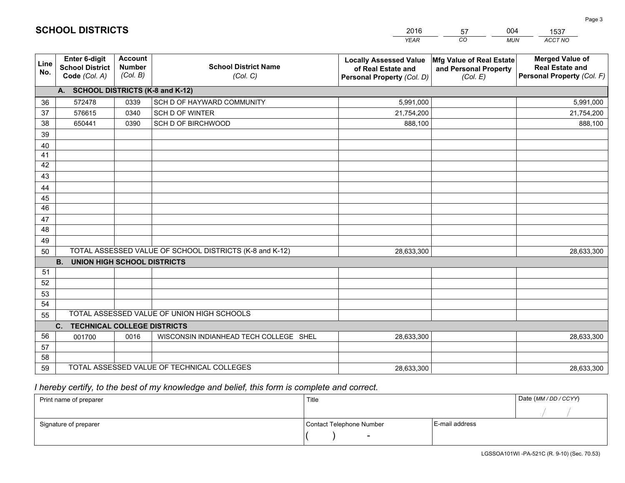|                 |                                                          |                                             |                                                         | <b>YEAR</b>                                                                       | CO<br><b>MUN</b>                                              | ACCT NO                                                                        |
|-----------------|----------------------------------------------------------|---------------------------------------------|---------------------------------------------------------|-----------------------------------------------------------------------------------|---------------------------------------------------------------|--------------------------------------------------------------------------------|
| Line<br>No.     | Enter 6-digit<br><b>School District</b><br>Code (Col. A) | <b>Account</b><br><b>Number</b><br>(Col. B) | <b>School District Name</b><br>(Col. C)                 | <b>Locally Assessed Value</b><br>of Real Estate and<br>Personal Property (Col. D) | Mfg Value of Real Estate<br>and Personal Property<br>(Col. E) | <b>Merged Value of</b><br><b>Real Estate and</b><br>Personal Property (Col. F) |
|                 | A. SCHOOL DISTRICTS (K-8 and K-12)                       |                                             |                                                         |                                                                                   |                                                               |                                                                                |
| 36              | 572478                                                   | 0339                                        | SCH D OF HAYWARD COMMUNITY                              | 5,991,000                                                                         |                                                               | 5,991,000                                                                      |
| 37              | 576615                                                   | 0340                                        | <b>SCH D OF WINTER</b>                                  | 21,754,200                                                                        |                                                               | 21,754,200                                                                     |
| 38              | 650441                                                   | 0390                                        | SCH D OF BIRCHWOOD                                      | 888,100                                                                           |                                                               | 888,100                                                                        |
| 39              |                                                          |                                             |                                                         |                                                                                   |                                                               |                                                                                |
| 40              |                                                          |                                             |                                                         |                                                                                   |                                                               |                                                                                |
| 41              |                                                          |                                             |                                                         |                                                                                   |                                                               |                                                                                |
| 42              |                                                          |                                             |                                                         |                                                                                   |                                                               |                                                                                |
| 43              |                                                          |                                             |                                                         |                                                                                   |                                                               |                                                                                |
| 44              |                                                          |                                             |                                                         |                                                                                   |                                                               |                                                                                |
| 45              |                                                          |                                             |                                                         |                                                                                   |                                                               |                                                                                |
| $\overline{46}$ |                                                          |                                             |                                                         |                                                                                   |                                                               |                                                                                |
| 47<br>48        |                                                          |                                             |                                                         |                                                                                   |                                                               |                                                                                |
|                 |                                                          |                                             |                                                         |                                                                                   |                                                               |                                                                                |
| 49              |                                                          |                                             | TOTAL ASSESSED VALUE OF SCHOOL DISTRICTS (K-8 and K-12) |                                                                                   |                                                               |                                                                                |
| 50              | <b>B.</b><br><b>UNION HIGH SCHOOL DISTRICTS</b>          |                                             |                                                         | 28,633,300                                                                        |                                                               | 28,633,300                                                                     |
| 51              |                                                          |                                             |                                                         |                                                                                   |                                                               |                                                                                |
| 52              |                                                          |                                             |                                                         |                                                                                   |                                                               |                                                                                |
| 53              |                                                          |                                             |                                                         |                                                                                   |                                                               |                                                                                |
| 54              |                                                          |                                             |                                                         |                                                                                   |                                                               |                                                                                |
| 55              |                                                          |                                             | TOTAL ASSESSED VALUE OF UNION HIGH SCHOOLS              |                                                                                   |                                                               |                                                                                |
|                 | C.<br><b>TECHNICAL COLLEGE DISTRICTS</b>                 |                                             |                                                         |                                                                                   |                                                               |                                                                                |
| 56              | 001700                                                   | 0016                                        | WISCONSIN INDIANHEAD TECH COLLEGE SHEL                  | 28,633,300                                                                        |                                                               | 28,633,300                                                                     |
| 57              |                                                          |                                             |                                                         |                                                                                   |                                                               |                                                                                |
| 58              |                                                          |                                             |                                                         |                                                                                   |                                                               |                                                                                |
| 59              |                                                          |                                             | TOTAL ASSESSED VALUE OF TECHNICAL COLLEGES              | 28,633,300                                                                        |                                                               | 28,633,300                                                                     |

57

004

 *I hereby certify, to the best of my knowledge and belief, this form is complete and correct.*

**SCHOOL DISTRICTS**

| Print name of preparer | Title                    |                | Date (MM / DD / CCYY) |
|------------------------|--------------------------|----------------|-----------------------|
|                        |                          |                |                       |
| Signature of preparer  | Contact Telephone Number | E-mail address |                       |
|                        | $\sim$                   |                |                       |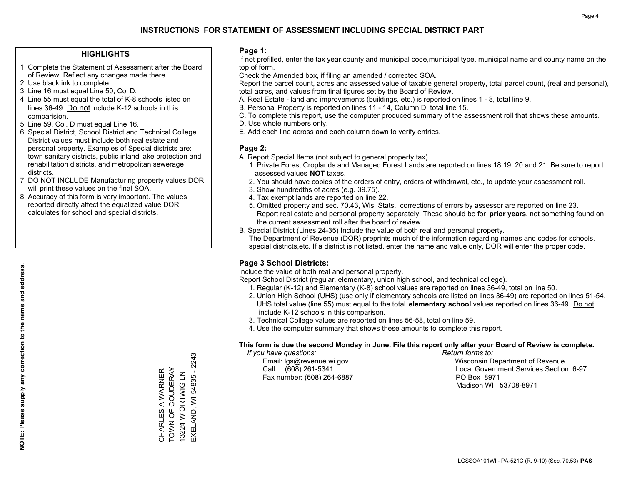### **HIGHLIGHTS**

- 1. Complete the Statement of Assessment after the Board of Review. Reflect any changes made there.
- 2. Use black ink to complete.
- 3. Line 16 must equal Line 50, Col D.
- 4. Line 55 must equal the total of K-8 schools listed on lines 36-49. Do not include K-12 schools in this comparision.
- 5. Line 59, Col. D must equal Line 16.
- 6. Special District, School District and Technical College District values must include both real estate and personal property. Examples of Special districts are: town sanitary districts, public inland lake protection and rehabilitation districts, and metropolitan sewerage districts.
- 7. DO NOT INCLUDE Manufacturing property values.DOR will print these values on the final SOA.

CHARLES A WARNER TOWN OF COUDERAY 13224 W ORTWIG LN EXELAND, WI 54835 - 2243

CHARLES A WARNER<br>TOWN OF COUDERAY 13224 W ORTWIG LN

EXELAND, WI 54835 - 2243

 8. Accuracy of this form is very important. The values reported directly affect the equalized value DOR calculates for school and special districts.

### **Page 1:**

 If not prefilled, enter the tax year,county and municipal code,municipal type, municipal name and county name on the top of form.

Check the Amended box, if filing an amended / corrected SOA.

 Report the parcel count, acres and assessed value of taxable general property, total parcel count, (real and personal), total acres, and values from final figures set by the Board of Review.

- A. Real Estate land and improvements (buildings, etc.) is reported on lines 1 8, total line 9.
- B. Personal Property is reported on lines 11 14, Column D, total line 15.
- C. To complete this report, use the computer produced summary of the assessment roll that shows these amounts.
- D. Use whole numbers only.
- E. Add each line across and each column down to verify entries.

### **Page 2:**

- A. Report Special Items (not subject to general property tax).
- 1. Private Forest Croplands and Managed Forest Lands are reported on lines 18,19, 20 and 21. Be sure to report assessed values **NOT** taxes.
- 2. You should have copies of the orders of entry, orders of withdrawal, etc., to update your assessment roll.
	- 3. Show hundredths of acres (e.g. 39.75).
- 4. Tax exempt lands are reported on line 22.
- 5. Omitted property and sec. 70.43, Wis. Stats., corrections of errors by assessor are reported on line 23. Report real estate and personal property separately. These should be for **prior years**, not something found on the current assessment roll after the board of review.
- B. Special District (Lines 24-35) Include the value of both real and personal property.
- The Department of Revenue (DOR) preprints much of the information regarding names and codes for schools, special districts,etc. If a district is not listed, enter the name and value only, DOR will enter the proper code.

### **Page 3 School Districts:**

Include the value of both real and personal property.

Report School District (regular, elementary, union high school, and technical college).

- 1. Regular (K-12) and Elementary (K-8) school values are reported on lines 36-49, total on line 50.
- 2. Union High School (UHS) (use only if elementary schools are listed on lines 36-49) are reported on lines 51-54. UHS total value (line 55) must equal to the total **elementary school** values reported on lines 36-49. Do notinclude K-12 schools in this comparison.
- 3. Technical College values are reported on lines 56-58, total on line 59.
- 4. Use the computer summary that shows these amounts to complete this report.

#### **This form is due the second Monday in June. File this report only after your Board of Review is complete.**

 *If you have questions: Return forms to:*

Fax number: (608) 264-6887 PO Box 8971

 Email: lgs@revenue.wi.gov Wisconsin Department of Revenue Call: (608) 261-5341 Local Government Services Section 6-97Madison WI 53708-8971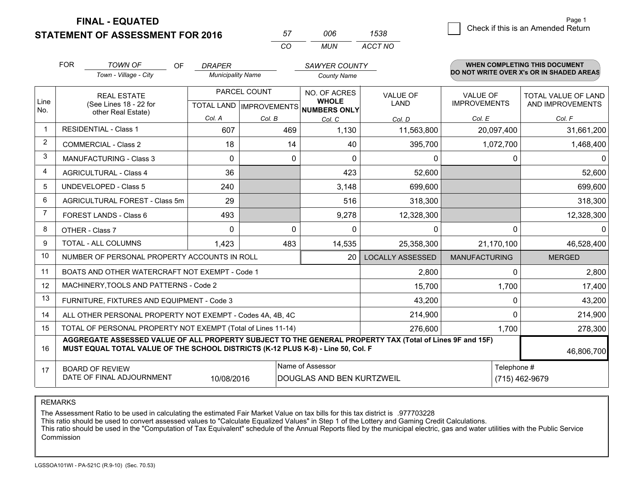**FINAL - EQUATED**

**STATEMENT OF ASSESSMENT FOR 2016** 

| 57   | nnr | 1538    |
|------|-----|---------|
| ∩′ ∩ | MUN | ACCT NO |

|                         | <b>FOR</b><br><b>TOWN OF</b><br>OF                                                                                                                                                                         | <b>DRAPER</b>            |              | SAWYER COUNTY                                        |                         |                                          | <b>WHEN COMPLETING THIS DOCUMENT</b> |  |
|-------------------------|------------------------------------------------------------------------------------------------------------------------------------------------------------------------------------------------------------|--------------------------|--------------|------------------------------------------------------|-------------------------|------------------------------------------|--------------------------------------|--|
|                         | Town - Village - City                                                                                                                                                                                      | <b>Municipality Name</b> |              | <b>County Name</b>                                   |                         | DO NOT WRITE OVER X's OR IN SHADED AREAS |                                      |  |
|                         | <b>REAL ESTATE</b>                                                                                                                                                                                         |                          | PARCEL COUNT | NO. OF ACRES                                         | <b>VALUE OF</b>         | VALUE OF                                 | <b>TOTAL VALUE OF LAND</b>           |  |
| Line<br>No.             | (See Lines 18 - 22 for<br>other Real Estate)                                                                                                                                                               |                          |              | <b>WHOLE</b><br>TOTAL LAND IMPROVEMENTS NUMBERS ONLY | <b>LAND</b>             | <b>IMPROVEMENTS</b>                      | AND IMPROVEMENTS                     |  |
|                         |                                                                                                                                                                                                            | Col. A                   | Col. B       | Col. C                                               | Col. D                  | Col. E                                   | Col. F                               |  |
| $\overline{\mathbf{1}}$ | <b>RESIDENTIAL - Class 1</b>                                                                                                                                                                               | 607                      | 469          | 1,130                                                | 11,563,800              | 20,097,400                               | 31,661,200                           |  |
| 2                       | <b>COMMERCIAL - Class 2</b>                                                                                                                                                                                | 18                       | 14           | 40                                                   | 395,700                 | 1,072,700                                | 1,468,400                            |  |
| 3                       | MANUFACTURING - Class 3                                                                                                                                                                                    | $\Omega$                 | $\mathbf 0$  | $\Omega$                                             | 0                       | 0                                        | $\Omega$                             |  |
| 4                       | <b>AGRICULTURAL - Class 4</b>                                                                                                                                                                              | 36                       |              | 423                                                  | 52,600                  |                                          | 52,600                               |  |
| 5                       | UNDEVELOPED - Class 5                                                                                                                                                                                      | 240                      |              | 3,148                                                | 699,600                 |                                          | 699,600                              |  |
| 6                       | AGRICULTURAL FOREST - Class 5m                                                                                                                                                                             | 29                       |              | 516                                                  | 318,300                 |                                          | 318,300                              |  |
| $\overline{7}$          | FOREST LANDS - Class 6                                                                                                                                                                                     | 493                      |              | 9,278                                                | 12,328,300              |                                          | 12,328,300                           |  |
| 8                       | OTHER - Class 7                                                                                                                                                                                            | $\mathbf 0$              | $\Omega$     | $\Omega$                                             | $\mathbf{0}$            | $\Omega$                                 | $\mathbf{0}$                         |  |
| 9                       | TOTAL - ALL COLUMNS                                                                                                                                                                                        | 1,423                    | 483          | 14,535                                               | 25,358,300              | 21,170,100                               | 46,528,400                           |  |
| 10                      | NUMBER OF PERSONAL PROPERTY ACCOUNTS IN ROLL                                                                                                                                                               |                          |              | 20                                                   | <b>LOCALLY ASSESSED</b> | <b>MANUFACTURING</b>                     | <b>MERGED</b>                        |  |
| 11                      | BOATS AND OTHER WATERCRAFT NOT EXEMPT - Code 1                                                                                                                                                             |                          |              |                                                      | 2,800                   | $\Omega$                                 | 2,800                                |  |
| 12                      | MACHINERY, TOOLS AND PATTERNS - Code 2                                                                                                                                                                     |                          |              |                                                      | 15,700                  | 1,700                                    | 17,400                               |  |
| 13                      | FURNITURE, FIXTURES AND EQUIPMENT - Code 3                                                                                                                                                                 |                          |              |                                                      | 43,200                  | $\Omega$                                 | 43,200                               |  |
| 14                      | ALL OTHER PERSONAL PROPERTY NOT EXEMPT - Codes 4A, 4B, 4C                                                                                                                                                  |                          |              |                                                      | 214,900                 | $\Omega$                                 | 214,900                              |  |
| 15                      | TOTAL OF PERSONAL PROPERTY NOT EXEMPT (Total of Lines 11-14)                                                                                                                                               |                          |              |                                                      | 276,600                 | 1,700                                    | 278,300                              |  |
| 16                      | AGGREGATE ASSESSED VALUE OF ALL PROPERTY SUBJECT TO THE GENERAL PROPERTY TAX (Total of Lines 9F and 15F)<br>MUST EQUAL TOTAL VALUE OF THE SCHOOL DISTRICTS (K-12 PLUS K-8) - Line 50, Col. F<br>46,806,700 |                          |              |                                                      |                         |                                          |                                      |  |
| 17                      | <b>BOARD OF REVIEW</b>                                                                                                                                                                                     |                          |              | Name of Assessor                                     |                         | Telephone #                              |                                      |  |
|                         | DATE OF FINAL ADJOURNMENT                                                                                                                                                                                  | 10/08/2016               |              | DOUGLAS AND BEN KURTZWEIL                            |                         |                                          | (715) 462-9679                       |  |

REMARKS

The Assessment Ratio to be used in calculating the estimated Fair Market Value on tax bills for this tax district is .977703228

This ratio should be used to convert assessed values to "Calculate Equalized Values" in Step 1 of the Lottery and Gaming Credit Calculations.<br>This ratio should be used in the "Computation of Tax Equivalent" schedule of the Commission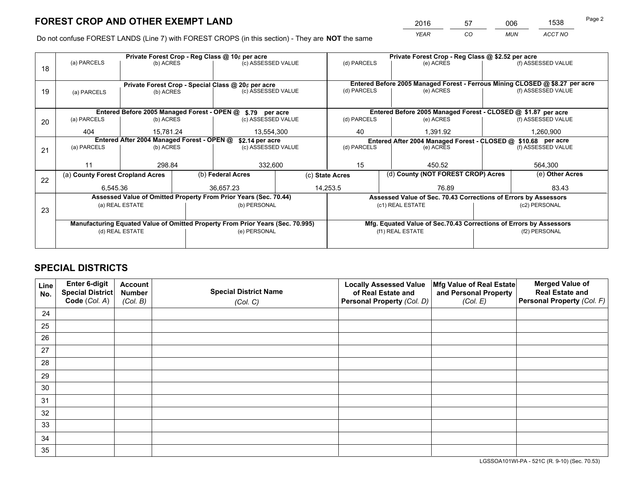*YEAR CO MUN ACCT NO* <sup>2016</sup> <sup>57</sup> <sup>006</sup> <sup>1538</sup>

Do not confuse FOREST LANDS (Line 7) with FOREST CROPS (in this section) - They are **NOT** the same

|    |                                                               |                                 |  | Private Forest Crop - Reg Class @ 10¢ per acre                                 |                          |                                                                    | Private Forest Crop - Reg Class @ \$2.52 per acre                            |                    |                    |  |
|----|---------------------------------------------------------------|---------------------------------|--|--------------------------------------------------------------------------------|--------------------------|--------------------------------------------------------------------|------------------------------------------------------------------------------|--------------------|--------------------|--|
| 18 | (a) PARCELS                                                   | (b) ACRES                       |  | (c) ASSESSED VALUE                                                             |                          | (d) PARCELS                                                        | (e) ACRES                                                                    |                    | (f) ASSESSED VALUE |  |
|    |                                                               |                                 |  |                                                                                |                          |                                                                    |                                                                              |                    |                    |  |
|    | Private Forest Crop - Special Class @ 20¢ per acre            |                                 |  |                                                                                |                          |                                                                    | Entered Before 2005 Managed Forest - Ferrous Mining CLOSED @ \$8.27 per acre |                    |                    |  |
| 19 | (a) PARCELS                                                   | (c) ASSESSED VALUE<br>(b) ACRES |  |                                                                                | (d) PARCELS<br>(e) ACRES |                                                                    |                                                                              | (f) ASSESSED VALUE |                    |  |
|    |                                                               |                                 |  |                                                                                |                          |                                                                    |                                                                              |                    |                    |  |
|    |                                                               |                                 |  | Entered Before 2005 Managed Forest - OPEN @ \$.79 per acre                     |                          |                                                                    | Entered Before 2005 Managed Forest - CLOSED @ \$1.87 per acre                |                    |                    |  |
| 20 | (a) PARCELS                                                   | (b) ACRES                       |  | (c) ASSESSED VALUE                                                             |                          | (d) PARCELS                                                        | (e) ACRES                                                                    |                    | (f) ASSESSED VALUE |  |
|    | 404                                                           | 15.781.24                       |  | 13,554,300                                                                     |                          | 40                                                                 | 1,391.92                                                                     |                    | 1,260,900          |  |
|    | Entered After 2004 Managed Forest - OPEN @<br>\$2.14 per acre |                                 |  |                                                                                |                          |                                                                    | Entered After 2004 Managed Forest - CLOSED @ \$10.68 per acre                |                    |                    |  |
| 21 | (a) PARCELS                                                   | (b) ACRES                       |  |                                                                                | (c) ASSESSED VALUE       |                                                                    | (d) PARCELS<br>(e) ACRES                                                     |                    | (f) ASSESSED VALUE |  |
|    |                                                               |                                 |  |                                                                                |                          |                                                                    |                                                                              |                    |                    |  |
|    | 11                                                            | 298.84                          |  | 332,600                                                                        |                          | 15<br>450.52                                                       |                                                                              |                    | 564,300            |  |
| 22 | (a) County Forest Cropland Acres                              |                                 |  | (b) Federal Acres                                                              |                          | (d) County (NOT FOREST CROP) Acres<br>(c) State Acres              |                                                                              |                    | (e) Other Acres    |  |
|    | 6,545.36                                                      |                                 |  | 36.657.23                                                                      |                          | 14.253.5<br>76.89                                                  |                                                                              |                    | 83.43              |  |
|    |                                                               |                                 |  | Assessed Value of Omitted Property From Prior Years (Sec. 70.44)               |                          |                                                                    | Assessed Value of Sec. 70.43 Corrections of Errors by Assessors              |                    |                    |  |
| 23 |                                                               | (a) REAL ESTATE                 |  | (b) PERSONAL                                                                   |                          |                                                                    | (c1) REAL ESTATE                                                             |                    | (c2) PERSONAL      |  |
|    |                                                               |                                 |  |                                                                                |                          |                                                                    |                                                                              |                    |                    |  |
|    |                                                               |                                 |  | Manufacturing Equated Value of Omitted Property From Prior Years (Sec. 70.995) |                          | Mfg. Equated Value of Sec.70.43 Corrections of Errors by Assessors |                                                                              |                    |                    |  |
|    | (d) REAL ESTATE                                               |                                 |  | (e) PERSONAL                                                                   |                          |                                                                    | (f1) REAL ESTATE                                                             | (f2) PERSONAL      |                    |  |
|    |                                                               |                                 |  |                                                                                |                          |                                                                    |                                                                              |                    |                    |  |

## **SPECIAL DISTRICTS**

| Line<br>No. | Enter 6-digit<br>Special District<br>Code (Col. A) | <b>Account</b><br><b>Number</b><br>(Col. B) | <b>Special District Name</b><br>(Col. C) | <b>Locally Assessed Value</b><br>of Real Estate and<br>Personal Property (Col. D) | Mfg Value of Real Estate<br>and Personal Property<br>(Col. E) | <b>Merged Value of</b><br><b>Real Estate and</b><br>Personal Property (Col. F) |
|-------------|----------------------------------------------------|---------------------------------------------|------------------------------------------|-----------------------------------------------------------------------------------|---------------------------------------------------------------|--------------------------------------------------------------------------------|
| 24          |                                                    |                                             |                                          |                                                                                   |                                                               |                                                                                |
| 25          |                                                    |                                             |                                          |                                                                                   |                                                               |                                                                                |
| 26          |                                                    |                                             |                                          |                                                                                   |                                                               |                                                                                |
| 27          |                                                    |                                             |                                          |                                                                                   |                                                               |                                                                                |
| 28          |                                                    |                                             |                                          |                                                                                   |                                                               |                                                                                |
| 29          |                                                    |                                             |                                          |                                                                                   |                                                               |                                                                                |
| 30          |                                                    |                                             |                                          |                                                                                   |                                                               |                                                                                |
| 31          |                                                    |                                             |                                          |                                                                                   |                                                               |                                                                                |
| 32          |                                                    |                                             |                                          |                                                                                   |                                                               |                                                                                |
| 33          |                                                    |                                             |                                          |                                                                                   |                                                               |                                                                                |
| 34          |                                                    |                                             |                                          |                                                                                   |                                                               |                                                                                |
| 35          |                                                    |                                             |                                          |                                                                                   |                                                               |                                                                                |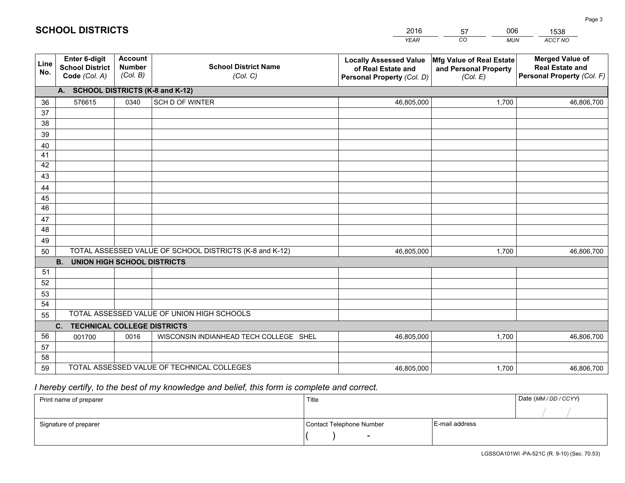|             |                                                                 |                                             |                                                         | <b>YEAR</b>                                                                       | CO<br><b>MUN</b>                                              | ACCT NO                                                                        |
|-------------|-----------------------------------------------------------------|---------------------------------------------|---------------------------------------------------------|-----------------------------------------------------------------------------------|---------------------------------------------------------------|--------------------------------------------------------------------------------|
| Line<br>No. | <b>Enter 6-digit</b><br><b>School District</b><br>Code (Col. A) | <b>Account</b><br><b>Number</b><br>(Col. B) | <b>School District Name</b><br>(Col. C)                 | <b>Locally Assessed Value</b><br>of Real Estate and<br>Personal Property (Col. D) | Mfg Value of Real Estate<br>and Personal Property<br>(Col. E) | <b>Merged Value of</b><br><b>Real Estate and</b><br>Personal Property (Col. F) |
|             | A. SCHOOL DISTRICTS (K-8 and K-12)                              |                                             |                                                         |                                                                                   |                                                               |                                                                                |
| 36          | 576615                                                          | 0340                                        | SCH D OF WINTER                                         | 46,805,000                                                                        | 1,700                                                         | 46,806,700                                                                     |
| 37          |                                                                 |                                             |                                                         |                                                                                   |                                                               |                                                                                |
| 38          |                                                                 |                                             |                                                         |                                                                                   |                                                               |                                                                                |
| 39          |                                                                 |                                             |                                                         |                                                                                   |                                                               |                                                                                |
| 40          |                                                                 |                                             |                                                         |                                                                                   |                                                               |                                                                                |
| 41<br>42    |                                                                 |                                             |                                                         |                                                                                   |                                                               |                                                                                |
| 43          |                                                                 |                                             |                                                         |                                                                                   |                                                               |                                                                                |
|             |                                                                 |                                             |                                                         |                                                                                   |                                                               |                                                                                |
| 44<br>45    |                                                                 |                                             |                                                         |                                                                                   |                                                               |                                                                                |
| 46          |                                                                 |                                             |                                                         |                                                                                   |                                                               |                                                                                |
| 47          |                                                                 |                                             |                                                         |                                                                                   |                                                               |                                                                                |
| 48          |                                                                 |                                             |                                                         |                                                                                   |                                                               |                                                                                |
| 49          |                                                                 |                                             |                                                         |                                                                                   |                                                               |                                                                                |
| 50          |                                                                 |                                             | TOTAL ASSESSED VALUE OF SCHOOL DISTRICTS (K-8 and K-12) | 46,805,000                                                                        | 1,700                                                         | 46,806,700                                                                     |
|             | <b>B.</b><br><b>UNION HIGH SCHOOL DISTRICTS</b>                 |                                             |                                                         |                                                                                   |                                                               |                                                                                |
| 51          |                                                                 |                                             |                                                         |                                                                                   |                                                               |                                                                                |
| 52          |                                                                 |                                             |                                                         |                                                                                   |                                                               |                                                                                |
| 53          |                                                                 |                                             |                                                         |                                                                                   |                                                               |                                                                                |
| 54          |                                                                 |                                             |                                                         |                                                                                   |                                                               |                                                                                |
| 55          |                                                                 |                                             | TOTAL ASSESSED VALUE OF UNION HIGH SCHOOLS              |                                                                                   |                                                               |                                                                                |
|             | C.<br><b>TECHNICAL COLLEGE DISTRICTS</b>                        |                                             |                                                         |                                                                                   |                                                               |                                                                                |
| 56          | 001700                                                          | 0016                                        | WISCONSIN INDIANHEAD TECH COLLEGE SHEL                  | 46,805,000                                                                        | 1,700                                                         | 46,806,700                                                                     |
| 57<br>58    |                                                                 |                                             |                                                         |                                                                                   |                                                               |                                                                                |
| 59          |                                                                 |                                             | TOTAL ASSESSED VALUE OF TECHNICAL COLLEGES              | 46,805,000                                                                        | 1,700                                                         | 46,806,700                                                                     |
|             |                                                                 |                                             |                                                         |                                                                                   |                                                               |                                                                                |

57

006

 *I hereby certify, to the best of my knowledge and belief, this form is complete and correct.*

**SCHOOL DISTRICTS**

| Print name of preparer | Title                    |                | Date (MM / DD / CCYY) |
|------------------------|--------------------------|----------------|-----------------------|
|                        |                          |                |                       |
| Signature of preparer  | Contact Telephone Number | E-mail address |                       |
|                        | $\sim$                   |                |                       |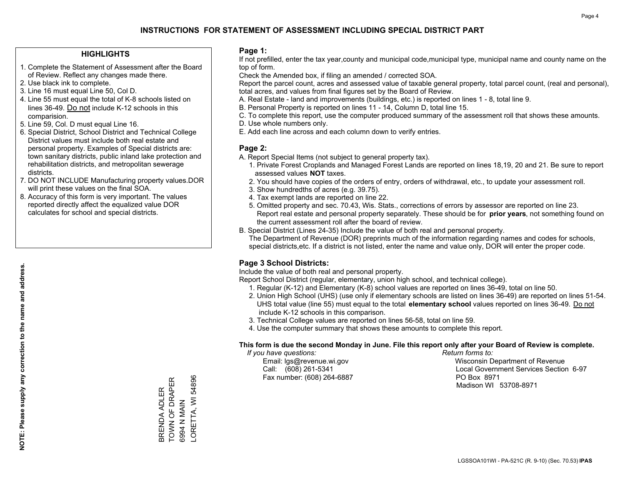### **HIGHLIGHTS**

- 1. Complete the Statement of Assessment after the Board of Review. Reflect any changes made there.
- 2. Use black ink to complete.
- 3. Line 16 must equal Line 50, Col D.
- 4. Line 55 must equal the total of K-8 schools listed on lines 36-49. Do not include K-12 schools in this comparision.
- 5. Line 59, Col. D must equal Line 16.
- 6. Special District, School District and Technical College District values must include both real estate and personal property. Examples of Special districts are: town sanitary districts, public inland lake protection and rehabilitation districts, and metropolitan sewerage districts.
- 7. DO NOT INCLUDE Manufacturing property values.DOR will print these values on the final SOA.
- 8. Accuracy of this form is very important. The values reported directly affect the equalized value DOR calculates for school and special districts.

### **Page 1:**

 If not prefilled, enter the tax year,county and municipal code,municipal type, municipal name and county name on the top of form.

Check the Amended box, if filing an amended / corrected SOA.

 Report the parcel count, acres and assessed value of taxable general property, total parcel count, (real and personal), total acres, and values from final figures set by the Board of Review.

- A. Real Estate land and improvements (buildings, etc.) is reported on lines 1 8, total line 9.
- B. Personal Property is reported on lines 11 14, Column D, total line 15.
- C. To complete this report, use the computer produced summary of the assessment roll that shows these amounts.
- D. Use whole numbers only.
- E. Add each line across and each column down to verify entries.

### **Page 2:**

- A. Report Special Items (not subject to general property tax).
- 1. Private Forest Croplands and Managed Forest Lands are reported on lines 18,19, 20 and 21. Be sure to report assessed values **NOT** taxes.
- 2. You should have copies of the orders of entry, orders of withdrawal, etc., to update your assessment roll.
	- 3. Show hundredths of acres (e.g. 39.75).
- 4. Tax exempt lands are reported on line 22.
- 5. Omitted property and sec. 70.43, Wis. Stats., corrections of errors by assessor are reported on line 23. Report real estate and personal property separately. These should be for **prior years**, not something found on the current assessment roll after the board of review.
- B. Special District (Lines 24-35) Include the value of both real and personal property.
- The Department of Revenue (DOR) preprints much of the information regarding names and codes for schools, special districts,etc. If a district is not listed, enter the name and value only, DOR will enter the proper code.

### **Page 3 School Districts:**

Include the value of both real and personal property.

Report School District (regular, elementary, union high school, and technical college).

- 1. Regular (K-12) and Elementary (K-8) school values are reported on lines 36-49, total on line 50.
- 2. Union High School (UHS) (use only if elementary schools are listed on lines 36-49) are reported on lines 51-54. UHS total value (line 55) must equal to the total **elementary school** values reported on lines 36-49. Do notinclude K-12 schools in this comparison.
- 3. Technical College values are reported on lines 56-58, total on line 59.
- 4. Use the computer summary that shows these amounts to complete this report.

#### **This form is due the second Monday in June. File this report only after your Board of Review is complete.**

 *If you have questions: Return forms to:*

Fax number: (608) 264-6887 PO Box 8971

 Email: lgs@revenue.wi.gov Wisconsin Department of Revenue Call: (608) 261-5341 Local Government Services Section 6-97Madison WI 53708-8971

BRENDA ADLER<br>TOWN OF DRAPER<br>6994 N MAIN ORETTA, WI 54896 TOWN OF DRAPER LORETTA, WI 54896 BRENDA ADLER 6994 N MAIN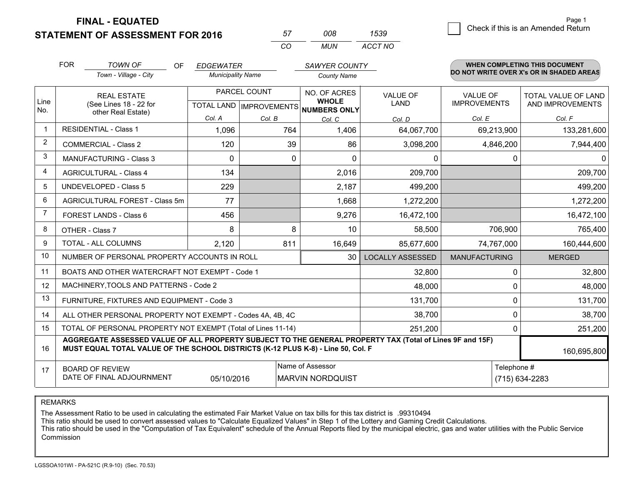**STATEMENT OF ASSESSMENT FOR 2016** 

**FINAL - EQUATED**

g **Check if this is an Amended Return** Page 1

|                | <b>FOR</b>             | <b>TOWN OF</b><br>OF                                                                                                                                                                         | <b>EDGEWATER</b>         |              | SAWYER COUNTY                                        |                         |                      | <b>WHEN COMPLETING THIS DOCUMENT</b>     |
|----------------|------------------------|----------------------------------------------------------------------------------------------------------------------------------------------------------------------------------------------|--------------------------|--------------|------------------------------------------------------|-------------------------|----------------------|------------------------------------------|
|                |                        | Town - Village - City                                                                                                                                                                        | <b>Municipality Name</b> |              | <b>County Name</b>                                   |                         |                      | DO NOT WRITE OVER X's OR IN SHADED AREAS |
|                |                        | <b>REAL ESTATE</b>                                                                                                                                                                           |                          | PARCEL COUNT | NO. OF ACRES                                         | <b>VALUE OF</b>         | <b>VALUE OF</b>      | TOTAL VALUE OF LAND                      |
| Line<br>No.    | other Real Estate)     | (See Lines 18 - 22 for                                                                                                                                                                       |                          |              | <b>WHOLE</b><br>TOTAL LAND IMPROVEMENTS NUMBERS ONLY | LAND                    | <b>IMPROVEMENTS</b>  | AND IMPROVEMENTS                         |
|                |                        |                                                                                                                                                                                              | Col. A                   | Col. B       | Col. C                                               | Col. D                  | Col. E               | Col. F                                   |
| $\mathbf{1}$   |                        | <b>RESIDENTIAL - Class 1</b>                                                                                                                                                                 | 1,096                    | 764          | 1,406                                                | 64,067,700              | 69,213,900           | 133,281,600                              |
| $\overline{2}$ |                        | <b>COMMERCIAL - Class 2</b>                                                                                                                                                                  | 120                      | 39           | 86                                                   | 3,098,200               | 4,846,200            | 7,944,400                                |
| 3              |                        | <b>MANUFACTURING - Class 3</b>                                                                                                                                                               | $\Omega$                 | $\Omega$     | $\Omega$                                             | $\mathbf{0}$            | 0                    | $\mathbf{0}$                             |
| $\overline{4}$ |                        | <b>AGRICULTURAL - Class 4</b>                                                                                                                                                                | 134                      |              | 2,016                                                | 209,700                 |                      | 209,700                                  |
| 5              |                        | UNDEVELOPED - Class 5                                                                                                                                                                        | 229                      |              | 2,187                                                | 499,200                 |                      | 499,200                                  |
| 6              |                        | AGRICULTURAL FOREST - Class 5m                                                                                                                                                               | 77                       |              | 1,668                                                | 1,272,200               |                      | 1,272,200                                |
| $\overline{7}$ | FOREST LANDS - Class 6 |                                                                                                                                                                                              | 456                      |              | 9,276                                                | 16,472,100              |                      | 16,472,100                               |
| 8              |                        | OTHER - Class 7                                                                                                                                                                              | 8                        | 8            | 10 <sup>1</sup>                                      | 58,500                  | 706,900              | 765,400                                  |
| 9              |                        | TOTAL - ALL COLUMNS                                                                                                                                                                          | 2,120                    | 811          | 16,649                                               | 85,677,600              | 74,767,000           | 160,444,600                              |
| 10             |                        | NUMBER OF PERSONAL PROPERTY ACCOUNTS IN ROLL                                                                                                                                                 |                          |              | 30                                                   | <b>LOCALLY ASSESSED</b> | <b>MANUFACTURING</b> | <b>MERGED</b>                            |
| 11             |                        | BOATS AND OTHER WATERCRAFT NOT EXEMPT - Code 1                                                                                                                                               |                          |              |                                                      | 32,800                  | 0                    | 32,800                                   |
| 12             |                        | MACHINERY, TOOLS AND PATTERNS - Code 2                                                                                                                                                       |                          |              |                                                      | 48,000                  | 0                    | 48,000                                   |
| 13             |                        | FURNITURE, FIXTURES AND EQUIPMENT - Code 3                                                                                                                                                   |                          |              |                                                      | 131,700                 | $\Omega$             | 131,700                                  |
| 14             |                        | ALL OTHER PERSONAL PROPERTY NOT EXEMPT - Codes 4A, 4B, 4C                                                                                                                                    |                          |              |                                                      | 38,700                  | 0                    | 38,700                                   |
| 15             |                        | TOTAL OF PERSONAL PROPERTY NOT EXEMPT (Total of Lines 11-14)                                                                                                                                 |                          |              |                                                      | 251,200                 | 0                    | 251,200                                  |
| 16             |                        | AGGREGATE ASSESSED VALUE OF ALL PROPERTY SUBJECT TO THE GENERAL PROPERTY TAX (Total of Lines 9F and 15F)<br>MUST EQUAL TOTAL VALUE OF THE SCHOOL DISTRICTS (K-12 PLUS K-8) - Line 50, Col. F |                          |              |                                                      |                         |                      | 160,695,800                              |
| 17             |                        | <b>BOARD OF REVIEW</b>                                                                                                                                                                       |                          |              | Name of Assessor                                     |                         | Telephone #          |                                          |
|                |                        | DATE OF FINAL ADJOURNMENT                                                                                                                                                                    | 05/10/2016               |              | <b>MARVIN NORDQUIST</b>                              |                         |                      | (715) 634-2283                           |

*CO*

*MUN*

*ACCT NO1539*

*<sup>57</sup> <sup>008</sup>*

REMARKS

The Assessment Ratio to be used in calculating the estimated Fair Market Value on tax bills for this tax district is .99310494<br>This ratio should be used to convert assessed values to "Calculate Equalized Values" in Step 1 Commission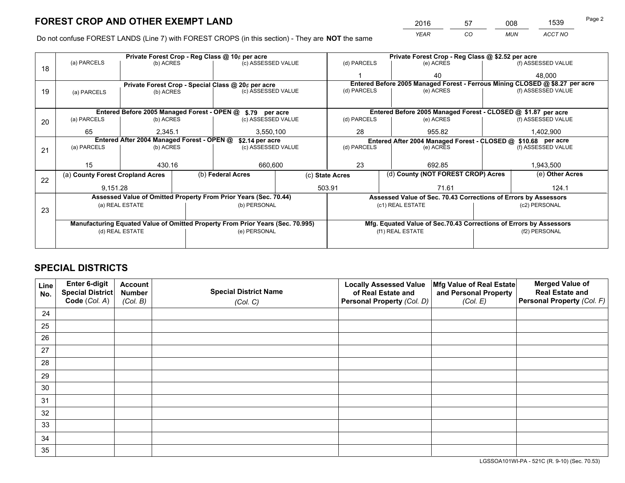*YEAR CO MUN ACCT NO* <sup>2016</sup> <sup>57</sup> <sup>008</sup> <sup>1539</sup>

Do not confuse FOREST LANDS (Line 7) with FOREST CROPS (in this section) - They are **NOT** the same

|    |                                                               |                                             |  | Private Forest Crop - Reg Class @ 10¢ per acre                                 |                    |                                                       | Private Forest Crop - Reg Class @ \$2.52 per acre                            |  |                    |  |
|----|---------------------------------------------------------------|---------------------------------------------|--|--------------------------------------------------------------------------------|--------------------|-------------------------------------------------------|------------------------------------------------------------------------------|--|--------------------|--|
| 18 | (a) PARCELS                                                   | (b) ACRES                                   |  | (c) ASSESSED VALUE                                                             |                    | (d) PARCELS                                           | (e) ACRES                                                                    |  | (f) ASSESSED VALUE |  |
|    |                                                               |                                             |  |                                                                                |                    |                                                       | 40                                                                           |  | 48.000             |  |
|    |                                                               |                                             |  | Private Forest Crop - Special Class @ 20¢ per acre                             |                    |                                                       | Entered Before 2005 Managed Forest - Ferrous Mining CLOSED @ \$8.27 per acre |  |                    |  |
| 19 | (a) PARCELS                                                   | (b) ACRES                                   |  | (c) ASSESSED VALUE                                                             |                    | (d) PARCELS                                           | (e) ACRES                                                                    |  | (f) ASSESSED VALUE |  |
|    |                                                               |                                             |  |                                                                                |                    |                                                       |                                                                              |  |                    |  |
|    |                                                               | Entered Before 2005 Managed Forest - OPEN @ |  | \$.79 per acre                                                                 |                    |                                                       | Entered Before 2005 Managed Forest - CLOSED @ \$1.87 per acre                |  |                    |  |
| 20 | (a) PARCELS                                                   | (b) ACRES                                   |  | (c) ASSESSED VALUE                                                             |                    | (d) PARCELS                                           | (e) ACRES                                                                    |  | (f) ASSESSED VALUE |  |
|    | 65                                                            | 2.345.1                                     |  | 3,550,100                                                                      |                    | 28<br>955.82                                          |                                                                              |  | 1,402,900          |  |
|    | Entered After 2004 Managed Forest - OPEN @<br>\$2.14 per acre |                                             |  |                                                                                |                    |                                                       | Entered After 2004 Managed Forest - CLOSED @ \$10.68 per acre                |  |                    |  |
| 21 | (a) PARCELS                                                   | (b) ACRES                                   |  |                                                                                | (c) ASSESSED VALUE |                                                       | (d) PARCELS<br>(e) ACRES                                                     |  | (f) ASSESSED VALUE |  |
|    |                                                               |                                             |  |                                                                                |                    |                                                       |                                                                              |  |                    |  |
|    | 15                                                            | 430.16                                      |  | 660,600                                                                        |                    | 23<br>692.85                                          |                                                                              |  | 1,943,500          |  |
| 22 | (a) County Forest Cropland Acres                              |                                             |  | (b) Federal Acres                                                              |                    | (d) County (NOT FOREST CROP) Acres<br>(c) State Acres |                                                                              |  | (e) Other Acres    |  |
|    | 9.151.28                                                      |                                             |  |                                                                                |                    | 503.91                                                | 71.61                                                                        |  | 124.1              |  |
|    |                                                               |                                             |  | Assessed Value of Omitted Property From Prior Years (Sec. 70.44)               |                    |                                                       | Assessed Value of Sec. 70.43 Corrections of Errors by Assessors              |  |                    |  |
| 23 |                                                               | (a) REAL ESTATE                             |  | (b) PERSONAL                                                                   |                    |                                                       | (c1) REAL ESTATE                                                             |  | (c2) PERSONAL      |  |
|    |                                                               |                                             |  |                                                                                |                    |                                                       |                                                                              |  |                    |  |
|    |                                                               |                                             |  | Manufacturing Equated Value of Omitted Property From Prior Years (Sec. 70.995) |                    |                                                       | Mfg. Equated Value of Sec.70.43 Corrections of Errors by Assessors           |  |                    |  |
|    | (d) REAL ESTATE                                               |                                             |  | (e) PERSONAL                                                                   |                    | (f1) REAL ESTATE                                      |                                                                              |  | (f2) PERSONAL      |  |
|    |                                                               |                                             |  |                                                                                |                    |                                                       |                                                                              |  |                    |  |

## **SPECIAL DISTRICTS**

| Line<br>No. | Enter 6-digit<br>Special District<br>Code (Col. A) | <b>Account</b><br><b>Number</b> | <b>Special District Name</b> | <b>Locally Assessed Value</b><br>of Real Estate and | Mfg Value of Real Estate<br>and Personal Property | <b>Merged Value of</b><br><b>Real Estate and</b><br>Personal Property (Col. F) |
|-------------|----------------------------------------------------|---------------------------------|------------------------------|-----------------------------------------------------|---------------------------------------------------|--------------------------------------------------------------------------------|
|             |                                                    | (Col. B)                        | (Col. C)                     | Personal Property (Col. D)                          | (Col. E)                                          |                                                                                |
| 24          |                                                    |                                 |                              |                                                     |                                                   |                                                                                |
| 25          |                                                    |                                 |                              |                                                     |                                                   |                                                                                |
| 26          |                                                    |                                 |                              |                                                     |                                                   |                                                                                |
| 27          |                                                    |                                 |                              |                                                     |                                                   |                                                                                |
| 28          |                                                    |                                 |                              |                                                     |                                                   |                                                                                |
| 29          |                                                    |                                 |                              |                                                     |                                                   |                                                                                |
| 30          |                                                    |                                 |                              |                                                     |                                                   |                                                                                |
| 31          |                                                    |                                 |                              |                                                     |                                                   |                                                                                |
| 32          |                                                    |                                 |                              |                                                     |                                                   |                                                                                |
| 33          |                                                    |                                 |                              |                                                     |                                                   |                                                                                |
| 34          |                                                    |                                 |                              |                                                     |                                                   |                                                                                |
| 35          |                                                    |                                 |                              |                                                     |                                                   |                                                                                |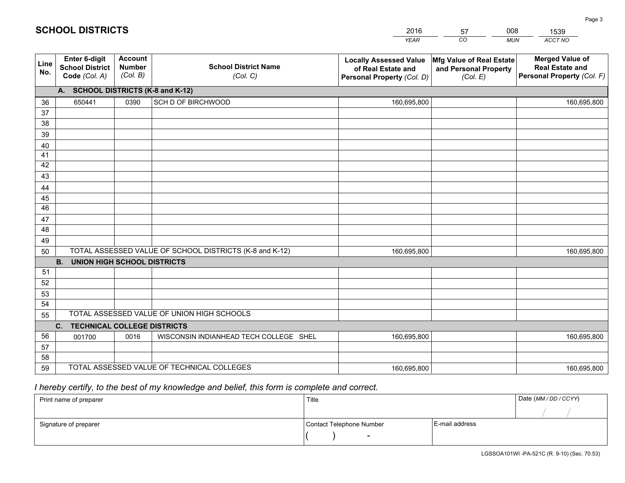| <b>Account</b><br><b>Merged Value of</b><br>Enter 6-digit<br>Mfg Value of Real Estate<br><b>Locally Assessed Value</b><br>Line<br><b>School District Name</b><br><b>Number</b><br><b>School District</b><br><b>Real Estate and</b><br>of Real Estate and<br>and Personal Property<br>No.<br>(Col. B)<br>Personal Property (Col. F)<br>Code (Col. A)<br>(Col. C)<br>(Col. E)<br>Personal Property (Col. D)<br>A. SCHOOL DISTRICTS (K-8 and K-12)<br>SCH D OF BIRCHWOOD<br>650441<br>0390<br>160,695,800<br>36<br>160,695,800<br>37<br>38<br>39<br>40<br>41<br>42<br>43<br>44<br>45<br>46<br>47<br>48<br>49<br>TOTAL ASSESSED VALUE OF SCHOOL DISTRICTS (K-8 and K-12)<br>50<br>160,695,800<br>160,695,800<br><b>B.</b><br><b>UNION HIGH SCHOOL DISTRICTS</b><br>51<br>52<br>53<br>54<br>TOTAL ASSESSED VALUE OF UNION HIGH SCHOOLS<br>55<br>C.<br><b>TECHNICAL COLLEGE DISTRICTS</b><br>56<br>WISCONSIN INDIANHEAD TECH COLLEGE SHEL<br>001700<br>0016<br>160,695,800<br>160,695,800<br>57<br>58 |  |  | <b>YEAR</b> | CO<br><b>MUN</b> | ACCT NO |
|-------------------------------------------------------------------------------------------------------------------------------------------------------------------------------------------------------------------------------------------------------------------------------------------------------------------------------------------------------------------------------------------------------------------------------------------------------------------------------------------------------------------------------------------------------------------------------------------------------------------------------------------------------------------------------------------------------------------------------------------------------------------------------------------------------------------------------------------------------------------------------------------------------------------------------------------------------------------------------------------------|--|--|-------------|------------------|---------|
|                                                                                                                                                                                                                                                                                                                                                                                                                                                                                                                                                                                                                                                                                                                                                                                                                                                                                                                                                                                                 |  |  |             |                  |         |
|                                                                                                                                                                                                                                                                                                                                                                                                                                                                                                                                                                                                                                                                                                                                                                                                                                                                                                                                                                                                 |  |  |             |                  |         |
|                                                                                                                                                                                                                                                                                                                                                                                                                                                                                                                                                                                                                                                                                                                                                                                                                                                                                                                                                                                                 |  |  |             |                  |         |
|                                                                                                                                                                                                                                                                                                                                                                                                                                                                                                                                                                                                                                                                                                                                                                                                                                                                                                                                                                                                 |  |  |             |                  |         |
|                                                                                                                                                                                                                                                                                                                                                                                                                                                                                                                                                                                                                                                                                                                                                                                                                                                                                                                                                                                                 |  |  |             |                  |         |
|                                                                                                                                                                                                                                                                                                                                                                                                                                                                                                                                                                                                                                                                                                                                                                                                                                                                                                                                                                                                 |  |  |             |                  |         |
|                                                                                                                                                                                                                                                                                                                                                                                                                                                                                                                                                                                                                                                                                                                                                                                                                                                                                                                                                                                                 |  |  |             |                  |         |
|                                                                                                                                                                                                                                                                                                                                                                                                                                                                                                                                                                                                                                                                                                                                                                                                                                                                                                                                                                                                 |  |  |             |                  |         |
|                                                                                                                                                                                                                                                                                                                                                                                                                                                                                                                                                                                                                                                                                                                                                                                                                                                                                                                                                                                                 |  |  |             |                  |         |
|                                                                                                                                                                                                                                                                                                                                                                                                                                                                                                                                                                                                                                                                                                                                                                                                                                                                                                                                                                                                 |  |  |             |                  |         |
|                                                                                                                                                                                                                                                                                                                                                                                                                                                                                                                                                                                                                                                                                                                                                                                                                                                                                                                                                                                                 |  |  |             |                  |         |
|                                                                                                                                                                                                                                                                                                                                                                                                                                                                                                                                                                                                                                                                                                                                                                                                                                                                                                                                                                                                 |  |  |             |                  |         |
|                                                                                                                                                                                                                                                                                                                                                                                                                                                                                                                                                                                                                                                                                                                                                                                                                                                                                                                                                                                                 |  |  |             |                  |         |
|                                                                                                                                                                                                                                                                                                                                                                                                                                                                                                                                                                                                                                                                                                                                                                                                                                                                                                                                                                                                 |  |  |             |                  |         |
|                                                                                                                                                                                                                                                                                                                                                                                                                                                                                                                                                                                                                                                                                                                                                                                                                                                                                                                                                                                                 |  |  |             |                  |         |
|                                                                                                                                                                                                                                                                                                                                                                                                                                                                                                                                                                                                                                                                                                                                                                                                                                                                                                                                                                                                 |  |  |             |                  |         |
|                                                                                                                                                                                                                                                                                                                                                                                                                                                                                                                                                                                                                                                                                                                                                                                                                                                                                                                                                                                                 |  |  |             |                  |         |
|                                                                                                                                                                                                                                                                                                                                                                                                                                                                                                                                                                                                                                                                                                                                                                                                                                                                                                                                                                                                 |  |  |             |                  |         |
|                                                                                                                                                                                                                                                                                                                                                                                                                                                                                                                                                                                                                                                                                                                                                                                                                                                                                                                                                                                                 |  |  |             |                  |         |
|                                                                                                                                                                                                                                                                                                                                                                                                                                                                                                                                                                                                                                                                                                                                                                                                                                                                                                                                                                                                 |  |  |             |                  |         |
|                                                                                                                                                                                                                                                                                                                                                                                                                                                                                                                                                                                                                                                                                                                                                                                                                                                                                                                                                                                                 |  |  |             |                  |         |
|                                                                                                                                                                                                                                                                                                                                                                                                                                                                                                                                                                                                                                                                                                                                                                                                                                                                                                                                                                                                 |  |  |             |                  |         |
|                                                                                                                                                                                                                                                                                                                                                                                                                                                                                                                                                                                                                                                                                                                                                                                                                                                                                                                                                                                                 |  |  |             |                  |         |
|                                                                                                                                                                                                                                                                                                                                                                                                                                                                                                                                                                                                                                                                                                                                                                                                                                                                                                                                                                                                 |  |  |             |                  |         |
|                                                                                                                                                                                                                                                                                                                                                                                                                                                                                                                                                                                                                                                                                                                                                                                                                                                                                                                                                                                                 |  |  |             |                  |         |
| TOTAL ASSESSED VALUE OF TECHNICAL COLLEGES<br>59<br>160,695,800<br>160,695,800                                                                                                                                                                                                                                                                                                                                                                                                                                                                                                                                                                                                                                                                                                                                                                                                                                                                                                                  |  |  |             |                  |         |

57

008

 *I hereby certify, to the best of my knowledge and belief, this form is complete and correct.*

**SCHOOL DISTRICTS**

| Print name of preparer | Title                    | Date (MM / DD / CCYY) |  |
|------------------------|--------------------------|-----------------------|--|
|                        |                          |                       |  |
| Signature of preparer  | Contact Telephone Number | E-mail address        |  |
|                        | $\sim$                   |                       |  |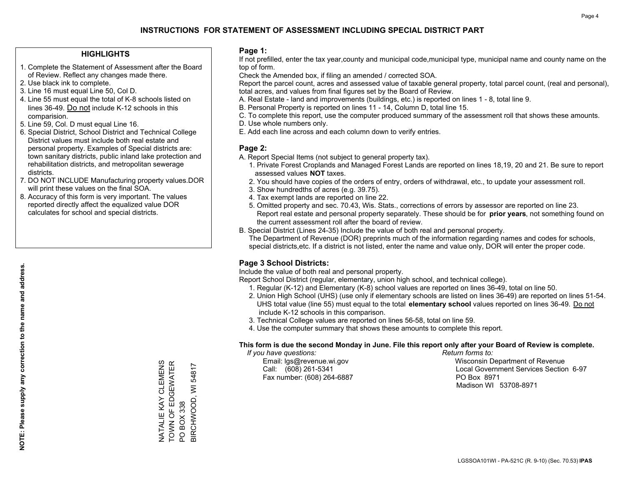### **HIGHLIGHTS**

- 1. Complete the Statement of Assessment after the Board of Review. Reflect any changes made there.
- 2. Use black ink to complete.
- 3. Line 16 must equal Line 50, Col D.
- 4. Line 55 must equal the total of K-8 schools listed on lines 36-49. Do not include K-12 schools in this comparision.
- 5. Line 59, Col. D must equal Line 16.
- 6. Special District, School District and Technical College District values must include both real estate and personal property. Examples of Special districts are: town sanitary districts, public inland lake protection and rehabilitation districts, and metropolitan sewerage districts.
- 7. DO NOT INCLUDE Manufacturing property values.DOR will print these values on the final SOA.

NATALIE KAY CLEMENS TOWN OF EDGEWATER

NATALIE KAY CLEMENS<br>TOWN OF EDGEWATER

PO BOX 338

PO BOX 338

BIRCHWOOD, WI 54817

BIRCHWOOD, WI 54817

 8. Accuracy of this form is very important. The values reported directly affect the equalized value DOR calculates for school and special districts.

### **Page 1:**

 If not prefilled, enter the tax year,county and municipal code,municipal type, municipal name and county name on the top of form.

Check the Amended box, if filing an amended / corrected SOA.

 Report the parcel count, acres and assessed value of taxable general property, total parcel count, (real and personal), total acres, and values from final figures set by the Board of Review.

- A. Real Estate land and improvements (buildings, etc.) is reported on lines 1 8, total line 9.
- B. Personal Property is reported on lines 11 14, Column D, total line 15.
- C. To complete this report, use the computer produced summary of the assessment roll that shows these amounts.
- D. Use whole numbers only.
- E. Add each line across and each column down to verify entries.

### **Page 2:**

- A. Report Special Items (not subject to general property tax).
- 1. Private Forest Croplands and Managed Forest Lands are reported on lines 18,19, 20 and 21. Be sure to report assessed values **NOT** taxes.
- 2. You should have copies of the orders of entry, orders of withdrawal, etc., to update your assessment roll.
	- 3. Show hundredths of acres (e.g. 39.75).
- 4. Tax exempt lands are reported on line 22.
- 5. Omitted property and sec. 70.43, Wis. Stats., corrections of errors by assessor are reported on line 23. Report real estate and personal property separately. These should be for **prior years**, not something found on the current assessment roll after the board of review.
- B. Special District (Lines 24-35) Include the value of both real and personal property.

 The Department of Revenue (DOR) preprints much of the information regarding names and codes for schools, special districts,etc. If a district is not listed, enter the name and value only, DOR will enter the proper code.

### **Page 3 School Districts:**

Include the value of both real and personal property.

Report School District (regular, elementary, union high school, and technical college).

- 1. Regular (K-12) and Elementary (K-8) school values are reported on lines 36-49, total on line 50.
- 2. Union High School (UHS) (use only if elementary schools are listed on lines 36-49) are reported on lines 51-54. UHS total value (line 55) must equal to the total **elementary school** values reported on lines 36-49. Do notinclude K-12 schools in this comparison.
- 3. Technical College values are reported on lines 56-58, total on line 59.
- 4. Use the computer summary that shows these amounts to complete this report.

#### **This form is due the second Monday in June. File this report only after your Board of Review is complete.**

 *If you have questions: Return forms to:*

Fax number: (608) 264-6887 PO Box 8971

 Email: lgs@revenue.wi.gov Wisconsin Department of Revenue Call: (608) 261-5341 Local Government Services Section 6-97Madison WI 53708-8971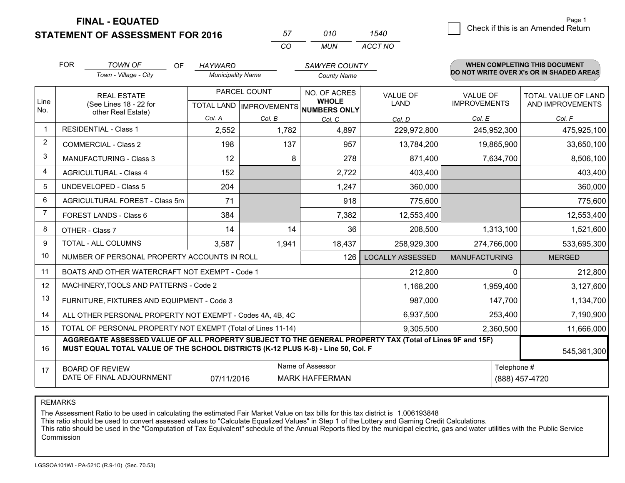**FINAL - EQUATED**

**STATEMENT OF ASSESSMENT FOR 2016** 

| 57  | 01 O | 540.    |
|-----|------|---------|
| ∫ ∩ | MUN. | ACCT NO |

|                | <b>FOR</b> | <b>TOWN OF</b><br>OF                                                                                                                                                                         | <b>HAYWARD</b>           |              | <b>SAWYER COUNTY</b>                                     |                               |                      | <b>WHEN COMPLETING THIS DOCUMENT</b>     |  |
|----------------|------------|----------------------------------------------------------------------------------------------------------------------------------------------------------------------------------------------|--------------------------|--------------|----------------------------------------------------------|-------------------------------|----------------------|------------------------------------------|--|
|                |            | Town - Village - City                                                                                                                                                                        | <b>Municipality Name</b> |              | <b>County Name</b>                                       |                               |                      | DO NOT WRITE OVER X's OR IN SHADED AREAS |  |
|                |            | <b>REAL ESTATE</b>                                                                                                                                                                           |                          | PARCEL COUNT | NO. OF ACRES                                             | <b>VALUE OF</b>               | <b>VALUE OF</b>      | <b>TOTAL VALUE OF LAND</b>               |  |
| Line<br>No.    |            | (See Lines 18 - 22 for<br>other Real Estate)                                                                                                                                                 |                          |              | <b>WHOLE</b><br>TOTAL LAND   IMPROVEMENTS   NUMBERS ONLY | LAND                          | <b>IMPROVEMENTS</b>  | AND IMPROVEMENTS                         |  |
|                |            |                                                                                                                                                                                              | Col. A                   | Col. B       | Col. C                                                   | Col. D                        | Col. E               | Col. F                                   |  |
| -1             |            | <b>RESIDENTIAL - Class 1</b>                                                                                                                                                                 | 2,552                    | 1,782        | 4,897                                                    | 229,972,800                   | 245,952,300          | 475,925,100                              |  |
| 2              |            | <b>COMMERCIAL - Class 2</b>                                                                                                                                                                  | 198                      | 137          | 957                                                      | 13,784,200                    | 19,865,900           | 33,650,100                               |  |
| 3              |            | <b>MANUFACTURING - Class 3</b>                                                                                                                                                               | 12                       | 8            | 278                                                      | 871,400                       | 7,634,700            | 8,506,100                                |  |
| 4              |            | <b>AGRICULTURAL - Class 4</b>                                                                                                                                                                | 152                      |              | 2,722                                                    | 403,400                       |                      | 403,400                                  |  |
| 5              |            | <b>UNDEVELOPED - Class 5</b>                                                                                                                                                                 | 204                      |              | 1,247                                                    | 360,000                       |                      | 360,000                                  |  |
| 6              |            | AGRICULTURAL FOREST - Class 5m                                                                                                                                                               | 71                       |              | 918                                                      | 775,600                       |                      | 775,600                                  |  |
| $\overline{7}$ |            | FOREST LANDS - Class 6                                                                                                                                                                       | 384                      |              | 7,382                                                    | 12,553,400                    |                      | 12,553,400                               |  |
| 8              |            | OTHER - Class 7                                                                                                                                                                              | 14                       | 14           | 36                                                       | 208,500                       | 1,313,100            | 1,521,600                                |  |
| 9              |            | TOTAL - ALL COLUMNS                                                                                                                                                                          | 3,587                    | 1,941        | 18,437                                                   | 258,929,300                   | 274,766,000          | 533,695,300                              |  |
| 10             |            | NUMBER OF PERSONAL PROPERTY ACCOUNTS IN ROLL                                                                                                                                                 |                          |              | 126                                                      | <b>LOCALLY ASSESSED</b>       | <b>MANUFACTURING</b> | <b>MERGED</b>                            |  |
| 11             |            | BOATS AND OTHER WATERCRAFT NOT EXEMPT - Code 1                                                                                                                                               |                          |              |                                                          | 212,800                       | $\Omega$             | 212,800                                  |  |
| 12             |            | MACHINERY, TOOLS AND PATTERNS - Code 2                                                                                                                                                       |                          |              |                                                          | 1,168,200                     | 1,959,400            | 3,127,600                                |  |
| 13             |            | FURNITURE, FIXTURES AND EQUIPMENT - Code 3                                                                                                                                                   |                          |              |                                                          | 987,000                       | 147,700              | 1,134,700                                |  |
| 14             |            | ALL OTHER PERSONAL PROPERTY NOT EXEMPT - Codes 4A, 4B, 4C                                                                                                                                    |                          |              |                                                          | 6,937,500                     | 253,400              | 7,190,900                                |  |
| 15             |            | TOTAL OF PERSONAL PROPERTY NOT EXEMPT (Total of Lines 11-14)                                                                                                                                 |                          |              |                                                          | 9,305,500                     | 2,360,500            | 11,666,000                               |  |
| 16             |            | AGGREGATE ASSESSED VALUE OF ALL PROPERTY SUBJECT TO THE GENERAL PROPERTY TAX (Total of Lines 9F and 15F)<br>MUST EQUAL TOTAL VALUE OF THE SCHOOL DISTRICTS (K-12 PLUS K-8) - Line 50, Col. F |                          |              |                                                          |                               |                      | 545,361,300                              |  |
| 17             |            | <b>BOARD OF REVIEW</b><br>DATE OF FINAL ADJOURNMENT                                                                                                                                          | 07/11/2016               |              | Name of Assessor<br><b>MARK HAFFERMAN</b>                | Telephone #<br>(888) 457-4720 |                      |                                          |  |

REMARKS

The Assessment Ratio to be used in calculating the estimated Fair Market Value on tax bills for this tax district is 1.006193848<br>This ratio should be used to convert assessed values to "Calculate Equalized Values" in Step Commission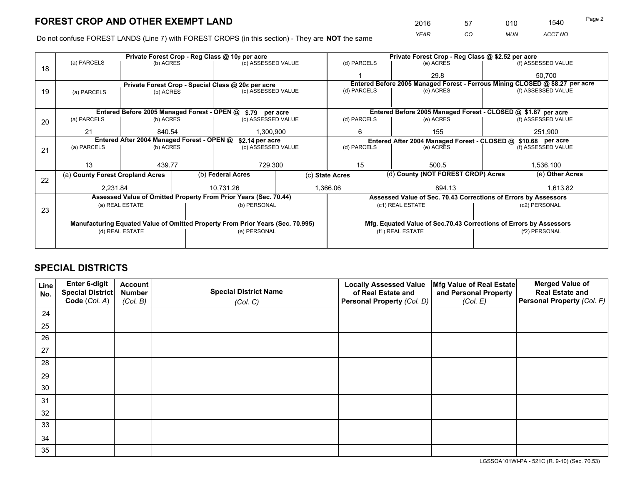*YEAR CO MUN ACCT NO* <sup>2016</sup> <sup>57</sup> <sup>010</sup> <sup>1540</sup>

Do not confuse FOREST LANDS (Line 7) with FOREST CROPS (in this section) - They are **NOT** the same

|    |                                                                                |                 |  | Private Forest Crop - Reg Class @ 10¢ per acre                   |                 |                          | Private Forest Crop - Reg Class @ \$2.52 per acre                            |                                    |                    |  |
|----|--------------------------------------------------------------------------------|-----------------|--|------------------------------------------------------------------|-----------------|--------------------------|------------------------------------------------------------------------------|------------------------------------|--------------------|--|
| 18 | (a) PARCELS                                                                    | (b) ACRES       |  | (c) ASSESSED VALUE                                               |                 | (d) PARCELS              | (e) ACRES                                                                    |                                    | (f) ASSESSED VALUE |  |
|    |                                                                                |                 |  |                                                                  |                 |                          | 29.8                                                                         |                                    | 50.700             |  |
|    |                                                                                |                 |  | Private Forest Crop - Special Class @ 20¢ per acre               |                 |                          | Entered Before 2005 Managed Forest - Ferrous Mining CLOSED @ \$8.27 per acre |                                    |                    |  |
| 19 | (a) PARCELS                                                                    | (b) ACRES       |  | (c) ASSESSED VALUE                                               |                 | (d) PARCELS              | (e) ACRES                                                                    |                                    | (f) ASSESSED VALUE |  |
|    |                                                                                |                 |  |                                                                  |                 |                          |                                                                              |                                    |                    |  |
|    |                                                                                |                 |  | Entered Before 2005 Managed Forest - OPEN @ \$.79 per acre       |                 |                          | Entered Before 2005 Managed Forest - CLOSED @ \$1.87 per acre                |                                    |                    |  |
| 20 | (a) PARCELS                                                                    | (b) ACRES       |  | (c) ASSESSED VALUE                                               |                 | (d) PARCELS              | (e) ACRES                                                                    |                                    | (f) ASSESSED VALUE |  |
|    | 21                                                                             | 840.54          |  | 1.300.900                                                        |                 | 6                        | 155                                                                          |                                    | 251,900            |  |
|    | Entered After 2004 Managed Forest - OPEN @<br>\$2.14 per acre                  |                 |  |                                                                  |                 |                          | Entered After 2004 Managed Forest - CLOSED @ \$10.68 per acre                |                                    |                    |  |
| 21 | (a) PARCELS                                                                    | (b) ACRES       |  | (c) ASSESSED VALUE                                               |                 | (d) PARCELS<br>(e) ACRES |                                                                              |                                    | (f) ASSESSED VALUE |  |
|    |                                                                                |                 |  |                                                                  |                 |                          |                                                                              |                                    |                    |  |
|    | 13                                                                             | 439.77          |  | 729,300                                                          |                 | 15<br>500.5              |                                                                              |                                    | 1,536,100          |  |
| 22 | (a) County Forest Cropland Acres                                               |                 |  | (b) Federal Acres                                                | (c) State Acres |                          |                                                                              | (d) County (NOT FOREST CROP) Acres |                    |  |
|    | 2,231.84                                                                       |                 |  | 10,731.26                                                        |                 | 1,366.06<br>894.13       |                                                                              |                                    | 1,613.82           |  |
|    |                                                                                |                 |  | Assessed Value of Omitted Property From Prior Years (Sec. 70.44) |                 |                          | Assessed Value of Sec. 70.43 Corrections of Errors by Assessors              |                                    |                    |  |
|    |                                                                                | (a) REAL ESTATE |  | (b) PERSONAL                                                     |                 |                          | (c1) REAL ESTATE                                                             |                                    | (c2) PERSONAL      |  |
| 23 |                                                                                |                 |  |                                                                  |                 |                          |                                                                              |                                    |                    |  |
|    | Manufacturing Equated Value of Omitted Property From Prior Years (Sec. 70.995) |                 |  |                                                                  |                 |                          | Mfg. Equated Value of Sec.70.43 Corrections of Errors by Assessors           |                                    |                    |  |
|    |                                                                                | (d) REAL ESTATE |  | (e) PERSONAL                                                     |                 | (f1) REAL ESTATE         |                                                                              |                                    | (f2) PERSONAL      |  |
|    |                                                                                |                 |  |                                                                  |                 |                          |                                                                              |                                    |                    |  |

## **SPECIAL DISTRICTS**

| Line<br>No. | Enter 6-digit<br>Special District<br>Code (Col. A) | <b>Account</b><br><b>Number</b> | <b>Special District Name</b> | <b>Locally Assessed Value</b><br>of Real Estate and | Mfg Value of Real Estate<br>and Personal Property | <b>Merged Value of</b><br><b>Real Estate and</b><br>Personal Property (Col. F) |
|-------------|----------------------------------------------------|---------------------------------|------------------------------|-----------------------------------------------------|---------------------------------------------------|--------------------------------------------------------------------------------|
|             |                                                    | (Col. B)                        | (Col. C)                     | Personal Property (Col. D)                          | (Col. E)                                          |                                                                                |
| 24          |                                                    |                                 |                              |                                                     |                                                   |                                                                                |
| 25          |                                                    |                                 |                              |                                                     |                                                   |                                                                                |
| 26          |                                                    |                                 |                              |                                                     |                                                   |                                                                                |
| 27          |                                                    |                                 |                              |                                                     |                                                   |                                                                                |
| 28          |                                                    |                                 |                              |                                                     |                                                   |                                                                                |
| 29          |                                                    |                                 |                              |                                                     |                                                   |                                                                                |
| 30          |                                                    |                                 |                              |                                                     |                                                   |                                                                                |
| 31          |                                                    |                                 |                              |                                                     |                                                   |                                                                                |
| 32          |                                                    |                                 |                              |                                                     |                                                   |                                                                                |
| 33          |                                                    |                                 |                              |                                                     |                                                   |                                                                                |
| 34          |                                                    |                                 |                              |                                                     |                                                   |                                                                                |
| 35          |                                                    |                                 |                              |                                                     |                                                   |                                                                                |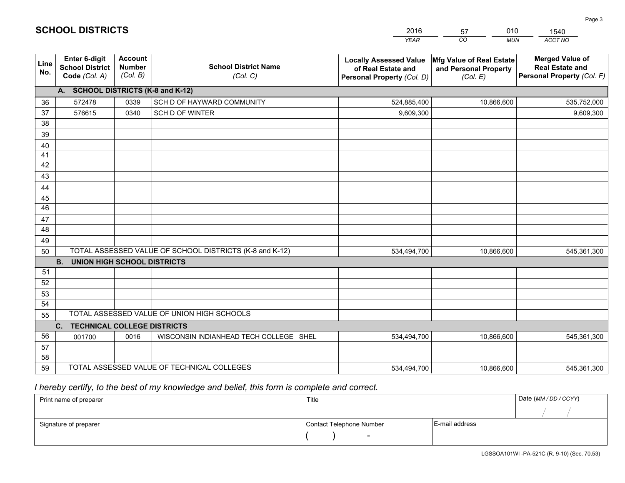|             |                                                                 |                                             |                                                         | <b>YEAR</b>                                                                       | CO<br><b>MUN</b>                                              | <b>ACCT NO</b>                                                                 |
|-------------|-----------------------------------------------------------------|---------------------------------------------|---------------------------------------------------------|-----------------------------------------------------------------------------------|---------------------------------------------------------------|--------------------------------------------------------------------------------|
| Line<br>No. | <b>Enter 6-digit</b><br><b>School District</b><br>Code (Col. A) | <b>Account</b><br><b>Number</b><br>(Col. B) | <b>School District Name</b><br>(Col. C)                 | <b>Locally Assessed Value</b><br>of Real Estate and<br>Personal Property (Col. D) | Mfg Value of Real Estate<br>and Personal Property<br>(Col. E) | <b>Merged Value of</b><br><b>Real Estate and</b><br>Personal Property (Col. F) |
|             | A. SCHOOL DISTRICTS (K-8 and K-12)                              |                                             |                                                         |                                                                                   |                                                               |                                                                                |
| 36          | 572478                                                          | 0339                                        | SCH D OF HAYWARD COMMUNITY                              | 524,885,400                                                                       | 10,866,600                                                    | 535,752,000                                                                    |
| 37          | 576615                                                          | 0340                                        | SCH D OF WINTER                                         | 9,609,300                                                                         |                                                               | 9,609,300                                                                      |
| 38          |                                                                 |                                             |                                                         |                                                                                   |                                                               |                                                                                |
| 39          |                                                                 |                                             |                                                         |                                                                                   |                                                               |                                                                                |
| 40          |                                                                 |                                             |                                                         |                                                                                   |                                                               |                                                                                |
| 41          |                                                                 |                                             |                                                         |                                                                                   |                                                               |                                                                                |
| 42          |                                                                 |                                             |                                                         |                                                                                   |                                                               |                                                                                |
| 43          |                                                                 |                                             |                                                         |                                                                                   |                                                               |                                                                                |
| 44          |                                                                 |                                             |                                                         |                                                                                   |                                                               |                                                                                |
| 45<br>46    |                                                                 |                                             |                                                         |                                                                                   |                                                               |                                                                                |
|             |                                                                 |                                             |                                                         |                                                                                   |                                                               |                                                                                |
| 47<br>48    |                                                                 |                                             |                                                         |                                                                                   |                                                               |                                                                                |
| 49          |                                                                 |                                             |                                                         |                                                                                   |                                                               |                                                                                |
| 50          |                                                                 |                                             | TOTAL ASSESSED VALUE OF SCHOOL DISTRICTS (K-8 and K-12) | 534,494,700                                                                       | 10,866,600                                                    | 545,361,300                                                                    |
|             | <b>B.</b><br><b>UNION HIGH SCHOOL DISTRICTS</b>                 |                                             |                                                         |                                                                                   |                                                               |                                                                                |
| 51          |                                                                 |                                             |                                                         |                                                                                   |                                                               |                                                                                |
| 52          |                                                                 |                                             |                                                         |                                                                                   |                                                               |                                                                                |
| 53          |                                                                 |                                             |                                                         |                                                                                   |                                                               |                                                                                |
| 54          |                                                                 |                                             |                                                         |                                                                                   |                                                               |                                                                                |
| 55          |                                                                 |                                             | TOTAL ASSESSED VALUE OF UNION HIGH SCHOOLS              |                                                                                   |                                                               |                                                                                |
|             | C.<br><b>TECHNICAL COLLEGE DISTRICTS</b>                        |                                             |                                                         |                                                                                   |                                                               |                                                                                |
| 56          | 001700                                                          | 0016                                        | WISCONSIN INDIANHEAD TECH COLLEGE SHEL                  | 534,494,700                                                                       | 10,866,600                                                    | 545,361,300                                                                    |
| 57          |                                                                 |                                             |                                                         |                                                                                   |                                                               |                                                                                |
| 58          |                                                                 |                                             |                                                         |                                                                                   |                                                               |                                                                                |
| 59          |                                                                 |                                             | TOTAL ASSESSED VALUE OF TECHNICAL COLLEGES              | 534,494,700                                                                       | 10,866,600                                                    | 545,361,300                                                                    |

57

010

 *I hereby certify, to the best of my knowledge and belief, this form is complete and correct.*

**SCHOOL DISTRICTS**

| Print name of preparer | Title                    |                | Date (MM / DD / CCYY) |
|------------------------|--------------------------|----------------|-----------------------|
|                        |                          |                |                       |
| Signature of preparer  | Contact Telephone Number | E-mail address |                       |
|                        | $\sim$                   |                |                       |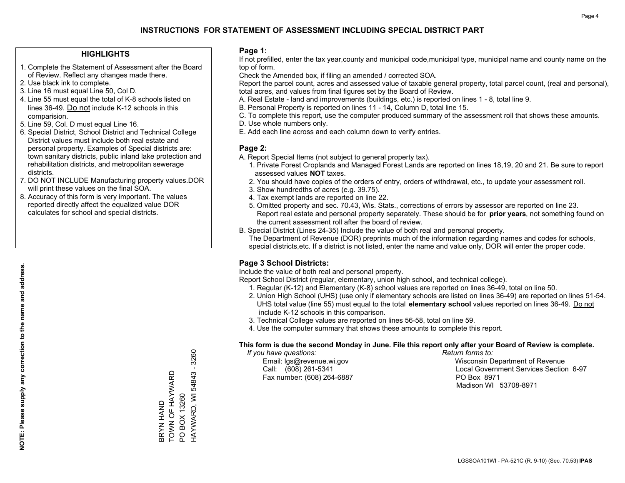### **HIGHLIGHTS**

- 1. Complete the Statement of Assessment after the Board of Review. Reflect any changes made there.
- 2. Use black ink to complete.
- 3. Line 16 must equal Line 50, Col D.
- 4. Line 55 must equal the total of K-8 schools listed on lines 36-49. Do not include K-12 schools in this comparision.
- 5. Line 59, Col. D must equal Line 16.
- 6. Special District, School District and Technical College District values must include both real estate and personal property. Examples of Special districts are: town sanitary districts, public inland lake protection and rehabilitation districts, and metropolitan sewerage districts.
- 7. DO NOT INCLUDE Manufacturing property values.DOR will print these values on the final SOA.

BRYN HAND

TOWN OF HAYWARD

BRYN HAND<br>TOWN OF HAYWARD

PO BOX 13260

PO BOX 13260

HAYWARD, WI 54843 - 3260

HAYWARD, WI 54843 - 3260

 8. Accuracy of this form is very important. The values reported directly affect the equalized value DOR calculates for school and special districts.

### **Page 1:**

 If not prefilled, enter the tax year,county and municipal code,municipal type, municipal name and county name on the top of form.

Check the Amended box, if filing an amended / corrected SOA.

 Report the parcel count, acres and assessed value of taxable general property, total parcel count, (real and personal), total acres, and values from final figures set by the Board of Review.

- A. Real Estate land and improvements (buildings, etc.) is reported on lines 1 8, total line 9.
- B. Personal Property is reported on lines 11 14, Column D, total line 15.
- C. To complete this report, use the computer produced summary of the assessment roll that shows these amounts.
- D. Use whole numbers only.
- E. Add each line across and each column down to verify entries.

### **Page 2:**

- A. Report Special Items (not subject to general property tax).
- 1. Private Forest Croplands and Managed Forest Lands are reported on lines 18,19, 20 and 21. Be sure to report assessed values **NOT** taxes.
- 2. You should have copies of the orders of entry, orders of withdrawal, etc., to update your assessment roll.
	- 3. Show hundredths of acres (e.g. 39.75).
- 4. Tax exempt lands are reported on line 22.
- 5. Omitted property and sec. 70.43, Wis. Stats., corrections of errors by assessor are reported on line 23. Report real estate and personal property separately. These should be for **prior years**, not something found on the current assessment roll after the board of review.
- B. Special District (Lines 24-35) Include the value of both real and personal property.

 The Department of Revenue (DOR) preprints much of the information regarding names and codes for schools, special districts,etc. If a district is not listed, enter the name and value only, DOR will enter the proper code.

### **Page 3 School Districts:**

Include the value of both real and personal property.

Report School District (regular, elementary, union high school, and technical college).

- 1. Regular (K-12) and Elementary (K-8) school values are reported on lines 36-49, total on line 50.
- 2. Union High School (UHS) (use only if elementary schools are listed on lines 36-49) are reported on lines 51-54. UHS total value (line 55) must equal to the total **elementary school** values reported on lines 36-49. Do notinclude K-12 schools in this comparison.
- 3. Technical College values are reported on lines 56-58, total on line 59.
- 4. Use the computer summary that shows these amounts to complete this report.

#### **This form is due the second Monday in June. File this report only after your Board of Review is complete.**

 *If you have questions: Return forms to:*

Fax number: (608) 264-6887 PO Box 8971

 Email: lgs@revenue.wi.gov Wisconsin Department of Revenue Call: (608) 261-5341 Local Government Services Section 6-97Madison WI 53708-8971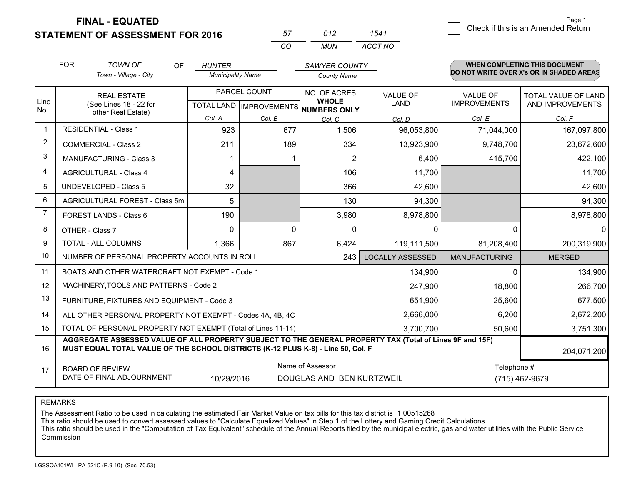**FINAL - EQUATED**

**STATEMENT OF ASSESSMENT FOR 2016** 

| 57       | N12  |         |
|----------|------|---------|
| $\cdots$ | MUN. | ACCT NO |

|              | <b>FOR</b>                                                                                                                                                                                   | <b>TOWN OF</b><br><b>OF</b>                               | HUNTER                                    |               | <b>SAWYER COUNTY</b>                          |                                |                                        | <b>WHEN COMPLETING THIS DOCUMENT</b>     |
|--------------|----------------------------------------------------------------------------------------------------------------------------------------------------------------------------------------------|-----------------------------------------------------------|-------------------------------------------|---------------|-----------------------------------------------|--------------------------------|----------------------------------------|------------------------------------------|
|              |                                                                                                                                                                                              | Town - Village - City                                     | <b>Municipality Name</b>                  |               | <b>County Name</b>                            |                                |                                        | DO NOT WRITE OVER X's OR IN SHADED AREAS |
| Line         |                                                                                                                                                                                              | <b>REAL ESTATE</b><br>(See Lines 18 - 22 for              | PARCEL COUNT<br>TOTAL LAND   IMPROVEMENTS |               | NO. OF ACRES<br><b>WHOLE</b>                  | <b>VALUE OF</b><br><b>LAND</b> | <b>VALUE OF</b><br><b>IMPROVEMENTS</b> | TOTAL VALUE OF LAND<br>AND IMPROVEMENTS  |
| No.          |                                                                                                                                                                                              | other Real Estate)                                        | Col. A                                    |               | <b>NUMBERS ONLY</b>                           |                                |                                        |                                          |
| $\mathbf{1}$ |                                                                                                                                                                                              | <b>RESIDENTIAL - Class 1</b>                              | 923                                       | Col. B<br>677 | Col. C<br>1,506                               | Col. D<br>96,053,800           | Col. E<br>71,044,000                   | Col. F<br>167,097,800                    |
| 2            |                                                                                                                                                                                              | <b>COMMERCIAL - Class 2</b>                               | 211                                       | 189           | 334                                           | 13,923,900                     | 9,748,700                              | 23,672,600                               |
| 3            |                                                                                                                                                                                              | <b>MANUFACTURING - Class 3</b>                            |                                           |               | 2                                             | 6,400                          | 415,700                                | 422,100                                  |
| 4            |                                                                                                                                                                                              | <b>AGRICULTURAL - Class 4</b>                             | 4                                         |               | 106                                           | 11,700                         |                                        | 11,700                                   |
| 5            |                                                                                                                                                                                              | <b>UNDEVELOPED - Class 5</b>                              | 32                                        |               | 366                                           | 42,600                         |                                        | 42,600                                   |
| 6            |                                                                                                                                                                                              | AGRICULTURAL FOREST - Class 5m                            | 5                                         |               | 130                                           | 94,300                         |                                        | 94,300                                   |
| 7            |                                                                                                                                                                                              | FOREST LANDS - Class 6                                    | 190                                       |               | 3,980                                         | 8,978,800                      |                                        | 8,978,800                                |
| 8            |                                                                                                                                                                                              | OTHER - Class 7                                           | $\Omega$                                  | $\Omega$      | $\Omega$                                      | $\Omega$                       | $\Omega$                               | 0                                        |
| 9            |                                                                                                                                                                                              | TOTAL - ALL COLUMNS                                       | 1,366                                     | 867           | 6,424                                         | 119,111,500                    | 81,208,400                             | 200,319,900                              |
| 10           |                                                                                                                                                                                              | NUMBER OF PERSONAL PROPERTY ACCOUNTS IN ROLL              |                                           |               | 243                                           | <b>LOCALLY ASSESSED</b>        | <b>MANUFACTURING</b>                   | <b>MERGED</b>                            |
| 11           |                                                                                                                                                                                              | BOATS AND OTHER WATERCRAFT NOT EXEMPT - Code 1            |                                           |               |                                               | 134,900                        | 0                                      | 134,900                                  |
| 12           |                                                                                                                                                                                              | MACHINERY, TOOLS AND PATTERNS - Code 2                    |                                           |               |                                               | 247,900                        | 18,800                                 | 266,700                                  |
| 13           |                                                                                                                                                                                              | FURNITURE, FIXTURES AND EQUIPMENT - Code 3                |                                           |               |                                               | 651,900                        | 25,600                                 | 677,500                                  |
| 14           |                                                                                                                                                                                              | ALL OTHER PERSONAL PROPERTY NOT EXEMPT - Codes 4A, 4B, 4C |                                           |               |                                               | 2,666,000                      | 6,200                                  | 2,672,200                                |
| 15           | TOTAL OF PERSONAL PROPERTY NOT EXEMPT (Total of Lines 11-14)<br>3,700,700<br>50,600                                                                                                          |                                                           |                                           |               |                                               |                                | 3,751,300                              |                                          |
| 16           | AGGREGATE ASSESSED VALUE OF ALL PROPERTY SUBJECT TO THE GENERAL PROPERTY TAX (Total of Lines 9F and 15F)<br>MUST EQUAL TOTAL VALUE OF THE SCHOOL DISTRICTS (K-12 PLUS K-8) - Line 50, Col. F |                                                           |                                           |               |                                               |                                | 204,071,200                            |                                          |
| 17           |                                                                                                                                                                                              | <b>BOARD OF REVIEW</b><br>DATE OF FINAL ADJOURNMENT       | 10/29/2016                                |               | Name of Assessor<br>DOUGLAS AND BEN KURTZWEIL |                                | Telephone #                            | (715) 462-9679                           |

REMARKS

The Assessment Ratio to be used in calculating the estimated Fair Market Value on tax bills for this tax district is 1.00515268<br>This ratio should be used to convert assessed values to "Calculate Equalized Values" in Step 1 Commission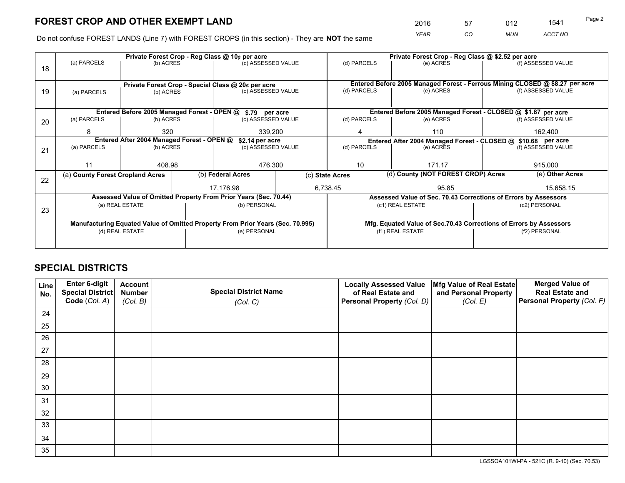*YEAR CO MUN ACCT NO* <sup>2016</sup> <sup>57</sup> <sup>012</sup> <sup>1541</sup>

Do not confuse FOREST LANDS (Line 7) with FOREST CROPS (in this section) - They are **NOT** the same

|    |                                                                                |                                 |  | Private Forest Crop - Reg Class @ 10¢ per acre                   |                                   | Private Forest Crop - Reg Class @ \$2.52 per acre                            |                                                                    |                                    |                            |  |
|----|--------------------------------------------------------------------------------|---------------------------------|--|------------------------------------------------------------------|-----------------------------------|------------------------------------------------------------------------------|--------------------------------------------------------------------|------------------------------------|----------------------------|--|
| 18 | (a) PARCELS                                                                    | (b) ACRES                       |  | (c) ASSESSED VALUE                                               |                                   | (d) PARCELS                                                                  | (e) ACRES                                                          |                                    | (f) ASSESSED VALUE         |  |
|    | Private Forest Crop - Special Class @ 20¢ per acre                             |                                 |  |                                                                  |                                   | Entered Before 2005 Managed Forest - Ferrous Mining CLOSED @ \$8.27 per acre |                                                                    |                                    |                            |  |
| 19 | (a) PARCELS                                                                    | (c) ASSESSED VALUE<br>(b) ACRES |  |                                                                  | (d) PARCELS                       | (e) ACRES                                                                    |                                                                    | (f) ASSESSED VALUE                 |                            |  |
|    |                                                                                |                                 |  | Entered Before 2005 Managed Forest - OPEN @ \$.79 per acre       |                                   |                                                                              | Entered Before 2005 Managed Forest - CLOSED @ \$1.87 per acre      |                                    |                            |  |
| 20 | (a) PARCELS                                                                    | (b) ACRES                       |  | (c) ASSESSED VALUE                                               |                                   | (d) PARCELS<br>(e) ACRES                                                     |                                                                    |                                    | (f) ASSESSED VALUE         |  |
|    | 8                                                                              | 320                             |  | 339.200                                                          |                                   | 4                                                                            | 110                                                                |                                    | 162,400                    |  |
|    | Entered After 2004 Managed Forest - OPEN @<br>\$2.14 per acre                  |                                 |  |                                                                  |                                   | Entered After 2004 Managed Forest - CLOSED @ \$10.68 per acre                |                                                                    |                                    |                            |  |
| 21 | (a) PARCELS                                                                    | (b) ACRES                       |  |                                                                  | (c) ASSESSED VALUE<br>(d) PARCELS |                                                                              | (e) ACRES                                                          |                                    | (f) ASSESSED VALUE         |  |
|    |                                                                                |                                 |  |                                                                  |                                   |                                                                              |                                                                    |                                    |                            |  |
|    | 11                                                                             | 408.98                          |  | 476,300                                                          |                                   | 10<br>171.17                                                                 |                                                                    |                                    | 915,000<br>(e) Other Acres |  |
|    | (a) County Forest Cropland Acres                                               |                                 |  | (b) Federal Acres                                                | (c) State Acres                   |                                                                              |                                                                    | (d) County (NOT FOREST CROP) Acres |                            |  |
| 22 |                                                                                |                                 |  | 17.176.98                                                        | 6,738.45                          |                                                                              | 95.85                                                              |                                    | 15,658.15                  |  |
|    |                                                                                |                                 |  | Assessed Value of Omitted Property From Prior Years (Sec. 70.44) |                                   |                                                                              | Assessed Value of Sec. 70.43 Corrections of Errors by Assessors    |                                    |                            |  |
| 23 |                                                                                | (a) REAL ESTATE                 |  | (b) PERSONAL                                                     |                                   | (c1) REAL ESTATE                                                             |                                                                    |                                    | (c2) PERSONAL              |  |
|    |                                                                                |                                 |  |                                                                  |                                   |                                                                              |                                                                    |                                    |                            |  |
|    | Manufacturing Equated Value of Omitted Property From Prior Years (Sec. 70.995) |                                 |  |                                                                  |                                   |                                                                              | Mfg. Equated Value of Sec.70.43 Corrections of Errors by Assessors |                                    |                            |  |
|    | (d) REAL ESTATE                                                                |                                 |  | (e) PERSONAL                                                     |                                   | (f1) REAL ESTATE                                                             |                                                                    |                                    | (f2) PERSONAL              |  |
|    |                                                                                |                                 |  |                                                                  |                                   |                                                                              |                                                                    |                                    |                            |  |

## **SPECIAL DISTRICTS**

| Line<br>No. | Enter 6-digit<br><b>Special District</b> | <b>Account</b><br><b>Number</b> | <b>Special District Name</b> | <b>Locally Assessed Value</b><br>of Real Estate and | Mfg Value of Real Estate<br>and Personal Property | <b>Merged Value of</b><br><b>Real Estate and</b> |
|-------------|------------------------------------------|---------------------------------|------------------------------|-----------------------------------------------------|---------------------------------------------------|--------------------------------------------------|
|             | Code (Col. A)                            | (Col. B)                        | (Col. C)                     | Personal Property (Col. D)                          | (Col. E)                                          | Personal Property (Col. F)                       |
| 24          |                                          |                                 |                              |                                                     |                                                   |                                                  |
| 25          |                                          |                                 |                              |                                                     |                                                   |                                                  |
| 26          |                                          |                                 |                              |                                                     |                                                   |                                                  |
| 27          |                                          |                                 |                              |                                                     |                                                   |                                                  |
| 28          |                                          |                                 |                              |                                                     |                                                   |                                                  |
| 29          |                                          |                                 |                              |                                                     |                                                   |                                                  |
| 30          |                                          |                                 |                              |                                                     |                                                   |                                                  |
| 31          |                                          |                                 |                              |                                                     |                                                   |                                                  |
| 32          |                                          |                                 |                              |                                                     |                                                   |                                                  |
| 33          |                                          |                                 |                              |                                                     |                                                   |                                                  |
| 34          |                                          |                                 |                              |                                                     |                                                   |                                                  |
| 35          |                                          |                                 |                              |                                                     |                                                   |                                                  |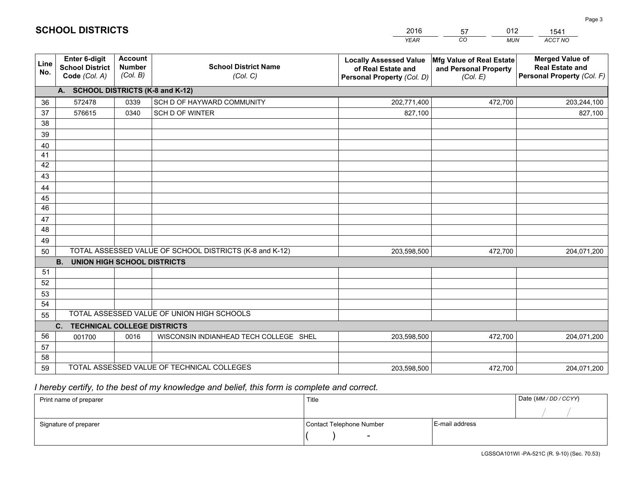|             |                                                          |                                             |                                                         | <b>YEAR</b>                                                                       | CO<br><b>MUN</b>                                              | ACCT NO                                                                        |
|-------------|----------------------------------------------------------|---------------------------------------------|---------------------------------------------------------|-----------------------------------------------------------------------------------|---------------------------------------------------------------|--------------------------------------------------------------------------------|
| Line<br>No. | Enter 6-digit<br><b>School District</b><br>Code (Col. A) | <b>Account</b><br><b>Number</b><br>(Col. B) | <b>School District Name</b><br>(Col. C)                 | <b>Locally Assessed Value</b><br>of Real Estate and<br>Personal Property (Col. D) | Mfg Value of Real Estate<br>and Personal Property<br>(Col. E) | <b>Merged Value of</b><br><b>Real Estate and</b><br>Personal Property (Col. F) |
|             | A. SCHOOL DISTRICTS (K-8 and K-12)                       |                                             |                                                         |                                                                                   |                                                               |                                                                                |
| 36          | 572478                                                   | 0339                                        | SCH D OF HAYWARD COMMUNITY                              | 202,771,400                                                                       | 472,700                                                       | 203,244,100                                                                    |
| 37          | 576615                                                   | 0340                                        | SCH D OF WINTER                                         | 827,100                                                                           |                                                               | 827,100                                                                        |
| 38          |                                                          |                                             |                                                         |                                                                                   |                                                               |                                                                                |
| 39          |                                                          |                                             |                                                         |                                                                                   |                                                               |                                                                                |
| 40          |                                                          |                                             |                                                         |                                                                                   |                                                               |                                                                                |
| 41          |                                                          |                                             |                                                         |                                                                                   |                                                               |                                                                                |
| 42<br>43    |                                                          |                                             |                                                         |                                                                                   |                                                               |                                                                                |
|             |                                                          |                                             |                                                         |                                                                                   |                                                               |                                                                                |
| 44<br>45    |                                                          |                                             |                                                         |                                                                                   |                                                               |                                                                                |
| 46          |                                                          |                                             |                                                         |                                                                                   |                                                               |                                                                                |
| 47          |                                                          |                                             |                                                         |                                                                                   |                                                               |                                                                                |
| 48          |                                                          |                                             |                                                         |                                                                                   |                                                               |                                                                                |
| 49          |                                                          |                                             |                                                         |                                                                                   |                                                               |                                                                                |
| 50          |                                                          |                                             | TOTAL ASSESSED VALUE OF SCHOOL DISTRICTS (K-8 and K-12) | 203,598,500                                                                       | 472,700                                                       | 204,071,200                                                                    |
|             | <b>B. UNION HIGH SCHOOL DISTRICTS</b>                    |                                             |                                                         |                                                                                   |                                                               |                                                                                |
| 51          |                                                          |                                             |                                                         |                                                                                   |                                                               |                                                                                |
| 52          |                                                          |                                             |                                                         |                                                                                   |                                                               |                                                                                |
| 53          |                                                          |                                             |                                                         |                                                                                   |                                                               |                                                                                |
| 54          |                                                          |                                             |                                                         |                                                                                   |                                                               |                                                                                |
| 55          |                                                          |                                             | TOTAL ASSESSED VALUE OF UNION HIGH SCHOOLS              |                                                                                   |                                                               |                                                                                |
|             | C.<br><b>TECHNICAL COLLEGE DISTRICTS</b>                 |                                             |                                                         |                                                                                   |                                                               |                                                                                |
| 56          | 001700                                                   | 0016                                        | WISCONSIN INDIANHEAD TECH COLLEGE SHEL                  | 203,598,500                                                                       | 472,700                                                       | 204,071,200                                                                    |
| 57<br>58    |                                                          |                                             |                                                         |                                                                                   |                                                               |                                                                                |
| 59          |                                                          |                                             | TOTAL ASSESSED VALUE OF TECHNICAL COLLEGES              | 203,598,500                                                                       | 472,700                                                       | 204,071,200                                                                    |
|             |                                                          |                                             |                                                         |                                                                                   |                                                               |                                                                                |

57

012

 *I hereby certify, to the best of my knowledge and belief, this form is complete and correct.*

**SCHOOL DISTRICTS**

| Print name of preparer | Title                    |                | Date (MM / DD / CCYY) |
|------------------------|--------------------------|----------------|-----------------------|
|                        |                          |                |                       |
| Signature of preparer  | Contact Telephone Number | E-mail address |                       |
|                        | $\sim$                   |                |                       |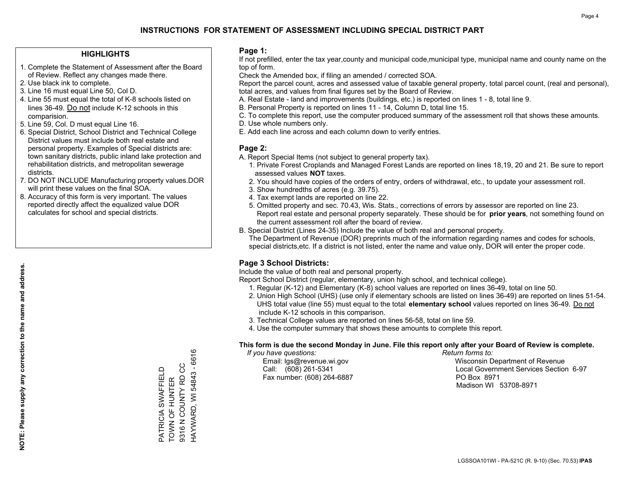### **HIGHLIGHTS**

- 1. Complete the Statement of Assessment after the Board of Review. Reflect any changes made there.
- 2. Use black ink to complete.
- 3. Line 16 must equal Line 50, Col D.
- 4. Line 55 must equal the total of K-8 schools listed on lines 36-49. Do not include K-12 schools in this comparision.
- 5. Line 59, Col. D must equal Line 16.
- 6. Special District, School District and Technical College District values must include both real estate and personal property. Examples of Special districts are: town sanitary districts, public inland lake protection and rehabilitation districts, and metropolitan sewerage districts.
- 7. DO NOT INCLUDE Manufacturing property values.DOR will print these values on the final SOA.

PATRICIA SWAFFIELD TOWN OF HUNTER 9316 N COUNTY RD CC HAYWARD, WI 54843 - 6616

PATRICIA SWAFFIELD<br>TOWN OF HUNTER<br>9316 N COUNTY RD CC

HAYWARD, WI 54843 - 6616

 8. Accuracy of this form is very important. The values reported directly affect the equalized value DOR calculates for school and special districts.

#### **Page 1:**

 If not prefilled, enter the tax year,county and municipal code,municipal type, municipal name and county name on the top of form.

Check the Amended box, if filing an amended / corrected SOA.

 Report the parcel count, acres and assessed value of taxable general property, total parcel count, (real and personal), total acres, and values from final figures set by the Board of Review.

- A. Real Estate land and improvements (buildings, etc.) is reported on lines 1 8, total line 9.
- B. Personal Property is reported on lines 11 14, Column D, total line 15.
- C. To complete this report, use the computer produced summary of the assessment roll that shows these amounts.
- D. Use whole numbers only.
- E. Add each line across and each column down to verify entries.

### **Page 2:**

- A. Report Special Items (not subject to general property tax).
- 1. Private Forest Croplands and Managed Forest Lands are reported on lines 18,19, 20 and 21. Be sure to report assessed values **NOT** taxes.
- 2. You should have copies of the orders of entry, orders of withdrawal, etc., to update your assessment roll.
	- 3. Show hundredths of acres (e.g. 39.75).
- 4. Tax exempt lands are reported on line 22.
- 5. Omitted property and sec. 70.43, Wis. Stats., corrections of errors by assessor are reported on line 23. Report real estate and personal property separately. These should be for **prior years**, not something found on the current assessment roll after the board of review.
- B. Special District (Lines 24-35) Include the value of both real and personal property.
- The Department of Revenue (DOR) preprints much of the information regarding names and codes for schools, special districts,etc. If a district is not listed, enter the name and value only, DOR will enter the proper code.

### **Page 3 School Districts:**

Include the value of both real and personal property.

Report School District (regular, elementary, union high school, and technical college).

- 1. Regular (K-12) and Elementary (K-8) school values are reported on lines 36-49, total on line 50.
- 2. Union High School (UHS) (use only if elementary schools are listed on lines 36-49) are reported on lines 51-54. UHS total value (line 55) must equal to the total **elementary school** values reported on lines 36-49. Do notinclude K-12 schools in this comparison.
- 3. Technical College values are reported on lines 56-58, total on line 59.
- 4. Use the computer summary that shows these amounts to complete this report.

#### **This form is due the second Monday in June. File this report only after your Board of Review is complete.**

 *If you have questions: Return forms to:*

Fax number: (608) 264-6887 PO Box 8971

 Email: lgs@revenue.wi.gov Wisconsin Department of Revenue Call: (608) 261-5341 Local Government Services Section 6-97Madison WI 53708-8971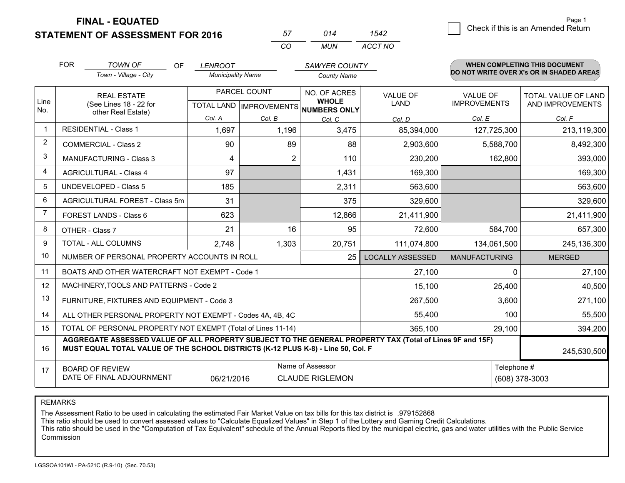**FINAL - EQUATED**

**STATEMENT OF ASSESSMENT FOR 2016** 

| 57       | 014   | 542.    |
|----------|-------|---------|
| $\cdots$ | MI IN | ACCT NO |

|                | <b>FOR</b>                                                              | <b>TOWN OF</b><br>OF                                                                                                                                                                         | <b>LENROOT</b>           |                           | SAWYER COUNTY                |                         |                      | <b>WHEN COMPLETING THIS DOCUMENT</b>     |
|----------------|-------------------------------------------------------------------------|----------------------------------------------------------------------------------------------------------------------------------------------------------------------------------------------|--------------------------|---------------------------|------------------------------|-------------------------|----------------------|------------------------------------------|
|                |                                                                         | Town - Village - City                                                                                                                                                                        | <b>Municipality Name</b> |                           | <b>County Name</b>           |                         |                      | DO NOT WRITE OVER X's OR IN SHADED AREAS |
|                |                                                                         | <b>REAL ESTATE</b>                                                                                                                                                                           | PARCEL COUNT             |                           | NO. OF ACRES                 | <b>VALUE OF</b>         | <b>VALUE OF</b>      | <b>TOTAL VALUE OF LAND</b>               |
| Line<br>No.    |                                                                         | (See Lines 18 - 22 for<br>other Real Estate)                                                                                                                                                 |                          | TOTAL LAND   IMPROVEMENTS | <b>WHOLE</b><br>NUMBERS ONLY | <b>LAND</b>             | <b>IMPROVEMENTS</b>  | AND IMPROVEMENTS                         |
|                |                                                                         |                                                                                                                                                                                              | Col. A                   | Col. B                    | Col. C                       | Col. D                  | Col. E               | Col. F                                   |
|                |                                                                         | <b>RESIDENTIAL - Class 1</b>                                                                                                                                                                 | 1,697                    | 1,196                     | 3,475                        | 85,394,000              | 127,725,300          | 213,119,300                              |
| 2              |                                                                         | <b>COMMERCIAL - Class 2</b>                                                                                                                                                                  | 90                       | 89                        | 88                           | 2,903,600               | 5,588,700            | 8,492,300                                |
| 3              |                                                                         | <b>MANUFACTURING - Class 3</b>                                                                                                                                                               | 4                        | $\overline{2}$            | 110                          | 230,200                 | 162,800              | 393,000                                  |
| 4              |                                                                         | <b>AGRICULTURAL - Class 4</b>                                                                                                                                                                | 97                       |                           | 1,431                        | 169,300                 |                      | 169,300                                  |
| 5              |                                                                         | <b>UNDEVELOPED - Class 5</b>                                                                                                                                                                 | 185                      |                           | 2,311                        | 563,600                 |                      | 563,600                                  |
| 6              |                                                                         | AGRICULTURAL FOREST - Class 5m                                                                                                                                                               | 31                       |                           | 375                          | 329,600                 |                      | 329,600                                  |
| $\overline{7}$ |                                                                         | FOREST LANDS - Class 6                                                                                                                                                                       | 623                      |                           | 12,866                       | 21,411,900              |                      | 21,411,900                               |
| 8              |                                                                         | OTHER - Class 7                                                                                                                                                                              | 21                       | 16                        | 95                           | 72,600                  | 584,700              | 657,300                                  |
| 9              |                                                                         | TOTAL - ALL COLUMNS                                                                                                                                                                          | 2,748                    | 1,303                     | 20,751                       | 111,074,800             | 134,061,500          | 245,136,300                              |
| 10             |                                                                         | NUMBER OF PERSONAL PROPERTY ACCOUNTS IN ROLL                                                                                                                                                 |                          |                           | 25                           | <b>LOCALLY ASSESSED</b> | <b>MANUFACTURING</b> | <b>MERGED</b>                            |
| 11             |                                                                         | BOATS AND OTHER WATERCRAFT NOT EXEMPT - Code 1                                                                                                                                               |                          |                           |                              | 27,100                  | $\Omega$             | 27,100                                   |
| 12             |                                                                         | MACHINERY, TOOLS AND PATTERNS - Code 2                                                                                                                                                       |                          |                           |                              | 15,100                  | 25,400               | 40,500                                   |
| 13             |                                                                         | FURNITURE, FIXTURES AND EQUIPMENT - Code 3                                                                                                                                                   |                          |                           |                              | 267,500                 | 3,600                | 271,100                                  |
| 14             |                                                                         | ALL OTHER PERSONAL PROPERTY NOT EXEMPT - Codes 4A, 4B, 4C                                                                                                                                    |                          |                           |                              | 55,400                  | 100                  | 55,500                                   |
| 15             | TOTAL OF PERSONAL PROPERTY NOT EXEMPT (Total of Lines 11-14)<br>365,100 |                                                                                                                                                                                              |                          |                           |                              |                         | 29,100               | 394,200                                  |
| 16             |                                                                         | AGGREGATE ASSESSED VALUE OF ALL PROPERTY SUBJECT TO THE GENERAL PROPERTY TAX (Total of Lines 9F and 15F)<br>MUST EQUAL TOTAL VALUE OF THE SCHOOL DISTRICTS (K-12 PLUS K-8) - Line 50, Col. F |                          |                           |                              |                         |                      | 245,530,500                              |
| 17             |                                                                         | <b>BOARD OF REVIEW</b>                                                                                                                                                                       |                          |                           | Name of Assessor             |                         | Telephone #          |                                          |
|                |                                                                         | DATE OF FINAL ADJOURNMENT                                                                                                                                                                    | 06/21/2016               |                           | <b>CLAUDE RIGLEMON</b>       |                         |                      | (608) 378-3003                           |

REMARKS

The Assessment Ratio to be used in calculating the estimated Fair Market Value on tax bills for this tax district is .979152868<br>This ratio should be used to convert assessed values to "Calculate Equalized Values" in Step 1 Commission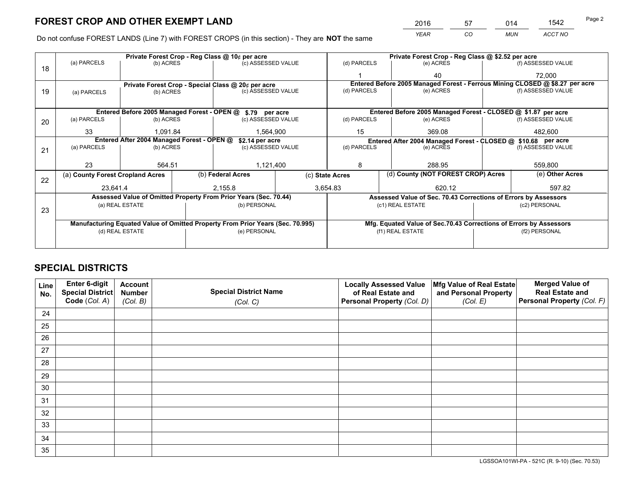*YEAR CO MUN ACCT NO* <sup>2016</sup> <sup>57</sup> <sup>014</sup> <sup>1542</sup>

Do not confuse FOREST LANDS (Line 7) with FOREST CROPS (in this section) - They are **NOT** the same

|    |                                                                                |                                            |  | Private Forest Crop - Reg Class @ 10¢ per acre                   |  | Private Forest Crop - Reg Class @ \$2.52 per acre     |                                                                              |  |                    |  |
|----|--------------------------------------------------------------------------------|--------------------------------------------|--|------------------------------------------------------------------|--|-------------------------------------------------------|------------------------------------------------------------------------------|--|--------------------|--|
| 18 | (a) PARCELS                                                                    | (b) ACRES                                  |  | (c) ASSESSED VALUE                                               |  | (d) PARCELS                                           | (e) ACRES                                                                    |  | (f) ASSESSED VALUE |  |
|    |                                                                                |                                            |  |                                                                  |  |                                                       | 40                                                                           |  | 72,000             |  |
|    |                                                                                |                                            |  | Private Forest Crop - Special Class @ 20¢ per acre               |  |                                                       | Entered Before 2005 Managed Forest - Ferrous Mining CLOSED @ \$8.27 per acre |  |                    |  |
| 19 | (a) PARCELS                                                                    | (b) ACRES                                  |  | (c) ASSESSED VALUE                                               |  | (d) PARCELS                                           | (e) ACRES                                                                    |  | (f) ASSESSED VALUE |  |
|    |                                                                                |                                            |  |                                                                  |  |                                                       |                                                                              |  |                    |  |
|    |                                                                                |                                            |  | Entered Before 2005 Managed Forest - OPEN @ \$.79 per acre       |  |                                                       | Entered Before 2005 Managed Forest - CLOSED @ \$1.87 per acre                |  |                    |  |
| 20 | (a) PARCELS                                                                    | (b) ACRES                                  |  | (c) ASSESSED VALUE                                               |  | (d) PARCELS                                           | (e) ACRES                                                                    |  | (f) ASSESSED VALUE |  |
|    | 33                                                                             | 1.091.84                                   |  | 1,564,900                                                        |  | 15                                                    | 369.08                                                                       |  | 482.600            |  |
|    |                                                                                | Entered After 2004 Managed Forest - OPEN @ |  | \$2.14 per acre                                                  |  |                                                       | Entered After 2004 Managed Forest - CLOSED @ \$10.68 per acre                |  |                    |  |
| 21 | (a) PARCELS                                                                    | (b) ACRES                                  |  | (c) ASSESSED VALUE                                               |  | (d) PARCELS                                           | (e) ACRES                                                                    |  | (f) ASSESSED VALUE |  |
|    |                                                                                |                                            |  |                                                                  |  |                                                       |                                                                              |  |                    |  |
|    | 23                                                                             | 564.51                                     |  | 1,121,400                                                        |  | 8<br>288.95                                           |                                                                              |  | 559,800            |  |
| 22 | (a) County Forest Cropland Acres                                               |                                            |  | (b) Federal Acres                                                |  | (d) County (NOT FOREST CROP) Acres<br>(c) State Acres |                                                                              |  | (e) Other Acres    |  |
|    | 23,641.4                                                                       |                                            |  | 3,654.83<br>2,155.8                                              |  |                                                       | 620.12                                                                       |  | 597.82             |  |
|    |                                                                                |                                            |  | Assessed Value of Omitted Property From Prior Years (Sec. 70.44) |  |                                                       | Assessed Value of Sec. 70.43 Corrections of Errors by Assessors              |  |                    |  |
|    |                                                                                | (a) REAL ESTATE                            |  | (b) PERSONAL                                                     |  |                                                       | (c1) REAL ESTATE<br>(c2) PERSONAL                                            |  |                    |  |
| 23 |                                                                                |                                            |  |                                                                  |  |                                                       |                                                                              |  |                    |  |
|    | Manufacturing Equated Value of Omitted Property From Prior Years (Sec. 70.995) |                                            |  |                                                                  |  |                                                       | Mfg. Equated Value of Sec.70.43 Corrections of Errors by Assessors           |  |                    |  |
|    | (d) REAL ESTATE                                                                |                                            |  | (e) PERSONAL                                                     |  | (f1) REAL ESTATE                                      |                                                                              |  | (f2) PERSONAL      |  |
|    |                                                                                |                                            |  |                                                                  |  |                                                       |                                                                              |  |                    |  |

## **SPECIAL DISTRICTS**

| Line<br>No. | Enter 6-digit<br>Special District | <b>Account</b><br><b>Number</b> | <b>Special District Name</b> | <b>Locally Assessed Value</b><br>of Real Estate and | Mfg Value of Real Estate<br>and Personal Property | <b>Merged Value of</b><br><b>Real Estate and</b> |
|-------------|-----------------------------------|---------------------------------|------------------------------|-----------------------------------------------------|---------------------------------------------------|--------------------------------------------------|
|             | Code (Col. A)                     | (Col. B)                        | (Col. C)                     | Personal Property (Col. D)                          | (Col. E)                                          | Personal Property (Col. F)                       |
| 24          |                                   |                                 |                              |                                                     |                                                   |                                                  |
| 25          |                                   |                                 |                              |                                                     |                                                   |                                                  |
| 26          |                                   |                                 |                              |                                                     |                                                   |                                                  |
| 27          |                                   |                                 |                              |                                                     |                                                   |                                                  |
| 28          |                                   |                                 |                              |                                                     |                                                   |                                                  |
| 29          |                                   |                                 |                              |                                                     |                                                   |                                                  |
| 30          |                                   |                                 |                              |                                                     |                                                   |                                                  |
| 31          |                                   |                                 |                              |                                                     |                                                   |                                                  |
| 32          |                                   |                                 |                              |                                                     |                                                   |                                                  |
| 33          |                                   |                                 |                              |                                                     |                                                   |                                                  |
| 34          |                                   |                                 |                              |                                                     |                                                   |                                                  |
| 35          |                                   |                                 |                              |                                                     |                                                   |                                                  |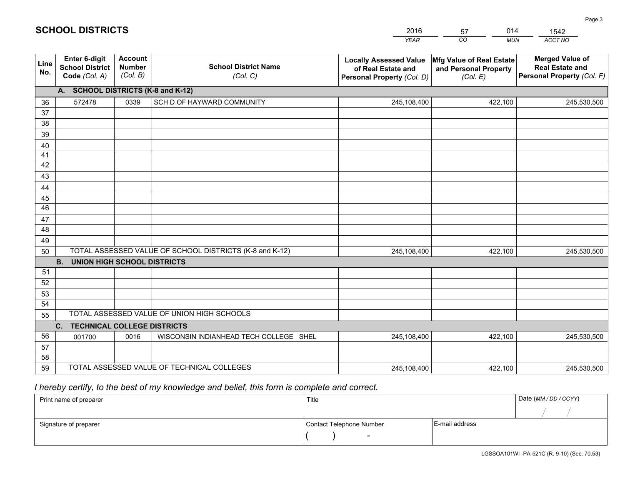|             |                                                                |                                             |                                                         | <b>YEAR</b>                                                                       | CO<br><b>MUN</b>                                              | ACCT NO                                                                        |
|-------------|----------------------------------------------------------------|---------------------------------------------|---------------------------------------------------------|-----------------------------------------------------------------------------------|---------------------------------------------------------------|--------------------------------------------------------------------------------|
| Line<br>No. | Enter 6-digit<br><b>School District</b><br>Code (Col. A)       | <b>Account</b><br><b>Number</b><br>(Col. B) | <b>School District Name</b><br>(Col. C)                 | <b>Locally Assessed Value</b><br>of Real Estate and<br>Personal Property (Col. D) | Mfg Value of Real Estate<br>and Personal Property<br>(Col. E) | <b>Merged Value of</b><br><b>Real Estate and</b><br>Personal Property (Col. F) |
|             | A. SCHOOL DISTRICTS (K-8 and K-12)                             |                                             |                                                         |                                                                                   |                                                               |                                                                                |
| 36          | 572478                                                         | 0339                                        | SCH D OF HAYWARD COMMUNITY                              | 245,108,400                                                                       | 422,100                                                       | 245,530,500                                                                    |
| 37          |                                                                |                                             |                                                         |                                                                                   |                                                               |                                                                                |
| 38          |                                                                |                                             |                                                         |                                                                                   |                                                               |                                                                                |
| 39          |                                                                |                                             |                                                         |                                                                                   |                                                               |                                                                                |
| 40          |                                                                |                                             |                                                         |                                                                                   |                                                               |                                                                                |
| 41<br>42    |                                                                |                                             |                                                         |                                                                                   |                                                               |                                                                                |
| 43          |                                                                |                                             |                                                         |                                                                                   |                                                               |                                                                                |
| 44          |                                                                |                                             |                                                         |                                                                                   |                                                               |                                                                                |
| 45          |                                                                |                                             |                                                         |                                                                                   |                                                               |                                                                                |
| 46          |                                                                |                                             |                                                         |                                                                                   |                                                               |                                                                                |
| 47          |                                                                |                                             |                                                         |                                                                                   |                                                               |                                                                                |
| 48          |                                                                |                                             |                                                         |                                                                                   |                                                               |                                                                                |
| 49          |                                                                |                                             |                                                         |                                                                                   |                                                               |                                                                                |
| 50          |                                                                |                                             | TOTAL ASSESSED VALUE OF SCHOOL DISTRICTS (K-8 and K-12) | 245,108,400                                                                       | 422,100                                                       | 245,530,500                                                                    |
|             | <b>B.</b><br><b>UNION HIGH SCHOOL DISTRICTS</b>                |                                             |                                                         |                                                                                   |                                                               |                                                                                |
| 51          |                                                                |                                             |                                                         |                                                                                   |                                                               |                                                                                |
| 52          |                                                                |                                             |                                                         |                                                                                   |                                                               |                                                                                |
| 53          |                                                                |                                             |                                                         |                                                                                   |                                                               |                                                                                |
| 54          |                                                                |                                             | TOTAL ASSESSED VALUE OF UNION HIGH SCHOOLS              |                                                                                   |                                                               |                                                                                |
| 55          |                                                                |                                             |                                                         |                                                                                   |                                                               |                                                                                |
| 56          | C <sub>1</sub><br><b>TECHNICAL COLLEGE DISTRICTS</b><br>001700 | 0016                                        | WISCONSIN INDIANHEAD TECH COLLEGE SHEL                  | 245,108,400                                                                       | 422,100                                                       |                                                                                |
| 57          |                                                                |                                             |                                                         |                                                                                   |                                                               | 245,530,500                                                                    |
| 58          |                                                                |                                             |                                                         |                                                                                   |                                                               |                                                                                |
| 59          |                                                                |                                             | TOTAL ASSESSED VALUE OF TECHNICAL COLLEGES              | 245,108,400                                                                       | 422,100                                                       | 245,530,500                                                                    |

57

014

 *I hereby certify, to the best of my knowledge and belief, this form is complete and correct.*

**SCHOOL DISTRICTS**

| Print name of preparer | Title                    |                | Date (MM / DD / CCYY) |
|------------------------|--------------------------|----------------|-----------------------|
|                        |                          |                |                       |
| Signature of preparer  | Contact Telephone Number | E-mail address |                       |
|                        | $\overline{\phantom{0}}$ |                |                       |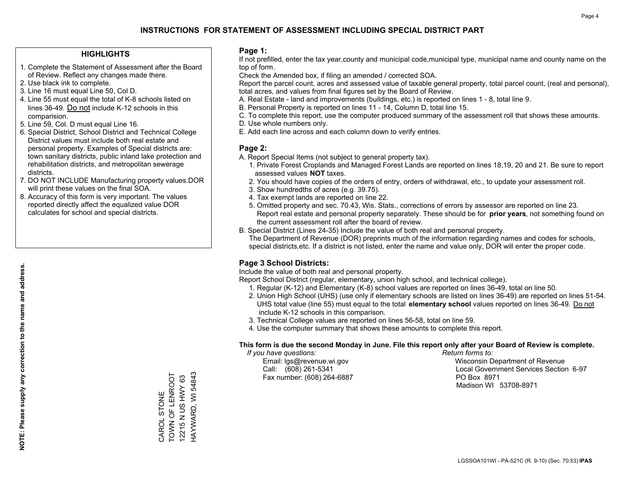### **HIGHLIGHTS**

- 1. Complete the Statement of Assessment after the Board of Review. Reflect any changes made there.
- 2. Use black ink to complete.
- 3. Line 16 must equal Line 50, Col D.
- 4. Line 55 must equal the total of K-8 schools listed on lines 36-49. Do not include K-12 schools in this comparision.
- 5. Line 59, Col. D must equal Line 16.
- 6. Special District, School District and Technical College District values must include both real estate and personal property. Examples of Special districts are: town sanitary districts, public inland lake protection and rehabilitation districts, and metropolitan sewerage districts.
- 7. DO NOT INCLUDE Manufacturing property values.DOR will print these values on the final SOA.
- 8. Accuracy of this form is very important. The values reported directly affect the equalized value DOR calculates for school and special districts.

### **Page 1:**

 If not prefilled, enter the tax year,county and municipal code,municipal type, municipal name and county name on the top of form.

Check the Amended box, if filing an amended / corrected SOA.

 Report the parcel count, acres and assessed value of taxable general property, total parcel count, (real and personal), total acres, and values from final figures set by the Board of Review.

- A. Real Estate land and improvements (buildings, etc.) is reported on lines 1 8, total line 9.
- B. Personal Property is reported on lines 11 14, Column D, total line 15.
- C. To complete this report, use the computer produced summary of the assessment roll that shows these amounts.
- D. Use whole numbers only.
- E. Add each line across and each column down to verify entries.

### **Page 2:**

- A. Report Special Items (not subject to general property tax).
- 1. Private Forest Croplands and Managed Forest Lands are reported on lines 18,19, 20 and 21. Be sure to report assessed values **NOT** taxes.
- 2. You should have copies of the orders of entry, orders of withdrawal, etc., to update your assessment roll.
	- 3. Show hundredths of acres (e.g. 39.75).
- 4. Tax exempt lands are reported on line 22.
- 5. Omitted property and sec. 70.43, Wis. Stats., corrections of errors by assessor are reported on line 23. Report real estate and personal property separately. These should be for **prior years**, not something found on the current assessment roll after the board of review.
- B. Special District (Lines 24-35) Include the value of both real and personal property.
- The Department of Revenue (DOR) preprints much of the information regarding names and codes for schools, special districts,etc. If a district is not listed, enter the name and value only, DOR will enter the proper code.

### **Page 3 School Districts:**

Include the value of both real and personal property.

Report School District (regular, elementary, union high school, and technical college).

- 1. Regular (K-12) and Elementary (K-8) school values are reported on lines 36-49, total on line 50.
- 2. Union High School (UHS) (use only if elementary schools are listed on lines 36-49) are reported on lines 51-54. UHS total value (line 55) must equal to the total **elementary school** values reported on lines 36-49. Do notinclude K-12 schools in this comparison.
- 3. Technical College values are reported on lines 56-58, total on line 59.
- 4. Use the computer summary that shows these amounts to complete this report.

#### **This form is due the second Monday in June. File this report only after your Board of Review is complete.**

 *If you have questions: Return forms to:*

Fax number: (608) 264-6887 PO Box 8971

 Email: lgs@revenue.wi.gov Wisconsin Department of Revenue Call: (608) 261-5341 Local Government Services Section 6-97Madison WI 53708-8971

TOWN OF LENROOT HAYWARD, WI 54843 HAYWARD, WI 54843 CAROL STONE<br>TOWN OF LENROOT 12215 N US HWY 63 12215 N US HWY 63 CAROL STONE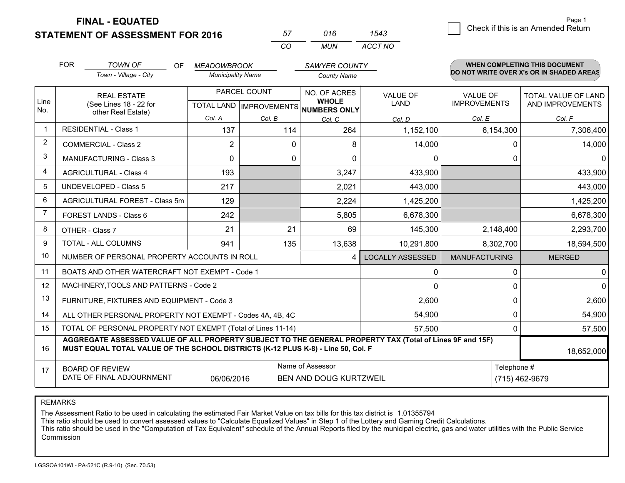**STATEMENT OF ASSESSMENT FOR 2016** 

**FINAL - EQUATED**

| 57  | 016 | 1543    |
|-----|-----|---------|
| CO. | MUN | ACCT NO |

|                         | <b>FOR</b><br><b>TOWN OF</b><br>OF<br>Town - Village - City                                                                                                                                  |                                                              | <b>MEADOWBROOK</b><br><b>Municipality Name</b> |              |                                                                      | SAWYER COUNTY                  |                                        | WHEN COMPLETING THIS DOCUMENT<br>DO NOT WRITE OVER X's OR IN SHADED AREAS |  |
|-------------------------|----------------------------------------------------------------------------------------------------------------------------------------------------------------------------------------------|--------------------------------------------------------------|------------------------------------------------|--------------|----------------------------------------------------------------------|--------------------------------|----------------------------------------|---------------------------------------------------------------------------|--|
|                         |                                                                                                                                                                                              |                                                              |                                                |              | <b>County Name</b>                                                   |                                |                                        |                                                                           |  |
| Line                    |                                                                                                                                                                                              | <b>REAL ESTATE</b><br>(See Lines 18 - 22 for                 |                                                | PARCEL COUNT | NO. OF ACRES<br><b>WHOLE</b><br>TOTAL LAND IMPROVEMENTS NUMBERS ONLY | <b>VALUE OF</b><br><b>LAND</b> | <b>VALUE OF</b><br><b>IMPROVEMENTS</b> | TOTAL VALUE OF LAND<br>AND IMPROVEMENTS                                   |  |
| No.                     |                                                                                                                                                                                              | other Real Estate)                                           | Col. A                                         | Col. B       | Col. C                                                               | Col. D                         | Col. E                                 | Col. F                                                                    |  |
| $\mathbf 1$             |                                                                                                                                                                                              | <b>RESIDENTIAL - Class 1</b>                                 | 137                                            | 114          | 264                                                                  | 1,152,100                      | 6,154,300                              | 7,306,400                                                                 |  |
| $\overline{2}$          |                                                                                                                                                                                              | <b>COMMERCIAL - Class 2</b>                                  | $\overline{2}$                                 | 0            | 8                                                                    | 14,000                         | $\Omega$                               | 14,000                                                                    |  |
| 3                       |                                                                                                                                                                                              | <b>MANUFACTURING - Class 3</b>                               | $\Omega$                                       | $\Omega$     | $\Omega$                                                             | 0                              | $\Omega$                               | $\Omega$                                                                  |  |
| $\overline{\mathbf{4}}$ |                                                                                                                                                                                              | <b>AGRICULTURAL - Class 4</b>                                | 193                                            |              | 3,247                                                                | 433,900                        |                                        | 433,900                                                                   |  |
| 5                       |                                                                                                                                                                                              | <b>UNDEVELOPED - Class 5</b>                                 | 217                                            |              | 2,021                                                                | 443,000                        |                                        | 443,000                                                                   |  |
| 6                       |                                                                                                                                                                                              | AGRICULTURAL FOREST - Class 5m                               | 129                                            |              | 2,224                                                                | 1,425,200                      |                                        | 1,425,200                                                                 |  |
| 7                       |                                                                                                                                                                                              | <b>FOREST LANDS - Class 6</b>                                | 242                                            |              | 5,805                                                                | 6,678,300                      |                                        | 6,678,300                                                                 |  |
| 8                       |                                                                                                                                                                                              | OTHER - Class 7                                              | 21                                             | 21           | 69                                                                   | 145,300                        | 2,148,400                              | 2,293,700                                                                 |  |
| 9                       |                                                                                                                                                                                              | TOTAL - ALL COLUMNS                                          | 941                                            | 135          | 13,638                                                               | 10,291,800                     | 8,302,700                              | 18,594,500                                                                |  |
| 10                      |                                                                                                                                                                                              | NUMBER OF PERSONAL PROPERTY ACCOUNTS IN ROLL                 |                                                |              | 4                                                                    | <b>LOCALLY ASSESSED</b>        | <b>MANUFACTURING</b>                   | <b>MERGED</b>                                                             |  |
| 11                      |                                                                                                                                                                                              | BOATS AND OTHER WATERCRAFT NOT EXEMPT - Code 1               |                                                |              |                                                                      | 0                              | 0                                      | $\mathbf 0$                                                               |  |
| 12                      |                                                                                                                                                                                              | MACHINERY, TOOLS AND PATTERNS - Code 2                       |                                                |              |                                                                      | 0                              | $\Omega$                               | $\Omega$                                                                  |  |
| 13                      |                                                                                                                                                                                              | FURNITURE, FIXTURES AND EQUIPMENT - Code 3                   |                                                |              |                                                                      | 2,600                          | $\mathbf 0$                            | 2,600                                                                     |  |
| 14                      |                                                                                                                                                                                              | ALL OTHER PERSONAL PROPERTY NOT EXEMPT - Codes 4A, 4B, 4C    |                                                |              |                                                                      | 54,900                         | 0                                      | 54,900                                                                    |  |
| 15                      |                                                                                                                                                                                              | TOTAL OF PERSONAL PROPERTY NOT EXEMPT (Total of Lines 11-14) |                                                |              |                                                                      | 57,500                         | 0                                      | 57,500                                                                    |  |
| 16                      | AGGREGATE ASSESSED VALUE OF ALL PROPERTY SUBJECT TO THE GENERAL PROPERTY TAX (Total of Lines 9F and 15F)<br>MUST EQUAL TOTAL VALUE OF THE SCHOOL DISTRICTS (K-12 PLUS K-8) - Line 50, Col. F |                                                              |                                                |              |                                                                      |                                |                                        | 18,652,000                                                                |  |
| 17                      |                                                                                                                                                                                              | <b>BOARD OF REVIEW</b>                                       |                                                |              | Name of Assessor                                                     |                                |                                        | Telephone #                                                               |  |
|                         |                                                                                                                                                                                              | DATE OF FINAL ADJOURNMENT                                    | 06/06/2016                                     |              | <b>BEN AND DOUG KURTZWEIL</b>                                        |                                |                                        | (715) 462-9679                                                            |  |

REMARKS

The Assessment Ratio to be used in calculating the estimated Fair Market Value on tax bills for this tax district is 1.01355794

This ratio should be used to convert assessed values to "Calculate Equalized Values" in Step 1 of the Lottery and Gaming Credit Calculations.

 This ratio should be used in the "Computation of Tax Equivalent" schedule of the Annual Reports filed by the municipal electric, gas and water utilities with the Public Service Commission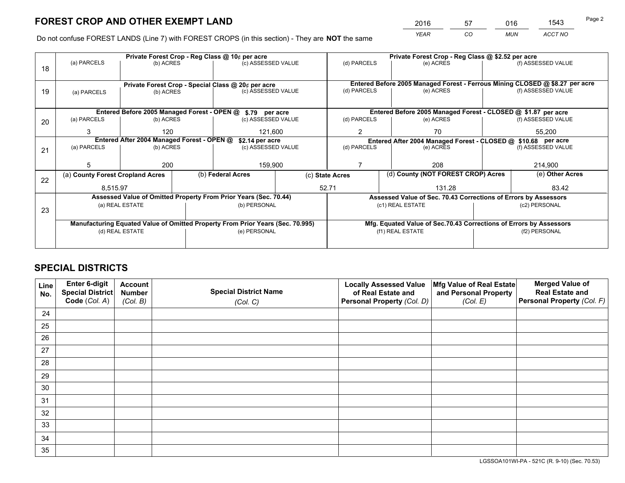*YEAR CO MUN ACCT NO* <sup>2016</sup> <sup>57</sup> <sup>016</sup> <sup>1543</sup>

Do not confuse FOREST LANDS (Line 7) with FOREST CROPS (in this section) - They are **NOT** the same

|    |                                                                                |                                                                 |  | Private Forest Crop - Reg Class @ 10¢ per acre                   |                                   | Private Forest Crop - Reg Class @ \$2.52 per acre             |                                                                              |           |                    |                                                                    |  |
|----|--------------------------------------------------------------------------------|-----------------------------------------------------------------|--|------------------------------------------------------------------|-----------------------------------|---------------------------------------------------------------|------------------------------------------------------------------------------|-----------|--------------------|--------------------------------------------------------------------|--|
| 18 | (a) PARCELS                                                                    | (b) ACRES                                                       |  | (c) ASSESSED VALUE                                               |                                   | (d) PARCELS                                                   |                                                                              | (e) ACRES |                    | (f) ASSESSED VALUE                                                 |  |
|    |                                                                                |                                                                 |  |                                                                  |                                   |                                                               |                                                                              |           |                    |                                                                    |  |
|    |                                                                                |                                                                 |  |                                                                  |                                   |                                                               | Entered Before 2005 Managed Forest - Ferrous Mining CLOSED @ \$8.27 per acre |           |                    |                                                                    |  |
| 19 | (a) PARCELS                                                                    | Private Forest Crop - Special Class @ 20¢ per acre<br>(b) ACRES |  | (c) ASSESSED VALUE                                               |                                   | (d) PARCELS                                                   |                                                                              | (e) ACRES |                    | (f) ASSESSED VALUE                                                 |  |
|    |                                                                                |                                                                 |  |                                                                  |                                   |                                                               |                                                                              |           |                    |                                                                    |  |
|    |                                                                                |                                                                 |  |                                                                  |                                   |                                                               |                                                                              |           |                    |                                                                    |  |
|    |                                                                                |                                                                 |  | Entered Before 2005 Managed Forest - OPEN @ \$.79 per acre       |                                   |                                                               |                                                                              |           |                    | Entered Before 2005 Managed Forest - CLOSED @ \$1.87 per acre      |  |
| 20 | (a) PARCELS                                                                    | (b) ACRES                                                       |  | (c) ASSESSED VALUE                                               |                                   | (d) PARCELS                                                   |                                                                              | (e) ACRES |                    | (f) ASSESSED VALUE                                                 |  |
|    | 120<br>3                                                                       |                                                                 |  | 121,600                                                          |                                   | $\overline{2}$                                                |                                                                              | 70        |                    | 55,200                                                             |  |
|    | Entered After 2004 Managed Forest - OPEN @<br>\$2.14 per acre                  |                                                                 |  |                                                                  |                                   | Entered After 2004 Managed Forest - CLOSED @ \$10.68 per acre |                                                                              |           |                    |                                                                    |  |
| 21 | (a) PARCELS                                                                    | (b) ACRES                                                       |  |                                                                  | (d) PARCELS<br>(c) ASSESSED VALUE |                                                               | (e) ACRES                                                                    |           | (f) ASSESSED VALUE |                                                                    |  |
|    |                                                                                |                                                                 |  |                                                                  |                                   |                                                               |                                                                              |           |                    |                                                                    |  |
|    |                                                                                | 200                                                             |  | 159,900                                                          |                                   |                                                               |                                                                              | 208       |                    | 214,900                                                            |  |
|    | (a) County Forest Cropland Acres                                               |                                                                 |  | (b) Federal Acres                                                |                                   | (d) County (NOT FOREST CROP) Acres<br>(c) State Acres         |                                                                              |           |                    | (e) Other Acres                                                    |  |
| 22 |                                                                                |                                                                 |  |                                                                  |                                   |                                                               |                                                                              |           |                    |                                                                    |  |
|    | 8,515.97                                                                       |                                                                 |  |                                                                  |                                   | 52.71                                                         |                                                                              | 131.28    |                    | 83.42                                                              |  |
|    |                                                                                |                                                                 |  | Assessed Value of Omitted Property From Prior Years (Sec. 70.44) |                                   |                                                               |                                                                              |           |                    | Assessed Value of Sec. 70.43 Corrections of Errors by Assessors    |  |
| 23 |                                                                                | (a) REAL ESTATE                                                 |  | (b) PERSONAL                                                     |                                   |                                                               | (c1) REAL ESTATE                                                             |           |                    | (c2) PERSONAL                                                      |  |
|    |                                                                                |                                                                 |  |                                                                  |                                   |                                                               |                                                                              |           |                    |                                                                    |  |
|    | Manufacturing Equated Value of Omitted Property From Prior Years (Sec. 70.995) |                                                                 |  |                                                                  |                                   |                                                               |                                                                              |           |                    | Mfg. Equated Value of Sec.70.43 Corrections of Errors by Assessors |  |
|    |                                                                                | (d) REAL ESTATE                                                 |  | (e) PERSONAL                                                     |                                   |                                                               | (f1) REAL ESTATE                                                             |           | (f2) PERSONAL      |                                                                    |  |
|    |                                                                                |                                                                 |  |                                                                  |                                   |                                                               |                                                                              |           |                    |                                                                    |  |
|    |                                                                                |                                                                 |  |                                                                  |                                   |                                                               |                                                                              |           |                    |                                                                    |  |

## **SPECIAL DISTRICTS**

| Line<br>No. | Enter 6-digit<br><b>Special District</b> | <b>Account</b><br><b>Number</b> | <b>Special District Name</b> | <b>Locally Assessed Value</b><br>of Real Estate and | Mfg Value of Real Estate<br>and Personal Property | <b>Merged Value of</b><br><b>Real Estate and</b> |
|-------------|------------------------------------------|---------------------------------|------------------------------|-----------------------------------------------------|---------------------------------------------------|--------------------------------------------------|
|             | Code (Col. A)                            | (Col. B)                        | (Col. C)                     | Personal Property (Col. D)                          | (Col. E)                                          | Personal Property (Col. F)                       |
| 24          |                                          |                                 |                              |                                                     |                                                   |                                                  |
| 25          |                                          |                                 |                              |                                                     |                                                   |                                                  |
| 26          |                                          |                                 |                              |                                                     |                                                   |                                                  |
| 27          |                                          |                                 |                              |                                                     |                                                   |                                                  |
| 28          |                                          |                                 |                              |                                                     |                                                   |                                                  |
| 29          |                                          |                                 |                              |                                                     |                                                   |                                                  |
| 30          |                                          |                                 |                              |                                                     |                                                   |                                                  |
| 31          |                                          |                                 |                              |                                                     |                                                   |                                                  |
| 32          |                                          |                                 |                              |                                                     |                                                   |                                                  |
| 33          |                                          |                                 |                              |                                                     |                                                   |                                                  |
| 34          |                                          |                                 |                              |                                                     |                                                   |                                                  |
| 35          |                                          |                                 |                              |                                                     |                                                   |                                                  |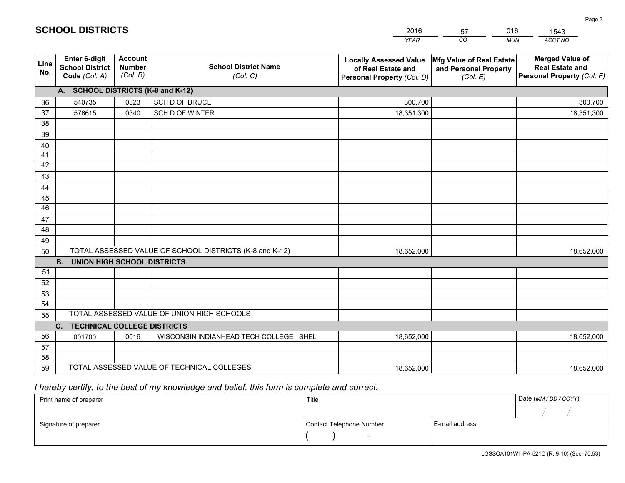|             |                                                          |                                             |                                                         | <b>YEAR</b>                                                                       | CO<br><b>MUN</b>                                              | ACCT NO                                                                        |
|-------------|----------------------------------------------------------|---------------------------------------------|---------------------------------------------------------|-----------------------------------------------------------------------------------|---------------------------------------------------------------|--------------------------------------------------------------------------------|
| Line<br>No. | Enter 6-digit<br><b>School District</b><br>Code (Col. A) | <b>Account</b><br><b>Number</b><br>(Col. B) | <b>School District Name</b><br>(Col. C)                 | <b>Locally Assessed Value</b><br>of Real Estate and<br>Personal Property (Col. D) | Mfg Value of Real Estate<br>and Personal Property<br>(Col. E) | <b>Merged Value of</b><br><b>Real Estate and</b><br>Personal Property (Col. F) |
|             | A. SCHOOL DISTRICTS (K-8 and K-12)                       |                                             |                                                         |                                                                                   |                                                               |                                                                                |
| 36          | 540735                                                   | 0323                                        | SCH D OF BRUCE                                          | 300,700                                                                           |                                                               | 300,700                                                                        |
| 37          | 576615                                                   | 0340                                        | SCH D OF WINTER                                         | 18,351,300                                                                        |                                                               | 18,351,300                                                                     |
| 38          |                                                          |                                             |                                                         |                                                                                   |                                                               |                                                                                |
| 39          |                                                          |                                             |                                                         |                                                                                   |                                                               |                                                                                |
| 40          |                                                          |                                             |                                                         |                                                                                   |                                                               |                                                                                |
| 41          |                                                          |                                             |                                                         |                                                                                   |                                                               |                                                                                |
| 42          |                                                          |                                             |                                                         |                                                                                   |                                                               |                                                                                |
| 43          |                                                          |                                             |                                                         |                                                                                   |                                                               |                                                                                |
| 44          |                                                          |                                             |                                                         |                                                                                   |                                                               |                                                                                |
| 45          |                                                          |                                             |                                                         |                                                                                   |                                                               |                                                                                |
| 46          |                                                          |                                             |                                                         |                                                                                   |                                                               |                                                                                |
| 47          |                                                          |                                             |                                                         |                                                                                   |                                                               |                                                                                |
| 48          |                                                          |                                             |                                                         |                                                                                   |                                                               |                                                                                |
| 49          |                                                          |                                             | TOTAL ASSESSED VALUE OF SCHOOL DISTRICTS (K-8 and K-12) |                                                                                   |                                                               |                                                                                |
| 50          | <b>B.</b><br><b>UNION HIGH SCHOOL DISTRICTS</b>          |                                             |                                                         | 18,652,000                                                                        |                                                               | 18,652,000                                                                     |
| 51          |                                                          |                                             |                                                         |                                                                                   |                                                               |                                                                                |
| 52          |                                                          |                                             |                                                         |                                                                                   |                                                               |                                                                                |
| 53          |                                                          |                                             |                                                         |                                                                                   |                                                               |                                                                                |
| 54          |                                                          |                                             |                                                         |                                                                                   |                                                               |                                                                                |
| 55          |                                                          |                                             | TOTAL ASSESSED VALUE OF UNION HIGH SCHOOLS              |                                                                                   |                                                               |                                                                                |
|             | C. TECHNICAL COLLEGE DISTRICTS                           |                                             |                                                         |                                                                                   |                                                               |                                                                                |
| 56          | 001700                                                   | 0016                                        | WISCONSIN INDIANHEAD TECH COLLEGE SHEL                  | 18,652,000                                                                        |                                                               | 18,652,000                                                                     |
| 57          |                                                          |                                             |                                                         |                                                                                   |                                                               |                                                                                |
| 58          |                                                          |                                             |                                                         |                                                                                   |                                                               |                                                                                |
| 59          |                                                          |                                             | TOTAL ASSESSED VALUE OF TECHNICAL COLLEGES              | 18,652,000                                                                        |                                                               | 18,652,000                                                                     |

57

016

 *I hereby certify, to the best of my knowledge and belief, this form is complete and correct.*

**SCHOOL DISTRICTS**

| Print name of preparer | Title                    |                | Date (MM / DD / CCYY) |
|------------------------|--------------------------|----------------|-----------------------|
|                        |                          |                |                       |
| Signature of preparer  | Contact Telephone Number | E-mail address |                       |
|                        |                          |                |                       |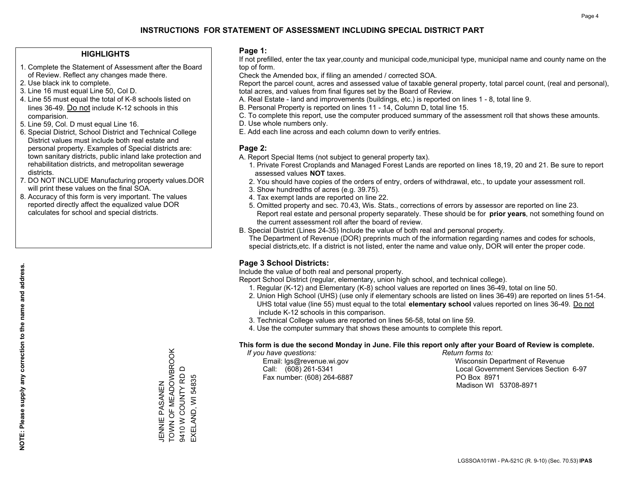### **HIGHLIGHTS**

- 1. Complete the Statement of Assessment after the Board of Review. Reflect any changes made there.
- 2. Use black ink to complete.
- 3. Line 16 must equal Line 50, Col D.
- 4. Line 55 must equal the total of K-8 schools listed on lines 36-49. Do not include K-12 schools in this comparision.
- 5. Line 59, Col. D must equal Line 16.
- 6. Special District, School District and Technical College District values must include both real estate and personal property. Examples of Special districts are: town sanitary districts, public inland lake protection and rehabilitation districts, and metropolitan sewerage districts.
- 7. DO NOT INCLUDE Manufacturing property values.DOR will print these values on the final SOA.
- 8. Accuracy of this form is very important. The values reported directly affect the equalized value DOR calculates for school and special districts.

### **Page 1:**

 If not prefilled, enter the tax year,county and municipal code,municipal type, municipal name and county name on the top of form.

Check the Amended box, if filing an amended / corrected SOA.

 Report the parcel count, acres and assessed value of taxable general property, total parcel count, (real and personal), total acres, and values from final figures set by the Board of Review.

- A. Real Estate land and improvements (buildings, etc.) is reported on lines 1 8, total line 9.
- B. Personal Property is reported on lines 11 14, Column D, total line 15.
- C. To complete this report, use the computer produced summary of the assessment roll that shows these amounts.
- D. Use whole numbers only.
- E. Add each line across and each column down to verify entries.

### **Page 2:**

- A. Report Special Items (not subject to general property tax).
- 1. Private Forest Croplands and Managed Forest Lands are reported on lines 18,19, 20 and 21. Be sure to report assessed values **NOT** taxes.
- 2. You should have copies of the orders of entry, orders of withdrawal, etc., to update your assessment roll.
	- 3. Show hundredths of acres (e.g. 39.75).
- 4. Tax exempt lands are reported on line 22.
- 5. Omitted property and sec. 70.43, Wis. Stats., corrections of errors by assessor are reported on line 23. Report real estate and personal property separately. These should be for **prior years**, not something found on the current assessment roll after the board of review.
- B. Special District (Lines 24-35) Include the value of both real and personal property.

 The Department of Revenue (DOR) preprints much of the information regarding names and codes for schools, special districts,etc. If a district is not listed, enter the name and value only, DOR will enter the proper code.

### **Page 3 School Districts:**

Include the value of both real and personal property.

Report School District (regular, elementary, union high school, and technical college).

- 1. Regular (K-12) and Elementary (K-8) school values are reported on lines 36-49, total on line 50.
- 2. Union High School (UHS) (use only if elementary schools are listed on lines 36-49) are reported on lines 51-54. UHS total value (line 55) must equal to the total **elementary school** values reported on lines 36-49. Do notinclude K-12 schools in this comparison.
- 3. Technical College values are reported on lines 56-58, total on line 59.
- 4. Use the computer summary that shows these amounts to complete this report.

#### **This form is due the second Monday in June. File this report only after your Board of Review is complete.**

 *If you have questions: Return forms to:*

Fax number: (608) 264-6887 PO Box 8971

 Email: lgs@revenue.wi.gov Wisconsin Department of Revenue Call: (608) 261-5341 Local Government Services Section 6-97Madison WI 53708-8971

TOWN OF MEADOWBROOK TOWN OF MEADOWBROOK  $\Box$ 9410 W COUNTY RD D 9410 W COUNTY RD EXELAND, WI 54835 EXELAND, WI 54835 JENNIE PASANEN ZWZKSKA WIZZW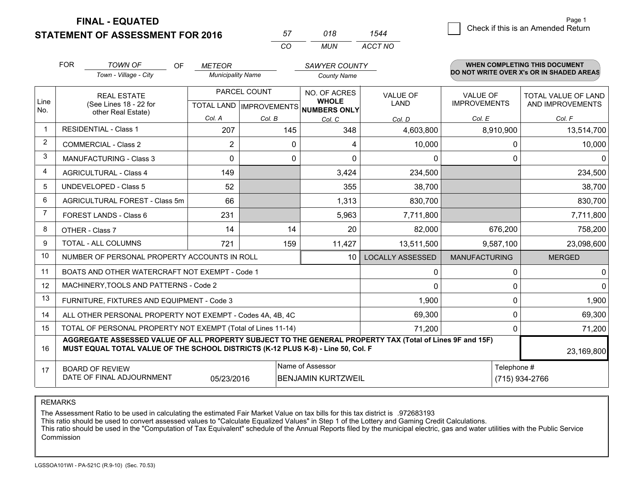**FINAL - EQUATED**

**STATEMENT OF ASSESSMENT FOR 2016** 

| 57 | 018 | 1544    |
|----|-----|---------|
| cо | MUN | ACCT NO |

|             | <b>FOR</b>                                                                                                                                          | <b>TOWN OF</b><br>OF                                                                                                                                                                         | <b>METEOR</b>            |              | <b>SAWYER COUNTY</b>                                                     |                                |                                        | <b>WHEN COMPLETING THIS DOCUMENT</b>     |
|-------------|-----------------------------------------------------------------------------------------------------------------------------------------------------|----------------------------------------------------------------------------------------------------------------------------------------------------------------------------------------------|--------------------------|--------------|--------------------------------------------------------------------------|--------------------------------|----------------------------------------|------------------------------------------|
|             |                                                                                                                                                     | Town - Village - City                                                                                                                                                                        | <b>Municipality Name</b> |              | <b>County Name</b>                                                       |                                |                                        | DO NOT WRITE OVER X's OR IN SHADED AREAS |
| Line<br>No. |                                                                                                                                                     | <b>REAL ESTATE</b><br>(See Lines 18 - 22 for                                                                                                                                                 |                          | PARCEL COUNT | NO. OF ACRES<br><b>WHOLE</b><br>TOTAL LAND   IMPROVEMENTS   NUMBERS ONLY | <b>VALUE OF</b><br><b>LAND</b> | <b>VALUE OF</b><br><b>IMPROVEMENTS</b> | TOTAL VALUE OF LAND<br>AND IMPROVEMENTS  |
|             | other Real Estate)                                                                                                                                  | Col. A                                                                                                                                                                                       | Col. B                   | Col. C       | Col. D                                                                   | Col. E                         | Col. F                                 |                                          |
|             |                                                                                                                                                     | <b>RESIDENTIAL - Class 1</b>                                                                                                                                                                 | 207                      | 145          | 348                                                                      | 4,603,800                      | 8,910,900                              | 13,514,700                               |
| 2           |                                                                                                                                                     | <b>COMMERCIAL - Class 2</b>                                                                                                                                                                  | 2                        | $\Omega$     | 4                                                                        | 10,000                         |                                        | 10,000<br>0                              |
| 3           |                                                                                                                                                     | MANUFACTURING - Class 3                                                                                                                                                                      | $\Omega$                 | 0            | $\Omega$                                                                 | $\Omega$                       |                                        | 0<br>∩                                   |
| 4           |                                                                                                                                                     | <b>AGRICULTURAL - Class 4</b>                                                                                                                                                                | 149                      |              | 3,424                                                                    | 234,500                        |                                        | 234,500                                  |
| 5           |                                                                                                                                                     | <b>UNDEVELOPED - Class 5</b>                                                                                                                                                                 | 52                       |              | 355                                                                      | 38,700                         |                                        | 38,700                                   |
| 6           |                                                                                                                                                     | AGRICULTURAL FOREST - Class 5m                                                                                                                                                               | 66                       |              | 1,313                                                                    | 830,700                        |                                        | 830,700                                  |
| 7           |                                                                                                                                                     | FOREST LANDS - Class 6                                                                                                                                                                       | 231                      |              | 5,963                                                                    | 7,711,800                      |                                        | 7,711,800                                |
| 8           |                                                                                                                                                     | OTHER - Class 7                                                                                                                                                                              | 14                       | 14           | 20                                                                       | 82,000                         | 676,200                                | 758,200                                  |
| 9           |                                                                                                                                                     | TOTAL - ALL COLUMNS                                                                                                                                                                          | 721                      | 159          | 11,427                                                                   | 13,511,500                     | 9,587,100                              | 23,098,600                               |
| 10          |                                                                                                                                                     | NUMBER OF PERSONAL PROPERTY ACCOUNTS IN ROLL                                                                                                                                                 |                          |              | 10                                                                       | <b>LOCALLY ASSESSED</b>        | <b>MANUFACTURING</b>                   | <b>MERGED</b>                            |
| 11          |                                                                                                                                                     | BOATS AND OTHER WATERCRAFT NOT EXEMPT - Code 1                                                                                                                                               |                          |              |                                                                          | 0                              |                                        | 0<br>$\Omega$                            |
| 12          |                                                                                                                                                     | MACHINERY, TOOLS AND PATTERNS - Code 2                                                                                                                                                       |                          |              |                                                                          | 0                              |                                        | $\Omega$<br>0                            |
| 13          |                                                                                                                                                     | FURNITURE, FIXTURES AND EQUIPMENT - Code 3                                                                                                                                                   |                          |              |                                                                          | 1,900                          |                                        | 1,900<br>0                               |
| 14          |                                                                                                                                                     | ALL OTHER PERSONAL PROPERTY NOT EXEMPT - Codes 4A, 4B, 4C                                                                                                                                    |                          |              |                                                                          | 69,300                         |                                        | 69,300<br>0                              |
| 15          |                                                                                                                                                     | TOTAL OF PERSONAL PROPERTY NOT EXEMPT (Total of Lines 11-14)                                                                                                                                 |                          |              |                                                                          | 71,200                         |                                        | 71,200<br>0                              |
| 16          |                                                                                                                                                     | AGGREGATE ASSESSED VALUE OF ALL PROPERTY SUBJECT TO THE GENERAL PROPERTY TAX (Total of Lines 9F and 15F)<br>MUST EQUAL TOTAL VALUE OF THE SCHOOL DISTRICTS (K-12 PLUS K-8) - Line 50, Col. F |                          |              |                                                                          |                                |                                        | 23,169,800                               |
| 17          | Name of Assessor<br>Telephone #<br><b>BOARD OF REVIEW</b><br>DATE OF FINAL ADJOURNMENT<br>(715) 934-2766<br>05/23/2016<br><b>BENJAMIN KURTZWEIL</b> |                                                                                                                                                                                              |                          |              |                                                                          |                                |                                        |                                          |

REMARKS

The Assessment Ratio to be used in calculating the estimated Fair Market Value on tax bills for this tax district is .972683193<br>This ratio should be used to convert assessed values to "Calculate Equalized Values" in Step 1 Commission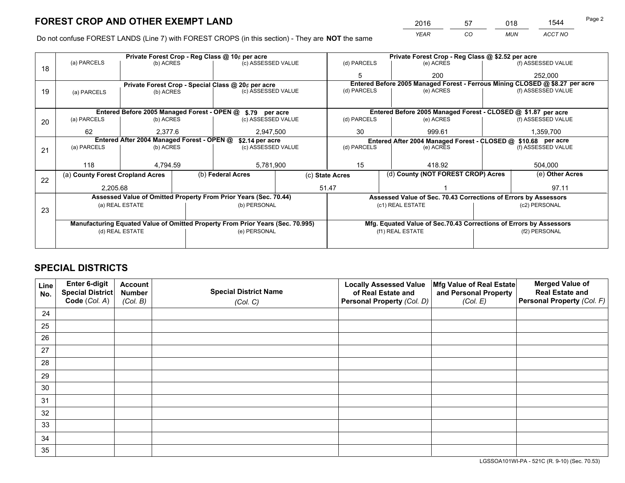*YEAR CO MUN ACCT NO* <sup>2016</sup> <sup>57</sup> <sup>018</sup> <sup>1544</sup>

Do not confuse FOREST LANDS (Line 7) with FOREST CROPS (in this section) - They are **NOT** the same

|    | Private Forest Crop - Reg Class @ 10¢ per acre                                 |                 |                    |                    |                                                                              | Private Forest Crop - Reg Class @ \$2.52 per acre                  |  |               |                 |                    |
|----|--------------------------------------------------------------------------------|-----------------|--------------------|--------------------|------------------------------------------------------------------------------|--------------------------------------------------------------------|--|---------------|-----------------|--------------------|
| 18 | (a) PARCELS                                                                    | (b) ACRES       | (c) ASSESSED VALUE |                    |                                                                              | (d) PARCELS                                                        |  | (e) ACRES     |                 | (f) ASSESSED VALUE |
|    |                                                                                |                 |                    |                    |                                                                              | 5                                                                  |  | 200           |                 | 252.000            |
|    | Private Forest Crop - Special Class @ 20¢ per acre                             |                 |                    |                    | Entered Before 2005 Managed Forest - Ferrous Mining CLOSED @ \$8.27 per acre |                                                                    |  |               |                 |                    |
| 19 | (b) ACRES<br>(a) PARCELS                                                       |                 |                    | (c) ASSESSED VALUE |                                                                              | (d) PARCELS                                                        |  | (e) ACRES     |                 | (f) ASSESSED VALUE |
|    |                                                                                |                 |                    |                    |                                                                              |                                                                    |  |               |                 |                    |
|    | Entered Before 2005 Managed Forest - OPEN @ \$.79 per acre                     |                 |                    |                    |                                                                              | Entered Before 2005 Managed Forest - CLOSED @ \$1.87 per acre      |  |               |                 |                    |
| 20 | (a) PARCELS                                                                    | (b) ACRES       |                    | (c) ASSESSED VALUE |                                                                              | (d) PARCELS                                                        |  | (e) ACRES     |                 | (f) ASSESSED VALUE |
|    | 62                                                                             | 2,377.6         |                    | 2,947,500          |                                                                              | 30                                                                 |  | 999.61        |                 | 1,359,700          |
|    | Entered After 2004 Managed Forest - OPEN @<br>\$2.14 per acre                  |                 |                    |                    | Entered After 2004 Managed Forest - CLOSED @ \$10.68 per acre                |                                                                    |  |               |                 |                    |
| 21 | (a) PARCELS                                                                    | (b) ACRES       |                    | (c) ASSESSED VALUE |                                                                              | (d) PARCELS                                                        |  | (e) ACRES     |                 | (f) ASSESSED VALUE |
|    |                                                                                | 118<br>4,794.59 |                    | 5,781,900          |                                                                              |                                                                    |  |               |                 |                    |
|    |                                                                                |                 |                    |                    |                                                                              | 15<br>418.92                                                       |  |               |                 | 504,000            |
| 22 | (a) County Forest Cropland Acres                                               |                 |                    | (b) Federal Acres  |                                                                              | (d) County (NOT FOREST CROP) Acres<br>(c) State Acres              |  |               | (e) Other Acres |                    |
|    | 2,205.68                                                                       |                 |                    | 51.47              |                                                                              |                                                                    |  |               |                 | 97.11              |
|    | Assessed Value of Omitted Property From Prior Years (Sec. 70.44)               |                 |                    |                    |                                                                              | Assessed Value of Sec. 70.43 Corrections of Errors by Assessors    |  |               |                 |                    |
| 23 | (a) REAL ESTATE                                                                |                 |                    | (b) PERSONAL       |                                                                              | (c1) REAL ESTATE                                                   |  | (c2) PERSONAL |                 |                    |
|    |                                                                                |                 |                    |                    |                                                                              |                                                                    |  |               |                 |                    |
|    | Manufacturing Equated Value of Omitted Property From Prior Years (Sec. 70.995) |                 |                    |                    |                                                                              | Mfg. Equated Value of Sec.70.43 Corrections of Errors by Assessors |  |               |                 |                    |
|    |                                                                                | (d) REAL ESTATE |                    | (e) PERSONAL       |                                                                              | (f1) REAL ESTATE                                                   |  |               | (f2) PERSONAL   |                    |
|    |                                                                                |                 |                    |                    |                                                                              |                                                                    |  |               |                 |                    |

## **SPECIAL DISTRICTS**

| Line<br>No. | Enter 6-digit<br><b>Special District</b> | <b>Account</b><br><b>Number</b> | <b>Special District Name</b> | <b>Locally Assessed Value</b><br>of Real Estate and | Mfg Value of Real Estate<br>and Personal Property | <b>Merged Value of</b><br><b>Real Estate and</b> |
|-------------|------------------------------------------|---------------------------------|------------------------------|-----------------------------------------------------|---------------------------------------------------|--------------------------------------------------|
|             | Code (Col. A)                            | (Col. B)                        | (Col. C)                     | Personal Property (Col. D)                          | (Col. E)                                          | Personal Property (Col. F)                       |
| 24          |                                          |                                 |                              |                                                     |                                                   |                                                  |
| 25          |                                          |                                 |                              |                                                     |                                                   |                                                  |
| 26          |                                          |                                 |                              |                                                     |                                                   |                                                  |
| 27          |                                          |                                 |                              |                                                     |                                                   |                                                  |
| 28          |                                          |                                 |                              |                                                     |                                                   |                                                  |
| 29          |                                          |                                 |                              |                                                     |                                                   |                                                  |
| 30          |                                          |                                 |                              |                                                     |                                                   |                                                  |
| 31          |                                          |                                 |                              |                                                     |                                                   |                                                  |
| 32          |                                          |                                 |                              |                                                     |                                                   |                                                  |
| 33          |                                          |                                 |                              |                                                     |                                                   |                                                  |
| 34          |                                          |                                 |                              |                                                     |                                                   |                                                  |
| 35          |                                          |                                 |                              |                                                     |                                                   |                                                  |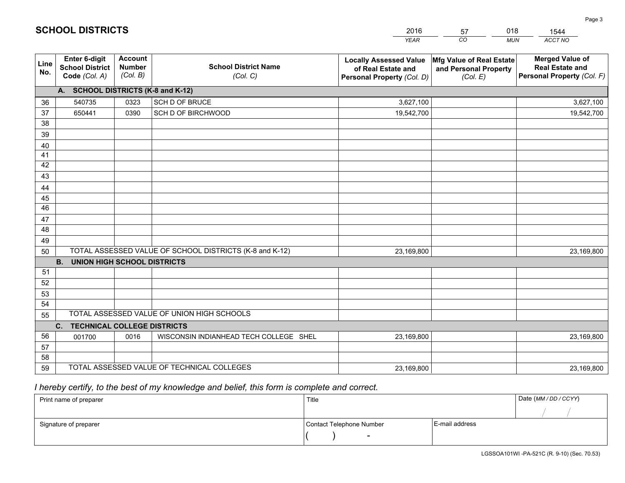|             |                                                                                                                                                   |                                             |                                            | <b>YEAR</b>                                                                       | CO<br><b>MUN</b>                                              | ACCT NO                                                                        |  |  |
|-------------|---------------------------------------------------------------------------------------------------------------------------------------------------|---------------------------------------------|--------------------------------------------|-----------------------------------------------------------------------------------|---------------------------------------------------------------|--------------------------------------------------------------------------------|--|--|
| Line<br>No. | Enter 6-digit<br><b>School District</b><br>Code (Col. A)                                                                                          | <b>Account</b><br><b>Number</b><br>(Col. B) | <b>School District Name</b><br>(Col. C)    | <b>Locally Assessed Value</b><br>of Real Estate and<br>Personal Property (Col. D) | Mfg Value of Real Estate<br>and Personal Property<br>(Col. E) | <b>Merged Value of</b><br><b>Real Estate and</b><br>Personal Property (Col. F) |  |  |
|             | A. SCHOOL DISTRICTS (K-8 and K-12)                                                                                                                |                                             |                                            |                                                                                   |                                                               |                                                                                |  |  |
| 36          | 540735                                                                                                                                            | 0323                                        | SCH D OF BRUCE                             | 3,627,100                                                                         |                                                               | 3,627,100                                                                      |  |  |
| 37          | 650441                                                                                                                                            | 0390                                        | SCH D OF BIRCHWOOD                         | 19,542,700                                                                        |                                                               | 19,542,700                                                                     |  |  |
| 38          |                                                                                                                                                   |                                             |                                            |                                                                                   |                                                               |                                                                                |  |  |
| 39          |                                                                                                                                                   |                                             |                                            |                                                                                   |                                                               |                                                                                |  |  |
| 40          |                                                                                                                                                   |                                             |                                            |                                                                                   |                                                               |                                                                                |  |  |
| 41          |                                                                                                                                                   |                                             |                                            |                                                                                   |                                                               |                                                                                |  |  |
| 42          |                                                                                                                                                   |                                             |                                            |                                                                                   |                                                               |                                                                                |  |  |
| 43          |                                                                                                                                                   |                                             |                                            |                                                                                   |                                                               |                                                                                |  |  |
| 44          |                                                                                                                                                   |                                             |                                            |                                                                                   |                                                               |                                                                                |  |  |
| 45          |                                                                                                                                                   |                                             |                                            |                                                                                   |                                                               |                                                                                |  |  |
| 46          |                                                                                                                                                   |                                             |                                            |                                                                                   |                                                               |                                                                                |  |  |
| 47          |                                                                                                                                                   |                                             |                                            |                                                                                   |                                                               |                                                                                |  |  |
| 48          |                                                                                                                                                   |                                             |                                            |                                                                                   |                                                               |                                                                                |  |  |
| 49          |                                                                                                                                                   |                                             |                                            |                                                                                   |                                                               |                                                                                |  |  |
|             | TOTAL ASSESSED VALUE OF SCHOOL DISTRICTS (K-8 and K-12)<br>23,169,800<br>23,169,800<br>50<br>B <sub>1</sub><br><b>UNION HIGH SCHOOL DISTRICTS</b> |                                             |                                            |                                                                                   |                                                               |                                                                                |  |  |
| 51          |                                                                                                                                                   |                                             |                                            |                                                                                   |                                                               |                                                                                |  |  |
| 52          |                                                                                                                                                   |                                             |                                            |                                                                                   |                                                               |                                                                                |  |  |
| 53          |                                                                                                                                                   |                                             |                                            |                                                                                   |                                                               |                                                                                |  |  |
| 54          |                                                                                                                                                   |                                             |                                            |                                                                                   |                                                               |                                                                                |  |  |
| 55          |                                                                                                                                                   |                                             | TOTAL ASSESSED VALUE OF UNION HIGH SCHOOLS |                                                                                   |                                                               |                                                                                |  |  |
|             | C. TECHNICAL COLLEGE DISTRICTS                                                                                                                    |                                             |                                            |                                                                                   |                                                               |                                                                                |  |  |
| 56          | 001700                                                                                                                                            | 0016                                        | WISCONSIN INDIANHEAD TECH COLLEGE SHEL     | 23,169,800                                                                        |                                                               | 23,169,800                                                                     |  |  |
| 57          |                                                                                                                                                   |                                             |                                            |                                                                                   |                                                               |                                                                                |  |  |
| 58          |                                                                                                                                                   |                                             |                                            |                                                                                   |                                                               |                                                                                |  |  |
| 59          |                                                                                                                                                   |                                             | TOTAL ASSESSED VALUE OF TECHNICAL COLLEGES | 23,169,800                                                                        |                                                               | 23,169,800                                                                     |  |  |

57

018

 *I hereby certify, to the best of my knowledge and belief, this form is complete and correct.*

**SCHOOL DISTRICTS**

| Print name of preparer | Title                    |                | Date (MM / DD / CCYY) |
|------------------------|--------------------------|----------------|-----------------------|
|                        |                          |                |                       |
| Signature of preparer  | Contact Telephone Number | E-mail address |                       |
|                        | $\overline{\phantom{0}}$ |                |                       |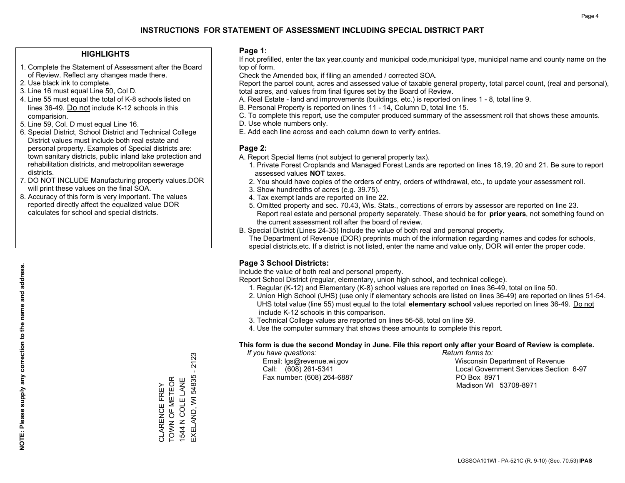### **HIGHLIGHTS**

- 1. Complete the Statement of Assessment after the Board of Review. Reflect any changes made there.
- 2. Use black ink to complete.
- 3. Line 16 must equal Line 50, Col D.
- 4. Line 55 must equal the total of K-8 schools listed on lines 36-49. Do not include K-12 schools in this comparision.
- 5. Line 59, Col. D must equal Line 16.
- 6. Special District, School District and Technical College District values must include both real estate and personal property. Examples of Special districts are: town sanitary districts, public inland lake protection and rehabilitation districts, and metropolitan sewerage districts.
- 7. DO NOT INCLUDE Manufacturing property values.DOR will print these values on the final SOA.
- 8. Accuracy of this form is very important. The values reported directly affect the equalized value DOR calculates for school and special districts.

### **Page 1:**

 If not prefilled, enter the tax year,county and municipal code,municipal type, municipal name and county name on the top of form.

Check the Amended box, if filing an amended / corrected SOA.

 Report the parcel count, acres and assessed value of taxable general property, total parcel count, (real and personal), total acres, and values from final figures set by the Board of Review.

- A. Real Estate land and improvements (buildings, etc.) is reported on lines 1 8, total line 9.
- B. Personal Property is reported on lines 11 14, Column D, total line 15.
- C. To complete this report, use the computer produced summary of the assessment roll that shows these amounts.
- D. Use whole numbers only.
- E. Add each line across and each column down to verify entries.

### **Page 2:**

- A. Report Special Items (not subject to general property tax).
- 1. Private Forest Croplands and Managed Forest Lands are reported on lines 18,19, 20 and 21. Be sure to report assessed values **NOT** taxes.
- 2. You should have copies of the orders of entry, orders of withdrawal, etc., to update your assessment roll.
	- 3. Show hundredths of acres (e.g. 39.75).
- 4. Tax exempt lands are reported on line 22.
- 5. Omitted property and sec. 70.43, Wis. Stats., corrections of errors by assessor are reported on line 23. Report real estate and personal property separately. These should be for **prior years**, not something found on the current assessment roll after the board of review.
- B. Special District (Lines 24-35) Include the value of both real and personal property.
- The Department of Revenue (DOR) preprints much of the information regarding names and codes for schools, special districts,etc. If a district is not listed, enter the name and value only, DOR will enter the proper code.

### **Page 3 School Districts:**

Include the value of both real and personal property.

Report School District (regular, elementary, union high school, and technical college).

- 1. Regular (K-12) and Elementary (K-8) school values are reported on lines 36-49, total on line 50.
- 2. Union High School (UHS) (use only if elementary schools are listed on lines 36-49) are reported on lines 51-54. UHS total value (line 55) must equal to the total **elementary school** values reported on lines 36-49. Do notinclude K-12 schools in this comparison.
- 3. Technical College values are reported on lines 56-58, total on line 59.
- 4. Use the computer summary that shows these amounts to complete this report.

#### **This form is due the second Monday in June. File this report only after your Board of Review is complete.**

 *If you have questions: Return forms to:*

Fax number: (608) 264-6887 PO Box 8971

 Email: lgs@revenue.wi.gov Wisconsin Department of Revenue Call: (608) 261-5341 Local Government Services Section 6-97Madison WI 53708-8971

# 2123 EXELAND, WI 54835 - 2123 CLARENCE FREY<br>TOWN OF METEOR<br>1544 N COLE LANE EXELAND, WI 54835 TOWN OF METEOR 1544 N COLE LANE CLARENCE FREY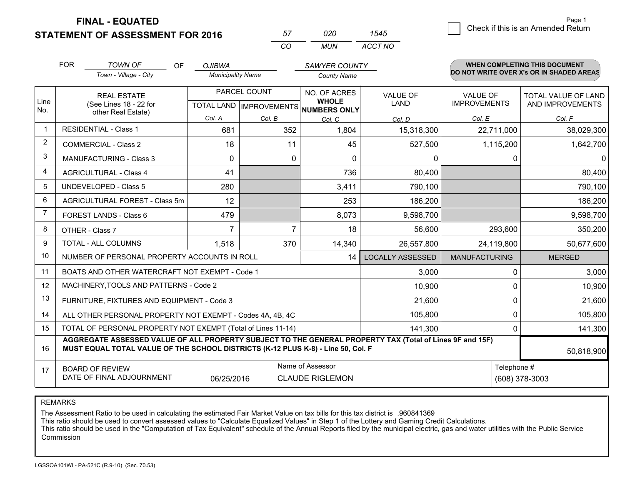**STATEMENT OF ASSESSMENT FOR 2016** 

| 57.      | חכח | 545     |
|----------|-----|---------|
| $\cdots$ | MUN | ACCT NO |

|                | <b>FOR</b>                                                                                                                                                                                   | <b>TOWN OF</b><br>OF<br>Town - Village - City             | <b>OJIBWA</b><br><b>Municipality Name</b> |         | <b>SAWYER COUNTY</b><br><b>County Name</b> |                                |                                        | <b>WHEN COMPLETING THIS DOCUMENT</b><br>DO NOT WRITE OVER X's OR IN SHADED AREAS |  |
|----------------|----------------------------------------------------------------------------------------------------------------------------------------------------------------------------------------------|-----------------------------------------------------------|-------------------------------------------|---------|--------------------------------------------|--------------------------------|----------------------------------------|----------------------------------------------------------------------------------|--|
| Line           | <b>REAL ESTATE</b><br>(See Lines 18 - 22 for                                                                                                                                                 |                                                           | PARCEL COUNT<br>TOTAL LAND   IMPROVEMENTS |         | NO. OF ACRES<br><b>WHOLE</b>               | <b>VALUE OF</b><br><b>LAND</b> | <b>VALUE OF</b><br><b>IMPROVEMENTS</b> | <b>TOTAL VALUE OF LAND</b><br>AND IMPROVEMENTS                                   |  |
| No.            |                                                                                                                                                                                              | other Real Estate)                                        | Col. A                                    | Col. B  | <b>NUMBERS ONLY</b><br>Col. C              | Col. D                         | Col. E                                 | Col. F                                                                           |  |
| $\mathbf 1$    |                                                                                                                                                                                              | <b>RESIDENTIAL - Class 1</b>                              | 681                                       | 352     | 1,804                                      | 15,318,300                     | 22,711,000                             | 38,029,300                                                                       |  |
| 2              |                                                                                                                                                                                              | <b>COMMERCIAL - Class 2</b>                               | 18                                        | 11      | 45                                         | 527,500                        | 1,115,200                              | 1,642,700                                                                        |  |
| 3              |                                                                                                                                                                                              | <b>MANUFACTURING - Class 3</b>                            | $\Omega$                                  | 0       | $\Omega$                                   | 0                              | $\mathbf{0}$                           | $\Omega$                                                                         |  |
| 4              |                                                                                                                                                                                              | <b>AGRICULTURAL - Class 4</b>                             | 41                                        |         | 736                                        | 80,400                         |                                        | 80,400                                                                           |  |
| 5              |                                                                                                                                                                                              | <b>UNDEVELOPED - Class 5</b>                              | 280                                       |         | 3,411                                      | 790,100                        |                                        | 790,100                                                                          |  |
| 6              |                                                                                                                                                                                              | AGRICULTURAL FOREST - Class 5m                            | 12                                        |         | 253                                        | 186,200                        |                                        | 186,200                                                                          |  |
| $\overline{7}$ | FOREST LANDS - Class 6                                                                                                                                                                       |                                                           | 479                                       |         | 8,073                                      | 9,598,700                      |                                        | 9,598,700                                                                        |  |
| 8              |                                                                                                                                                                                              | OTHER - Class 7                                           | $\overline{7}$                            | 7       | 18                                         | 56,600                         | 293,600                                | 350,200                                                                          |  |
| 9              |                                                                                                                                                                                              | TOTAL - ALL COLUMNS                                       | 1,518<br>370                              |         | 14,340                                     | 26,557,800                     | 24,119,800                             | 50,677,600                                                                       |  |
| 10             |                                                                                                                                                                                              | NUMBER OF PERSONAL PROPERTY ACCOUNTS IN ROLL              |                                           |         | 14                                         | <b>LOCALLY ASSESSED</b>        | <b>MANUFACTURING</b>                   | <b>MERGED</b>                                                                    |  |
| 11             |                                                                                                                                                                                              | BOATS AND OTHER WATERCRAFT NOT EXEMPT - Code 1            |                                           |         |                                            | 3,000                          | 0                                      | 3,000                                                                            |  |
| 12             |                                                                                                                                                                                              | MACHINERY, TOOLS AND PATTERNS - Code 2                    |                                           |         |                                            | 10,900                         | 0                                      | 10,900                                                                           |  |
| 13             |                                                                                                                                                                                              | FURNITURE, FIXTURES AND EQUIPMENT - Code 3                |                                           |         |                                            | 21,600                         | $\pmb{0}$                              | 21,600                                                                           |  |
| 14             |                                                                                                                                                                                              | ALL OTHER PERSONAL PROPERTY NOT EXEMPT - Codes 4A, 4B, 4C | 0                                         | 105,800 |                                            |                                |                                        |                                                                                  |  |
| 15             | TOTAL OF PERSONAL PROPERTY NOT EXEMPT (Total of Lines 11-14)<br>141,300                                                                                                                      |                                                           |                                           |         |                                            |                                |                                        | 141,300                                                                          |  |
| 16             | AGGREGATE ASSESSED VALUE OF ALL PROPERTY SUBJECT TO THE GENERAL PROPERTY TAX (Total of Lines 9F and 15F)<br>MUST EQUAL TOTAL VALUE OF THE SCHOOL DISTRICTS (K-12 PLUS K-8) - Line 50, Col. F |                                                           |                                           |         |                                            |                                |                                        | 50,818,900                                                                       |  |
| 17             | Name of Assessor<br><b>BOARD OF REVIEW</b><br>DATE OF FINAL ADJOURNMENT<br><b>CLAUDE RIGLEMON</b><br>06/25/2016                                                                              |                                                           |                                           |         |                                            |                                | Telephone #                            | (608) 378-3003                                                                   |  |

REMARKS

The Assessment Ratio to be used in calculating the estimated Fair Market Value on tax bills for this tax district is .960841369

This ratio should be used to convert assessed values to "Calculate Equalized Values" in Step 1 of the Lottery and Gaming Credit Calculations.<br>This ratio should be used in the "Computation of Tax Equivalent" schedule of the Commission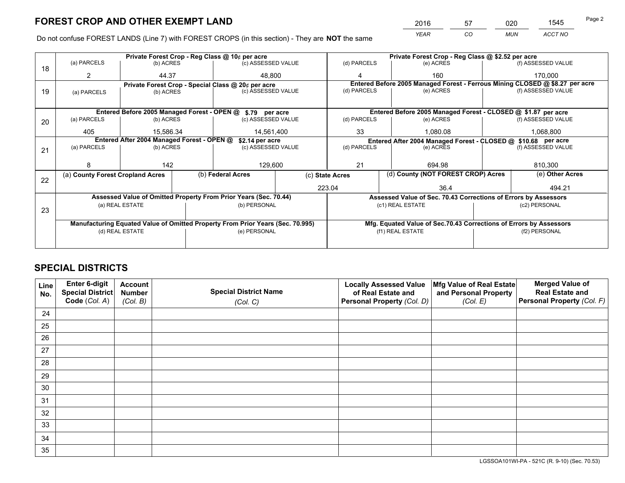*YEAR CO MUN ACCT NO* <sup>2016</sup> <sup>57</sup> <sup>020</sup> <sup>1545</sup>

Do not confuse FOREST LANDS (Line 7) with FOREST CROPS (in this section) - They are **NOT** the same

|    |                                                               |                 |  | Private Forest Crop - Reg Class @ 10¢ per acre                                 |                 |                                                                 | Private Forest Crop - Reg Class @ \$2.52 per acre                  |                                                                              |               |                    |
|----|---------------------------------------------------------------|-----------------|--|--------------------------------------------------------------------------------|-----------------|-----------------------------------------------------------------|--------------------------------------------------------------------|------------------------------------------------------------------------------|---------------|--------------------|
| 18 | (a) PARCELS                                                   | (b) ACRES       |  | (c) ASSESSED VALUE                                                             |                 | (d) PARCELS                                                     |                                                                    | (e) ACRES                                                                    |               | (f) ASSESSED VALUE |
|    | 2                                                             | 44.37           |  | 48.800                                                                         |                 | 4                                                               |                                                                    | 160                                                                          |               | 170.000            |
|    |                                                               |                 |  | Private Forest Crop - Special Class @ 20¢ per acre                             |                 |                                                                 |                                                                    | Entered Before 2005 Managed Forest - Ferrous Mining CLOSED @ \$8.27 per acre |               |                    |
| 19 | (a) PARCELS                                                   | (b) ACRES       |  | (c) ASSESSED VALUE                                                             |                 | (d) PARCELS                                                     |                                                                    | (e) ACRES                                                                    |               | (f) ASSESSED VALUE |
|    |                                                               |                 |  |                                                                                |                 |                                                                 |                                                                    |                                                                              |               |                    |
|    |                                                               |                 |  | Entered Before 2005 Managed Forest - OPEN @ \$.79 per acre                     |                 |                                                                 |                                                                    | Entered Before 2005 Managed Forest - CLOSED @ \$1.87 per acre                |               |                    |
| 20 | (a) PARCELS                                                   | (b) ACRES       |  | (c) ASSESSED VALUE                                                             |                 | (d) PARCELS                                                     |                                                                    | (e) ACRES                                                                    |               | (f) ASSESSED VALUE |
|    | 405                                                           | 15.586.34       |  | 14,561,400                                                                     |                 | 33                                                              |                                                                    | 1,080.08                                                                     |               | 1,068,800          |
|    | Entered After 2004 Managed Forest - OPEN @<br>\$2.14 per acre |                 |  |                                                                                |                 |                                                                 |                                                                    | Entered After 2004 Managed Forest - CLOSED @ \$10.68 per acre                |               |                    |
| 21 | (a) PARCELS                                                   | (b) ACRES       |  | (c) ASSESSED VALUE                                                             | (d) PARCELS     |                                                                 |                                                                    | (e) ACRES                                                                    |               | (f) ASSESSED VALUE |
|    |                                                               |                 |  |                                                                                |                 |                                                                 |                                                                    |                                                                              |               |                    |
|    | 8                                                             | 142             |  | 129,600                                                                        |                 | 21                                                              |                                                                    | 694.98                                                                       |               | 810.300            |
| 22 | (a) County Forest Cropland Acres                              |                 |  | (b) Federal Acres                                                              | (c) State Acres |                                                                 | (d) County (NOT FOREST CROP) Acres                                 |                                                                              |               | (e) Other Acres    |
|    |                                                               |                 |  |                                                                                |                 | 223.04                                                          |                                                                    | 36.4                                                                         |               | 494.21             |
|    |                                                               |                 |  | Assessed Value of Omitted Property From Prior Years (Sec. 70.44)               |                 | Assessed Value of Sec. 70.43 Corrections of Errors by Assessors |                                                                    |                                                                              |               |                    |
|    |                                                               | (a) REAL ESTATE |  | (b) PERSONAL                                                                   |                 |                                                                 |                                                                    | (c1) REAL ESTATE                                                             |               | (c2) PERSONAL      |
| 23 |                                                               |                 |  |                                                                                |                 |                                                                 |                                                                    |                                                                              |               |                    |
|    |                                                               |                 |  | Manufacturing Equated Value of Omitted Property From Prior Years (Sec. 70.995) |                 |                                                                 | Mfg. Equated Value of Sec.70.43 Corrections of Errors by Assessors |                                                                              |               |                    |
|    |                                                               | (d) REAL ESTATE |  | (e) PERSONAL                                                                   |                 | (f1) REAL ESTATE                                                |                                                                    |                                                                              | (f2) PERSONAL |                    |
|    |                                                               |                 |  |                                                                                |                 |                                                                 |                                                                    |                                                                              |               |                    |

## **SPECIAL DISTRICTS**

| Line<br>No. | Enter 6-digit<br>Special District<br>Code (Col. A) | <b>Account</b><br><b>Number</b><br>(Col. B) | <b>Special District Name</b><br>(Col. C) | <b>Locally Assessed Value</b><br>of Real Estate and<br>Personal Property (Col. D) | Mfg Value of Real Estate<br>and Personal Property<br>(Col. E) | <b>Merged Value of</b><br><b>Real Estate and</b><br>Personal Property (Col. F) |
|-------------|----------------------------------------------------|---------------------------------------------|------------------------------------------|-----------------------------------------------------------------------------------|---------------------------------------------------------------|--------------------------------------------------------------------------------|
| 24          |                                                    |                                             |                                          |                                                                                   |                                                               |                                                                                |
| 25          |                                                    |                                             |                                          |                                                                                   |                                                               |                                                                                |
| 26          |                                                    |                                             |                                          |                                                                                   |                                                               |                                                                                |
| 27          |                                                    |                                             |                                          |                                                                                   |                                                               |                                                                                |
| 28          |                                                    |                                             |                                          |                                                                                   |                                                               |                                                                                |
| 29          |                                                    |                                             |                                          |                                                                                   |                                                               |                                                                                |
| 30          |                                                    |                                             |                                          |                                                                                   |                                                               |                                                                                |
| 31          |                                                    |                                             |                                          |                                                                                   |                                                               |                                                                                |
| 32          |                                                    |                                             |                                          |                                                                                   |                                                               |                                                                                |
| 33          |                                                    |                                             |                                          |                                                                                   |                                                               |                                                                                |
| 34          |                                                    |                                             |                                          |                                                                                   |                                                               |                                                                                |
| 35          |                                                    |                                             |                                          |                                                                                   |                                                               |                                                                                |

LGSSOA101WI-PA - 521C (R. 9-10) (Sec. 70.53)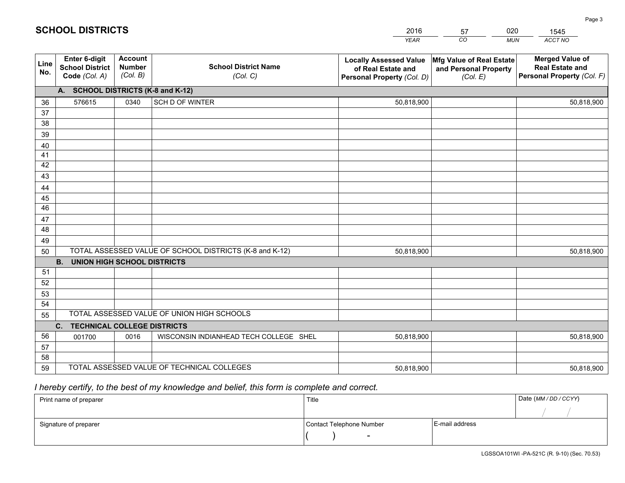|             |                                                          |                                             |                                                         | <b>YEAR</b>                                                                       | CO<br><b>MUN</b>                                              | ACCT NO                                                                        |
|-------------|----------------------------------------------------------|---------------------------------------------|---------------------------------------------------------|-----------------------------------------------------------------------------------|---------------------------------------------------------------|--------------------------------------------------------------------------------|
| Line<br>No. | Enter 6-digit<br><b>School District</b><br>Code (Col. A) | <b>Account</b><br><b>Number</b><br>(Col. B) | <b>School District Name</b><br>(Col. C)                 | <b>Locally Assessed Value</b><br>of Real Estate and<br>Personal Property (Col. D) | Mfg Value of Real Estate<br>and Personal Property<br>(Col. E) | <b>Merged Value of</b><br><b>Real Estate and</b><br>Personal Property (Col. F) |
|             | A. SCHOOL DISTRICTS (K-8 and K-12)                       |                                             |                                                         |                                                                                   |                                                               |                                                                                |
| 36          | 576615                                                   | 0340                                        | SCH D OF WINTER                                         | 50,818,900                                                                        |                                                               | 50,818,900                                                                     |
| 37          |                                                          |                                             |                                                         |                                                                                   |                                                               |                                                                                |
| 38          |                                                          |                                             |                                                         |                                                                                   |                                                               |                                                                                |
| 39          |                                                          |                                             |                                                         |                                                                                   |                                                               |                                                                                |
| 40          |                                                          |                                             |                                                         |                                                                                   |                                                               |                                                                                |
| 41<br>42    |                                                          |                                             |                                                         |                                                                                   |                                                               |                                                                                |
| 43          |                                                          |                                             |                                                         |                                                                                   |                                                               |                                                                                |
| 44          |                                                          |                                             |                                                         |                                                                                   |                                                               |                                                                                |
| 45          |                                                          |                                             |                                                         |                                                                                   |                                                               |                                                                                |
| 46          |                                                          |                                             |                                                         |                                                                                   |                                                               |                                                                                |
| 47          |                                                          |                                             |                                                         |                                                                                   |                                                               |                                                                                |
| 48          |                                                          |                                             |                                                         |                                                                                   |                                                               |                                                                                |
| 49          |                                                          |                                             |                                                         |                                                                                   |                                                               |                                                                                |
| 50          |                                                          |                                             | TOTAL ASSESSED VALUE OF SCHOOL DISTRICTS (K-8 and K-12) | 50,818,900                                                                        |                                                               | 50,818,900                                                                     |
|             | <b>B.</b><br><b>UNION HIGH SCHOOL DISTRICTS</b>          |                                             |                                                         |                                                                                   |                                                               |                                                                                |
| 51          |                                                          |                                             |                                                         |                                                                                   |                                                               |                                                                                |
| 52          |                                                          |                                             |                                                         |                                                                                   |                                                               |                                                                                |
| 53          |                                                          |                                             |                                                         |                                                                                   |                                                               |                                                                                |
| 54          |                                                          |                                             | TOTAL ASSESSED VALUE OF UNION HIGH SCHOOLS              |                                                                                   |                                                               |                                                                                |
| 55          |                                                          |                                             |                                                         |                                                                                   |                                                               |                                                                                |
| 56          | C.<br><b>TECHNICAL COLLEGE DISTRICTS</b>                 |                                             |                                                         |                                                                                   |                                                               |                                                                                |
| 57          | 001700                                                   | 0016                                        | WISCONSIN INDIANHEAD TECH COLLEGE SHEL                  | 50,818,900                                                                        |                                                               | 50,818,900                                                                     |
| 58          |                                                          |                                             |                                                         |                                                                                   |                                                               |                                                                                |
| 59          |                                                          |                                             | TOTAL ASSESSED VALUE OF TECHNICAL COLLEGES              | 50,818,900                                                                        |                                                               | 50,818,900                                                                     |

 *I hereby certify, to the best of my knowledge and belief, this form is complete and correct.*

| Print name of preparer | Title                    |                | Date (MM / DD / CCYY) |
|------------------------|--------------------------|----------------|-----------------------|
|                        |                          |                |                       |
| Signature of preparer  | Contact Telephone Number | E-mail address |                       |
|                        | $\sim$                   |                |                       |

|  | <b>SCHOOL DISTRICTS</b> |
|--|-------------------------|
|--|-------------------------|

201657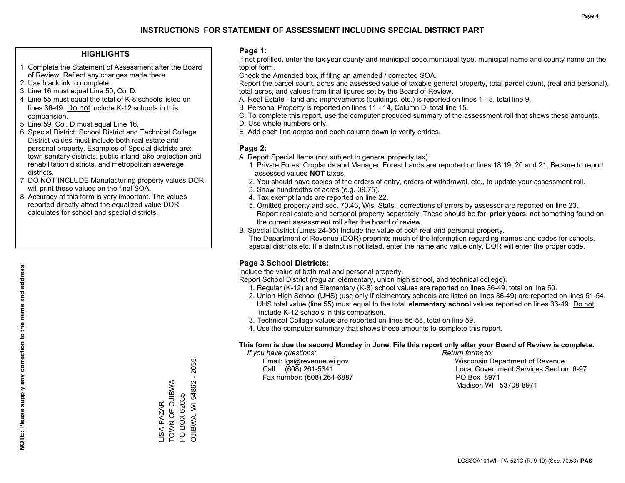#### **HIGHLIGHTS**

- 1. Complete the Statement of Assessment after the Board of Review. Reflect any changes made there.
- 2. Use black ink to complete.
- 3. Line 16 must equal Line 50, Col D.
- 4. Line 55 must equal the total of K-8 schools listed on lines 36-49. Do not include K-12 schools in this comparision.
- 5. Line 59, Col. D must equal Line 16.
- 6. Special District, School District and Technical College District values must include both real estate and personal property. Examples of Special districts are: town sanitary districts, public inland lake protection and rehabilitation districts, and metropolitan sewerage districts.
- 7. DO NOT INCLUDE Manufacturing property values.DOR will print these values on the final SOA.

LISA PAZAR TOWN OF OJIBWA PO BOX 62035

**ISA PAZAR** 

TOWN OF OJIBWA PO BOX 62035 OJIBWA, WI 54862 - 2035

OJIBWA, WI 54862 - 2035

 8. Accuracy of this form is very important. The values reported directly affect the equalized value DOR calculates for school and special districts.

#### **Page 1:**

 If not prefilled, enter the tax year,county and municipal code,municipal type, municipal name and county name on the top of form.

Check the Amended box, if filing an amended / corrected SOA.

 Report the parcel count, acres and assessed value of taxable general property, total parcel count, (real and personal), total acres, and values from final figures set by the Board of Review.

- A. Real Estate land and improvements (buildings, etc.) is reported on lines 1 8, total line 9.
- B. Personal Property is reported on lines 11 14, Column D, total line 15.
- C. To complete this report, use the computer produced summary of the assessment roll that shows these amounts.
- D. Use whole numbers only.
- E. Add each line across and each column down to verify entries.

#### **Page 2:**

- A. Report Special Items (not subject to general property tax).
- 1. Private Forest Croplands and Managed Forest Lands are reported on lines 18,19, 20 and 21. Be sure to report assessed values **NOT** taxes.
- 2. You should have copies of the orders of entry, orders of withdrawal, etc., to update your assessment roll.
	- 3. Show hundredths of acres (e.g. 39.75).
- 4. Tax exempt lands are reported on line 22.
- 5. Omitted property and sec. 70.43, Wis. Stats., corrections of errors by assessor are reported on line 23. Report real estate and personal property separately. These should be for **prior years**, not something found on the current assessment roll after the board of review.
- B. Special District (Lines 24-35) Include the value of both real and personal property.
- The Department of Revenue (DOR) preprints much of the information regarding names and codes for schools, special districts,etc. If a district is not listed, enter the name and value only, DOR will enter the proper code.

### **Page 3 School Districts:**

Include the value of both real and personal property.

Report School District (regular, elementary, union high school, and technical college).

- 1. Regular (K-12) and Elementary (K-8) school values are reported on lines 36-49, total on line 50.
- 2. Union High School (UHS) (use only if elementary schools are listed on lines 36-49) are reported on lines 51-54. UHS total value (line 55) must equal to the total **elementary school** values reported on lines 36-49. Do notinclude K-12 schools in this comparison.
- 3. Technical College values are reported on lines 56-58, total on line 59.
- 4. Use the computer summary that shows these amounts to complete this report.

#### **This form is due the second Monday in June. File this report only after your Board of Review is complete.**

 *If you have questions: Return forms to:*

Fax number: (608) 264-6887 PO Box 8971

 Email: lgs@revenue.wi.gov Wisconsin Department of Revenue Call: (608) 261-5341 Local Government Services Section 6-97Madison WI 53708-8971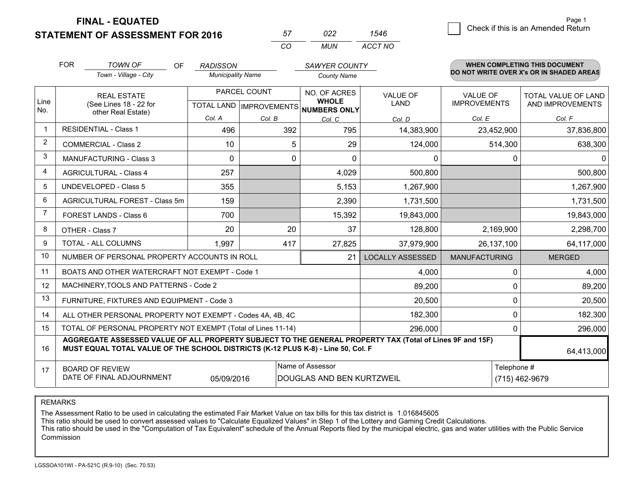**STATEMENT OF ASSESSMENT FOR 2016** 

| 57 | n22 | 1546    |
|----|-----|---------|
| rη | MUN | ACCT NO |

|                | <b>FOR</b>                                                                                                                                                                                   | <b>TOWN OF</b><br><b>OF</b>                               | <b>RADISSON</b>          |        | <b>SAWYER COUNTY</b>                                |                         |                      | <b>WHEN COMPLETING THIS DOCUMENT</b><br>DO NOT WRITE OVER X's OR IN SHADED AREAS |  |  |
|----------------|----------------------------------------------------------------------------------------------------------------------------------------------------------------------------------------------|-----------------------------------------------------------|--------------------------|--------|-----------------------------------------------------|-------------------------|----------------------|----------------------------------------------------------------------------------|--|--|
|                |                                                                                                                                                                                              | Town - Village - City                                     | <b>Municipality Name</b> |        | <b>County Name</b>                                  |                         |                      |                                                                                  |  |  |
|                |                                                                                                                                                                                              | PARCEL COUNT<br><b>REAL ESTATE</b>                        |                          |        | NO. OF ACRES                                        | <b>VALUE OF</b>         | <b>VALUE OF</b>      | TOTAL VALUE OF LAND                                                              |  |  |
| Line<br>No.    |                                                                                                                                                                                              | (See Lines 18 - 22 for<br>other Real Estate)              |                          |        | <b>WHOLE</b><br>TOTAL LAND MPROVEMENTS NUMBERS ONLY | <b>LAND</b>             | <b>IMPROVEMENTS</b>  | AND IMPROVEMENTS                                                                 |  |  |
|                |                                                                                                                                                                                              |                                                           | Col. A                   | Col. B | Col. C                                              | Col. D                  | Col. E               | Col. F                                                                           |  |  |
| -1             |                                                                                                                                                                                              | <b>RESIDENTIAL - Class 1</b>                              | 496                      | 392    | 795                                                 | 14,383,900              | 23,452,900           | 37,836,800                                                                       |  |  |
| $\overline{2}$ |                                                                                                                                                                                              | <b>COMMERCIAL - Class 2</b>                               | 10                       | 5      | 29                                                  | 124,000                 | 514,300              | 638,300                                                                          |  |  |
| 3              |                                                                                                                                                                                              | <b>MANUFACTURING - Class 3</b>                            | 0                        | 0      | $\Omega$                                            | $\mathbf{0}$            | 0                    | 0                                                                                |  |  |
| 4              |                                                                                                                                                                                              | <b>AGRICULTURAL - Class 4</b>                             | 257                      |        | 4,029                                               | 500,800                 |                      | 500,800                                                                          |  |  |
| 5              |                                                                                                                                                                                              | UNDEVELOPED - Class 5                                     | 355                      |        | 5,153                                               | 1,267,900               |                      | 1,267,900                                                                        |  |  |
| 6              |                                                                                                                                                                                              | AGRICULTURAL FOREST - Class 5m                            | 159                      |        | 2,390                                               | 1,731,500               |                      | 1,731,500                                                                        |  |  |
| 7              |                                                                                                                                                                                              | FOREST LANDS - Class 6                                    | 700                      |        | 15,392                                              | 19,843,000              |                      | 19,843,000                                                                       |  |  |
| 8              |                                                                                                                                                                                              | OTHER - Class 7                                           | 20                       | 20     | 37                                                  | 128,800                 | 2,169,900            | 2,298,700                                                                        |  |  |
| 9              |                                                                                                                                                                                              | TOTAL - ALL COLUMNS                                       | 1,997                    |        | 417<br>27,825<br>37,979,900                         |                         | 26, 137, 100         | 64,117,000                                                                       |  |  |
| 10             |                                                                                                                                                                                              | NUMBER OF PERSONAL PROPERTY ACCOUNTS IN ROLL              |                          |        | 21                                                  | <b>LOCALLY ASSESSED</b> | <b>MANUFACTURING</b> | <b>MERGED</b>                                                                    |  |  |
| 11             |                                                                                                                                                                                              | BOATS AND OTHER WATERCRAFT NOT EXEMPT - Code 1            |                          |        |                                                     | 4,000                   | 0                    | 4,000                                                                            |  |  |
| 12             |                                                                                                                                                                                              | MACHINERY, TOOLS AND PATTERNS - Code 2                    |                          |        |                                                     | 89,200                  | 0                    | 89,200                                                                           |  |  |
| 13             |                                                                                                                                                                                              | FURNITURE, FIXTURES AND EQUIPMENT - Code 3                |                          |        |                                                     | 20,500                  | $\mathbf 0$          | 20,500                                                                           |  |  |
| 14             |                                                                                                                                                                                              | ALL OTHER PERSONAL PROPERTY NOT EXEMPT - Codes 4A, 4B, 4C |                          |        |                                                     | 182,300                 | 0                    | 182,300                                                                          |  |  |
| 15             | TOTAL OF PERSONAL PROPERTY NOT EXEMPT (Total of Lines 11-14)<br>296,000                                                                                                                      |                                                           |                          |        |                                                     |                         |                      | 296,000                                                                          |  |  |
| 16             | AGGREGATE ASSESSED VALUE OF ALL PROPERTY SUBJECT TO THE GENERAL PROPERTY TAX (Total of Lines 9F and 15F)<br>MUST EQUAL TOTAL VALUE OF THE SCHOOL DISTRICTS (K-12 PLUS K-8) - Line 50, Col. F |                                                           |                          |        |                                                     |                         |                      | 64,413,000                                                                       |  |  |
| 17             |                                                                                                                                                                                              | <b>BOARD OF REVIEW</b>                                    |                          |        | Name of Assessor                                    |                         | Telephone #          |                                                                                  |  |  |
|                |                                                                                                                                                                                              | DATE OF FINAL ADJOURNMENT                                 | 05/09/2016               |        | DOUGLAS AND BEN KURTZWEIL                           |                         |                      | (715) 462-9679                                                                   |  |  |

REMARKS

The Assessment Ratio to be used in calculating the estimated Fair Market Value on tax bills for this tax district is 1.016845605

This ratio should be used to convert assessed values to "Calculate Equalized Values" in Step 1 of the Lottery and Gaming Credit Calculations.<br>This ratio should be used in the "Computation of Tax Equivalent" schedule of the Commission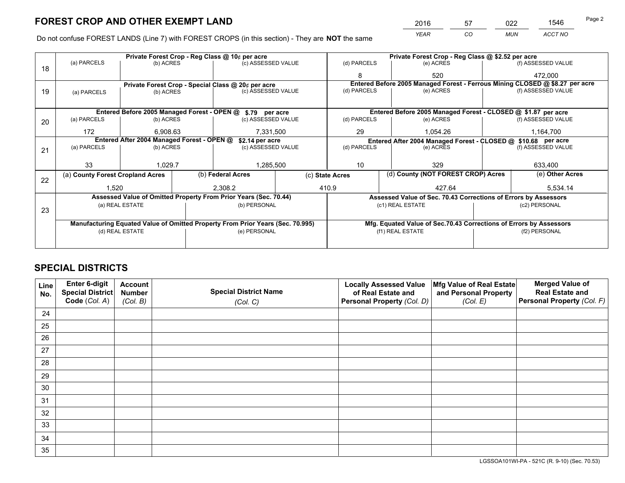*YEAR CO MUN ACCT NO* <sup>2016</sup> <sup>57</sup> <sup>022</sup> <sup>1546</sup>

Do not confuse FOREST LANDS (Line 7) with FOREST CROPS (in this section) - They are **NOT** the same

|    |                                                                                |                                                               |  | Private Forest Crop - Reg Class @ 10¢ per acre                   |  | Private Forest Crop - Reg Class @ \$2.52 per acre |                  |                                                                    |                 |                                                                              |
|----|--------------------------------------------------------------------------------|---------------------------------------------------------------|--|------------------------------------------------------------------|--|---------------------------------------------------|------------------|--------------------------------------------------------------------|-----------------|------------------------------------------------------------------------------|
| 18 | (a) PARCELS                                                                    | (b) ACRES                                                     |  | (c) ASSESSED VALUE                                               |  | (d) PARCELS                                       |                  | (e) ACRES                                                          |                 | (f) ASSESSED VALUE                                                           |
|    |                                                                                |                                                               |  |                                                                  |  | 8                                                 |                  | 520                                                                |                 | 472.000                                                                      |
|    |                                                                                |                                                               |  | Private Forest Crop - Special Class @ 20¢ per acre               |  |                                                   |                  |                                                                    |                 | Entered Before 2005 Managed Forest - Ferrous Mining CLOSED @ \$8.27 per acre |
| 19 | (a) PARCELS                                                                    | (b) ACRES                                                     |  | (c) ASSESSED VALUE                                               |  | (d) PARCELS                                       |                  | (e) ACRES                                                          |                 | (f) ASSESSED VALUE                                                           |
|    |                                                                                |                                                               |  |                                                                  |  |                                                   |                  |                                                                    |                 |                                                                              |
|    |                                                                                |                                                               |  | Entered Before 2005 Managed Forest - OPEN @ \$.79 per acre       |  |                                                   |                  | Entered Before 2005 Managed Forest - CLOSED @ \$1.87 per acre      |                 |                                                                              |
| 20 | (a) PARCELS                                                                    | (b) ACRES                                                     |  | (c) ASSESSED VALUE                                               |  | (d) PARCELS                                       |                  | (e) ACRES                                                          |                 | (f) ASSESSED VALUE                                                           |
|    | 172                                                                            | 6.908.63                                                      |  | 7,331,500                                                        |  | 29                                                | 1,054.26         |                                                                    |                 | 1,164,700                                                                    |
|    |                                                                                | Entered After 2004 Managed Forest - OPEN @<br>\$2.14 per acre |  |                                                                  |  |                                                   |                  | Entered After 2004 Managed Forest - CLOSED @ \$10.68 per acre      |                 |                                                                              |
| 21 | (a) PARCELS                                                                    | (b) ACRES                                                     |  | (c) ASSESSED VALUE                                               |  | (d) PARCELS                                       |                  | (e) ACRES                                                          |                 | (f) ASSESSED VALUE                                                           |
|    |                                                                                |                                                               |  |                                                                  |  |                                                   |                  |                                                                    |                 |                                                                              |
|    | 33                                                                             | 1.029.7                                                       |  | 1,285,500                                                        |  | 10<br>329                                         |                  | 633,400                                                            |                 |                                                                              |
| 22 | (a) County Forest Cropland Acres                                               |                                                               |  | (b) Federal Acres<br>(c) State Acres                             |  | (d) County (NOT FOREST CROP) Acres                |                  |                                                                    | (e) Other Acres |                                                                              |
|    | 1,520                                                                          |                                                               |  | 2.308.2                                                          |  | 427.64<br>410.9                                   |                  |                                                                    | 5,534.14        |                                                                              |
|    |                                                                                |                                                               |  | Assessed Value of Omitted Property From Prior Years (Sec. 70.44) |  |                                                   |                  | Assessed Value of Sec. 70.43 Corrections of Errors by Assessors    |                 |                                                                              |
|    |                                                                                | (a) REAL ESTATE                                               |  | (b) PERSONAL                                                     |  |                                                   | (c1) REAL ESTATE |                                                                    |                 | (c2) PERSONAL                                                                |
| 23 |                                                                                |                                                               |  |                                                                  |  |                                                   |                  |                                                                    |                 |                                                                              |
|    | Manufacturing Equated Value of Omitted Property From Prior Years (Sec. 70.995) |                                                               |  |                                                                  |  |                                                   |                  | Mfg. Equated Value of Sec.70.43 Corrections of Errors by Assessors |                 |                                                                              |
|    | (d) REAL ESTATE                                                                |                                                               |  | (e) PERSONAL                                                     |  | (f1) REAL ESTATE                                  |                  | (f2) PERSONAL                                                      |                 |                                                                              |
|    |                                                                                |                                                               |  |                                                                  |  |                                                   |                  |                                                                    |                 |                                                                              |

## **SPECIAL DISTRICTS**

| Line<br>No. | Enter 6-digit<br>Special District<br>Code (Col. A) | <b>Account</b><br><b>Number</b> | <b>Special District Name</b> | <b>Locally Assessed Value</b><br>of Real Estate and | Mfg Value of Real Estate<br>and Personal Property | <b>Merged Value of</b><br><b>Real Estate and</b><br>Personal Property (Col. F) |
|-------------|----------------------------------------------------|---------------------------------|------------------------------|-----------------------------------------------------|---------------------------------------------------|--------------------------------------------------------------------------------|
|             |                                                    | (Col. B)                        | (Col. C)                     | Personal Property (Col. D)                          | (Col. E)                                          |                                                                                |
| 24          |                                                    |                                 |                              |                                                     |                                                   |                                                                                |
| 25          |                                                    |                                 |                              |                                                     |                                                   |                                                                                |
| 26          |                                                    |                                 |                              |                                                     |                                                   |                                                                                |
| 27          |                                                    |                                 |                              |                                                     |                                                   |                                                                                |
| 28          |                                                    |                                 |                              |                                                     |                                                   |                                                                                |
| 29          |                                                    |                                 |                              |                                                     |                                                   |                                                                                |
| 30          |                                                    |                                 |                              |                                                     |                                                   |                                                                                |
| 31          |                                                    |                                 |                              |                                                     |                                                   |                                                                                |
| 32          |                                                    |                                 |                              |                                                     |                                                   |                                                                                |
| 33          |                                                    |                                 |                              |                                                     |                                                   |                                                                                |
| 34          |                                                    |                                 |                              |                                                     |                                                   |                                                                                |
| 35          |                                                    |                                 |                              |                                                     |                                                   |                                                                                |

LGSSOA101WI-PA - 521C (R. 9-10) (Sec. 70.53)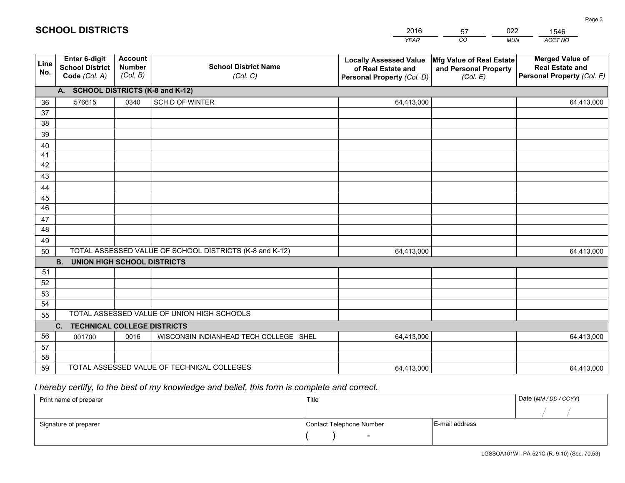|             |                                                          |                                             |                                                         | <b>YEAR</b>                                                                       | CO<br><b>MUN</b>                                              | ACCT NO                                                                        |
|-------------|----------------------------------------------------------|---------------------------------------------|---------------------------------------------------------|-----------------------------------------------------------------------------------|---------------------------------------------------------------|--------------------------------------------------------------------------------|
| Line<br>No. | Enter 6-digit<br><b>School District</b><br>Code (Col. A) | <b>Account</b><br><b>Number</b><br>(Col. B) | <b>School District Name</b><br>(Col. C)                 | <b>Locally Assessed Value</b><br>of Real Estate and<br>Personal Property (Col. D) | Mfg Value of Real Estate<br>and Personal Property<br>(Col. E) | <b>Merged Value of</b><br><b>Real Estate and</b><br>Personal Property (Col. F) |
|             | A. SCHOOL DISTRICTS (K-8 and K-12)                       |                                             |                                                         |                                                                                   |                                                               |                                                                                |
| 36          | 576615                                                   | 0340                                        | SCH D OF WINTER                                         | 64,413,000                                                                        |                                                               | 64,413,000                                                                     |
| 37          |                                                          |                                             |                                                         |                                                                                   |                                                               |                                                                                |
| 38          |                                                          |                                             |                                                         |                                                                                   |                                                               |                                                                                |
| 39          |                                                          |                                             |                                                         |                                                                                   |                                                               |                                                                                |
| 40          |                                                          |                                             |                                                         |                                                                                   |                                                               |                                                                                |
| 41<br>42    |                                                          |                                             |                                                         |                                                                                   |                                                               |                                                                                |
| 43          |                                                          |                                             |                                                         |                                                                                   |                                                               |                                                                                |
| 44          |                                                          |                                             |                                                         |                                                                                   |                                                               |                                                                                |
| 45          |                                                          |                                             |                                                         |                                                                                   |                                                               |                                                                                |
| 46          |                                                          |                                             |                                                         |                                                                                   |                                                               |                                                                                |
| 47          |                                                          |                                             |                                                         |                                                                                   |                                                               |                                                                                |
| 48          |                                                          |                                             |                                                         |                                                                                   |                                                               |                                                                                |
| 49          |                                                          |                                             |                                                         |                                                                                   |                                                               |                                                                                |
| 50          |                                                          |                                             | TOTAL ASSESSED VALUE OF SCHOOL DISTRICTS (K-8 and K-12) | 64,413,000                                                                        |                                                               | 64,413,000                                                                     |
|             | <b>B.</b><br><b>UNION HIGH SCHOOL DISTRICTS</b>          |                                             |                                                         |                                                                                   |                                                               |                                                                                |
| 51          |                                                          |                                             |                                                         |                                                                                   |                                                               |                                                                                |
| 52          |                                                          |                                             |                                                         |                                                                                   |                                                               |                                                                                |
| 53          |                                                          |                                             |                                                         |                                                                                   |                                                               |                                                                                |
| 54          |                                                          |                                             | TOTAL ASSESSED VALUE OF UNION HIGH SCHOOLS              |                                                                                   |                                                               |                                                                                |
| 55          |                                                          |                                             |                                                         |                                                                                   |                                                               |                                                                                |
|             | C. TECHNICAL COLLEGE DISTRICTS                           |                                             |                                                         |                                                                                   |                                                               |                                                                                |
| 56<br>57    | 001700                                                   | 0016                                        | WISCONSIN INDIANHEAD TECH COLLEGE SHEL                  | 64,413,000                                                                        |                                                               | 64,413,000                                                                     |
| 58          |                                                          |                                             |                                                         |                                                                                   |                                                               |                                                                                |
| 59          |                                                          |                                             | TOTAL ASSESSED VALUE OF TECHNICAL COLLEGES              | 64,413,000                                                                        |                                                               | 64,413,000                                                                     |
|             |                                                          |                                             |                                                         |                                                                                   |                                                               |                                                                                |

57

022

## *I hereby certify, to the best of my knowledge and belief, this form is complete and correct.*

**SCHOOL DISTRICTS**

| Print name of preparer | Title                    |                | Date (MM / DD / CCYY) |
|------------------------|--------------------------|----------------|-----------------------|
|                        |                          |                |                       |
| Signature of preparer  | Contact Telephone Number | E-mail address |                       |
|                        | $\overline{\phantom{0}}$ |                |                       |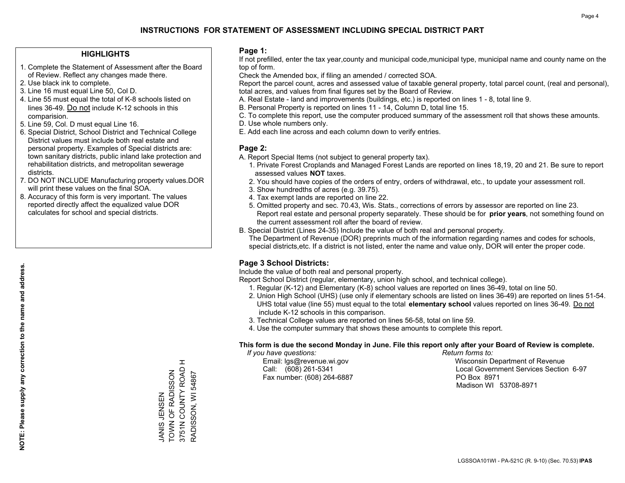#### **HIGHLIGHTS**

- 1. Complete the Statement of Assessment after the Board of Review. Reflect any changes made there.
- 2. Use black ink to complete.
- 3. Line 16 must equal Line 50, Col D.
- 4. Line 55 must equal the total of K-8 schools listed on lines 36-49. Do not include K-12 schools in this comparision.
- 5. Line 59, Col. D must equal Line 16.
- 6. Special District, School District and Technical College District values must include both real estate and personal property. Examples of Special districts are: town sanitary districts, public inland lake protection and rehabilitation districts, and metropolitan sewerage districts.
- 7. DO NOT INCLUDE Manufacturing property values.DOR will print these values on the final SOA.
- 8. Accuracy of this form is very important. The values reported directly affect the equalized value DOR calculates for school and special districts.

#### **Page 1:**

 If not prefilled, enter the tax year,county and municipal code,municipal type, municipal name and county name on the top of form.

Check the Amended box, if filing an amended / corrected SOA.

 Report the parcel count, acres and assessed value of taxable general property, total parcel count, (real and personal), total acres, and values from final figures set by the Board of Review.

- A. Real Estate land and improvements (buildings, etc.) is reported on lines 1 8, total line 9.
- B. Personal Property is reported on lines 11 14, Column D, total line 15.
- C. To complete this report, use the computer produced summary of the assessment roll that shows these amounts.
- D. Use whole numbers only.
- E. Add each line across and each column down to verify entries.

#### **Page 2:**

- A. Report Special Items (not subject to general property tax).
- 1. Private Forest Croplands and Managed Forest Lands are reported on lines 18,19, 20 and 21. Be sure to report assessed values **NOT** taxes.
- 2. You should have copies of the orders of entry, orders of withdrawal, etc., to update your assessment roll.
	- 3. Show hundredths of acres (e.g. 39.75).
- 4. Tax exempt lands are reported on line 22.
- 5. Omitted property and sec. 70.43, Wis. Stats., corrections of errors by assessor are reported on line 23. Report real estate and personal property separately. These should be for **prior years**, not something found on the current assessment roll after the board of review.
- B. Special District (Lines 24-35) Include the value of both real and personal property.

 The Department of Revenue (DOR) preprints much of the information regarding names and codes for schools, special districts,etc. If a district is not listed, enter the name and value only, DOR will enter the proper code.

### **Page 3 School Districts:**

Include the value of both real and personal property.

Report School District (regular, elementary, union high school, and technical college).

- 1. Regular (K-12) and Elementary (K-8) school values are reported on lines 36-49, total on line 50.
- 2. Union High School (UHS) (use only if elementary schools are listed on lines 36-49) are reported on lines 51-54. UHS total value (line 55) must equal to the total **elementary school** values reported on lines 36-49. Do notinclude K-12 schools in this comparison.
- 3. Technical College values are reported on lines 56-58, total on line 59.
- 4. Use the computer summary that shows these amounts to complete this report.

#### **This form is due the second Monday in June. File this report only after your Board of Review is complete.**

 *If you have questions: Return forms to:*

Fax number: (608) 264-6887 PO Box 8971

 Email: lgs@revenue.wi.gov Wisconsin Department of Revenue Call: (608) 261-5341 Local Government Services Section 6-97Madison WI 53708-8971

 $\pm$ 3751N COUNTY ROAD H 3751N COUNTY ROAD TOWN OF RADISSON JANIS JENSEN<br>TOWN OF RADISSON RADISSON, WI 54867 NANS NINGT

RADISSON, WI 54867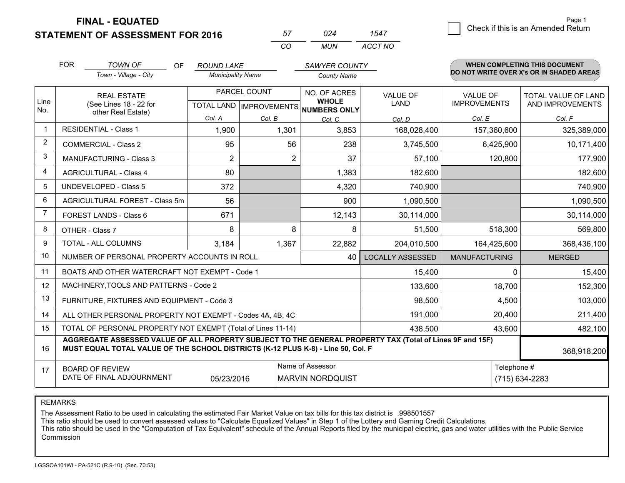**STATEMENT OF ASSESSMENT FOR 2016** 

| 57       |     |         |
|----------|-----|---------|
| $\cdots$ | MUN | ACCT NO |

|                | <b>FOR</b>                                                                                                                                        | <b>TOWN OF</b><br><b>OF</b>                                                                                                                                                                  | <b>ROUND LAKE</b>                                        |        | SAWYER COUNTY                |                                |                                        | <b>WHEN COMPLETING THIS DOCUMENT</b>           |
|----------------|---------------------------------------------------------------------------------------------------------------------------------------------------|----------------------------------------------------------------------------------------------------------------------------------------------------------------------------------------------|----------------------------------------------------------|--------|------------------------------|--------------------------------|----------------------------------------|------------------------------------------------|
|                |                                                                                                                                                   | Town - Village - City                                                                                                                                                                        | <b>Municipality Name</b>                                 |        | <b>County Name</b>           |                                |                                        | DO NOT WRITE OVER X's OR IN SHADED AREAS       |
| Line           |                                                                                                                                                   | <b>REAL ESTATE</b><br>(See Lines 18 - 22 for                                                                                                                                                 | PARCEL COUNT<br>TOTAL LAND   IMPROVEMENTS   NUMBERS ONLY |        | NO. OF ACRES<br><b>WHOLE</b> | <b>VALUE OF</b><br><b>LAND</b> | <b>VALUE OF</b><br><b>IMPROVEMENTS</b> | <b>TOTAL VALUE OF LAND</b><br>AND IMPROVEMENTS |
| No.            |                                                                                                                                                   | other Real Estate)                                                                                                                                                                           | Col. A                                                   | Col. B | Col. C                       | Col. D                         | Col. E                                 | Col. F                                         |
| $\mathbf 1$    |                                                                                                                                                   | <b>RESIDENTIAL - Class 1</b>                                                                                                                                                                 | 1,900                                                    | 1,301  | 3,853                        | 168,028,400                    | 157,360,600                            | 325,389,000                                    |
| 2              | <b>COMMERCIAL - Class 2</b>                                                                                                                       |                                                                                                                                                                                              | 95                                                       | 56     | 238                          | 3,745,500                      | 6,425,900                              | 10,171,400                                     |
| 3              |                                                                                                                                                   | <b>MANUFACTURING - Class 3</b>                                                                                                                                                               | 2                                                        | 2      | 37                           | 57,100                         | 120,800                                | 177,900                                        |
| 4              |                                                                                                                                                   | <b>AGRICULTURAL - Class 4</b>                                                                                                                                                                | 80                                                       |        | 1,383                        | 182,600                        |                                        | 182,600                                        |
| 5              |                                                                                                                                                   | <b>UNDEVELOPED - Class 5</b>                                                                                                                                                                 | 372                                                      |        | 4,320                        | 740,900                        |                                        | 740,900                                        |
| 6              |                                                                                                                                                   | AGRICULTURAL FOREST - Class 5m                                                                                                                                                               | 56                                                       |        | 900                          | 1,090,500                      |                                        | 1,090,500                                      |
| $\overline{7}$ |                                                                                                                                                   | FOREST LANDS - Class 6                                                                                                                                                                       | 671                                                      |        | 12,143                       | 30,114,000                     |                                        | 30,114,000                                     |
| 8              |                                                                                                                                                   | OTHER - Class 7                                                                                                                                                                              | 8                                                        | 8      | 8                            | 51,500                         | 518,300                                | 569,800                                        |
| 9              |                                                                                                                                                   | TOTAL - ALL COLUMNS                                                                                                                                                                          | 3,184                                                    | 1,367  | 22,882                       | 204,010,500                    | 164,425,600                            | 368,436,100                                    |
| 10             |                                                                                                                                                   | NUMBER OF PERSONAL PROPERTY ACCOUNTS IN ROLL                                                                                                                                                 |                                                          |        | 40                           | <b>LOCALLY ASSESSED</b>        | <b>MANUFACTURING</b>                   | <b>MERGED</b>                                  |
| 11             |                                                                                                                                                   | BOATS AND OTHER WATERCRAFT NOT EXEMPT - Code 1                                                                                                                                               |                                                          |        |                              | 15,400                         | $\Omega$                               | 15,400                                         |
| 12             |                                                                                                                                                   | MACHINERY, TOOLS AND PATTERNS - Code 2                                                                                                                                                       |                                                          |        |                              | 133,600                        | 18,700                                 | 152,300                                        |
| 13             |                                                                                                                                                   | FURNITURE, FIXTURES AND EQUIPMENT - Code 3                                                                                                                                                   |                                                          |        |                              | 98,500                         | 4,500                                  | 103,000                                        |
| 14             |                                                                                                                                                   | ALL OTHER PERSONAL PROPERTY NOT EXEMPT - Codes 4A, 4B, 4C                                                                                                                                    |                                                          |        |                              | 191,000                        | 20,400                                 | 211,400                                        |
| 15             |                                                                                                                                                   | TOTAL OF PERSONAL PROPERTY NOT EXEMPT (Total of Lines 11-14)                                                                                                                                 |                                                          |        |                              | 438,500                        | 43,600                                 | 482,100                                        |
| 16             |                                                                                                                                                   | AGGREGATE ASSESSED VALUE OF ALL PROPERTY SUBJECT TO THE GENERAL PROPERTY TAX (Total of Lines 9F and 15F)<br>MUST EQUAL TOTAL VALUE OF THE SCHOOL DISTRICTS (K-12 PLUS K-8) - Line 50, Col. F |                                                          |        |                              |                                |                                        | 368,918,200                                    |
| 17             | Name of Assessor<br>Telephone #<br><b>BOARD OF REVIEW</b><br>DATE OF FINAL ADJOURNMENT<br>05/23/2016<br><b>MARVIN NORDQUIST</b><br>(715) 634-2283 |                                                                                                                                                                                              |                                                          |        |                              |                                |                                        |                                                |

REMARKS

The Assessment Ratio to be used in calculating the estimated Fair Market Value on tax bills for this tax district is .998501557<br>This ratio should be used to convert assessed values to "Calculate Equalized Values" in Step 1 Commission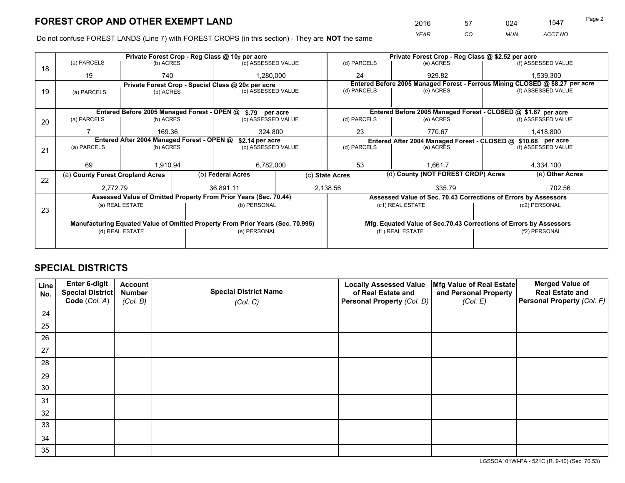*YEAR CO MUN ACCT NO* <sup>2016</sup> <sup>57</sup> <sup>024</sup> <sup>1547</sup>

Do not confuse FOREST LANDS (Line 7) with FOREST CROPS (in this section) - They are **NOT** the same

|    |                                                                                |                 |  | Private Forest Crop - Reg Class @ 10¢ per acre                   |    | Private Forest Crop - Reg Class @ \$2.52 per acre             |        |                                                                    |           |                                                                              |  |
|----|--------------------------------------------------------------------------------|-----------------|--|------------------------------------------------------------------|----|---------------------------------------------------------------|--------|--------------------------------------------------------------------|-----------|------------------------------------------------------------------------------|--|
| 18 | (a) PARCELS                                                                    | (b) ACRES       |  | (c) ASSESSED VALUE                                               |    | (d) PARCELS                                                   |        | (e) ACRES                                                          |           | (f) ASSESSED VALUE                                                           |  |
|    | 19                                                                             | 740             |  | 1,280,000                                                        | 24 |                                                               | 929.82 |                                                                    | 1,539,300 |                                                                              |  |
|    |                                                                                |                 |  | Private Forest Crop - Special Class @ 20¢ per acre               |    |                                                               |        |                                                                    |           | Entered Before 2005 Managed Forest - Ferrous Mining CLOSED @ \$8.27 per acre |  |
| 19 | (a) PARCELS                                                                    | (b) ACRES       |  | (c) ASSESSED VALUE                                               |    | (d) PARCELS                                                   |        | (e) ACRES                                                          |           | (f) ASSESSED VALUE                                                           |  |
|    |                                                                                |                 |  |                                                                  |    |                                                               |        |                                                                    |           |                                                                              |  |
|    |                                                                                |                 |  | Entered Before 2005 Managed Forest - OPEN @ \$.79 per acre       |    | Entered Before 2005 Managed Forest - CLOSED @ \$1.87 per acre |        |                                                                    |           |                                                                              |  |
| 20 | (a) PARCELS                                                                    | (b) ACRES       |  | (c) ASSESSED VALUE                                               |    | (d) PARCELS                                                   |        | (e) ACRES                                                          |           | (f) ASSESSED VALUE                                                           |  |
|    |                                                                                | 169.36          |  | 324.800                                                          |    | 23                                                            |        | 770.67                                                             |           | 1,418,800                                                                    |  |
|    | Entered After 2004 Managed Forest - OPEN @<br>\$2.14 per acre                  |                 |  |                                                                  |    |                                                               |        | Entered After 2004 Managed Forest - CLOSED @ \$10.68 per acre      |           |                                                                              |  |
| 21 | (a) PARCELS                                                                    | (b) ACRES       |  | (c) ASSESSED VALUE                                               |    | (d) PARCELS                                                   |        | (e) ACRES                                                          |           | (f) ASSESSED VALUE                                                           |  |
|    |                                                                                |                 |  |                                                                  |    |                                                               |        |                                                                    |           |                                                                              |  |
|    | 69                                                                             | 1.910.94        |  | 6,782,000                                                        |    | 53                                                            |        | 1.661.7                                                            |           | 4,334,100                                                                    |  |
|    | (a) County Forest Cropland Acres                                               |                 |  | (b) Federal Acres                                                |    | (c) State Acres                                               |        | (d) County (NOT FOREST CROP) Acres                                 |           | (e) Other Acres                                                              |  |
| 22 | 2,772.79                                                                       |                 |  | 36.891.11                                                        |    | 2,138.56<br>335.79                                            |        |                                                                    | 702.56    |                                                                              |  |
|    |                                                                                |                 |  | Assessed Value of Omitted Property From Prior Years (Sec. 70.44) |    |                                                               |        | Assessed Value of Sec. 70.43 Corrections of Errors by Assessors    |           |                                                                              |  |
|    |                                                                                | (a) REAL ESTATE |  | (b) PERSONAL                                                     |    |                                                               |        | (c1) REAL ESTATE                                                   |           | (c2) PERSONAL                                                                |  |
| 23 |                                                                                |                 |  |                                                                  |    |                                                               |        |                                                                    |           |                                                                              |  |
|    | Manufacturing Equated Value of Omitted Property From Prior Years (Sec. 70.995) |                 |  |                                                                  |    |                                                               |        | Mfg. Equated Value of Sec.70.43 Corrections of Errors by Assessors |           |                                                                              |  |
|    |                                                                                | (d) REAL ESTATE |  | (e) PERSONAL                                                     |    |                                                               |        | (f1) REAL ESTATE                                                   |           | (f2) PERSONAL                                                                |  |
|    |                                                                                |                 |  |                                                                  |    |                                                               |        |                                                                    |           |                                                                              |  |

## **SPECIAL DISTRICTS**

| Line<br>No. | Enter 6-digit<br>Special District<br>Code (Col. A) | <b>Account</b><br><b>Number</b><br>(Col. B) | <b>Special District Name</b><br>(Col. C) | <b>Locally Assessed Value</b><br>of Real Estate and<br>Personal Property (Col. D) | Mfg Value of Real Estate<br>and Personal Property<br>(Col. E) | <b>Merged Value of</b><br><b>Real Estate and</b><br>Personal Property (Col. F) |
|-------------|----------------------------------------------------|---------------------------------------------|------------------------------------------|-----------------------------------------------------------------------------------|---------------------------------------------------------------|--------------------------------------------------------------------------------|
| 24          |                                                    |                                             |                                          |                                                                                   |                                                               |                                                                                |
| 25          |                                                    |                                             |                                          |                                                                                   |                                                               |                                                                                |
| 26          |                                                    |                                             |                                          |                                                                                   |                                                               |                                                                                |
| 27          |                                                    |                                             |                                          |                                                                                   |                                                               |                                                                                |
| 28          |                                                    |                                             |                                          |                                                                                   |                                                               |                                                                                |
| 29          |                                                    |                                             |                                          |                                                                                   |                                                               |                                                                                |
| 30          |                                                    |                                             |                                          |                                                                                   |                                                               |                                                                                |
| 31          |                                                    |                                             |                                          |                                                                                   |                                                               |                                                                                |
| 32          |                                                    |                                             |                                          |                                                                                   |                                                               |                                                                                |
| 33          |                                                    |                                             |                                          |                                                                                   |                                                               |                                                                                |
| 34          |                                                    |                                             |                                          |                                                                                   |                                                               |                                                                                |
| 35          |                                                    |                                             |                                          |                                                                                   |                                                               |                                                                                |

LGSSOA101WI-PA - 521C (R. 9-10) (Sec. 70.53)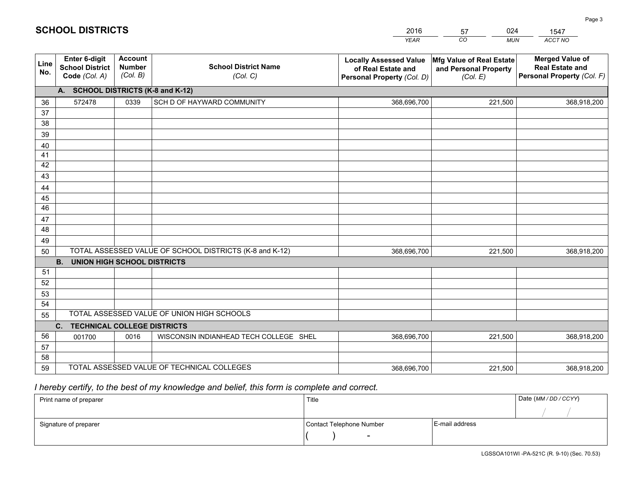|                 |                                                                 |                                             |                                                         | <b>YEAR</b>                                                                       | CO<br><b>MUN</b>                                              | ACCT NO                                                                        |  |  |  |  |  |
|-----------------|-----------------------------------------------------------------|---------------------------------------------|---------------------------------------------------------|-----------------------------------------------------------------------------------|---------------------------------------------------------------|--------------------------------------------------------------------------------|--|--|--|--|--|
| Line<br>No.     | <b>Enter 6-digit</b><br><b>School District</b><br>Code (Col. A) | <b>Account</b><br><b>Number</b><br>(Col. B) | <b>School District Name</b><br>(Col. C)                 | <b>Locally Assessed Value</b><br>of Real Estate and<br>Personal Property (Col. D) | Mfg Value of Real Estate<br>and Personal Property<br>(Col. E) | <b>Merged Value of</b><br><b>Real Estate and</b><br>Personal Property (Col. F) |  |  |  |  |  |
|                 | A. SCHOOL DISTRICTS (K-8 and K-12)                              |                                             |                                                         |                                                                                   |                                                               |                                                                                |  |  |  |  |  |
| 36              | 572478                                                          | 0339                                        | SCH D OF HAYWARD COMMUNITY                              | 368,696,700                                                                       | 221,500                                                       | 368,918,200                                                                    |  |  |  |  |  |
| 37              |                                                                 |                                             |                                                         |                                                                                   |                                                               |                                                                                |  |  |  |  |  |
| 38              |                                                                 |                                             |                                                         |                                                                                   |                                                               |                                                                                |  |  |  |  |  |
| 39              |                                                                 |                                             |                                                         |                                                                                   |                                                               |                                                                                |  |  |  |  |  |
| 40              |                                                                 |                                             |                                                         |                                                                                   |                                                               |                                                                                |  |  |  |  |  |
| 41<br>42        |                                                                 |                                             |                                                         |                                                                                   |                                                               |                                                                                |  |  |  |  |  |
| 43              |                                                                 |                                             |                                                         |                                                                                   |                                                               |                                                                                |  |  |  |  |  |
| 44              |                                                                 |                                             |                                                         |                                                                                   |                                                               |                                                                                |  |  |  |  |  |
| 45              |                                                                 |                                             |                                                         |                                                                                   |                                                               |                                                                                |  |  |  |  |  |
| $\overline{46}$ |                                                                 |                                             |                                                         |                                                                                   |                                                               |                                                                                |  |  |  |  |  |
| 47              |                                                                 |                                             |                                                         |                                                                                   |                                                               |                                                                                |  |  |  |  |  |
| 48              |                                                                 |                                             |                                                         |                                                                                   |                                                               |                                                                                |  |  |  |  |  |
| 49              |                                                                 |                                             |                                                         |                                                                                   |                                                               |                                                                                |  |  |  |  |  |
| 50              |                                                                 |                                             | TOTAL ASSESSED VALUE OF SCHOOL DISTRICTS (K-8 and K-12) | 368,696,700                                                                       | 221,500                                                       | 368,918,200                                                                    |  |  |  |  |  |
|                 | <b>B.</b><br><b>UNION HIGH SCHOOL DISTRICTS</b>                 |                                             |                                                         |                                                                                   |                                                               |                                                                                |  |  |  |  |  |
| 51              |                                                                 |                                             |                                                         |                                                                                   |                                                               |                                                                                |  |  |  |  |  |
| 52              |                                                                 |                                             |                                                         |                                                                                   |                                                               |                                                                                |  |  |  |  |  |
| 53              |                                                                 |                                             |                                                         |                                                                                   |                                                               |                                                                                |  |  |  |  |  |
| 54              |                                                                 |                                             |                                                         |                                                                                   |                                                               |                                                                                |  |  |  |  |  |
| 55              |                                                                 |                                             | TOTAL ASSESSED VALUE OF UNION HIGH SCHOOLS              |                                                                                   |                                                               |                                                                                |  |  |  |  |  |
|                 | C.<br><b>TECHNICAL COLLEGE DISTRICTS</b>                        |                                             |                                                         |                                                                                   |                                                               |                                                                                |  |  |  |  |  |
| 56              | 001700                                                          | 0016                                        | WISCONSIN INDIANHEAD TECH COLLEGE SHEL                  | 368,696,700                                                                       | 221,500                                                       | 368,918,200                                                                    |  |  |  |  |  |
| 57<br>58        |                                                                 |                                             |                                                         |                                                                                   |                                                               |                                                                                |  |  |  |  |  |
| 59              |                                                                 |                                             | TOTAL ASSESSED VALUE OF TECHNICAL COLLEGES              | 368,696,700                                                                       | 221,500                                                       | 368,918,200                                                                    |  |  |  |  |  |
|                 |                                                                 |                                             |                                                         |                                                                                   |                                                               |                                                                                |  |  |  |  |  |

57

024

## *I hereby certify, to the best of my knowledge and belief, this form is complete and correct.*

**SCHOOL DISTRICTS**

| Print name of preparer | Title                    |                | Date (MM / DD / CCYY) |
|------------------------|--------------------------|----------------|-----------------------|
|                        |                          |                |                       |
| Signature of preparer  | Contact Telephone Number | E-mail address |                       |
|                        | $\overline{\phantom{0}}$ |                |                       |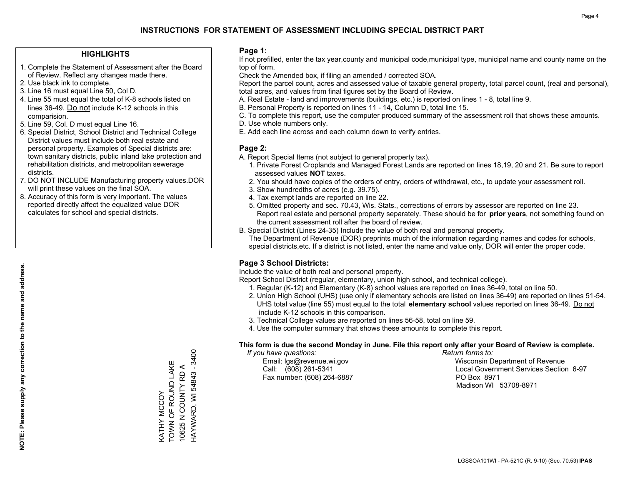#### **HIGHLIGHTS**

- 1. Complete the Statement of Assessment after the Board of Review. Reflect any changes made there.
- 2. Use black ink to complete.
- 3. Line 16 must equal Line 50, Col D.
- 4. Line 55 must equal the total of K-8 schools listed on lines 36-49. Do not include K-12 schools in this comparision.
- 5. Line 59, Col. D must equal Line 16.
- 6. Special District, School District and Technical College District values must include both real estate and personal property. Examples of Special districts are: town sanitary districts, public inland lake protection and rehabilitation districts, and metropolitan sewerage districts.
- 7. DO NOT INCLUDE Manufacturing property values.DOR will print these values on the final SOA.

KATHY MCCOY

TOWN OF ROUND LAKE 10625 N COUNTY RD A HAYWARD, WI 54843 - 3400

KATHY MCCOY<br>TOWN OF ROUND LAKE 10625 N COUNTY RD A HAYWARD, WI 54843 - 3400

 8. Accuracy of this form is very important. The values reported directly affect the equalized value DOR calculates for school and special districts.

#### **Page 1:**

 If not prefilled, enter the tax year,county and municipal code,municipal type, municipal name and county name on the top of form.

Check the Amended box, if filing an amended / corrected SOA.

 Report the parcel count, acres and assessed value of taxable general property, total parcel count, (real and personal), total acres, and values from final figures set by the Board of Review.

- A. Real Estate land and improvements (buildings, etc.) is reported on lines 1 8, total line 9.
- B. Personal Property is reported on lines 11 14, Column D, total line 15.
- C. To complete this report, use the computer produced summary of the assessment roll that shows these amounts.
- D. Use whole numbers only.
- E. Add each line across and each column down to verify entries.

### **Page 2:**

- A. Report Special Items (not subject to general property tax).
- 1. Private Forest Croplands and Managed Forest Lands are reported on lines 18,19, 20 and 21. Be sure to report assessed values **NOT** taxes.
- 2. You should have copies of the orders of entry, orders of withdrawal, etc., to update your assessment roll.
	- 3. Show hundredths of acres (e.g. 39.75).
- 4. Tax exempt lands are reported on line 22.
- 5. Omitted property and sec. 70.43, Wis. Stats., corrections of errors by assessor are reported on line 23. Report real estate and personal property separately. These should be for **prior years**, not something found on the current assessment roll after the board of review.
- B. Special District (Lines 24-35) Include the value of both real and personal property.
- The Department of Revenue (DOR) preprints much of the information regarding names and codes for schools, special districts,etc. If a district is not listed, enter the name and value only, DOR will enter the proper code.

## **Page 3 School Districts:**

Include the value of both real and personal property.

Report School District (regular, elementary, union high school, and technical college).

- 1. Regular (K-12) and Elementary (K-8) school values are reported on lines 36-49, total on line 50.
- 2. Union High School (UHS) (use only if elementary schools are listed on lines 36-49) are reported on lines 51-54. UHS total value (line 55) must equal to the total **elementary school** values reported on lines 36-49. Do notinclude K-12 schools in this comparison.
- 3. Technical College values are reported on lines 56-58, total on line 59.
- 4. Use the computer summary that shows these amounts to complete this report.

#### **This form is due the second Monday in June. File this report only after your Board of Review is complete.**

 *If you have questions: Return forms to:*

Fax number: (608) 264-6887 PO Box 8971

 Email: lgs@revenue.wi.gov Wisconsin Department of Revenue Call: (608) 261-5341 Local Government Services Section 6-97Madison WI 53708-8971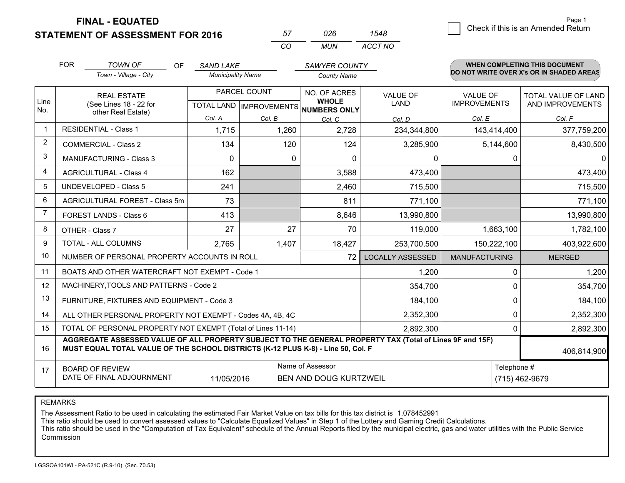**STATEMENT OF ASSESSMENT FOR 2016** 

| 57  | 026. | 1548    |
|-----|------|---------|
| CO. | MUN. | ACCT NO |

|                | <b>FOR</b><br><b>TOWN OF</b><br>Town - Village - City                                                                                                                                        | OF | <b>SAND LAKE</b><br><b>Municipality Name</b> |                                                     | <b>SAWYER COUNTY</b><br><b>County Name</b> |                                |                                        | <b>WHEN COMPLETING THIS DOCUMENT</b><br>DO NOT WRITE OVER X's OR IN SHADED AREAS |
|----------------|----------------------------------------------------------------------------------------------------------------------------------------------------------------------------------------------|----|----------------------------------------------|-----------------------------------------------------|--------------------------------------------|--------------------------------|----------------------------------------|----------------------------------------------------------------------------------|
| Line           | <b>REAL ESTATE</b><br>(See Lines 18 - 22 for                                                                                                                                                 |    |                                              | PARCEL COUNT<br>TOTAL LAND MPROVEMENTS NUMBERS ONLY |                                            | <b>VALUE OF</b><br><b>LAND</b> | <b>VALUE OF</b><br><b>IMPROVEMENTS</b> | <b>TOTAL VALUE OF LAND</b><br>AND IMPROVEMENTS                                   |
| No.            | other Real Estate)                                                                                                                                                                           |    | Col. A                                       | Col. B                                              | Col. C                                     | Col. D                         | Col. E                                 | Col. F                                                                           |
|                | <b>RESIDENTIAL - Class 1</b>                                                                                                                                                                 |    | 1,715                                        | 1,260                                               | 2,728                                      | 234,344,800                    | 143,414,400                            | 377,759,200                                                                      |
| 2              | <b>COMMERCIAL - Class 2</b>                                                                                                                                                                  |    | 134                                          | 120                                                 | 124                                        | 3,285,900                      | 5,144,600                              | 8,430,500                                                                        |
| 3              | <b>MANUFACTURING - Class 3</b>                                                                                                                                                               |    | $\Omega$                                     | $\Omega$                                            | $\Omega$                                   | 0                              | $\Omega$                               | $\Omega$                                                                         |
| 4              | <b>AGRICULTURAL - Class 4</b>                                                                                                                                                                |    | 162                                          |                                                     | 3,588                                      | 473,400                        |                                        | 473,400                                                                          |
| 5              | UNDEVELOPED - Class 5                                                                                                                                                                        |    | 241                                          |                                                     | 2,460                                      | 715,500                        |                                        | 715,500                                                                          |
| 6              | AGRICULTURAL FOREST - Class 5m                                                                                                                                                               |    | 73                                           |                                                     | 811                                        | 771,100                        |                                        | 771,100                                                                          |
| $\overline{7}$ | FOREST LANDS - Class 6                                                                                                                                                                       |    | 413                                          |                                                     | 8,646                                      | 13,990,800                     |                                        | 13,990,800                                                                       |
| 8              | OTHER - Class 7                                                                                                                                                                              |    | 27                                           | 27                                                  | 70                                         | 119,000                        | 1,663,100                              | 1,782,100                                                                        |
| 9              | TOTAL - ALL COLUMNS                                                                                                                                                                          |    | 2,765                                        | 1,407                                               | 18,427                                     | 253,700,500                    | 150,222,100                            | 403,922,600                                                                      |
| 10             | NUMBER OF PERSONAL PROPERTY ACCOUNTS IN ROLL                                                                                                                                                 |    |                                              |                                                     | 72                                         | <b>LOCALLY ASSESSED</b>        | <b>MANUFACTURING</b>                   | <b>MERGED</b>                                                                    |
| 11             | BOATS AND OTHER WATERCRAFT NOT EXEMPT - Code 1                                                                                                                                               |    |                                              |                                                     |                                            | 1,200                          | $\Omega$                               | 1,200                                                                            |
| 12             | MACHINERY, TOOLS AND PATTERNS - Code 2                                                                                                                                                       |    |                                              |                                                     |                                            | 354,700                        | 0                                      | 354,700                                                                          |
| 13             | FURNITURE, FIXTURES AND EQUIPMENT - Code 3                                                                                                                                                   |    |                                              |                                                     |                                            | 184,100                        | 0                                      | 184,100                                                                          |
| 14             | ALL OTHER PERSONAL PROPERTY NOT EXEMPT - Codes 4A, 4B, 4C                                                                                                                                    |    |                                              |                                                     |                                            | 2,352,300                      | $\Omega$                               | 2,352,300                                                                        |
| 15             | TOTAL OF PERSONAL PROPERTY NOT EXEMPT (Total of Lines 11-14)                                                                                                                                 |    |                                              |                                                     |                                            | 2,892,300                      | 0                                      | 2,892,300                                                                        |
| 16             | AGGREGATE ASSESSED VALUE OF ALL PROPERTY SUBJECT TO THE GENERAL PROPERTY TAX (Total of Lines 9F and 15F)<br>MUST EQUAL TOTAL VALUE OF THE SCHOOL DISTRICTS (K-12 PLUS K-8) - Line 50, Col. F |    |                                              |                                                     |                                            |                                |                                        | 406,814,900                                                                      |
| 17             | Name of Assessor<br>Telephone #<br><b>BOARD OF REVIEW</b><br>DATE OF FINAL ADJOURNMENT<br>11/05/2016<br><b>BEN AND DOUG KURTZWEIL</b>                                                        |    |                                              |                                                     |                                            |                                |                                        | (715) 462-9679                                                                   |

REMARKS

The Assessment Ratio to be used in calculating the estimated Fair Market Value on tax bills for this tax district is 1.078452991

This ratio should be used to convert assessed values to "Calculate Equalized Values" in Step 1 of the Lottery and Gaming Credit Calculations.<br>This ratio should be used in the "Computation of Tax Equivalent" schedule of the Commission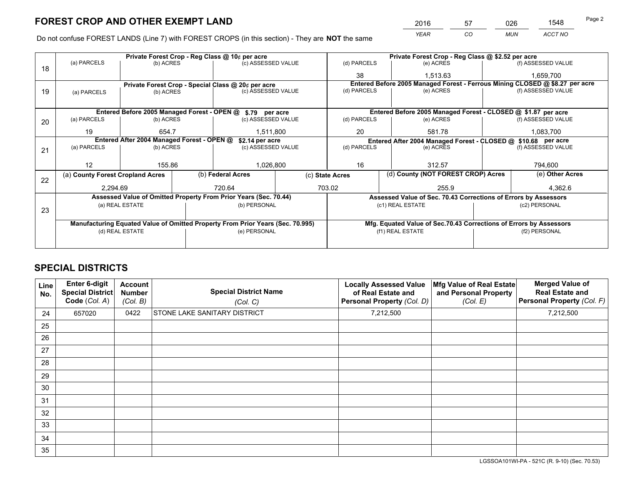*YEAR CO MUN ACCT NO* <sup>2016</sup> <sup>57</sup> <sup>026</sup> <sup>1548</sup> Page 2

Do not confuse FOREST LANDS (Line 7) with FOREST CROPS (in this section) - They are **NOT** the same

|    |                                                               |                 |  | Private Forest Crop - Reg Class @ 10¢ per acre                                 |                 | Private Forest Crop - Reg Class @ \$2.52 per acre                            |                                                                    |                                    |           |                    |  |
|----|---------------------------------------------------------------|-----------------|--|--------------------------------------------------------------------------------|-----------------|------------------------------------------------------------------------------|--------------------------------------------------------------------|------------------------------------|-----------|--------------------|--|
| 18 | (a) PARCELS                                                   | (b) ACRES       |  | (c) ASSESSED VALUE                                                             |                 | (d) PARCELS                                                                  | (e) ACRES                                                          |                                    |           | (f) ASSESSED VALUE |  |
|    |                                                               |                 |  |                                                                                |                 | 38                                                                           | 1.513.63                                                           |                                    |           | 1,659,700          |  |
|    | Private Forest Crop - Special Class @ 20¢ per acre            |                 |  |                                                                                |                 | Entered Before 2005 Managed Forest - Ferrous Mining CLOSED @ \$8.27 per acre |                                                                    |                                    |           |                    |  |
| 19 | (a) PARCELS                                                   | (b) ACRES       |  | (c) ASSESSED VALUE                                                             |                 | (d) PARCELS                                                                  | (e) ACRES                                                          |                                    |           | (f) ASSESSED VALUE |  |
|    |                                                               |                 |  |                                                                                |                 |                                                                              |                                                                    |                                    |           |                    |  |
|    |                                                               |                 |  | Entered Before 2005 Managed Forest - OPEN @ \$.79 per acre                     |                 |                                                                              | Entered Before 2005 Managed Forest - CLOSED @ \$1.87 per acre      |                                    |           |                    |  |
| 20 | (a) PARCELS                                                   | (b) ACRES       |  | (c) ASSESSED VALUE                                                             |                 | (d) PARCELS                                                                  | (e) ACRES                                                          |                                    |           | (f) ASSESSED VALUE |  |
|    | 19                                                            | 654.7           |  | 1,511,800                                                                      |                 | 20<br>581.78                                                                 |                                                                    |                                    | 1,083,700 |                    |  |
|    | Entered After 2004 Managed Forest - OPEN @<br>\$2.14 per acre |                 |  |                                                                                |                 |                                                                              | Entered After 2004 Managed Forest - CLOSED @ \$10.68 per acre      |                                    |           |                    |  |
| 21 | (a) PARCELS                                                   | (b) ACRES       |  | (c) ASSESSED VALUE                                                             |                 | (d) PARCELS                                                                  |                                                                    | (e) ACRES                          |           | (f) ASSESSED VALUE |  |
|    |                                                               |                 |  |                                                                                |                 |                                                                              |                                                                    |                                    |           |                    |  |
|    | 12                                                            | 155.86          |  | 1,026,800                                                                      |                 | 16<br>312.57                                                                 |                                                                    |                                    | 794,600   |                    |  |
| 22 | (a) County Forest Cropland Acres                              |                 |  | (b) Federal Acres                                                              | (c) State Acres |                                                                              |                                                                    | (d) County (NOT FOREST CROP) Acres |           | (e) Other Acres    |  |
|    | 2,294.69                                                      |                 |  | 720.64                                                                         |                 | 703.02                                                                       |                                                                    | 255.9                              |           | 4,362.6            |  |
|    |                                                               |                 |  | Assessed Value of Omitted Property From Prior Years (Sec. 70.44)               |                 |                                                                              | Assessed Value of Sec. 70.43 Corrections of Errors by Assessors    |                                    |           |                    |  |
|    |                                                               | (a) REAL ESTATE |  | (b) PERSONAL                                                                   |                 |                                                                              | (c1) REAL ESTATE                                                   |                                    |           | (c2) PERSONAL      |  |
| 23 |                                                               |                 |  |                                                                                |                 |                                                                              |                                                                    |                                    |           |                    |  |
|    |                                                               |                 |  | Manufacturing Equated Value of Omitted Property From Prior Years (Sec. 70.995) |                 |                                                                              | Mfg. Equated Value of Sec.70.43 Corrections of Errors by Assessors |                                    |           |                    |  |
|    |                                                               | (d) REAL ESTATE |  | (e) PERSONAL                                                                   |                 |                                                                              | (f1) REAL ESTATE                                                   | (f2) PERSONAL                      |           |                    |  |
|    |                                                               |                 |  |                                                                                |                 |                                                                              |                                                                    |                                    |           |                    |  |

## **SPECIAL DISTRICTS**

| Line<br>No. | Enter 6-digit<br>Special District<br>Code (Col. A) | <b>Account</b><br><b>Number</b><br>(Col. B) | <b>Special District Name</b><br>(Col. C) | <b>Locally Assessed Value</b><br>of Real Estate and<br>Personal Property (Col. D) | Mfg Value of Real Estate<br>and Personal Property<br>(Col. E) | <b>Merged Value of</b><br><b>Real Estate and</b><br>Personal Property (Col. F) |
|-------------|----------------------------------------------------|---------------------------------------------|------------------------------------------|-----------------------------------------------------------------------------------|---------------------------------------------------------------|--------------------------------------------------------------------------------|
| 24          | 657020                                             | 0422                                        | <b>STONE LAKE SANITARY DISTRICT</b>      | 7,212,500                                                                         |                                                               | 7,212,500                                                                      |
| 25          |                                                    |                                             |                                          |                                                                                   |                                                               |                                                                                |
| 26          |                                                    |                                             |                                          |                                                                                   |                                                               |                                                                                |
| 27          |                                                    |                                             |                                          |                                                                                   |                                                               |                                                                                |
| 28          |                                                    |                                             |                                          |                                                                                   |                                                               |                                                                                |
| 29          |                                                    |                                             |                                          |                                                                                   |                                                               |                                                                                |
| 30          |                                                    |                                             |                                          |                                                                                   |                                                               |                                                                                |
| 31          |                                                    |                                             |                                          |                                                                                   |                                                               |                                                                                |
| 32          |                                                    |                                             |                                          |                                                                                   |                                                               |                                                                                |
| 33          |                                                    |                                             |                                          |                                                                                   |                                                               |                                                                                |
| 34          |                                                    |                                             |                                          |                                                                                   |                                                               |                                                                                |
| 35          |                                                    |                                             |                                          |                                                                                   |                                                               |                                                                                |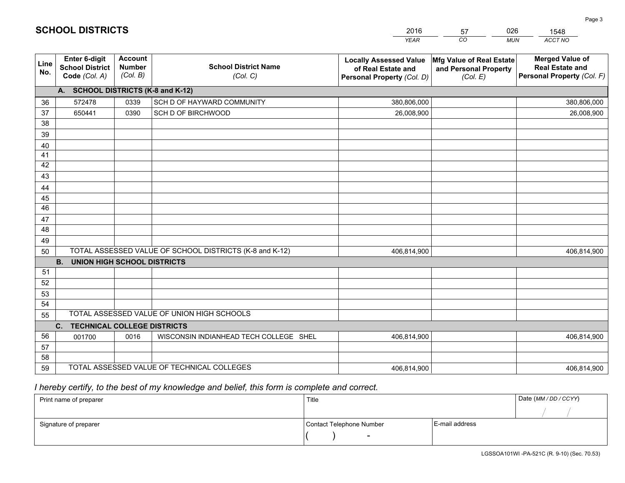|             |                                                          |                                                                                        |                                                         | <b>YEAR</b>                                                                       | CO<br><b>MUN</b>                                              | ACCT NO                                                                        |
|-------------|----------------------------------------------------------|----------------------------------------------------------------------------------------|---------------------------------------------------------|-----------------------------------------------------------------------------------|---------------------------------------------------------------|--------------------------------------------------------------------------------|
| Line<br>No. | Enter 6-digit<br><b>School District</b><br>Code (Col. A) | <b>Account</b><br><b>School District Name</b><br><b>Number</b><br>(Col. B)<br>(Col. C) |                                                         | <b>Locally Assessed Value</b><br>of Real Estate and<br>Personal Property (Col. D) | Mfg Value of Real Estate<br>and Personal Property<br>(Col. E) | <b>Merged Value of</b><br><b>Real Estate and</b><br>Personal Property (Col. F) |
|             | A. SCHOOL DISTRICTS (K-8 and K-12)                       |                                                                                        |                                                         |                                                                                   |                                                               |                                                                                |
| 36          | 572478                                                   | 0339                                                                                   | SCH D OF HAYWARD COMMUNITY                              | 380,806,000                                                                       |                                                               | 380,806,000                                                                    |
| 37          | 650441                                                   | 0390                                                                                   | SCH D OF BIRCHWOOD                                      | 26,008,900                                                                        |                                                               | 26,008,900                                                                     |
| 38          |                                                          |                                                                                        |                                                         |                                                                                   |                                                               |                                                                                |
| 39          |                                                          |                                                                                        |                                                         |                                                                                   |                                                               |                                                                                |
| 40          |                                                          |                                                                                        |                                                         |                                                                                   |                                                               |                                                                                |
| 41          |                                                          |                                                                                        |                                                         |                                                                                   |                                                               |                                                                                |
| 42          |                                                          |                                                                                        |                                                         |                                                                                   |                                                               |                                                                                |
| 43          |                                                          |                                                                                        |                                                         |                                                                                   |                                                               |                                                                                |
| 44          |                                                          |                                                                                        |                                                         |                                                                                   |                                                               |                                                                                |
| 45<br>46    |                                                          |                                                                                        |                                                         |                                                                                   |                                                               |                                                                                |
|             |                                                          |                                                                                        |                                                         |                                                                                   |                                                               |                                                                                |
| 47<br>48    |                                                          |                                                                                        |                                                         |                                                                                   |                                                               |                                                                                |
| 49          |                                                          |                                                                                        |                                                         |                                                                                   |                                                               |                                                                                |
| 50          |                                                          |                                                                                        | TOTAL ASSESSED VALUE OF SCHOOL DISTRICTS (K-8 and K-12) | 406,814,900                                                                       |                                                               | 406,814,900                                                                    |
|             | <b>B.</b><br><b>UNION HIGH SCHOOL DISTRICTS</b>          |                                                                                        |                                                         |                                                                                   |                                                               |                                                                                |
| 51          |                                                          |                                                                                        |                                                         |                                                                                   |                                                               |                                                                                |
| 52          |                                                          |                                                                                        |                                                         |                                                                                   |                                                               |                                                                                |
| 53          |                                                          |                                                                                        |                                                         |                                                                                   |                                                               |                                                                                |
| 54          |                                                          |                                                                                        |                                                         |                                                                                   |                                                               |                                                                                |
| 55          |                                                          |                                                                                        | TOTAL ASSESSED VALUE OF UNION HIGH SCHOOLS              |                                                                                   |                                                               |                                                                                |
|             | <b>TECHNICAL COLLEGE DISTRICTS</b><br>C.                 |                                                                                        |                                                         |                                                                                   |                                                               |                                                                                |
| 56          | 001700                                                   | 0016                                                                                   | WISCONSIN INDIANHEAD TECH COLLEGE SHEL                  | 406,814,900                                                                       |                                                               | 406,814,900                                                                    |
| 57          |                                                          |                                                                                        |                                                         |                                                                                   |                                                               |                                                                                |
| 58          |                                                          |                                                                                        |                                                         |                                                                                   |                                                               |                                                                                |
| 59          |                                                          |                                                                                        | TOTAL ASSESSED VALUE OF TECHNICAL COLLEGES              | 406,814,900                                                                       |                                                               | 406,814,900                                                                    |

57

026

 *I hereby certify, to the best of my knowledge and belief, this form is complete and correct.*

**SCHOOL DISTRICTS**

| Print name of preparer | Title                    |                | Date (MM / DD / CCYY) |
|------------------------|--------------------------|----------------|-----------------------|
|                        |                          |                |                       |
| Signature of preparer  | Contact Telephone Number | E-mail address |                       |
|                        | $\overline{\phantom{0}}$ |                |                       |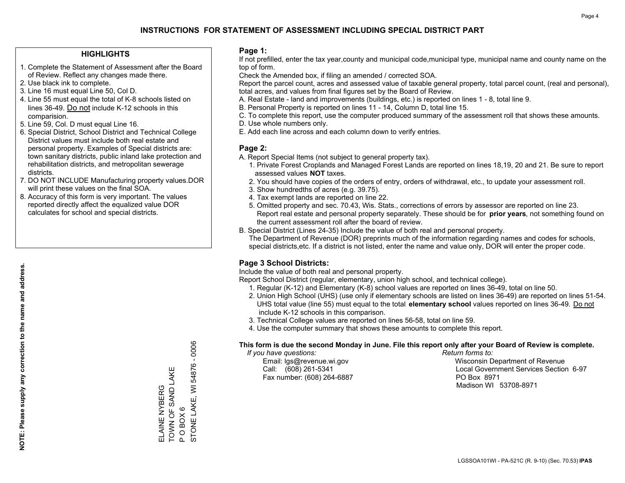#### **HIGHLIGHTS**

- 1. Complete the Statement of Assessment after the Board of Review. Reflect any changes made there.
- 2. Use black ink to complete.
- 3. Line 16 must equal Line 50, Col D.
- 4. Line 55 must equal the total of K-8 schools listed on lines 36-49. Do not include K-12 schools in this comparision.
- 5. Line 59, Col. D must equal Line 16.
- 6. Special District, School District and Technical College District values must include both real estate and personal property. Examples of Special districts are: town sanitary districts, public inland lake protection and rehabilitation districts, and metropolitan sewerage districts.
- 7. DO NOT INCLUDE Manufacturing property values.DOR will print these values on the final SOA.

ELAINE NYBERG TOWN OF SAND LAKE

ELAINE NYBERG<br>TOWN OF SAND LAKE

P O BOX 6

 $\mathbf{a}$ 

 $O$  BOX  $6$ 

STONE LAKE, WI 54876 - 0006

STONE LAKE, WI 54876 - 0006

 8. Accuracy of this form is very important. The values reported directly affect the equalized value DOR calculates for school and special districts.

#### **Page 1:**

 If not prefilled, enter the tax year,county and municipal code,municipal type, municipal name and county name on the top of form.

Check the Amended box, if filing an amended / corrected SOA.

 Report the parcel count, acres and assessed value of taxable general property, total parcel count, (real and personal), total acres, and values from final figures set by the Board of Review.

- A. Real Estate land and improvements (buildings, etc.) is reported on lines 1 8, total line 9.
- B. Personal Property is reported on lines 11 14, Column D, total line 15.
- C. To complete this report, use the computer produced summary of the assessment roll that shows these amounts.
- D. Use whole numbers only.
- E. Add each line across and each column down to verify entries.

#### **Page 2:**

- A. Report Special Items (not subject to general property tax).
- 1. Private Forest Croplands and Managed Forest Lands are reported on lines 18,19, 20 and 21. Be sure to report assessed values **NOT** taxes.
- 2. You should have copies of the orders of entry, orders of withdrawal, etc., to update your assessment roll.
	- 3. Show hundredths of acres (e.g. 39.75).
- 4. Tax exempt lands are reported on line 22.
- 5. Omitted property and sec. 70.43, Wis. Stats., corrections of errors by assessor are reported on line 23. Report real estate and personal property separately. These should be for **prior years**, not something found on the current assessment roll after the board of review.
- B. Special District (Lines 24-35) Include the value of both real and personal property.

 The Department of Revenue (DOR) preprints much of the information regarding names and codes for schools, special districts,etc. If a district is not listed, enter the name and value only, DOR will enter the proper code.

### **Page 3 School Districts:**

Include the value of both real and personal property.

Report School District (regular, elementary, union high school, and technical college).

- 1. Regular (K-12) and Elementary (K-8) school values are reported on lines 36-49, total on line 50.
- 2. Union High School (UHS) (use only if elementary schools are listed on lines 36-49) are reported on lines 51-54. UHS total value (line 55) must equal to the total **elementary school** values reported on lines 36-49. Do notinclude K-12 schools in this comparison.
- 3. Technical College values are reported on lines 56-58, total on line 59.
- 4. Use the computer summary that shows these amounts to complete this report.

#### **This form is due the second Monday in June. File this report only after your Board of Review is complete.**

 *If you have questions: Return forms to:*

Fax number: (608) 264-6887 PO Box 8971

 Email: lgs@revenue.wi.gov Wisconsin Department of Revenue Call: (608) 261-5341 Local Government Services Section 6-97Madison WI 53708-8971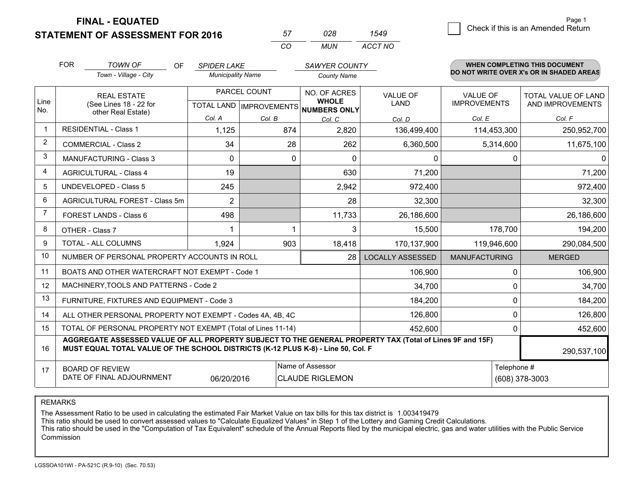**STATEMENT OF ASSESSMENT FOR 2016** 

| 57  | 028. | 1549    |
|-----|------|---------|
| CO. | MUN  | ACCT NO |

|                         | <b>FOR</b>                                                                                                                                                                                   | <b>TOWN OF</b><br>OF                           | <b>SPIDER LAKE</b><br><b>Municipality Name</b> |              | SAWYER COUNTY                                       |                         | WHEN COMPLETING THIS DOCUMENT<br>DO NOT WRITE OVER X's OR IN SHADED AREAS |                     |
|-------------------------|----------------------------------------------------------------------------------------------------------------------------------------------------------------------------------------------|------------------------------------------------|------------------------------------------------|--------------|-----------------------------------------------------|-------------------------|---------------------------------------------------------------------------|---------------------|
|                         |                                                                                                                                                                                              | Town - Village - City                          |                                                |              | <b>County Name</b>                                  |                         |                                                                           |                     |
| Line                    |                                                                                                                                                                                              | <b>REAL ESTATE</b>                             |                                                | PARCEL COUNT |                                                     | <b>VALUE OF</b>         | VALUE OF                                                                  | TOTAL VALUE OF LAND |
| No.                     |                                                                                                                                                                                              | (See Lines 18 - 22 for<br>other Real Estate)   |                                                |              | <b>WHOLE</b><br>TOTAL LAND MPROVEMENTS NUMBERS ONLY | <b>LAND</b>             | <b>IMPROVEMENTS</b>                                                       | AND IMPROVEMENTS    |
|                         |                                                                                                                                                                                              |                                                | Col. A                                         | Col. B       | Col. C                                              | Col. D                  | Col. E                                                                    | Col. F              |
| $\overline{1}$          |                                                                                                                                                                                              | <b>RESIDENTIAL - Class 1</b>                   | 1,125                                          | 874          | 2,820                                               | 136,499,400             | 114,453,300                                                               | 250,952,700         |
| $\overline{2}$          |                                                                                                                                                                                              | <b>COMMERCIAL - Class 2</b>                    | 34                                             | 28           | 262                                                 | 6,360,500               | 5,314,600                                                                 | 11,675,100          |
| 3                       |                                                                                                                                                                                              | <b>MANUFACTURING - Class 3</b>                 | $\Omega$                                       | 0            | $\Omega$                                            | 0                       | 0                                                                         | 0                   |
| $\overline{\mathbf{4}}$ |                                                                                                                                                                                              | <b>AGRICULTURAL - Class 4</b>                  | 19                                             |              | 630                                                 | 71,200                  |                                                                           | 71,200              |
| 5                       |                                                                                                                                                                                              | <b>UNDEVELOPED - Class 5</b>                   | 245                                            |              | 2,942                                               | 972,400                 |                                                                           | 972,400             |
| 6                       |                                                                                                                                                                                              | AGRICULTURAL FOREST - Class 5m                 | $\overline{2}$                                 |              | 28                                                  | 32,300                  |                                                                           | 32,300              |
| $\overline{7}$          |                                                                                                                                                                                              | FOREST LANDS - Class 6                         | 498                                            |              | 11,733                                              | 26,186,600              |                                                                           | 26,186,600          |
| 8                       |                                                                                                                                                                                              | OTHER - Class 7                                |                                                |              | 3                                                   | 15,500                  | 178,700                                                                   | 194,200             |
| 9                       |                                                                                                                                                                                              | TOTAL - ALL COLUMNS                            | 1,924                                          | 903          | 18,418                                              | 170,137,900             | 119,946,600                                                               | 290,084,500         |
| 10                      |                                                                                                                                                                                              | NUMBER OF PERSONAL PROPERTY ACCOUNTS IN ROLL   |                                                |              | 28                                                  | <b>LOCALLY ASSESSED</b> | <b>MANUFACTURING</b>                                                      | <b>MERGED</b>       |
| 11                      |                                                                                                                                                                                              | BOATS AND OTHER WATERCRAFT NOT EXEMPT - Code 1 |                                                |              |                                                     | 106,900                 | 0                                                                         | 106,900             |
| 12                      |                                                                                                                                                                                              | MACHINERY, TOOLS AND PATTERNS - Code 2         |                                                |              |                                                     | 34,700                  | 0                                                                         | 34,700              |
| 13                      |                                                                                                                                                                                              | FURNITURE, FIXTURES AND EQUIPMENT - Code 3     |                                                |              |                                                     | 184,200                 | $\mathbf{0}$                                                              | 184,200             |
| 14                      | ALL OTHER PERSONAL PROPERTY NOT EXEMPT - Codes 4A, 4B, 4C                                                                                                                                    | 0                                              | 126,800                                        |              |                                                     |                         |                                                                           |                     |
| 15                      | TOTAL OF PERSONAL PROPERTY NOT EXEMPT (Total of Lines 11-14)<br>452,600                                                                                                                      |                                                |                                                |              |                                                     |                         |                                                                           | 452,600             |
| 16                      | AGGREGATE ASSESSED VALUE OF ALL PROPERTY SUBJECT TO THE GENERAL PROPERTY TAX (Total of Lines 9F and 15F)<br>MUST EQUAL TOTAL VALUE OF THE SCHOOL DISTRICTS (K-12 PLUS K-8) - Line 50, Col. F |                                                |                                                |              |                                                     |                         | 290,537,100                                                               |                     |
| 17                      | Name of Assessor<br><b>BOARD OF REVIEW</b>                                                                                                                                                   |                                                |                                                |              |                                                     |                         | Telephone #                                                               |                     |
|                         | DATE OF FINAL ADJOURNMENT<br>06/20/2016<br><b>CLAUDE RIGLEMON</b>                                                                                                                            |                                                |                                                |              |                                                     |                         |                                                                           | (608) 378-3003      |

REMARKS

The Assessment Ratio to be used in calculating the estimated Fair Market Value on tax bills for this tax district is 1.003419479

This ratio should be used to convert assessed values to "Calculate Equalized Values" in Step 1 of the Lottery and Gaming Credit Calculations.<br>This ratio should be used in the "Computation of Tax Equivalent" schedule of the Commission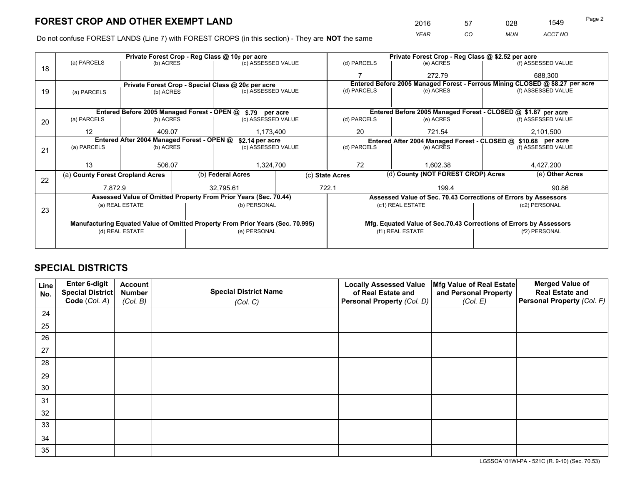*YEAR CO MUN ACCT NO* <sup>2016</sup> <sup>57</sup> <sup>028</sup> <sup>1549</sup>

Do not confuse FOREST LANDS (Line 7) with FOREST CROPS (in this section) - They are **NOT** the same

|    |                                                                                |                                             | Private Forest Crop - Reg Class @ 10¢ per acre |                                                                  | Private Forest Crop - Reg Class @ \$2.52 per acre |                                                       |  |                                                                    |                                                               |                                                                              |  |
|----|--------------------------------------------------------------------------------|---------------------------------------------|------------------------------------------------|------------------------------------------------------------------|---------------------------------------------------|-------------------------------------------------------|--|--------------------------------------------------------------------|---------------------------------------------------------------|------------------------------------------------------------------------------|--|
| 18 | (a) PARCELS                                                                    | (b) ACRES                                   |                                                | (c) ASSESSED VALUE                                               |                                                   | (d) PARCELS                                           |  | (e) ACRES                                                          |                                                               | (f) ASSESSED VALUE                                                           |  |
|    |                                                                                |                                             |                                                |                                                                  |                                                   | ⇁                                                     |  | 272.79                                                             |                                                               | 688.300                                                                      |  |
|    |                                                                                |                                             |                                                | Private Forest Crop - Special Class @ 20¢ per acre               |                                                   |                                                       |  |                                                                    |                                                               | Entered Before 2005 Managed Forest - Ferrous Mining CLOSED @ \$8.27 per acre |  |
| 19 | (a) PARCELS                                                                    | (b) ACRES                                   |                                                | (c) ASSESSED VALUE                                               |                                                   | (d) PARCELS                                           |  | (e) ACRES                                                          |                                                               | (f) ASSESSED VALUE                                                           |  |
|    |                                                                                |                                             |                                                |                                                                  |                                                   |                                                       |  |                                                                    |                                                               |                                                                              |  |
|    |                                                                                | Entered Before 2005 Managed Forest - OPEN @ |                                                | \$.79 per acre                                                   |                                                   |                                                       |  | Entered Before 2005 Managed Forest - CLOSED @ \$1.87 per acre      |                                                               |                                                                              |  |
| 20 | (a) PARCELS                                                                    | (b) ACRES                                   |                                                | (c) ASSESSED VALUE                                               |                                                   | (d) PARCELS                                           |  | (e) ACRES                                                          |                                                               | (f) ASSESSED VALUE                                                           |  |
|    | 12                                                                             | 409.07                                      |                                                | 1,173,400                                                        |                                                   | 20                                                    |  | 721.54                                                             |                                                               | 2,101,500                                                                    |  |
|    | Entered After 2004 Managed Forest - OPEN @                                     |                                             |                                                | \$2.14 per acre                                                  |                                                   |                                                       |  |                                                                    | Entered After 2004 Managed Forest - CLOSED @ \$10.68 per acre |                                                                              |  |
| 21 | (a) PARCELS                                                                    | (b) ACRES                                   |                                                | (c) ASSESSED VALUE                                               | (d) PARCELS                                       |                                                       |  | (e) ACRES                                                          |                                                               | (f) ASSESSED VALUE                                                           |  |
|    |                                                                                |                                             |                                                |                                                                  |                                                   |                                                       |  |                                                                    |                                                               |                                                                              |  |
|    | 13                                                                             | 506.07                                      |                                                | 1,324,700                                                        |                                                   | 72                                                    |  | 1,602.38                                                           |                                                               | 4,427,200                                                                    |  |
| 22 | (a) County Forest Cropland Acres                                               |                                             |                                                | (b) Federal Acres                                                |                                                   | (d) County (NOT FOREST CROP) Acres<br>(c) State Acres |  |                                                                    |                                                               | (e) Other Acres                                                              |  |
|    | 7,872.9                                                                        |                                             |                                                | 32,795.61                                                        |                                                   | 722.1                                                 |  | 199.4                                                              |                                                               | 90.86                                                                        |  |
|    |                                                                                |                                             |                                                | Assessed Value of Omitted Property From Prior Years (Sec. 70.44) |                                                   |                                                       |  | Assessed Value of Sec. 70.43 Corrections of Errors by Assessors    |                                                               |                                                                              |  |
|    |                                                                                | (a) REAL ESTATE                             |                                                | (b) PERSONAL                                                     |                                                   |                                                       |  | (c1) REAL ESTATE                                                   |                                                               | (c2) PERSONAL                                                                |  |
| 23 |                                                                                |                                             |                                                |                                                                  |                                                   |                                                       |  |                                                                    |                                                               |                                                                              |  |
|    | Manufacturing Equated Value of Omitted Property From Prior Years (Sec. 70.995) |                                             |                                                |                                                                  |                                                   |                                                       |  | Mfg. Equated Value of Sec.70.43 Corrections of Errors by Assessors |                                                               |                                                                              |  |
|    |                                                                                | (d) REAL ESTATE                             |                                                | (e) PERSONAL                                                     |                                                   | (f1) REAL ESTATE                                      |  |                                                                    | (f2) PERSONAL                                                 |                                                                              |  |
|    |                                                                                |                                             |                                                |                                                                  |                                                   |                                                       |  |                                                                    |                                                               |                                                                              |  |

## **SPECIAL DISTRICTS**

| Line<br>No. | Enter 6-digit<br>Special District<br>Code (Col. A) | <b>Account</b><br><b>Number</b><br>(Col. B) | <b>Special District Name</b><br>(Col. C) | <b>Locally Assessed Value</b><br>of Real Estate and<br>Personal Property (Col. D) | Mfg Value of Real Estate<br>and Personal Property<br>(Col. E) | <b>Merged Value of</b><br><b>Real Estate and</b><br>Personal Property (Col. F) |
|-------------|----------------------------------------------------|---------------------------------------------|------------------------------------------|-----------------------------------------------------------------------------------|---------------------------------------------------------------|--------------------------------------------------------------------------------|
| 24          |                                                    |                                             |                                          |                                                                                   |                                                               |                                                                                |
| 25          |                                                    |                                             |                                          |                                                                                   |                                                               |                                                                                |
| 26          |                                                    |                                             |                                          |                                                                                   |                                                               |                                                                                |
| 27          |                                                    |                                             |                                          |                                                                                   |                                                               |                                                                                |
| 28          |                                                    |                                             |                                          |                                                                                   |                                                               |                                                                                |
| 29          |                                                    |                                             |                                          |                                                                                   |                                                               |                                                                                |
| 30          |                                                    |                                             |                                          |                                                                                   |                                                               |                                                                                |
| 31          |                                                    |                                             |                                          |                                                                                   |                                                               |                                                                                |
| 32          |                                                    |                                             |                                          |                                                                                   |                                                               |                                                                                |
| 33          |                                                    |                                             |                                          |                                                                                   |                                                               |                                                                                |
| 34          |                                                    |                                             |                                          |                                                                                   |                                                               |                                                                                |
| 35          |                                                    |                                             |                                          |                                                                                   |                                                               |                                                                                |

LGSSOA101WI-PA - 521C (R. 9-10) (Sec. 70.53)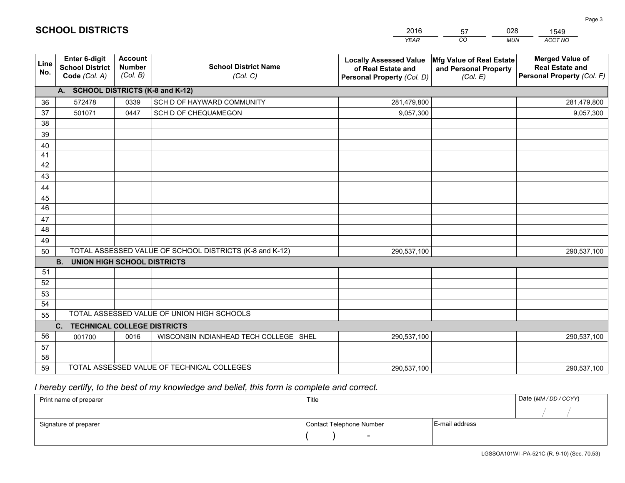|             |                                                          |                                             |                                                         | <b>YEAR</b>                                                                       | CO<br><b>MUN</b>                                              | ACCT NO                                                                        |
|-------------|----------------------------------------------------------|---------------------------------------------|---------------------------------------------------------|-----------------------------------------------------------------------------------|---------------------------------------------------------------|--------------------------------------------------------------------------------|
| Line<br>No. | Enter 6-digit<br><b>School District</b><br>Code (Col. A) | <b>Account</b><br><b>Number</b><br>(Col. B) | <b>School District Name</b><br>(Col. C)                 | <b>Locally Assessed Value</b><br>of Real Estate and<br>Personal Property (Col. D) | Mfg Value of Real Estate<br>and Personal Property<br>(Col. E) | <b>Merged Value of</b><br><b>Real Estate and</b><br>Personal Property (Col. F) |
|             | A. SCHOOL DISTRICTS (K-8 and K-12)                       |                                             |                                                         |                                                                                   |                                                               |                                                                                |
| 36          | 572478                                                   | 0339                                        | SCH D OF HAYWARD COMMUNITY                              | 281,479,800                                                                       |                                                               | 281,479,800                                                                    |
| 37          | 501071                                                   | 0447                                        | SCH D OF CHEQUAMEGON                                    | 9,057,300                                                                         |                                                               | 9,057,300                                                                      |
| 38          |                                                          |                                             |                                                         |                                                                                   |                                                               |                                                                                |
| 39          |                                                          |                                             |                                                         |                                                                                   |                                                               |                                                                                |
| 40          |                                                          |                                             |                                                         |                                                                                   |                                                               |                                                                                |
| 41          |                                                          |                                             |                                                         |                                                                                   |                                                               |                                                                                |
| 42          |                                                          |                                             |                                                         |                                                                                   |                                                               |                                                                                |
| 43          |                                                          |                                             |                                                         |                                                                                   |                                                               |                                                                                |
| 44          |                                                          |                                             |                                                         |                                                                                   |                                                               |                                                                                |
| 45          |                                                          |                                             |                                                         |                                                                                   |                                                               |                                                                                |
| 46          |                                                          |                                             |                                                         |                                                                                   |                                                               |                                                                                |
| 47          |                                                          |                                             |                                                         |                                                                                   |                                                               |                                                                                |
| 48          |                                                          |                                             |                                                         |                                                                                   |                                                               |                                                                                |
| 49          |                                                          |                                             | TOTAL ASSESSED VALUE OF SCHOOL DISTRICTS (K-8 and K-12) |                                                                                   |                                                               |                                                                                |
| 50          | <b>B.</b><br><b>UNION HIGH SCHOOL DISTRICTS</b>          |                                             |                                                         | 290,537,100                                                                       |                                                               | 290,537,100                                                                    |
| 51          |                                                          |                                             |                                                         |                                                                                   |                                                               |                                                                                |
| 52          |                                                          |                                             |                                                         |                                                                                   |                                                               |                                                                                |
| 53          |                                                          |                                             |                                                         |                                                                                   |                                                               |                                                                                |
| 54          |                                                          |                                             |                                                         |                                                                                   |                                                               |                                                                                |
| 55          |                                                          |                                             | TOTAL ASSESSED VALUE OF UNION HIGH SCHOOLS              |                                                                                   |                                                               |                                                                                |
|             | <b>TECHNICAL COLLEGE DISTRICTS</b><br>C.                 |                                             |                                                         |                                                                                   |                                                               |                                                                                |
| 56          | 001700                                                   | 0016                                        | WISCONSIN INDIANHEAD TECH COLLEGE SHEL                  | 290,537,100                                                                       |                                                               | 290,537,100                                                                    |
| 57          |                                                          |                                             |                                                         |                                                                                   |                                                               |                                                                                |
| 58          |                                                          |                                             |                                                         |                                                                                   |                                                               |                                                                                |
| 59          |                                                          |                                             | TOTAL ASSESSED VALUE OF TECHNICAL COLLEGES              | 290,537,100                                                                       |                                                               | 290,537,100                                                                    |

57

028

## *I hereby certify, to the best of my knowledge and belief, this form is complete and correct.*

**SCHOOL DISTRICTS**

| Print name of preparer | Title                    |                | Date (MM / DD / CCYY) |
|------------------------|--------------------------|----------------|-----------------------|
|                        |                          |                |                       |
| Signature of preparer  | Contact Telephone Number | E-mail address |                       |
|                        | $\sim$                   |                |                       |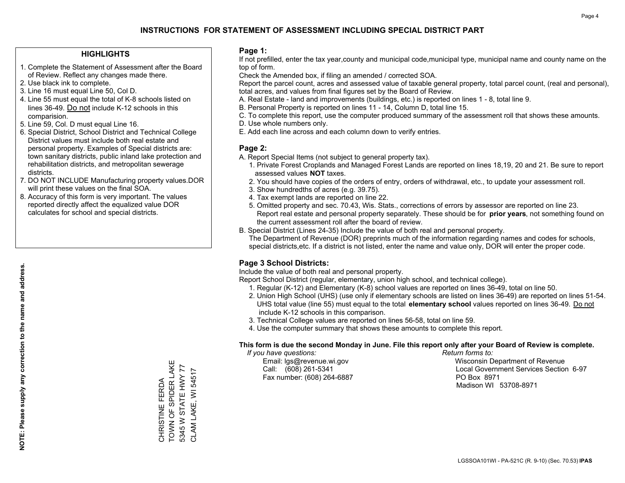#### **HIGHLIGHTS**

- 1. Complete the Statement of Assessment after the Board of Review. Reflect any changes made there.
- 2. Use black ink to complete.
- 3. Line 16 must equal Line 50, Col D.
- 4. Line 55 must equal the total of K-8 schools listed on lines 36-49. Do not include K-12 schools in this comparision.
- 5. Line 59, Col. D must equal Line 16.
- 6. Special District, School District and Technical College District values must include both real estate and personal property. Examples of Special districts are: town sanitary districts, public inland lake protection and rehabilitation districts, and metropolitan sewerage districts.
- 7. DO NOT INCLUDE Manufacturing property values.DOR will print these values on the final SOA.
- 8. Accuracy of this form is very important. The values reported directly affect the equalized value DOR calculates for school and special districts.

#### **Page 1:**

 If not prefilled, enter the tax year,county and municipal code,municipal type, municipal name and county name on the top of form.

Check the Amended box, if filing an amended / corrected SOA.

 Report the parcel count, acres and assessed value of taxable general property, total parcel count, (real and personal), total acres, and values from final figures set by the Board of Review.

- A. Real Estate land and improvements (buildings, etc.) is reported on lines 1 8, total line 9.
- B. Personal Property is reported on lines 11 14, Column D, total line 15.
- C. To complete this report, use the computer produced summary of the assessment roll that shows these amounts.
- D. Use whole numbers only.
- E. Add each line across and each column down to verify entries.

#### **Page 2:**

- A. Report Special Items (not subject to general property tax).
- 1. Private Forest Croplands and Managed Forest Lands are reported on lines 18,19, 20 and 21. Be sure to report assessed values **NOT** taxes.
- 2. You should have copies of the orders of entry, orders of withdrawal, etc., to update your assessment roll.
	- 3. Show hundredths of acres (e.g. 39.75).
- 4. Tax exempt lands are reported on line 22.
- 5. Omitted property and sec. 70.43, Wis. Stats., corrections of errors by assessor are reported on line 23. Report real estate and personal property separately. These should be for **prior years**, not something found on the current assessment roll after the board of review.
- B. Special District (Lines 24-35) Include the value of both real and personal property.
- The Department of Revenue (DOR) preprints much of the information regarding names and codes for schools, special districts,etc. If a district is not listed, enter the name and value only, DOR will enter the proper code.

### **Page 3 School Districts:**

Include the value of both real and personal property.

Report School District (regular, elementary, union high school, and technical college).

- 1. Regular (K-12) and Elementary (K-8) school values are reported on lines 36-49, total on line 50.
- 2. Union High School (UHS) (use only if elementary schools are listed on lines 36-49) are reported on lines 51-54. UHS total value (line 55) must equal to the total **elementary school** values reported on lines 36-49. Do notinclude K-12 schools in this comparison.
- 3. Technical College values are reported on lines 56-58, total on line 59.
- 4. Use the computer summary that shows these amounts to complete this report.

#### **This form is due the second Monday in June. File this report only after your Board of Review is complete.**

 *If you have questions: Return forms to:*

Fax number: (608) 264-6887 PO Box 8971

 Email: lgs@revenue.wi.gov Wisconsin Department of Revenue Call: (608) 261-5341 Local Government Services Section 6-97Madison WI 53708-8971

CHRISTINE FERDA<br>TOWN OF SPIDER LAKE TOWN OF SPIDER LAKE 5345 W STATE HWY 77 5345 W STATE HWY 77 CLAM LAKE, WI 54517 CLAM LAKE, WI 54517 CHRISTINE FERDA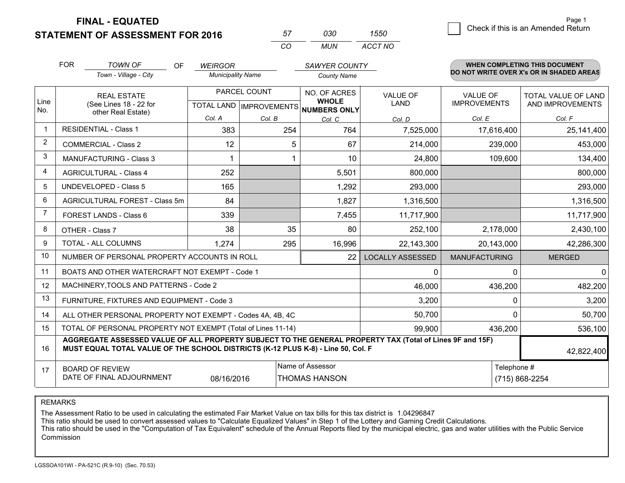**STATEMENT OF ASSESSMENT FOR 2016** 

| 57       | חצח   | 550     |
|----------|-------|---------|
| $\cdots$ | MI IN | ACCT NO |

|                | <b>FOR</b><br><b>TOWN OF</b><br>OF<br>Town - Village - City                                                                                                                                  | <b>WEIRGOR</b><br><b>Municipality Name</b>          |         | <b>SAWYER COUNTY</b><br><b>County Name</b> |                                | <b>WHEN COMPLETING THIS DOCUMENT</b><br>DO NOT WRITE OVER X's OR IN SHADED AREAS |                                                |
|----------------|----------------------------------------------------------------------------------------------------------------------------------------------------------------------------------------------|-----------------------------------------------------|---------|--------------------------------------------|--------------------------------|----------------------------------------------------------------------------------|------------------------------------------------|
| Line<br>No.    | <b>REAL ESTATE</b><br>(See Lines 18 - 22 for                                                                                                                                                 | PARCEL COUNT<br>TOTAL LAND MPROVEMENTS NUMBERS ONLY |         | NO. OF ACRES<br><b>WHOLE</b>               | <b>VALUE OF</b><br><b>LAND</b> | <b>VALUE OF</b><br><b>IMPROVEMENTS</b>                                           | <b>TOTAL VALUE OF LAND</b><br>AND IMPROVEMENTS |
|                | other Real Estate)                                                                                                                                                                           | Col. A                                              | Col. B  | Col. C                                     | Col. D                         | Col. E                                                                           | Col. F                                         |
| -1             | <b>RESIDENTIAL - Class 1</b>                                                                                                                                                                 | 383                                                 | 254     | 764                                        | 7,525,000                      | 17,616,400                                                                       | 25,141,400                                     |
| 2              | <b>COMMERCIAL - Class 2</b>                                                                                                                                                                  | 12                                                  | 5       | 67                                         | 214,000                        | 239,000                                                                          | 453,000                                        |
| 3              | <b>MANUFACTURING - Class 3</b>                                                                                                                                                               |                                                     |         | 10                                         | 24,800                         | 109,600                                                                          | 134,400                                        |
| 4              | <b>AGRICULTURAL - Class 4</b>                                                                                                                                                                | 252                                                 |         | 5,501                                      | 800,000                        |                                                                                  | 800,000                                        |
| 5              | <b>UNDEVELOPED - Class 5</b>                                                                                                                                                                 | 165                                                 |         | 1,292                                      | 293,000                        |                                                                                  | 293,000                                        |
| 6              | AGRICULTURAL FOREST - Class 5m                                                                                                                                                               | 84                                                  |         | 1,827                                      | 1,316,500                      |                                                                                  | 1,316,500                                      |
| $\overline{7}$ | FOREST LANDS - Class 6                                                                                                                                                                       | 339                                                 |         | 7,455                                      | 11,717,900                     |                                                                                  | 11,717,900                                     |
| 8              | OTHER - Class 7                                                                                                                                                                              | 38                                                  | 35      | 80                                         | 252,100                        | 2,178,000                                                                        | 2,430,100                                      |
| 9              | TOTAL - ALL COLUMNS                                                                                                                                                                          | 1,274                                               | 295     | 16,996                                     | 22,143,300                     | 20,143,000                                                                       | 42,286,300                                     |
| 10             | NUMBER OF PERSONAL PROPERTY ACCOUNTS IN ROLL                                                                                                                                                 |                                                     |         | 22                                         | <b>LOCALLY ASSESSED</b>        | <b>MANUFACTURING</b>                                                             | <b>MERGED</b>                                  |
| 11             | BOATS AND OTHER WATERCRAFT NOT EXEMPT - Code 1                                                                                                                                               |                                                     |         |                                            | $\Omega$                       | $\mathbf{0}$                                                                     | $\mathbf{0}$                                   |
| 12             | MACHINERY, TOOLS AND PATTERNS - Code 2                                                                                                                                                       |                                                     |         |                                            | 46,000                         | 436,200                                                                          | 482,200                                        |
| 13             | FURNITURE, FIXTURES AND EQUIPMENT - Code 3                                                                                                                                                   |                                                     |         |                                            | 3,200                          | $\mathbf 0$                                                                      | 3,200                                          |
| 14             | ALL OTHER PERSONAL PROPERTY NOT EXEMPT - Codes 4A, 4B, 4C                                                                                                                                    |                                                     |         |                                            | 50,700                         | 0                                                                                | 50,700                                         |
| 15             | TOTAL OF PERSONAL PROPERTY NOT EXEMPT (Total of Lines 11-14)                                                                                                                                 | 99,900                                              | 436,200 | 536,100                                    |                                |                                                                                  |                                                |
| 16             | AGGREGATE ASSESSED VALUE OF ALL PROPERTY SUBJECT TO THE GENERAL PROPERTY TAX (Total of Lines 9F and 15F)<br>MUST EQUAL TOTAL VALUE OF THE SCHOOL DISTRICTS (K-12 PLUS K-8) - Line 50, Col. F |                                                     |         |                                            |                                |                                                                                  | 42,822,400                                     |
| 17             | Name of Assessor<br>Telephone #<br><b>BOARD OF REVIEW</b><br>DATE OF FINAL ADJOURNMENT<br><b>THOMAS HANSON</b><br>08/16/2016                                                                 |                                                     |         |                                            |                                |                                                                                  | (715) 868-2254                                 |

REMARKS

The Assessment Ratio to be used in calculating the estimated Fair Market Value on tax bills for this tax district is 1.04296847

This ratio should be used to convert assessed values to "Calculate Equalized Values" in Step 1 of the Lottery and Gaming Credit Calculations.<br>This ratio should be used in the "Computation of Tax Equivalent" schedule of the Commission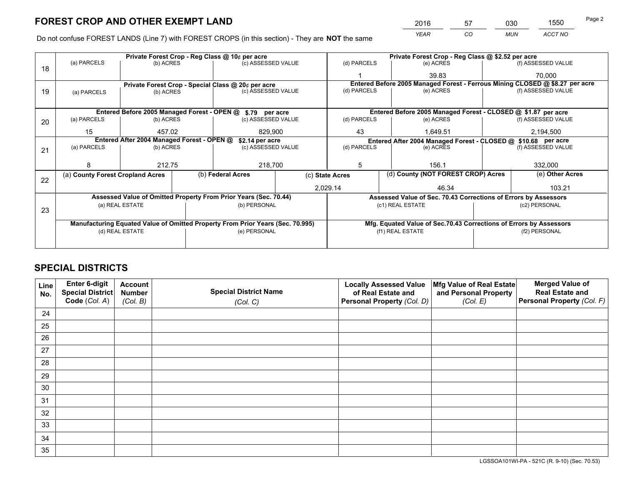*YEAR CO MUN ACCT NO* <sup>2016</sup> <sup>57</sup> <sup>030</sup> <sup>1550</sup>

Do not confuse FOREST LANDS (Line 7) with FOREST CROPS (in this section) - They are **NOT** the same

|    |                                                                                |                 |              | Private Forest Crop - Reg Class @ 10¢ per acre                   |  | Private Forest Crop - Reg Class @ \$2.52 per acre |                                                                              |  |                    |  |
|----|--------------------------------------------------------------------------------|-----------------|--------------|------------------------------------------------------------------|--|---------------------------------------------------|------------------------------------------------------------------------------|--|--------------------|--|
| 18 | (a) PARCELS                                                                    | (b) ACRES       |              | (c) ASSESSED VALUE                                               |  | (d) PARCELS                                       | (e) ACRES                                                                    |  | (f) ASSESSED VALUE |  |
|    |                                                                                |                 |              |                                                                  |  |                                                   | 39.83                                                                        |  | 70.000             |  |
|    |                                                                                |                 |              | Private Forest Crop - Special Class @ 20¢ per acre               |  |                                                   | Entered Before 2005 Managed Forest - Ferrous Mining CLOSED @ \$8.27 per acre |  |                    |  |
| 19 | (a) PARCELS                                                                    | (b) ACRES       |              | (c) ASSESSED VALUE                                               |  | (d) PARCELS                                       | (e) ACRES                                                                    |  | (f) ASSESSED VALUE |  |
|    |                                                                                |                 |              |                                                                  |  |                                                   |                                                                              |  |                    |  |
|    |                                                                                |                 |              | Entered Before 2005 Managed Forest - OPEN @ \$.79 per acre       |  |                                                   | Entered Before 2005 Managed Forest - CLOSED @ \$1.87 per acre                |  |                    |  |
| 20 | (a) PARCELS                                                                    | (b) ACRES       |              | (c) ASSESSED VALUE                                               |  | (d) PARCELS                                       | (e) ACRES                                                                    |  | (f) ASSESSED VALUE |  |
|    | 15                                                                             | 457.02          |              | 829.900                                                          |  | 43                                                | 1.649.51                                                                     |  | 2,194,500          |  |
|    | Entered After 2004 Managed Forest - OPEN @                                     |                 |              | \$2.14 per acre                                                  |  |                                                   | Entered After 2004 Managed Forest - CLOSED @ \$10.68 per acre                |  |                    |  |
| 21 | (a) PARCELS                                                                    | (b) ACRES       |              | (c) ASSESSED VALUE                                               |  | (d) PARCELS<br>(e) ACRES                          |                                                                              |  | (f) ASSESSED VALUE |  |
|    |                                                                                |                 |              |                                                                  |  |                                                   |                                                                              |  |                    |  |
|    | 8                                                                              | 212.75          |              | 218,700                                                          |  | 5<br>156.1                                        |                                                                              |  | 332,000            |  |
| 22 | (a) County Forest Cropland Acres                                               |                 |              | (b) Federal Acres                                                |  | (c) State Acres                                   | (d) County (NOT FOREST CROP) Acres                                           |  | (e) Other Acres    |  |
|    |                                                                                |                 |              |                                                                  |  | 2,029.14                                          | 46.34                                                                        |  | 103.21             |  |
|    |                                                                                |                 |              | Assessed Value of Omitted Property From Prior Years (Sec. 70.44) |  |                                                   | Assessed Value of Sec. 70.43 Corrections of Errors by Assessors              |  |                    |  |
| 23 |                                                                                | (a) REAL ESTATE |              | (b) PERSONAL                                                     |  |                                                   | (c1) REAL ESTATE                                                             |  | (c2) PERSONAL      |  |
|    |                                                                                |                 |              |                                                                  |  |                                                   |                                                                              |  |                    |  |
|    | Manufacturing Equated Value of Omitted Property From Prior Years (Sec. 70.995) |                 |              |                                                                  |  |                                                   | Mfg. Equated Value of Sec.70.43 Corrections of Errors by Assessors           |  |                    |  |
|    | (d) REAL ESTATE                                                                |                 | (e) PERSONAL |                                                                  |  | (f1) REAL ESTATE                                  | (f2) PERSONAL                                                                |  |                    |  |
|    |                                                                                |                 |              |                                                                  |  |                                                   |                                                                              |  |                    |  |

## **SPECIAL DISTRICTS**

| Line<br>No. | Enter 6-digit<br>Special District<br>Code (Col. A) | <b>Account</b><br><b>Number</b> | <b>Special District Name</b> | <b>Locally Assessed Value</b><br>of Real Estate and | Mfg Value of Real Estate<br>and Personal Property | <b>Merged Value of</b><br><b>Real Estate and</b><br>Personal Property (Col. F) |
|-------------|----------------------------------------------------|---------------------------------|------------------------------|-----------------------------------------------------|---------------------------------------------------|--------------------------------------------------------------------------------|
|             |                                                    | (Col. B)                        | (Col. C)                     | Personal Property (Col. D)                          | (Col. E)                                          |                                                                                |
| 24          |                                                    |                                 |                              |                                                     |                                                   |                                                                                |
| 25          |                                                    |                                 |                              |                                                     |                                                   |                                                                                |
| 26          |                                                    |                                 |                              |                                                     |                                                   |                                                                                |
| 27          |                                                    |                                 |                              |                                                     |                                                   |                                                                                |
| 28          |                                                    |                                 |                              |                                                     |                                                   |                                                                                |
| 29          |                                                    |                                 |                              |                                                     |                                                   |                                                                                |
| 30          |                                                    |                                 |                              |                                                     |                                                   |                                                                                |
| 31          |                                                    |                                 |                              |                                                     |                                                   |                                                                                |
| 32          |                                                    |                                 |                              |                                                     |                                                   |                                                                                |
| 33          |                                                    |                                 |                              |                                                     |                                                   |                                                                                |
| 34          |                                                    |                                 |                              |                                                     |                                                   |                                                                                |
| 35          |                                                    |                                 |                              |                                                     |                                                   |                                                                                |

LGSSOA101WI-PA - 521C (R. 9-10) (Sec. 70.53)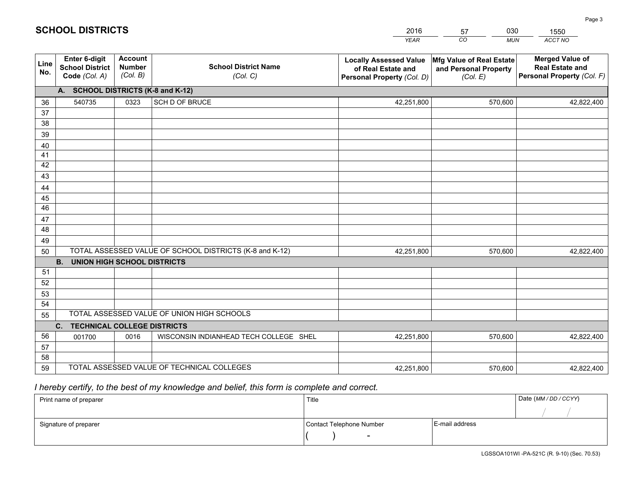|             |                                                                 |                                             |                                                         | <b>YEAR</b>                                                                       | CO<br><b>MUN</b>                                              | ACCT NO                                                                        |
|-------------|-----------------------------------------------------------------|---------------------------------------------|---------------------------------------------------------|-----------------------------------------------------------------------------------|---------------------------------------------------------------|--------------------------------------------------------------------------------|
| Line<br>No. | <b>Enter 6-digit</b><br><b>School District</b><br>Code (Col. A) | <b>Account</b><br><b>Number</b><br>(Col. B) | <b>School District Name</b><br>(Col. C)                 | <b>Locally Assessed Value</b><br>of Real Estate and<br>Personal Property (Col. D) | Mfg Value of Real Estate<br>and Personal Property<br>(Col. E) | <b>Merged Value of</b><br><b>Real Estate and</b><br>Personal Property (Col. F) |
|             | A. SCHOOL DISTRICTS (K-8 and K-12)                              |                                             |                                                         |                                                                                   |                                                               |                                                                                |
| 36          | 540735                                                          | 0323                                        | SCH D OF BRUCE                                          | 42,251,800                                                                        | 570,600                                                       | 42,822,400                                                                     |
| 37          |                                                                 |                                             |                                                         |                                                                                   |                                                               |                                                                                |
| 38          |                                                                 |                                             |                                                         |                                                                                   |                                                               |                                                                                |
| 39          |                                                                 |                                             |                                                         |                                                                                   |                                                               |                                                                                |
| 40          |                                                                 |                                             |                                                         |                                                                                   |                                                               |                                                                                |
| 41<br>42    |                                                                 |                                             |                                                         |                                                                                   |                                                               |                                                                                |
| 43          |                                                                 |                                             |                                                         |                                                                                   |                                                               |                                                                                |
|             |                                                                 |                                             |                                                         |                                                                                   |                                                               |                                                                                |
| 44<br>45    |                                                                 |                                             |                                                         |                                                                                   |                                                               |                                                                                |
| 46          |                                                                 |                                             |                                                         |                                                                                   |                                                               |                                                                                |
| 47          |                                                                 |                                             |                                                         |                                                                                   |                                                               |                                                                                |
| 48          |                                                                 |                                             |                                                         |                                                                                   |                                                               |                                                                                |
| 49          |                                                                 |                                             |                                                         |                                                                                   |                                                               |                                                                                |
| 50          |                                                                 |                                             | TOTAL ASSESSED VALUE OF SCHOOL DISTRICTS (K-8 and K-12) | 42,251,800                                                                        | 570,600                                                       | 42,822,400                                                                     |
|             | <b>B. UNION HIGH SCHOOL DISTRICTS</b>                           |                                             |                                                         |                                                                                   |                                                               |                                                                                |
| 51          |                                                                 |                                             |                                                         |                                                                                   |                                                               |                                                                                |
| 52          |                                                                 |                                             |                                                         |                                                                                   |                                                               |                                                                                |
| 53          |                                                                 |                                             |                                                         |                                                                                   |                                                               |                                                                                |
| 54          |                                                                 |                                             |                                                         |                                                                                   |                                                               |                                                                                |
| 55          |                                                                 |                                             | TOTAL ASSESSED VALUE OF UNION HIGH SCHOOLS              |                                                                                   |                                                               |                                                                                |
|             | C.<br><b>TECHNICAL COLLEGE DISTRICTS</b>                        |                                             |                                                         |                                                                                   |                                                               |                                                                                |
| 56          | 001700                                                          | 0016                                        | WISCONSIN INDIANHEAD TECH COLLEGE SHEL                  | 42,251,800                                                                        | 570,600                                                       | 42,822,400                                                                     |
| 57<br>58    |                                                                 |                                             |                                                         |                                                                                   |                                                               |                                                                                |
| 59          |                                                                 |                                             | TOTAL ASSESSED VALUE OF TECHNICAL COLLEGES              | 42,251,800                                                                        | 570,600                                                       | 42,822,400                                                                     |
|             |                                                                 |                                             |                                                         |                                                                                   |                                                               |                                                                                |

57

030

 *I hereby certify, to the best of my knowledge and belief, this form is complete and correct.*

**SCHOOL DISTRICTS**

| Print name of preparer | Title                    |                | Date (MM / DD / CCYY) |
|------------------------|--------------------------|----------------|-----------------------|
|                        |                          |                |                       |
| Signature of preparer  | Contact Telephone Number | E-mail address |                       |
|                        | $\overline{\phantom{0}}$ |                |                       |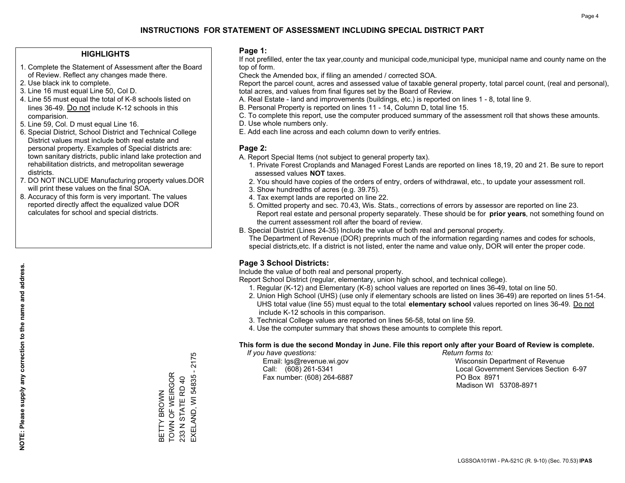#### **HIGHLIGHTS**

- 1. Complete the Statement of Assessment after the Board of Review. Reflect any changes made there.
- 2. Use black ink to complete.
- 3. Line 16 must equal Line 50, Col D.
- 4. Line 55 must equal the total of K-8 schools listed on lines 36-49. Do not include K-12 schools in this comparision.
- 5. Line 59, Col. D must equal Line 16.
- 6. Special District, School District and Technical College District values must include both real estate and personal property. Examples of Special districts are: town sanitary districts, public inland lake protection and rehabilitation districts, and metropolitan sewerage districts.
- 7. DO NOT INCLUDE Manufacturing property values.DOR will print these values on the final SOA.

BETTY BROWN TOWN OF WEIRGOR 233 N STATE RD 40

BETTY BROWN<br>TOWN OF WEIRGOR

EXELAND, WI 54835 - 2175

EXELAND, WI 54835 233 N STATE RD 40

2175

 8. Accuracy of this form is very important. The values reported directly affect the equalized value DOR calculates for school and special districts.

#### **Page 1:**

 If not prefilled, enter the tax year,county and municipal code,municipal type, municipal name and county name on the top of form.

Check the Amended box, if filing an amended / corrected SOA.

 Report the parcel count, acres and assessed value of taxable general property, total parcel count, (real and personal), total acres, and values from final figures set by the Board of Review.

- A. Real Estate land and improvements (buildings, etc.) is reported on lines 1 8, total line 9.
- B. Personal Property is reported on lines 11 14, Column D, total line 15.
- C. To complete this report, use the computer produced summary of the assessment roll that shows these amounts.
- D. Use whole numbers only.
- E. Add each line across and each column down to verify entries.

#### **Page 2:**

- A. Report Special Items (not subject to general property tax).
- 1. Private Forest Croplands and Managed Forest Lands are reported on lines 18,19, 20 and 21. Be sure to report assessed values **NOT** taxes.
- 2. You should have copies of the orders of entry, orders of withdrawal, etc., to update your assessment roll.
	- 3. Show hundredths of acres (e.g. 39.75).
- 4. Tax exempt lands are reported on line 22.
- 5. Omitted property and sec. 70.43, Wis. Stats., corrections of errors by assessor are reported on line 23. Report real estate and personal property separately. These should be for **prior years**, not something found on the current assessment roll after the board of review.
- B. Special District (Lines 24-35) Include the value of both real and personal property.
- The Department of Revenue (DOR) preprints much of the information regarding names and codes for schools, special districts,etc. If a district is not listed, enter the name and value only, DOR will enter the proper code.

### **Page 3 School Districts:**

Include the value of both real and personal property.

Report School District (regular, elementary, union high school, and technical college).

- 1. Regular (K-12) and Elementary (K-8) school values are reported on lines 36-49, total on line 50.
- 2. Union High School (UHS) (use only if elementary schools are listed on lines 36-49) are reported on lines 51-54. UHS total value (line 55) must equal to the total **elementary school** values reported on lines 36-49. Do notinclude K-12 schools in this comparison.
- 3. Technical College values are reported on lines 56-58, total on line 59.
- 4. Use the computer summary that shows these amounts to complete this report.

#### **This form is due the second Monday in June. File this report only after your Board of Review is complete.**

 *If you have questions: Return forms to:*

Fax number: (608) 264-6887 PO Box 8971

 Email: lgs@revenue.wi.gov Wisconsin Department of Revenue Call: (608) 261-5341 Local Government Services Section 6-97Madison WI 53708-8971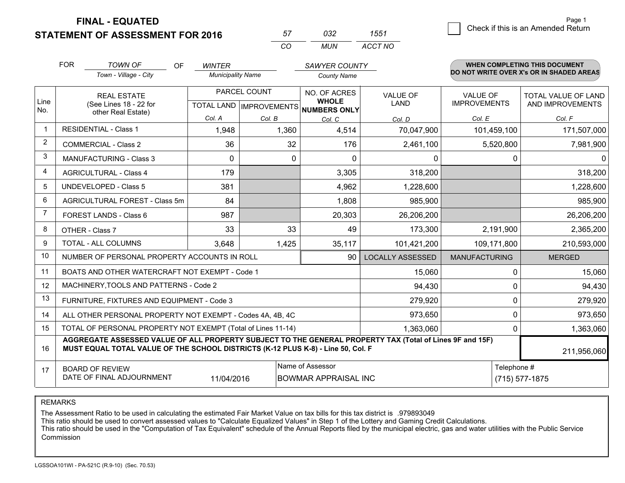**STATEMENT OF ASSESSMENT FOR 2016** 

| 57         | กจว | 1551    |
|------------|-----|---------|
| $\sqrt{2}$ | MUN | ACCT NO |

|                | <b>FOR</b>                                                                                                                                                                                   | <b>TOWN OF</b><br><b>OF</b><br><b>WINTER</b><br>SAWYER COUNTY |                          |              | <b>WHEN COMPLETING THIS DOCUMENT</b><br>DO NOT WRITE OVER X's OR IN SHADED AREAS |                         |                      |                            |
|----------------|----------------------------------------------------------------------------------------------------------------------------------------------------------------------------------------------|---------------------------------------------------------------|--------------------------|--------------|----------------------------------------------------------------------------------|-------------------------|----------------------|----------------------------|
|                |                                                                                                                                                                                              | Town - Village - City                                         | <b>Municipality Name</b> |              | <b>County Name</b>                                                               |                         |                      |                            |
|                |                                                                                                                                                                                              | <b>REAL ESTATE</b>                                            |                          | PARCEL COUNT | NO. OF ACRES                                                                     | <b>VALUE OF</b>         | VALUE OF             | <b>TOTAL VALUE OF LAND</b> |
| Line<br>No.    |                                                                                                                                                                                              | (See Lines 18 - 22 for<br>other Real Estate)                  |                          |              | <b>WHOLE</b><br>TOTAL LAND IMPROVEMENTS NUMBERS ONLY                             | LAND                    | <b>IMPROVEMENTS</b>  | AND IMPROVEMENTS           |
|                |                                                                                                                                                                                              |                                                               | Col. A                   | Col. B       | Col. C                                                                           | Col. D                  | Col. E               | Col. F                     |
| $\mathbf 1$    |                                                                                                                                                                                              | <b>RESIDENTIAL - Class 1</b>                                  | 1,948                    | 1,360        | 4,514                                                                            | 70,047,900              | 101,459,100          | 171,507,000                |
| $\overline{2}$ |                                                                                                                                                                                              | <b>COMMERCIAL - Class 2</b>                                   | 36                       | 32           | 176                                                                              | 2,461,100               | 5,520,800            | 7,981,900                  |
| 3              |                                                                                                                                                                                              | MANUFACTURING - Class 3                                       | $\Omega$                 | $\mathbf{0}$ | $\Omega$                                                                         | 0                       | 0                    | $\mathbf{0}$               |
| 4              |                                                                                                                                                                                              | <b>AGRICULTURAL - Class 4</b>                                 | 179                      |              | 3,305                                                                            | 318,200                 |                      | 318,200                    |
| 5              |                                                                                                                                                                                              | <b>UNDEVELOPED - Class 5</b>                                  | 381                      |              | 4,962                                                                            | 1,228,600               |                      | 1,228,600                  |
| 6              |                                                                                                                                                                                              | AGRICULTURAL FOREST - Class 5m                                | 84                       |              | 1,808                                                                            | 985,900                 |                      | 985,900                    |
| 7              |                                                                                                                                                                                              | FOREST LANDS - Class 6                                        | 987                      |              | 20,303                                                                           | 26,206,200              |                      | 26,206,200                 |
| 8              |                                                                                                                                                                                              | OTHER - Class 7                                               | 33                       | 33           | 49                                                                               | 173,300                 | 2,191,900            | 2,365,200                  |
| 9              |                                                                                                                                                                                              | TOTAL - ALL COLUMNS                                           | 3,648                    | 1,425        | 35,117                                                                           | 101,421,200             | 109,171,800          | 210,593,000                |
| 10             |                                                                                                                                                                                              | NUMBER OF PERSONAL PROPERTY ACCOUNTS IN ROLL                  |                          |              | 90                                                                               | <b>LOCALLY ASSESSED</b> | <b>MANUFACTURING</b> | <b>MERGED</b>              |
| 11             |                                                                                                                                                                                              | BOATS AND OTHER WATERCRAFT NOT EXEMPT - Code 1                |                          |              |                                                                                  | 15,060                  | $\Omega$             | 15,060                     |
| 12             |                                                                                                                                                                                              | MACHINERY, TOOLS AND PATTERNS - Code 2                        |                          |              |                                                                                  | 94,430                  | 0                    | 94,430                     |
| 13             |                                                                                                                                                                                              | FURNITURE, FIXTURES AND EQUIPMENT - Code 3                    |                          |              |                                                                                  | 279,920                 | 0                    | 279,920                    |
| 14             |                                                                                                                                                                                              | ALL OTHER PERSONAL PROPERTY NOT EXEMPT - Codes 4A, 4B, 4C     |                          |              |                                                                                  | 973,650                 | $\Omega$             | 973,650                    |
| 15             | TOTAL OF PERSONAL PROPERTY NOT EXEMPT (Total of Lines 11-14)<br>1,363,060                                                                                                                    |                                                               |                          |              |                                                                                  |                         |                      | 1,363,060<br>0             |
| 16             | AGGREGATE ASSESSED VALUE OF ALL PROPERTY SUBJECT TO THE GENERAL PROPERTY TAX (Total of Lines 9F and 15F)<br>MUST EQUAL TOTAL VALUE OF THE SCHOOL DISTRICTS (K-12 PLUS K-8) - Line 50, Col. F |                                                               |                          |              |                                                                                  |                         |                      | 211,956,060                |
| 17             |                                                                                                                                                                                              | <b>BOARD OF REVIEW</b>                                        |                          |              | Name of Assessor                                                                 |                         | Telephone #          |                            |
|                | DATE OF FINAL ADJOURNMENT<br>11/04/2016<br>(715) 577-1875<br><b>BOWMAR APPRAISAL INC</b>                                                                                                     |                                                               |                          |              |                                                                                  |                         |                      |                            |

#### REMARKS

The Assessment Ratio to be used in calculating the estimated Fair Market Value on tax bills for this tax district is .979893049<br>This ratio should be used to convert assessed values to "Calculate Equalized Values" in Step 1 Commission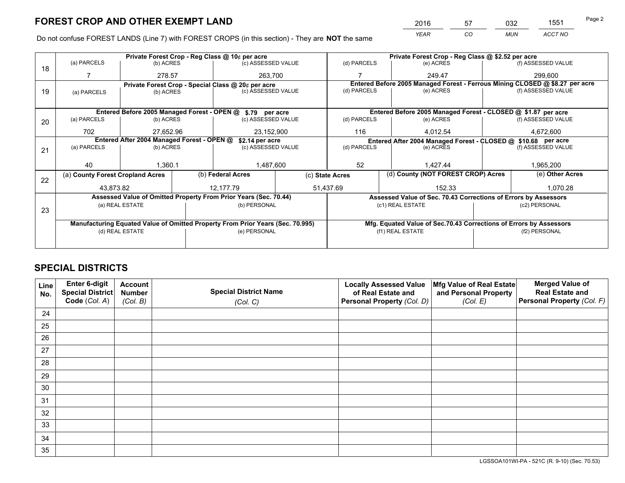*YEAR CO MUN ACCT NO* <sup>2016</sup> <sup>57</sup> <sup>032</sup> <sup>1551</sup>

Do not confuse FOREST LANDS (Line 7) with FOREST CROPS (in this section) - They are **NOT** the same

|    |                                                                                |                 |  | Private Forest Crop - Reg Class @ 10¢ per acre                   |  | Private Forest Crop - Reg Class @ \$2.52 per acre |                                                                    |  |                                                                              |  |
|----|--------------------------------------------------------------------------------|-----------------|--|------------------------------------------------------------------|--|---------------------------------------------------|--------------------------------------------------------------------|--|------------------------------------------------------------------------------|--|
| 18 | (a) PARCELS                                                                    | (b) ACRES       |  | (c) ASSESSED VALUE                                               |  | (d) PARCELS                                       | (e) ACRES                                                          |  | (f) ASSESSED VALUE                                                           |  |
|    |                                                                                | 278.57          |  | 263.700                                                          |  |                                                   | 249.47                                                             |  | 299,600                                                                      |  |
|    |                                                                                |                 |  | Private Forest Crop - Special Class @ 20¢ per acre               |  |                                                   |                                                                    |  | Entered Before 2005 Managed Forest - Ferrous Mining CLOSED @ \$8.27 per acre |  |
| 19 | (a) PARCELS                                                                    | (b) ACRES       |  | (c) ASSESSED VALUE                                               |  | (d) PARCELS                                       | (e) ACRES                                                          |  | (f) ASSESSED VALUE                                                           |  |
|    |                                                                                |                 |  |                                                                  |  |                                                   |                                                                    |  |                                                                              |  |
|    |                                                                                |                 |  | Entered Before 2005 Managed Forest - OPEN @ \$.79 per acre       |  |                                                   | Entered Before 2005 Managed Forest - CLOSED @ \$1.87 per acre      |  |                                                                              |  |
| 20 | (a) PARCELS                                                                    | (b) ACRES       |  | (c) ASSESSED VALUE                                               |  | (d) PARCELS                                       | (e) ACRES                                                          |  | (f) ASSESSED VALUE                                                           |  |
|    | 702                                                                            | 27.652.96       |  | 23,152,900                                                       |  | 116                                               | 4.012.54                                                           |  | 4,672,600                                                                    |  |
|    | Entered After 2004 Managed Forest - OPEN @<br>\$2.14 per acre                  |                 |  |                                                                  |  |                                                   | Entered After 2004 Managed Forest - CLOSED @ \$10.68 per acre      |  |                                                                              |  |
| 21 | (a) PARCELS                                                                    | (b) ACRES       |  | (c) ASSESSED VALUE                                               |  | (d) PARCELS                                       | (e) ACRES                                                          |  | (f) ASSESSED VALUE                                                           |  |
|    |                                                                                |                 |  |                                                                  |  |                                                   |                                                                    |  |                                                                              |  |
|    | 40                                                                             | 1,360.1         |  | 1,487,600                                                        |  | 52                                                | 1.427.44                                                           |  |                                                                              |  |
| 22 | (a) County Forest Cropland Acres                                               |                 |  | (b) Federal Acres                                                |  | (c) State Acres                                   | (d) County (NOT FOREST CROP) Acres                                 |  | (e) Other Acres                                                              |  |
|    | 43,873.82                                                                      |                 |  | 12,177.79                                                        |  | 51,437.69                                         | 152.33                                                             |  | 1,070.28                                                                     |  |
|    |                                                                                |                 |  | Assessed Value of Omitted Property From Prior Years (Sec. 70.44) |  |                                                   | Assessed Value of Sec. 70.43 Corrections of Errors by Assessors    |  |                                                                              |  |
|    |                                                                                | (a) REAL ESTATE |  | (b) PERSONAL                                                     |  |                                                   | (c1) REAL ESTATE                                                   |  | (c2) PERSONAL                                                                |  |
| 23 |                                                                                |                 |  |                                                                  |  |                                                   |                                                                    |  |                                                                              |  |
|    | Manufacturing Equated Value of Omitted Property From Prior Years (Sec. 70.995) |                 |  |                                                                  |  |                                                   | Mfg. Equated Value of Sec.70.43 Corrections of Errors by Assessors |  |                                                                              |  |
|    | (d) REAL ESTATE                                                                |                 |  | (e) PERSONAL                                                     |  | (f1) REAL ESTATE                                  |                                                                    |  | (f2) PERSONAL                                                                |  |
|    |                                                                                |                 |  |                                                                  |  |                                                   |                                                                    |  |                                                                              |  |

## **SPECIAL DISTRICTS**

| Line<br>No. | Enter 6-digit<br>Special District | <b>Account</b><br><b>Number</b> | <b>Special District Name</b> | <b>Locally Assessed Value</b><br>of Real Estate and | Mfg Value of Real Estate<br>and Personal Property | <b>Merged Value of</b><br><b>Real Estate and</b> |
|-------------|-----------------------------------|---------------------------------|------------------------------|-----------------------------------------------------|---------------------------------------------------|--------------------------------------------------|
|             | Code (Col. A)                     | (Col. B)                        | (Col. C)                     | Personal Property (Col. D)                          | (Col. E)                                          | Personal Property (Col. F)                       |
| 24          |                                   |                                 |                              |                                                     |                                                   |                                                  |
| 25          |                                   |                                 |                              |                                                     |                                                   |                                                  |
| 26          |                                   |                                 |                              |                                                     |                                                   |                                                  |
| 27          |                                   |                                 |                              |                                                     |                                                   |                                                  |
| 28          |                                   |                                 |                              |                                                     |                                                   |                                                  |
| 29          |                                   |                                 |                              |                                                     |                                                   |                                                  |
| 30          |                                   |                                 |                              |                                                     |                                                   |                                                  |
| 31          |                                   |                                 |                              |                                                     |                                                   |                                                  |
| 32          |                                   |                                 |                              |                                                     |                                                   |                                                  |
| 33          |                                   |                                 |                              |                                                     |                                                   |                                                  |
| 34          |                                   |                                 |                              |                                                     |                                                   |                                                  |
| 35          |                                   |                                 |                              |                                                     |                                                   |                                                  |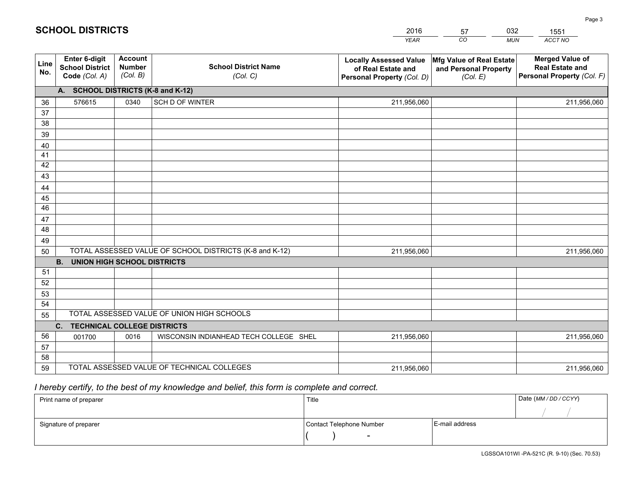|             |                                                          |                                             |                                                         | <b>YEAR</b>                                                                       | CO<br><b>MUN</b>                                              | ACCT NO                                                                        |
|-------------|----------------------------------------------------------|---------------------------------------------|---------------------------------------------------------|-----------------------------------------------------------------------------------|---------------------------------------------------------------|--------------------------------------------------------------------------------|
| Line<br>No. | Enter 6-digit<br><b>School District</b><br>Code (Col. A) | <b>Account</b><br><b>Number</b><br>(Col. B) | <b>School District Name</b><br>(Col. C)                 | <b>Locally Assessed Value</b><br>of Real Estate and<br>Personal Property (Col. D) | Mfg Value of Real Estate<br>and Personal Property<br>(Col. E) | <b>Merged Value of</b><br><b>Real Estate and</b><br>Personal Property (Col. F) |
|             | A. SCHOOL DISTRICTS (K-8 and K-12)                       |                                             |                                                         |                                                                                   |                                                               |                                                                                |
| 36          | 576615                                                   | 0340                                        | SCH D OF WINTER                                         | 211,956,060                                                                       |                                                               | 211,956,060                                                                    |
| 37          |                                                          |                                             |                                                         |                                                                                   |                                                               |                                                                                |
| 38          |                                                          |                                             |                                                         |                                                                                   |                                                               |                                                                                |
| 39          |                                                          |                                             |                                                         |                                                                                   |                                                               |                                                                                |
| 40          |                                                          |                                             |                                                         |                                                                                   |                                                               |                                                                                |
| 41          |                                                          |                                             |                                                         |                                                                                   |                                                               |                                                                                |
| 42          |                                                          |                                             |                                                         |                                                                                   |                                                               |                                                                                |
| 43          |                                                          |                                             |                                                         |                                                                                   |                                                               |                                                                                |
| 44<br>45    |                                                          |                                             |                                                         |                                                                                   |                                                               |                                                                                |
| 46          |                                                          |                                             |                                                         |                                                                                   |                                                               |                                                                                |
| 47          |                                                          |                                             |                                                         |                                                                                   |                                                               |                                                                                |
| 48          |                                                          |                                             |                                                         |                                                                                   |                                                               |                                                                                |
| 49          |                                                          |                                             |                                                         |                                                                                   |                                                               |                                                                                |
| 50          |                                                          |                                             | TOTAL ASSESSED VALUE OF SCHOOL DISTRICTS (K-8 and K-12) | 211,956,060                                                                       |                                                               | 211,956,060                                                                    |
|             | <b>B.</b><br><b>UNION HIGH SCHOOL DISTRICTS</b>          |                                             |                                                         |                                                                                   |                                                               |                                                                                |
| 51          |                                                          |                                             |                                                         |                                                                                   |                                                               |                                                                                |
| 52          |                                                          |                                             |                                                         |                                                                                   |                                                               |                                                                                |
| 53          |                                                          |                                             |                                                         |                                                                                   |                                                               |                                                                                |
| 54          |                                                          |                                             |                                                         |                                                                                   |                                                               |                                                                                |
| 55          |                                                          |                                             | TOTAL ASSESSED VALUE OF UNION HIGH SCHOOLS              |                                                                                   |                                                               |                                                                                |
|             | C.<br><b>TECHNICAL COLLEGE DISTRICTS</b>                 |                                             |                                                         |                                                                                   |                                                               |                                                                                |
| 56          | 001700                                                   | 0016                                        | WISCONSIN INDIANHEAD TECH COLLEGE SHEL                  | 211,956,060                                                                       |                                                               | 211,956,060                                                                    |
| 57          |                                                          |                                             |                                                         |                                                                                   |                                                               |                                                                                |
| 58          |                                                          |                                             |                                                         |                                                                                   |                                                               |                                                                                |
| 59          |                                                          |                                             | TOTAL ASSESSED VALUE OF TECHNICAL COLLEGES              | 211,956,060                                                                       |                                                               | 211,956,060                                                                    |

57

032

## *I hereby certify, to the best of my knowledge and belief, this form is complete and correct.*

**SCHOOL DISTRICTS**

| Print name of preparer | Title                    |                | Date (MM / DD / CCYY) |
|------------------------|--------------------------|----------------|-----------------------|
|                        |                          |                |                       |
| Signature of preparer  | Contact Telephone Number | E-mail address |                       |
|                        | $\sim$                   |                |                       |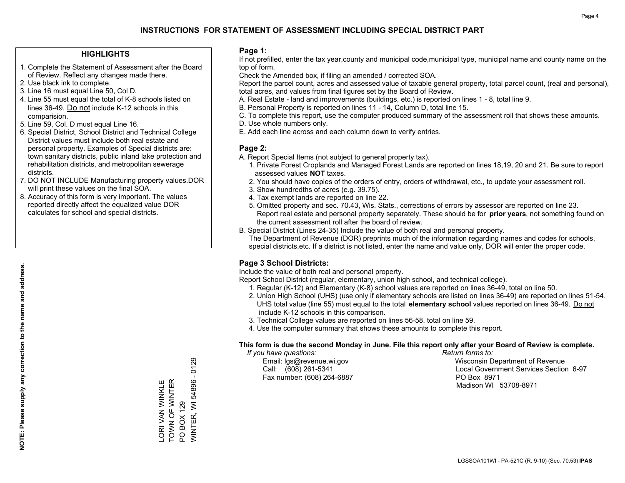#### **HIGHLIGHTS**

- 1. Complete the Statement of Assessment after the Board of Review. Reflect any changes made there.
- 2. Use black ink to complete.
- 3. Line 16 must equal Line 50, Col D.
- 4. Line 55 must equal the total of K-8 schools listed on lines 36-49. Do not include K-12 schools in this comparision.
- 5. Line 59, Col. D must equal Line 16.
- 6. Special District, School District and Technical College District values must include both real estate and personal property. Examples of Special districts are: town sanitary districts, public inland lake protection and rehabilitation districts, and metropolitan sewerage districts.
- 7. DO NOT INCLUDE Manufacturing property values.DOR will print these values on the final SOA.
- 8. Accuracy of this form is very important. The values reported directly affect the equalized value DOR calculates for school and special districts.

#### **Page 1:**

 If not prefilled, enter the tax year,county and municipal code,municipal type, municipal name and county name on the top of form.

Check the Amended box, if filing an amended / corrected SOA.

 Report the parcel count, acres and assessed value of taxable general property, total parcel count, (real and personal), total acres, and values from final figures set by the Board of Review.

- A. Real Estate land and improvements (buildings, etc.) is reported on lines 1 8, total line 9.
- B. Personal Property is reported on lines 11 14, Column D, total line 15.
- C. To complete this report, use the computer produced summary of the assessment roll that shows these amounts.
- D. Use whole numbers only.
- E. Add each line across and each column down to verify entries.

#### **Page 2:**

- A. Report Special Items (not subject to general property tax).
- 1. Private Forest Croplands and Managed Forest Lands are reported on lines 18,19, 20 and 21. Be sure to report assessed values **NOT** taxes.
- 2. You should have copies of the orders of entry, orders of withdrawal, etc., to update your assessment roll.
	- 3. Show hundredths of acres (e.g. 39.75).
- 4. Tax exempt lands are reported on line 22.
- 5. Omitted property and sec. 70.43, Wis. Stats., corrections of errors by assessor are reported on line 23. Report real estate and personal property separately. These should be for **prior years**, not something found on the current assessment roll after the board of review.
- B. Special District (Lines 24-35) Include the value of both real and personal property.
- The Department of Revenue (DOR) preprints much of the information regarding names and codes for schools, special districts,etc. If a district is not listed, enter the name and value only, DOR will enter the proper code.

### **Page 3 School Districts:**

Include the value of both real and personal property.

Report School District (regular, elementary, union high school, and technical college).

- 1. Regular (K-12) and Elementary (K-8) school values are reported on lines 36-49, total on line 50.
- 2. Union High School (UHS) (use only if elementary schools are listed on lines 36-49) are reported on lines 51-54. UHS total value (line 55) must equal to the total **elementary school** values reported on lines 36-49. Do notinclude K-12 schools in this comparison.
- 3. Technical College values are reported on lines 56-58, total on line 59.
- 4. Use the computer summary that shows these amounts to complete this report.

#### **This form is due the second Monday in June. File this report only after your Board of Review is complete.**

 *If you have questions: Return forms to:*

Fax number: (608) 264-6887 PO Box 8971

 Email: lgs@revenue.wi.gov Wisconsin Department of Revenue Call: (608) 261-5341 Local Government Services Section 6-97Madison WI 53708-8971

TOWN OF WINTER LORI VAN WINKLE<br>TOWN OF WINTER LORI VAN WINKLE PO BOX 129 PO BOX 129

WINTER, WI 54896 - 0129

**NINTER, WI 54896 - 0129**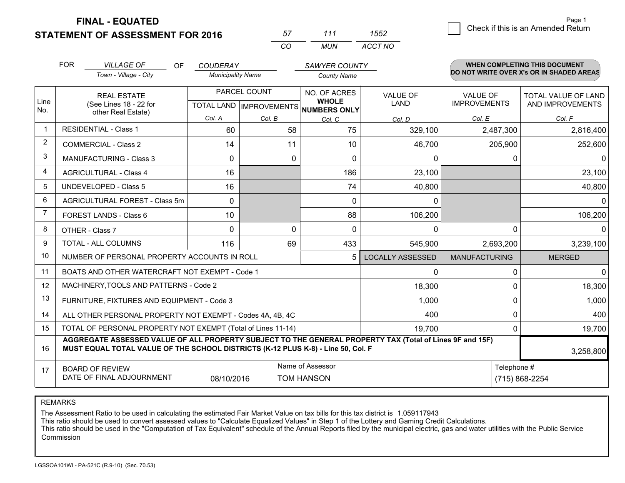**STATEMENT OF ASSESSMENT FOR 2016 FINAL - EQUATED**

| 57       | 111 | 1552    |
|----------|-----|---------|
| $\alpha$ | MUN | ACCT NO |

|                | <b>FOR</b><br><b>VILLAGE OF</b>                                                                                                                                                                           | <b>OF</b> | <b>COUDERAY</b><br><b>Municipality Name</b> |              |                                     | <b>SAWYER COUNTY</b>    |                      | <b>WHEN COMPLETING THIS DOCUMENT</b><br>DO NOT WRITE OVER X's OR IN SHADED AREAS |  |
|----------------|-----------------------------------------------------------------------------------------------------------------------------------------------------------------------------------------------------------|-----------|---------------------------------------------|--------------|-------------------------------------|-------------------------|----------------------|----------------------------------------------------------------------------------|--|
|                | Town - Village - City                                                                                                                                                                                     |           |                                             |              | <b>County Name</b>                  |                         |                      |                                                                                  |  |
|                | <b>REAL ESTATE</b>                                                                                                                                                                                        |           |                                             | PARCEL COUNT | NO. OF ACRES<br><b>WHOLE</b>        | <b>VALUE OF</b>         | <b>VALUE OF</b>      | TOTAL VALUE OF LAND                                                              |  |
| Line<br>No.    | (See Lines 18 - 22 for<br>other Real Estate)                                                                                                                                                              |           |                                             |              | TOTAL LAND MPROVEMENTS NUMBERS ONLY | LAND                    | <b>IMPROVEMENTS</b>  | AND IMPROVEMENTS                                                                 |  |
|                |                                                                                                                                                                                                           |           | Col. A                                      | Col. B       | Col. C                              | Col. D                  | Col. E               | Col. F                                                                           |  |
| $\mathbf 1$    | <b>RESIDENTIAL - Class 1</b>                                                                                                                                                                              |           | 60                                          | 58           | 75                                  | 329,100                 | 2,487,300            | 2,816,400                                                                        |  |
| $\overline{2}$ | <b>COMMERCIAL - Class 2</b>                                                                                                                                                                               |           | 14                                          | 11           | 10                                  | 46,700                  | 205,900              | 252,600                                                                          |  |
| 3              | <b>MANUFACTURING - Class 3</b>                                                                                                                                                                            |           | 0                                           |              | 0<br>0                              | 0                       | 0                    | $\Omega$                                                                         |  |
| 4              | <b>AGRICULTURAL - Class 4</b>                                                                                                                                                                             |           | 16                                          |              | 186                                 | 23,100                  |                      | 23,100                                                                           |  |
| 5              | <b>UNDEVELOPED - Class 5</b>                                                                                                                                                                              |           | 16                                          |              | 74                                  | 40,800                  |                      | 40,800                                                                           |  |
| 6              | AGRICULTURAL FOREST - Class 5m                                                                                                                                                                            |           | $\Omega$                                    |              | $\Omega$                            | 0                       |                      | $\overline{0}$                                                                   |  |
| 7              | FOREST LANDS - Class 6                                                                                                                                                                                    |           | 10                                          |              | 88                                  | 106,200                 |                      | 106,200                                                                          |  |
| 8              | OTHER - Class 7                                                                                                                                                                                           |           | $\Omega$                                    |              | $\Omega$<br>$\Omega$                | 0                       | $\Omega$             | $\Omega$                                                                         |  |
| 9              | TOTAL - ALL COLUMNS                                                                                                                                                                                       |           | 116                                         | 69           | 433                                 | 545,900                 | 2,693,200            | 3,239,100                                                                        |  |
| 10             | NUMBER OF PERSONAL PROPERTY ACCOUNTS IN ROLL                                                                                                                                                              |           |                                             |              | 5                                   | <b>LOCALLY ASSESSED</b> | <b>MANUFACTURING</b> | <b>MERGED</b>                                                                    |  |
| 11             | BOATS AND OTHER WATERCRAFT NOT EXEMPT - Code 1                                                                                                                                                            |           |                                             |              |                                     | 0                       | 0                    | $\overline{0}$                                                                   |  |
| 12             | MACHINERY, TOOLS AND PATTERNS - Code 2                                                                                                                                                                    |           |                                             |              |                                     | 18,300                  | 0                    | 18,300                                                                           |  |
| 13             | FURNITURE, FIXTURES AND EQUIPMENT - Code 3                                                                                                                                                                |           |                                             |              |                                     | 1,000                   | 0                    | 1,000                                                                            |  |
| 14             | ALL OTHER PERSONAL PROPERTY NOT EXEMPT - Codes 4A, 4B, 4C                                                                                                                                                 |           |                                             |              |                                     | 400                     | 0                    | 400                                                                              |  |
| 15             | TOTAL OF PERSONAL PROPERTY NOT EXEMPT (Total of Lines 11-14)                                                                                                                                              |           |                                             |              |                                     | 19,700                  | $\Omega$             | 19,700                                                                           |  |
| 16             | AGGREGATE ASSESSED VALUE OF ALL PROPERTY SUBJECT TO THE GENERAL PROPERTY TAX (Total of Lines 9F and 15F)<br>MUST EQUAL TOTAL VALUE OF THE SCHOOL DISTRICTS (K-12 PLUS K-8) - Line 50, Col. F<br>3,258,800 |           |                                             |              |                                     |                         |                      |                                                                                  |  |
| 17             | <b>BOARD OF REVIEW</b>                                                                                                                                                                                    |           |                                             |              | Name of Assessor                    |                         | Telephone #          |                                                                                  |  |
|                | DATE OF FINAL ADJOURNMENT<br>08/10/2016<br>TOM HANSON                                                                                                                                                     |           |                                             |              |                                     |                         |                      | (715) 868-2254                                                                   |  |

REMARKS

The Assessment Ratio to be used in calculating the estimated Fair Market Value on tax bills for this tax district is 1.059117943

This ratio should be used to convert assessed values to "Calculate Equalized Values" in Step 1 of the Lottery and Gaming Credit Calculations.<br>This ratio should be used in the "Computation of Tax Equivalent" schedule of the Commission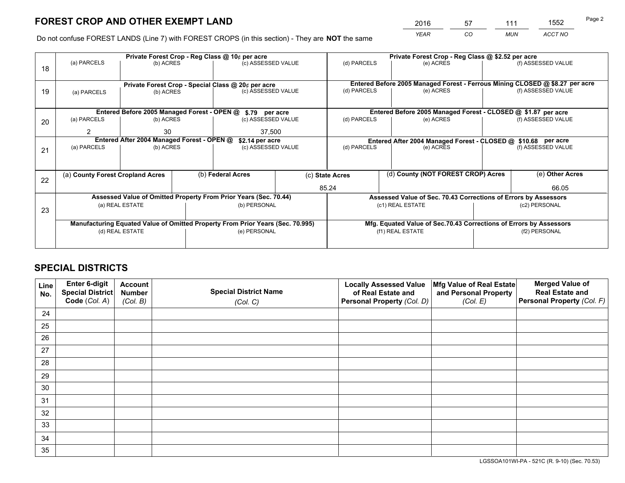*YEAR CO MUN ACCT NO* <sup>2016</sup> <sup>57</sup> <sup>111</sup> <sup>1552</sup>

Do not confuse FOREST LANDS (Line 7) with FOREST CROPS (in this section) - They are **NOT** the same

|    |                                                                                |                                             |  | Private Forest Crop - Reg Class @ 10¢ per acre                   |           | Private Forest Crop - Reg Class @ \$2.52 per acre |                                                                              |               |                    |  |
|----|--------------------------------------------------------------------------------|---------------------------------------------|--|------------------------------------------------------------------|-----------|---------------------------------------------------|------------------------------------------------------------------------------|---------------|--------------------|--|
| 18 | (a) PARCELS                                                                    | (b) ACRES                                   |  | (c) ASSESSED VALUE                                               |           | (d) PARCELS                                       | (e) ACRES                                                                    |               | (f) ASSESSED VALUE |  |
|    |                                                                                |                                             |  |                                                                  |           |                                                   |                                                                              |               |                    |  |
|    |                                                                                |                                             |  | Private Forest Crop - Special Class @ 20¢ per acre               |           |                                                   | Entered Before 2005 Managed Forest - Ferrous Mining CLOSED @ \$8.27 per acre |               |                    |  |
| 19 | (c) ASSESSED VALUE<br>(a) PARCELS<br>(b) ACRES                                 |                                             |  | (d) PARCELS                                                      | (e) ACRES |                                                   | (f) ASSESSED VALUE                                                           |               |                    |  |
|    |                                                                                |                                             |  |                                                                  |           |                                                   |                                                                              |               |                    |  |
|    |                                                                                | Entered Before 2005 Managed Forest - OPEN @ |  | \$.79 per acre                                                   |           |                                                   | Entered Before 2005 Managed Forest - CLOSED @ \$1.87 per acre                |               |                    |  |
| 20 | (a) PARCELS                                                                    | (b) ACRES                                   |  | (c) ASSESSED VALUE                                               |           | (d) PARCELS                                       | (e) ACRES                                                                    |               | (f) ASSESSED VALUE |  |
|    | 2                                                                              | 30                                          |  | 37,500                                                           |           |                                                   |                                                                              |               |                    |  |
|    |                                                                                | Entered After 2004 Managed Forest - OPEN @  |  | \$2.14 per acre                                                  |           |                                                   | Entered After 2004 Managed Forest - CLOSED @ \$10.68 per acre                |               |                    |  |
| 21 | (a) PARCELS                                                                    | (b) ACRES                                   |  | (c) ASSESSED VALUE                                               |           | (d) PARCELS<br>(e) ACRES                          |                                                                              |               | (f) ASSESSED VALUE |  |
|    |                                                                                |                                             |  |                                                                  |           |                                                   |                                                                              |               |                    |  |
|    | (a) County Forest Cropland Acres                                               |                                             |  | (b) Federal Acres                                                |           | (c) State Acres                                   | (d) County (NOT FOREST CROP) Acres                                           |               | (e) Other Acres    |  |
| 22 |                                                                                |                                             |  |                                                                  |           |                                                   |                                                                              |               |                    |  |
|    |                                                                                |                                             |  |                                                                  |           | 85.24                                             |                                                                              |               | 66.05              |  |
|    |                                                                                |                                             |  | Assessed Value of Omitted Property From Prior Years (Sec. 70.44) |           |                                                   | Assessed Value of Sec. 70.43 Corrections of Errors by Assessors              |               |                    |  |
| 23 |                                                                                | (a) REAL ESTATE                             |  | (b) PERSONAL                                                     |           |                                                   | (c1) REAL ESTATE                                                             |               | (c2) PERSONAL      |  |
|    |                                                                                |                                             |  |                                                                  |           |                                                   |                                                                              |               |                    |  |
|    | Manufacturing Equated Value of Omitted Property From Prior Years (Sec. 70.995) |                                             |  |                                                                  |           |                                                   | Mfg. Equated Value of Sec.70.43 Corrections of Errors by Assessors           |               |                    |  |
|    | (d) REAL ESTATE                                                                |                                             |  | (e) PERSONAL                                                     |           |                                                   | (f1) REAL ESTATE                                                             | (f2) PERSONAL |                    |  |
|    |                                                                                |                                             |  |                                                                  |           |                                                   |                                                                              |               |                    |  |

## **SPECIAL DISTRICTS**

| Line<br>No. | <b>Enter 6-digit</b><br>Special District<br>Code (Col. A) | <b>Account</b><br><b>Number</b> | <b>Special District Name</b> | <b>Locally Assessed Value</b><br>of Real Estate and | Mfg Value of Real Estate<br>and Personal Property | <b>Merged Value of</b><br><b>Real Estate and</b><br>Personal Property (Col. F) |
|-------------|-----------------------------------------------------------|---------------------------------|------------------------------|-----------------------------------------------------|---------------------------------------------------|--------------------------------------------------------------------------------|
|             |                                                           | (Col. B)                        | (Col. C)                     | Personal Property (Col. D)                          | (Col. E)                                          |                                                                                |
| 24          |                                                           |                                 |                              |                                                     |                                                   |                                                                                |
| 25          |                                                           |                                 |                              |                                                     |                                                   |                                                                                |
| 26          |                                                           |                                 |                              |                                                     |                                                   |                                                                                |
| 27          |                                                           |                                 |                              |                                                     |                                                   |                                                                                |
| 28          |                                                           |                                 |                              |                                                     |                                                   |                                                                                |
| 29          |                                                           |                                 |                              |                                                     |                                                   |                                                                                |
| 30          |                                                           |                                 |                              |                                                     |                                                   |                                                                                |
| 31          |                                                           |                                 |                              |                                                     |                                                   |                                                                                |
| 32          |                                                           |                                 |                              |                                                     |                                                   |                                                                                |
| 33          |                                                           |                                 |                              |                                                     |                                                   |                                                                                |
| 34          |                                                           |                                 |                              |                                                     |                                                   |                                                                                |
| 35          |                                                           |                                 |                              |                                                     |                                                   |                                                                                |

LGSSOA101WI-PA - 521C (R. 9-10) (Sec. 70.53)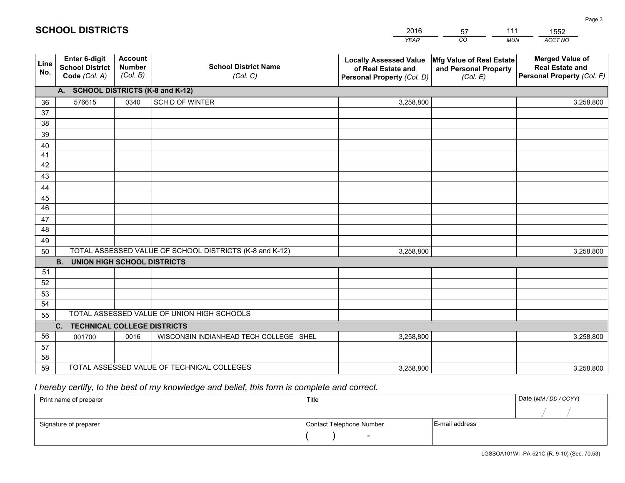|                 |                                                          |                                             |                                                         | YEAR                                                                              | CO.<br><b>MUN</b>                                             | ACCT NO                                                                        |
|-----------------|----------------------------------------------------------|---------------------------------------------|---------------------------------------------------------|-----------------------------------------------------------------------------------|---------------------------------------------------------------|--------------------------------------------------------------------------------|
| Line<br>No.     | Enter 6-digit<br><b>School District</b><br>Code (Col. A) | <b>Account</b><br><b>Number</b><br>(Col. B) | <b>School District Name</b><br>(Col. C)                 | <b>Locally Assessed Value</b><br>of Real Estate and<br>Personal Property (Col. D) | Mfg Value of Real Estate<br>and Personal Property<br>(Col. E) | <b>Merged Value of</b><br><b>Real Estate and</b><br>Personal Property (Col. F) |
|                 | A. SCHOOL DISTRICTS (K-8 and K-12)                       |                                             |                                                         |                                                                                   |                                                               |                                                                                |
| 36              | 576615                                                   | 0340                                        | SCH D OF WINTER                                         | 3,258,800                                                                         |                                                               | 3,258,800                                                                      |
| 37              |                                                          |                                             |                                                         |                                                                                   |                                                               |                                                                                |
| 38              |                                                          |                                             |                                                         |                                                                                   |                                                               |                                                                                |
| 39              |                                                          |                                             |                                                         |                                                                                   |                                                               |                                                                                |
| 40              |                                                          |                                             |                                                         |                                                                                   |                                                               |                                                                                |
| 41<br>42        |                                                          |                                             |                                                         |                                                                                   |                                                               |                                                                                |
| 43              |                                                          |                                             |                                                         |                                                                                   |                                                               |                                                                                |
| 44              |                                                          |                                             |                                                         |                                                                                   |                                                               |                                                                                |
| 45              |                                                          |                                             |                                                         |                                                                                   |                                                               |                                                                                |
| $\overline{46}$ |                                                          |                                             |                                                         |                                                                                   |                                                               |                                                                                |
| 47              |                                                          |                                             |                                                         |                                                                                   |                                                               |                                                                                |
| 48              |                                                          |                                             |                                                         |                                                                                   |                                                               |                                                                                |
| 49              |                                                          |                                             |                                                         |                                                                                   |                                                               |                                                                                |
| 50              |                                                          |                                             | TOTAL ASSESSED VALUE OF SCHOOL DISTRICTS (K-8 and K-12) | 3,258,800                                                                         |                                                               | 3,258,800                                                                      |
|                 | <b>UNION HIGH SCHOOL DISTRICTS</b><br><b>B.</b>          |                                             |                                                         |                                                                                   |                                                               |                                                                                |
| 51              |                                                          |                                             |                                                         |                                                                                   |                                                               |                                                                                |
| 52              |                                                          |                                             |                                                         |                                                                                   |                                                               |                                                                                |
| 53<br>54        |                                                          |                                             |                                                         |                                                                                   |                                                               |                                                                                |
|                 |                                                          |                                             | TOTAL ASSESSED VALUE OF UNION HIGH SCHOOLS              |                                                                                   |                                                               |                                                                                |
| 55              | C.<br><b>TECHNICAL COLLEGE DISTRICTS</b>                 |                                             |                                                         |                                                                                   |                                                               |                                                                                |
| 56              | 001700                                                   | 0016                                        | WISCONSIN INDIANHEAD TECH COLLEGE SHEL                  | 3,258,800                                                                         |                                                               | 3,258,800                                                                      |
| 57              |                                                          |                                             |                                                         |                                                                                   |                                                               |                                                                                |
| 58              |                                                          |                                             |                                                         |                                                                                   |                                                               |                                                                                |
| 59              |                                                          |                                             | TOTAL ASSESSED VALUE OF TECHNICAL COLLEGES              | 3,258,800                                                                         |                                                               | 3,258,800                                                                      |

57

111

 *I hereby certify, to the best of my knowledge and belief, this form is complete and correct.*

**SCHOOL DISTRICTS**

| Print name of preparer | Title                    |                | Date (MM / DD / CCYY) |
|------------------------|--------------------------|----------------|-----------------------|
|                        |                          |                |                       |
| Signature of preparer  | Contact Telephone Number | E-mail address |                       |
|                        | -                        |                |                       |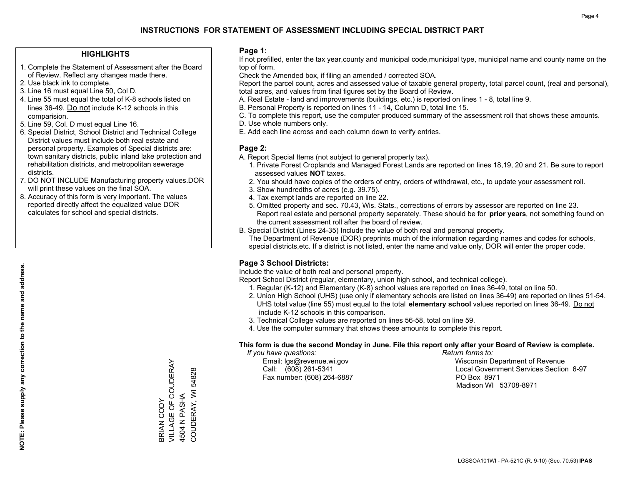#### **HIGHLIGHTS**

- 1. Complete the Statement of Assessment after the Board of Review. Reflect any changes made there.
- 2. Use black ink to complete.
- 3. Line 16 must equal Line 50, Col D.
- 4. Line 55 must equal the total of K-8 schools listed on lines 36-49. Do not include K-12 schools in this comparision.
- 5. Line 59, Col. D must equal Line 16.
- 6. Special District, School District and Technical College District values must include both real estate and personal property. Examples of Special districts are: town sanitary districts, public inland lake protection and rehabilitation districts, and metropolitan sewerage districts.
- 7. DO NOT INCLUDE Manufacturing property values.DOR will print these values on the final SOA.

BRIAN CODY

VILLAGE OF COUDERAY

BRIAN CODY<br>VILLAGE OF COUDERAY

4504 N PASHA

COUDERAY, WI 54828

COUDERAY, WI 4504 N PASHA

54828

 8. Accuracy of this form is very important. The values reported directly affect the equalized value DOR calculates for school and special districts.

#### **Page 1:**

 If not prefilled, enter the tax year,county and municipal code,municipal type, municipal name and county name on the top of form.

Check the Amended box, if filing an amended / corrected SOA.

 Report the parcel count, acres and assessed value of taxable general property, total parcel count, (real and personal), total acres, and values from final figures set by the Board of Review.

- A. Real Estate land and improvements (buildings, etc.) is reported on lines 1 8, total line 9.
- B. Personal Property is reported on lines 11 14, Column D, total line 15.
- C. To complete this report, use the computer produced summary of the assessment roll that shows these amounts.
- D. Use whole numbers only.
- E. Add each line across and each column down to verify entries.

#### **Page 2:**

- A. Report Special Items (not subject to general property tax).
- 1. Private Forest Croplands and Managed Forest Lands are reported on lines 18,19, 20 and 21. Be sure to report assessed values **NOT** taxes.
- 2. You should have copies of the orders of entry, orders of withdrawal, etc., to update your assessment roll.
	- 3. Show hundredths of acres (e.g. 39.75).
- 4. Tax exempt lands are reported on line 22.
- 5. Omitted property and sec. 70.43, Wis. Stats., corrections of errors by assessor are reported on line 23. Report real estate and personal property separately. These should be for **prior years**, not something found on the current assessment roll after the board of review.
- B. Special District (Lines 24-35) Include the value of both real and personal property.
- The Department of Revenue (DOR) preprints much of the information regarding names and codes for schools, special districts,etc. If a district is not listed, enter the name and value only, DOR will enter the proper code.

### **Page 3 School Districts:**

Include the value of both real and personal property.

Report School District (regular, elementary, union high school, and technical college).

- 1. Regular (K-12) and Elementary (K-8) school values are reported on lines 36-49, total on line 50.
- 2. Union High School (UHS) (use only if elementary schools are listed on lines 36-49) are reported on lines 51-54. UHS total value (line 55) must equal to the total **elementary school** values reported on lines 36-49. Do notinclude K-12 schools in this comparison.
- 3. Technical College values are reported on lines 56-58, total on line 59.
- 4. Use the computer summary that shows these amounts to complete this report.

#### **This form is due the second Monday in June. File this report only after your Board of Review is complete.**

 *If you have questions: Return forms to:*

Fax number: (608) 264-6887 PO Box 8971

 Email: lgs@revenue.wi.gov Wisconsin Department of Revenue Call: (608) 261-5341 Local Government Services Section 6-97Madison WI 53708-8971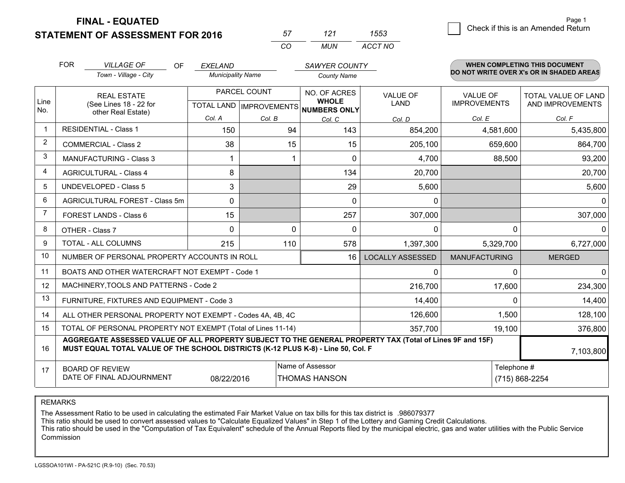**STATEMENT OF ASSESSMENT FOR 2016** 

| 57 | 121 | 1553    |  |
|----|-----|---------|--|
| rη | MUN | ACCT NO |  |

|                | <b>FOR</b>                                                                                                                                                                                   | <b>VILLAGE OF</b><br><b>OF</b>                 | <b>EXELAND</b>                                   |          | <b>SAWYER COUNTY</b>                         |                                |                                 | <b>WHEN COMPLETING THIS DOCUMENT</b>     |
|----------------|----------------------------------------------------------------------------------------------------------------------------------------------------------------------------------------------|------------------------------------------------|--------------------------------------------------|----------|----------------------------------------------|--------------------------------|---------------------------------|------------------------------------------|
|                |                                                                                                                                                                                              | Town - Village - City                          | <b>Municipality Name</b>                         |          | <b>County Name</b>                           |                                |                                 | DO NOT WRITE OVER X's OR IN SHADED AREAS |
| Line<br>No.    |                                                                                                                                                                                              | <b>REAL ESTATE</b><br>(See Lines 18 - 22 for   | PARCEL COUNT<br><b>TOTAL LAND   IMPROVEMENTS</b> |          | NO. OF ACRES<br><b>WHOLE</b><br>NUMBERS ONLY | <b>VALUE OF</b><br><b>LAND</b> | VALUE OF<br><b>IMPROVEMENTS</b> | TOTAL VALUE OF LAND<br>AND IMPROVEMENTS  |
|                |                                                                                                                                                                                              | other Real Estate)                             | Col. A                                           | Col. B   | Col. C                                       | Col. D                         | Col. E                          | Col. F                                   |
| $\overline{1}$ |                                                                                                                                                                                              | <b>RESIDENTIAL - Class 1</b>                   | 150                                              | 94       | 143                                          | 854,200                        | 4,581,600                       | 5,435,800                                |
| 2              |                                                                                                                                                                                              | <b>COMMERCIAL - Class 2</b>                    | 38                                               | 15       | 15                                           | 205,100                        | 659,600                         | 864,700                                  |
| 3              |                                                                                                                                                                                              | <b>MANUFACTURING - Class 3</b>                 |                                                  |          | $\Omega$                                     | 4,700                          | 88,500                          | 93,200                                   |
| 4              |                                                                                                                                                                                              | <b>AGRICULTURAL - Class 4</b>                  | 8                                                |          | 134                                          | 20,700                         |                                 | 20,700                                   |
| 5              |                                                                                                                                                                                              | <b>UNDEVELOPED - Class 5</b>                   | 3                                                |          | 29                                           | 5,600                          |                                 | 5,600                                    |
| 6              |                                                                                                                                                                                              | AGRICULTURAL FOREST - Class 5m                 | $\Omega$                                         |          | $\Omega$                                     | 0                              |                                 | 0                                        |
| 7              |                                                                                                                                                                                              | FOREST LANDS - Class 6                         | 15                                               |          | 257                                          | 307,000                        |                                 | 307,000                                  |
| 8              |                                                                                                                                                                                              | OTHER - Class 7                                | $\Omega$                                         | $\Omega$ | $\Omega$                                     | 0                              | $\Omega$                        | ∩                                        |
| 9              |                                                                                                                                                                                              | TOTAL - ALL COLUMNS                            | 215                                              | 110      | 578                                          | 1,397,300                      | 5,329,700                       | 6,727,000                                |
| 10             | NUMBER OF PERSONAL PROPERTY ACCOUNTS IN ROLL<br>16                                                                                                                                           |                                                |                                                  |          |                                              | <b>LOCALLY ASSESSED</b>        | <b>MANUFACTURING</b>            | <b>MERGED</b>                            |
| 11             |                                                                                                                                                                                              | BOATS AND OTHER WATERCRAFT NOT EXEMPT - Code 1 |                                                  |          |                                              | 0                              | <sup>0</sup>                    | $\Omega$                                 |
| 12             |                                                                                                                                                                                              | MACHINERY, TOOLS AND PATTERNS - Code 2         |                                                  |          |                                              | 216,700                        | 17,600                          | 234,300                                  |
| 13             |                                                                                                                                                                                              | FURNITURE, FIXTURES AND EQUIPMENT - Code 3     |                                                  |          |                                              | 14,400                         | $\Omega$                        | 14,400                                   |
| 14             | 126,600<br>1,500<br>ALL OTHER PERSONAL PROPERTY NOT EXEMPT - Codes 4A, 4B, 4C                                                                                                                |                                                |                                                  |          |                                              |                                |                                 | 128,100                                  |
| 15             | TOTAL OF PERSONAL PROPERTY NOT EXEMPT (Total of Lines 11-14)<br>357,700                                                                                                                      |                                                |                                                  |          |                                              |                                | 19,100                          | 376,800                                  |
| 16             | AGGREGATE ASSESSED VALUE OF ALL PROPERTY SUBJECT TO THE GENERAL PROPERTY TAX (Total of Lines 9F and 15F)<br>MUST EQUAL TOTAL VALUE OF THE SCHOOL DISTRICTS (K-12 PLUS K-8) - Line 50, Col. F |                                                |                                                  |          |                                              |                                | 7,103,800                       |                                          |
| 17             | Name of Assessor<br>Telephone #<br><b>BOARD OF REVIEW</b><br>DATE OF FINAL ADJOURNMENT<br><b>THOMAS HANSON</b><br>(715) 868-2254<br>08/22/2016                                               |                                                |                                                  |          |                                              |                                |                                 |                                          |

REMARKS

The Assessment Ratio to be used in calculating the estimated Fair Market Value on tax bills for this tax district is .986079377<br>This ratio should be used to convert assessed values to "Calculate Equalized Values" in Step 1 Commission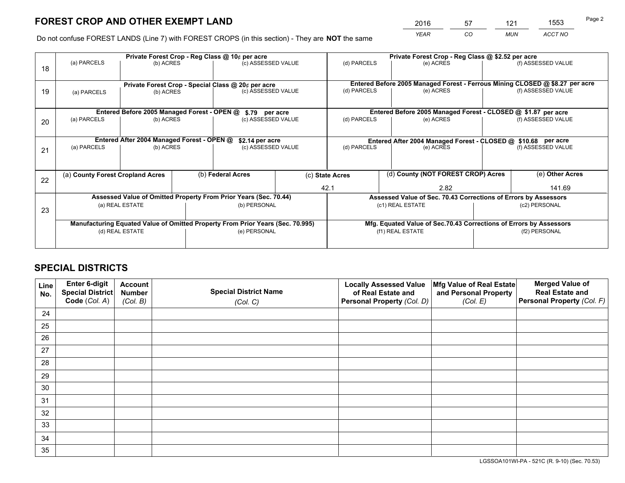*YEAR CO MUN ACCT NO* <sup>2016</sup> <sup>57</sup> <sup>121</sup> <sup>1553</sup>

Do not confuse FOREST LANDS (Line 7) with FOREST CROPS (in this section) - They are **NOT** the same

|    | Private Forest Crop - Reg Class @ 10¢ per acre                                 |                                                       |  |                                                                  |                                    |                                                                              | Private Forest Crop - Reg Class @ \$2.52 per acre               |  |                    |  |
|----|--------------------------------------------------------------------------------|-------------------------------------------------------|--|------------------------------------------------------------------|------------------------------------|------------------------------------------------------------------------------|-----------------------------------------------------------------|--|--------------------|--|
| 18 | (a) PARCELS                                                                    | (b) ACRES                                             |  | (c) ASSESSED VALUE                                               |                                    | (d) PARCELS                                                                  | (e) ACRES                                                       |  | (f) ASSESSED VALUE |  |
|    | Private Forest Crop - Special Class @ 20¢ per acre                             |                                                       |  |                                                                  |                                    | Entered Before 2005 Managed Forest - Ferrous Mining CLOSED @ \$8.27 per acre |                                                                 |  |                    |  |
| 19 | (b) ACRES<br>(a) PARCELS                                                       |                                                       |  | (c) ASSESSED VALUE                                               |                                    | (d) PARCELS                                                                  | (e) ACRES                                                       |  | (f) ASSESSED VALUE |  |
|    |                                                                                | Entered Before 2005 Managed Forest - OPEN @           |  | \$.79 per acre                                                   |                                    |                                                                              | Entered Before 2005 Managed Forest - CLOSED @ \$1.87 per acre   |  |                    |  |
|    | (a) PARCELS                                                                    | (b) ACRES                                             |  |                                                                  |                                    | (d) PARCELS                                                                  | (e) ACRES                                                       |  | (f) ASSESSED VALUE |  |
| 20 |                                                                                |                                                       |  | (c) ASSESSED VALUE                                               |                                    |                                                                              |                                                                 |  |                    |  |
|    | Entered After 2004 Managed Forest - OPEN @<br>\$2.14 per acre                  |                                                       |  |                                                                  |                                    | Entered After 2004 Managed Forest - CLOSED @ \$10.68 per acre                |                                                                 |  |                    |  |
| 21 | (a) PARCELS                                                                    | (b) ACRES                                             |  |                                                                  | (d) PARCELS<br>(c) ASSESSED VALUE  |                                                                              | (e) ACRES                                                       |  | (f) ASSESSED VALUE |  |
|    |                                                                                |                                                       |  |                                                                  |                                    |                                                                              |                                                                 |  |                    |  |
| 22 |                                                                                | (b) Federal Acres<br>(a) County Forest Cropland Acres |  | (c) State Acres                                                  | (d) County (NOT FOREST CROP) Acres |                                                                              | (e) Other Acres                                                 |  |                    |  |
|    |                                                                                |                                                       |  |                                                                  |                                    | 42.1                                                                         | 2.82                                                            |  | 141.69             |  |
|    |                                                                                |                                                       |  | Assessed Value of Omitted Property From Prior Years (Sec. 70.44) |                                    |                                                                              | Assessed Value of Sec. 70.43 Corrections of Errors by Assessors |  |                    |  |
| 23 | (a) REAL ESTATE                                                                |                                                       |  | (b) PERSONAL<br>(c1) REAL ESTATE                                 |                                    |                                                                              | (c2) PERSONAL                                                   |  |                    |  |
|    |                                                                                |                                                       |  |                                                                  |                                    |                                                                              |                                                                 |  |                    |  |
|    | Manufacturing Equated Value of Omitted Property From Prior Years (Sec. 70.995) |                                                       |  |                                                                  |                                    | Mfg. Equated Value of Sec.70.43 Corrections of Errors by Assessors           |                                                                 |  |                    |  |
|    | (d) REAL ESTATE                                                                |                                                       |  | (e) PERSONAL                                                     |                                    | (f1) REAL ESTATE                                                             |                                                                 |  | (f2) PERSONAL      |  |
|    |                                                                                |                                                       |  |                                                                  |                                    |                                                                              |                                                                 |  |                    |  |

## **SPECIAL DISTRICTS**

| Line<br>No. | Enter 6-digit<br>Special District<br>Code (Col. A) | <b>Account</b><br><b>Number</b> | <b>Special District Name</b> | <b>Locally Assessed Value</b><br>of Real Estate and | Mfg Value of Real Estate<br>and Personal Property | <b>Merged Value of</b><br><b>Real Estate and</b><br>Personal Property (Col. F) |
|-------------|----------------------------------------------------|---------------------------------|------------------------------|-----------------------------------------------------|---------------------------------------------------|--------------------------------------------------------------------------------|
|             |                                                    | (Col. B)                        | (Col. C)                     | Personal Property (Col. D)                          | (Col. E)                                          |                                                                                |
| 24          |                                                    |                                 |                              |                                                     |                                                   |                                                                                |
| 25          |                                                    |                                 |                              |                                                     |                                                   |                                                                                |
| 26          |                                                    |                                 |                              |                                                     |                                                   |                                                                                |
| 27          |                                                    |                                 |                              |                                                     |                                                   |                                                                                |
| 28          |                                                    |                                 |                              |                                                     |                                                   |                                                                                |
| 29          |                                                    |                                 |                              |                                                     |                                                   |                                                                                |
| 30          |                                                    |                                 |                              |                                                     |                                                   |                                                                                |
| 31          |                                                    |                                 |                              |                                                     |                                                   |                                                                                |
| 32          |                                                    |                                 |                              |                                                     |                                                   |                                                                                |
| 33          |                                                    |                                 |                              |                                                     |                                                   |                                                                                |
| 34          |                                                    |                                 |                              |                                                     |                                                   |                                                                                |
| 35          |                                                    |                                 |                              |                                                     |                                                   |                                                                                |

LGSSOA101WI-PA - 521C (R. 9-10) (Sec. 70.53)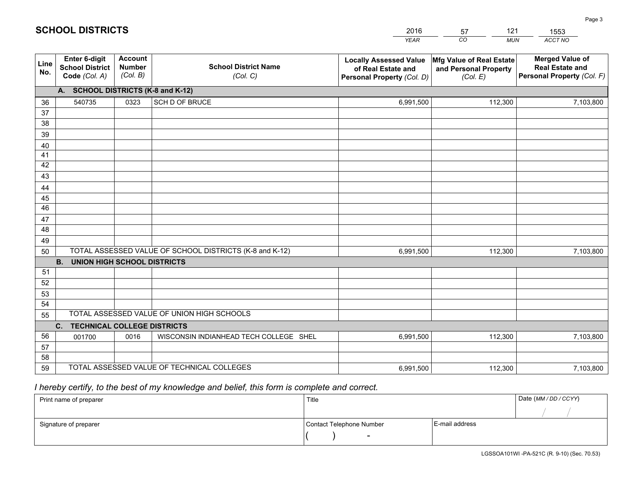|             |                                                                 |                                             |                                                         | <b>YEAR</b>                                                                       | CO<br><b>MUN</b>                                              | ACCT NO                                                                        |
|-------------|-----------------------------------------------------------------|---------------------------------------------|---------------------------------------------------------|-----------------------------------------------------------------------------------|---------------------------------------------------------------|--------------------------------------------------------------------------------|
| Line<br>No. | <b>Enter 6-digit</b><br><b>School District</b><br>Code (Col. A) | <b>Account</b><br><b>Number</b><br>(Col. B) | <b>School District Name</b><br>(Col. C)                 | <b>Locally Assessed Value</b><br>of Real Estate and<br>Personal Property (Col. D) | Mfg Value of Real Estate<br>and Personal Property<br>(Col. E) | <b>Merged Value of</b><br><b>Real Estate and</b><br>Personal Property (Col. F) |
|             | A. SCHOOL DISTRICTS (K-8 and K-12)                              |                                             |                                                         |                                                                                   |                                                               |                                                                                |
| 36          | 540735                                                          | 0323                                        | <b>SCH D OF BRUCE</b>                                   | 6,991,500                                                                         | 112,300                                                       | 7,103,800                                                                      |
| 37          |                                                                 |                                             |                                                         |                                                                                   |                                                               |                                                                                |
| 38          |                                                                 |                                             |                                                         |                                                                                   |                                                               |                                                                                |
| 39          |                                                                 |                                             |                                                         |                                                                                   |                                                               |                                                                                |
| 40          |                                                                 |                                             |                                                         |                                                                                   |                                                               |                                                                                |
| 41<br>42    |                                                                 |                                             |                                                         |                                                                                   |                                                               |                                                                                |
| 43          |                                                                 |                                             |                                                         |                                                                                   |                                                               |                                                                                |
| 44          |                                                                 |                                             |                                                         |                                                                                   |                                                               |                                                                                |
| 45          |                                                                 |                                             |                                                         |                                                                                   |                                                               |                                                                                |
| 46          |                                                                 |                                             |                                                         |                                                                                   |                                                               |                                                                                |
| 47          |                                                                 |                                             |                                                         |                                                                                   |                                                               |                                                                                |
| 48          |                                                                 |                                             |                                                         |                                                                                   |                                                               |                                                                                |
| 49          |                                                                 |                                             |                                                         |                                                                                   |                                                               |                                                                                |
| 50          |                                                                 |                                             | TOTAL ASSESSED VALUE OF SCHOOL DISTRICTS (K-8 and K-12) | 6,991,500                                                                         | 112,300                                                       | 7,103,800                                                                      |
|             | <b>B. UNION HIGH SCHOOL DISTRICTS</b>                           |                                             |                                                         |                                                                                   |                                                               |                                                                                |
| 51<br>52    |                                                                 |                                             |                                                         |                                                                                   |                                                               |                                                                                |
| 53          |                                                                 |                                             |                                                         |                                                                                   |                                                               |                                                                                |
| 54          |                                                                 |                                             |                                                         |                                                                                   |                                                               |                                                                                |
| 55          |                                                                 |                                             | TOTAL ASSESSED VALUE OF UNION HIGH SCHOOLS              |                                                                                   |                                                               |                                                                                |
|             | C.<br><b>TECHNICAL COLLEGE DISTRICTS</b>                        |                                             |                                                         |                                                                                   |                                                               |                                                                                |
| 56          | 001700                                                          | 0016                                        | WISCONSIN INDIANHEAD TECH COLLEGE SHEL                  | 6,991,500                                                                         | 112,300                                                       | 7,103,800                                                                      |
| 57          |                                                                 |                                             |                                                         |                                                                                   |                                                               |                                                                                |
| 58          |                                                                 |                                             |                                                         |                                                                                   |                                                               |                                                                                |
| 59          |                                                                 |                                             | TOTAL ASSESSED VALUE OF TECHNICAL COLLEGES              | 6,991,500                                                                         | 112,300                                                       | 7,103,800                                                                      |

57

121

 *I hereby certify, to the best of my knowledge and belief, this form is complete and correct.*

**SCHOOL DISTRICTS**

| Print name of preparer | Title                    | Date (MM / DD / CCYY) |  |
|------------------------|--------------------------|-----------------------|--|
|                        |                          |                       |  |
| Signature of preparer  | Contact Telephone Number | E-mail address        |  |
|                        | $\sim$                   |                       |  |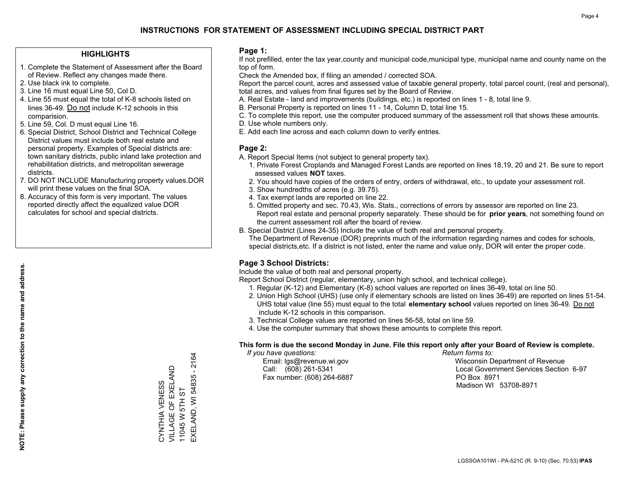#### **HIGHLIGHTS**

- 1. Complete the Statement of Assessment after the Board of Review. Reflect any changes made there.
- 2. Use black ink to complete.
- 3. Line 16 must equal Line 50, Col D.
- 4. Line 55 must equal the total of K-8 schools listed on lines 36-49. Do not include K-12 schools in this comparision.
- 5. Line 59, Col. D must equal Line 16.
- 6. Special District, School District and Technical College District values must include both real estate and personal property. Examples of Special districts are: town sanitary districts, public inland lake protection and rehabilitation districts, and metropolitan sewerage districts.
- 7. DO NOT INCLUDE Manufacturing property values.DOR will print these values on the final SOA.

CYNTHIA VENESS VILLAGE OF EXELAND 11045 W 5TH ST

CYNTHIA VENESS<br>VILLAGE OF EXELAND

EXELAND, WI 54835 - 2164

EXELAND, WI 54835 - 2164

11045 W 5TH ST

 8. Accuracy of this form is very important. The values reported directly affect the equalized value DOR calculates for school and special districts.

#### **Page 1:**

 If not prefilled, enter the tax year,county and municipal code,municipal type, municipal name and county name on the top of form.

Check the Amended box, if filing an amended / corrected SOA.

 Report the parcel count, acres and assessed value of taxable general property, total parcel count, (real and personal), total acres, and values from final figures set by the Board of Review.

- A. Real Estate land and improvements (buildings, etc.) is reported on lines 1 8, total line 9.
- B. Personal Property is reported on lines 11 14, Column D, total line 15.
- C. To complete this report, use the computer produced summary of the assessment roll that shows these amounts.
- D. Use whole numbers only.
- E. Add each line across and each column down to verify entries.

#### **Page 2:**

- A. Report Special Items (not subject to general property tax).
- 1. Private Forest Croplands and Managed Forest Lands are reported on lines 18,19, 20 and 21. Be sure to report assessed values **NOT** taxes.
- 2. You should have copies of the orders of entry, orders of withdrawal, etc., to update your assessment roll.
	- 3. Show hundredths of acres (e.g. 39.75).
- 4. Tax exempt lands are reported on line 22.
- 5. Omitted property and sec. 70.43, Wis. Stats., corrections of errors by assessor are reported on line 23. Report real estate and personal property separately. These should be for **prior years**, not something found on the current assessment roll after the board of review.
- B. Special District (Lines 24-35) Include the value of both real and personal property.
- The Department of Revenue (DOR) preprints much of the information regarding names and codes for schools, special districts,etc. If a district is not listed, enter the name and value only, DOR will enter the proper code.

### **Page 3 School Districts:**

Include the value of both real and personal property.

Report School District (regular, elementary, union high school, and technical college).

- 1. Regular (K-12) and Elementary (K-8) school values are reported on lines 36-49, total on line 50.
- 2. Union High School (UHS) (use only if elementary schools are listed on lines 36-49) are reported on lines 51-54. UHS total value (line 55) must equal to the total **elementary school** values reported on lines 36-49. Do notinclude K-12 schools in this comparison.
- 3. Technical College values are reported on lines 56-58, total on line 59.
- 4. Use the computer summary that shows these amounts to complete this report.

#### **This form is due the second Monday in June. File this report only after your Board of Review is complete.**

 *If you have questions: Return forms to:*

Fax number: (608) 264-6887 PO Box 8971

 Email: lgs@revenue.wi.gov Wisconsin Department of Revenue Call: (608) 261-5341 Local Government Services Section 6-97Madison WI 53708-8971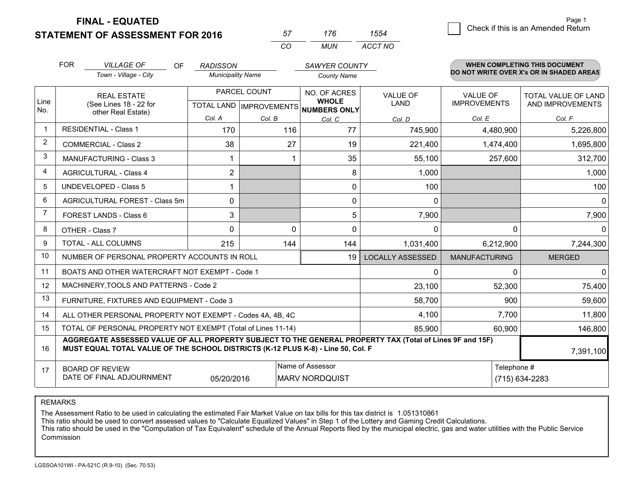**FINAL - EQUATED**

**STATEMENT OF ASSESSMENT FOR 2016** 

| 57       | 76  | 4מר     |
|----------|-----|---------|
| $\cdots$ | MUN | ACCT NO |

|                | <b>FOR</b>                                                                                                                                                                                   | <b>VILLAGE OF</b><br><b>OF</b>                                                                                                                  | <b>RADISSON</b>          |                                           | <b>SAWYER COUNTY</b>                                |                                |                                        | <b>WHEN COMPLETING THIS DOCUMENT</b>           |
|----------------|----------------------------------------------------------------------------------------------------------------------------------------------------------------------------------------------|-------------------------------------------------------------------------------------------------------------------------------------------------|--------------------------|-------------------------------------------|-----------------------------------------------------|--------------------------------|----------------------------------------|------------------------------------------------|
|                |                                                                                                                                                                                              | Town - Village - City                                                                                                                           | <b>Municipality Name</b> |                                           | <b>County Name</b>                                  |                                |                                        | DO NOT WRITE OVER X's OR IN SHADED AREAS       |
| Line<br>No.    |                                                                                                                                                                                              | <b>REAL ESTATE</b><br>(See Lines 18 - 22 for<br>other Real Estate)                                                                              |                          | PARCEL COUNT<br>TOTAL LAND   IMPROVEMENTS | NO. OF ACRES<br><b>WHOLE</b><br><b>NUMBERS ONLY</b> | <b>VALUE OF</b><br><b>LAND</b> | <b>VALUE OF</b><br><b>IMPROVEMENTS</b> | <b>TOTAL VALUE OF LAND</b><br>AND IMPROVEMENTS |
|                |                                                                                                                                                                                              |                                                                                                                                                 | Col. A                   | Col. B                                    | Col. C                                              | Col. D                         | Col. E                                 | Col. F                                         |
| -1             |                                                                                                                                                                                              | <b>RESIDENTIAL - Class 1</b>                                                                                                                    | 170                      | 116                                       | 77                                                  | 745,900                        | 4,480,900                              | 5,226,800                                      |
| 2              | <b>COMMERCIAL - Class 2</b>                                                                                                                                                                  |                                                                                                                                                 | 38                       | 27                                        | 19                                                  | 221,400                        | 1,474,400                              | 1,695,800                                      |
| 3              |                                                                                                                                                                                              | MANUFACTURING - Class 3                                                                                                                         |                          |                                           | 35                                                  | 55,100                         | 257,600                                | 312,700                                        |
| 4              |                                                                                                                                                                                              | <b>AGRICULTURAL - Class 4</b>                                                                                                                   | $\overline{2}$           |                                           | 8                                                   | 1,000                          |                                        | 1,000                                          |
| 5              |                                                                                                                                                                                              | <b>UNDEVELOPED - Class 5</b>                                                                                                                    |                          |                                           | 0                                                   | 100                            |                                        | 100                                            |
| 6              | AGRICULTURAL FOREST - Class 5m                                                                                                                                                               |                                                                                                                                                 | 0                        |                                           | 0                                                   | 0                              |                                        | $\mathbf 0$                                    |
| $\overline{7}$ | FOREST LANDS - Class 6                                                                                                                                                                       |                                                                                                                                                 | 3                        |                                           | 5                                                   | 7,900                          |                                        | 7,900                                          |
| 8              |                                                                                                                                                                                              | OTHER - Class 7                                                                                                                                 | $\Omega$                 | $\Omega$                                  | $\Omega$                                            | $\mathbf{0}$                   | $\Omega$                               | $\Omega$                                       |
| 9              |                                                                                                                                                                                              | TOTAL - ALL COLUMNS                                                                                                                             | 215                      | 144                                       | 144                                                 | 1,031,400                      | 6,212,900                              | 7,244,300                                      |
| 10             |                                                                                                                                                                                              | NUMBER OF PERSONAL PROPERTY ACCOUNTS IN ROLL                                                                                                    |                          |                                           | 19                                                  | <b>LOCALLY ASSESSED</b>        | <b>MANUFACTURING</b>                   | <b>MERGED</b>                                  |
| 11             |                                                                                                                                                                                              | BOATS AND OTHER WATERCRAFT NOT EXEMPT - Code 1                                                                                                  |                          |                                           |                                                     | $\mathbf{0}$                   | $\Omega$                               | $\Omega$                                       |
| 12             |                                                                                                                                                                                              | MACHINERY, TOOLS AND PATTERNS - Code 2                                                                                                          |                          |                                           |                                                     | 23,100                         | 52,300                                 | 75,400                                         |
| 13             |                                                                                                                                                                                              | FURNITURE, FIXTURES AND EQUIPMENT - Code 3                                                                                                      |                          |                                           |                                                     | 58,700                         | 900                                    | 59,600                                         |
| 14             |                                                                                                                                                                                              | ALL OTHER PERSONAL PROPERTY NOT EXEMPT - Codes 4A, 4B, 4C                                                                                       |                          |                                           |                                                     | 4,100                          | 7,700                                  | 11,800                                         |
| 15             |                                                                                                                                                                                              | TOTAL OF PERSONAL PROPERTY NOT EXEMPT (Total of Lines 11-14)                                                                                    |                          |                                           |                                                     | 85,900                         | 60,900                                 | 146,800                                        |
| 16             | AGGREGATE ASSESSED VALUE OF ALL PROPERTY SUBJECT TO THE GENERAL PROPERTY TAX (Total of Lines 9F and 15F)<br>MUST EQUAL TOTAL VALUE OF THE SCHOOL DISTRICTS (K-12 PLUS K-8) - Line 50, Col. F |                                                                                                                                                 |                          |                                           |                                                     |                                |                                        | 7,391,100                                      |
| 17             |                                                                                                                                                                                              | Name of Assessor<br>Telephone #<br><b>BOARD OF REVIEW</b><br>DATE OF FINAL ADJOURNMENT<br>05/20/2016<br><b>MARV NORDQUIST</b><br>(715) 634-2283 |                          |                                           |                                                     |                                |                                        |                                                |

REMARKS

The Assessment Ratio to be used in calculating the estimated Fair Market Value on tax bills for this tax district is 1.051310861<br>This ratio should be used to convert assessed values to "Calculate Equalized Values" in Step Commission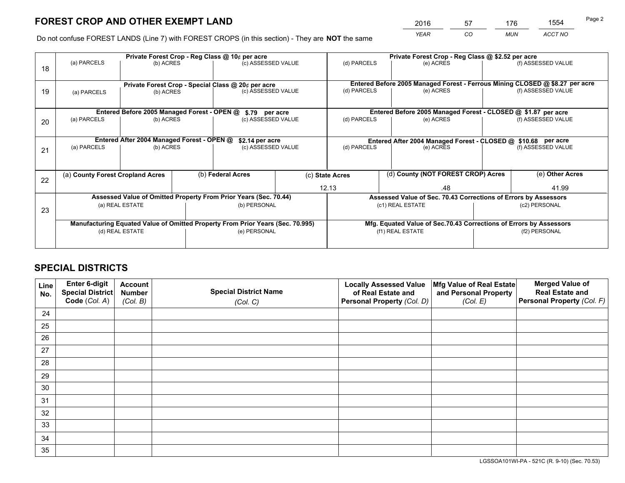# **FOREST CROP AND OTHER EXEMPT LAND**

 *YEAR CO MUN ACCT NO* <sup>2016</sup> <sup>57</sup> <sup>176</sup> <sup>1554</sup>

Do not confuse FOREST LANDS (Line 7) with FOREST CROPS (in this section) - They are **NOT** the same

|    |                                                         |                                             |  | Private Forest Crop - Reg Class @ 10¢ per acre                                 |  | Private Forest Crop - Reg Class @ \$2.52 per acre                                         |  |                                                                    |               |                                                                              |
|----|---------------------------------------------------------|---------------------------------------------|--|--------------------------------------------------------------------------------|--|-------------------------------------------------------------------------------------------|--|--------------------------------------------------------------------|---------------|------------------------------------------------------------------------------|
| 18 | (a) PARCELS                                             | (b) ACRES                                   |  | (c) ASSESSED VALUE                                                             |  | (d) PARCELS                                                                               |  | (e) ACRES                                                          |               | (f) ASSESSED VALUE                                                           |
|    |                                                         |                                             |  | Private Forest Crop - Special Class @ 20¢ per acre                             |  |                                                                                           |  |                                                                    |               | Entered Before 2005 Managed Forest - Ferrous Mining CLOSED @ \$8.27 per acre |
| 19 | (b) ACRES<br>(a) PARCELS                                |                                             |  | (c) ASSESSED VALUE                                                             |  | (d) PARCELS                                                                               |  | (e) ACRES                                                          |               | (f) ASSESSED VALUE                                                           |
|    |                                                         | Entered Before 2005 Managed Forest - OPEN @ |  | \$.79 per acre                                                                 |  |                                                                                           |  | Entered Before 2005 Managed Forest - CLOSED @ \$1.87 per acre      |               |                                                                              |
| 20 | (a) PARCELS                                             | (b) ACRES                                   |  | (c) ASSESSED VALUE                                                             |  | (d) PARCELS                                                                               |  | (e) ACRES                                                          |               | (f) ASSESSED VALUE                                                           |
|    |                                                         |                                             |  |                                                                                |  |                                                                                           |  |                                                                    |               |                                                                              |
|    | Entered After 2004 Managed Forest - OPEN @<br>(b) ACRES |                                             |  | \$2.14 per acre<br>(c) ASSESSED VALUE                                          |  | Entered After 2004 Managed Forest - CLOSED @ \$10.68 per acre<br>(d) PARCELS<br>(e) ACRES |  |                                                                    |               | (f) ASSESSED VALUE                                                           |
| 21 | (a) PARCELS                                             |                                             |  |                                                                                |  |                                                                                           |  |                                                                    |               |                                                                              |
|    |                                                         |                                             |  |                                                                                |  |                                                                                           |  |                                                                    |               |                                                                              |
|    |                                                         | (a) County Forest Cropland Acres            |  | (b) Federal Acres                                                              |  | (d) County (NOT FOREST CROP) Acres<br>(c) State Acres                                     |  |                                                                    |               | (e) Other Acres                                                              |
| 22 |                                                         |                                             |  |                                                                                |  | 12.13<br>.48                                                                              |  |                                                                    |               | 41.99                                                                        |
|    |                                                         |                                             |  | Assessed Value of Omitted Property From Prior Years (Sec. 70.44)               |  |                                                                                           |  | Assessed Value of Sec. 70.43 Corrections of Errors by Assessors    |               |                                                                              |
|    |                                                         | (a) REAL ESTATE                             |  | (b) PERSONAL                                                                   |  |                                                                                           |  | (c1) REAL ESTATE                                                   |               | (c2) PERSONAL                                                                |
| 23 |                                                         |                                             |  |                                                                                |  |                                                                                           |  |                                                                    |               |                                                                              |
|    |                                                         |                                             |  | Manufacturing Equated Value of Omitted Property From Prior Years (Sec. 70.995) |  |                                                                                           |  | Mfg. Equated Value of Sec.70.43 Corrections of Errors by Assessors |               |                                                                              |
|    |                                                         | (d) REAL ESTATE                             |  | (e) PERSONAL                                                                   |  | (f1) REAL ESTATE                                                                          |  |                                                                    | (f2) PERSONAL |                                                                              |
|    |                                                         |                                             |  |                                                                                |  |                                                                                           |  |                                                                    |               |                                                                              |

# **SPECIAL DISTRICTS**

| Line<br>No. | Enter 6-digit<br>Special District<br>Code (Col. A) | <b>Account</b><br><b>Number</b> | <b>Special District Name</b> | <b>Locally Assessed Value</b><br>of Real Estate and | Mfg Value of Real Estate<br>and Personal Property | <b>Merged Value of</b><br><b>Real Estate and</b><br>Personal Property (Col. F) |
|-------------|----------------------------------------------------|---------------------------------|------------------------------|-----------------------------------------------------|---------------------------------------------------|--------------------------------------------------------------------------------|
|             |                                                    | (Col. B)                        | (Col. C)                     | Personal Property (Col. D)                          | (Col. E)                                          |                                                                                |
| 24          |                                                    |                                 |                              |                                                     |                                                   |                                                                                |
| 25          |                                                    |                                 |                              |                                                     |                                                   |                                                                                |
| 26          |                                                    |                                 |                              |                                                     |                                                   |                                                                                |
| 27          |                                                    |                                 |                              |                                                     |                                                   |                                                                                |
| 28          |                                                    |                                 |                              |                                                     |                                                   |                                                                                |
| 29          |                                                    |                                 |                              |                                                     |                                                   |                                                                                |
| 30          |                                                    |                                 |                              |                                                     |                                                   |                                                                                |
| 31          |                                                    |                                 |                              |                                                     |                                                   |                                                                                |
| 32          |                                                    |                                 |                              |                                                     |                                                   |                                                                                |
| 33          |                                                    |                                 |                              |                                                     |                                                   |                                                                                |
| 34          |                                                    |                                 |                              |                                                     |                                                   |                                                                                |
| 35          |                                                    |                                 |                              |                                                     |                                                   |                                                                                |

LGSSOA101WI-PA - 521C (R. 9-10) (Sec. 70.53)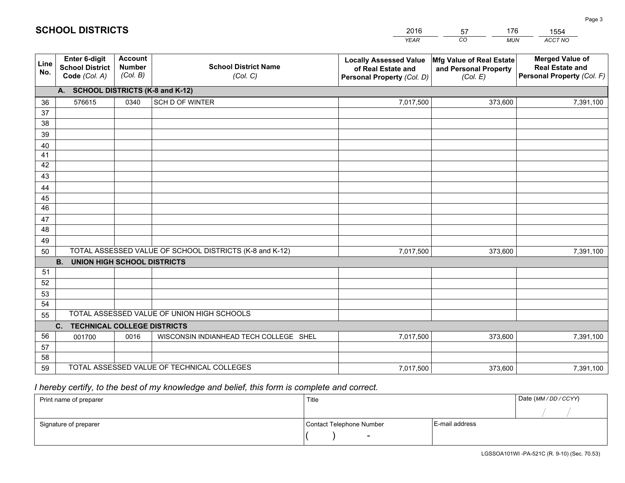|             |                                                                 |                                             |                                                         | <b>YEAR</b>                                                                       | CO<br><b>MUN</b>                                              | ACCT NO                                                                        |
|-------------|-----------------------------------------------------------------|---------------------------------------------|---------------------------------------------------------|-----------------------------------------------------------------------------------|---------------------------------------------------------------|--------------------------------------------------------------------------------|
| Line<br>No. | <b>Enter 6-digit</b><br><b>School District</b><br>Code (Col. A) | <b>Account</b><br><b>Number</b><br>(Col. B) | <b>School District Name</b><br>(Col. C)                 | <b>Locally Assessed Value</b><br>of Real Estate and<br>Personal Property (Col. D) | Mfg Value of Real Estate<br>and Personal Property<br>(Col. E) | <b>Merged Value of</b><br><b>Real Estate and</b><br>Personal Property (Col. F) |
|             | A. SCHOOL DISTRICTS (K-8 and K-12)                              |                                             |                                                         |                                                                                   |                                                               |                                                                                |
| 36          | 576615                                                          | 0340                                        | SCH D OF WINTER                                         | 7,017,500                                                                         | 373,600                                                       | 7,391,100                                                                      |
| 37          |                                                                 |                                             |                                                         |                                                                                   |                                                               |                                                                                |
| 38          |                                                                 |                                             |                                                         |                                                                                   |                                                               |                                                                                |
| 39          |                                                                 |                                             |                                                         |                                                                                   |                                                               |                                                                                |
| 40          |                                                                 |                                             |                                                         |                                                                                   |                                                               |                                                                                |
| 41<br>42    |                                                                 |                                             |                                                         |                                                                                   |                                                               |                                                                                |
| 43          |                                                                 |                                             |                                                         |                                                                                   |                                                               |                                                                                |
| 44          |                                                                 |                                             |                                                         |                                                                                   |                                                               |                                                                                |
| 45          |                                                                 |                                             |                                                         |                                                                                   |                                                               |                                                                                |
| 46          |                                                                 |                                             |                                                         |                                                                                   |                                                               |                                                                                |
| 47          |                                                                 |                                             |                                                         |                                                                                   |                                                               |                                                                                |
| 48          |                                                                 |                                             |                                                         |                                                                                   |                                                               |                                                                                |
| 49          |                                                                 |                                             |                                                         |                                                                                   |                                                               |                                                                                |
| 50          |                                                                 |                                             | TOTAL ASSESSED VALUE OF SCHOOL DISTRICTS (K-8 and K-12) | 7,017,500                                                                         | 373,600                                                       | 7,391,100                                                                      |
|             | <b>B.</b><br><b>UNION HIGH SCHOOL DISTRICTS</b>                 |                                             |                                                         |                                                                                   |                                                               |                                                                                |
| 51          |                                                                 |                                             |                                                         |                                                                                   |                                                               |                                                                                |
| 52          |                                                                 |                                             |                                                         |                                                                                   |                                                               |                                                                                |
| 53          |                                                                 |                                             |                                                         |                                                                                   |                                                               |                                                                                |
| 54          |                                                                 |                                             | TOTAL ASSESSED VALUE OF UNION HIGH SCHOOLS              |                                                                                   |                                                               |                                                                                |
| 55          |                                                                 |                                             |                                                         |                                                                                   |                                                               |                                                                                |
|             | C.<br><b>TECHNICAL COLLEGE DISTRICTS</b>                        |                                             |                                                         |                                                                                   |                                                               |                                                                                |
| 56<br>57    | 001700                                                          | 0016                                        | WISCONSIN INDIANHEAD TECH COLLEGE SHEL                  | 7,017,500                                                                         | 373,600                                                       | 7,391,100                                                                      |
| 58          |                                                                 |                                             |                                                         |                                                                                   |                                                               |                                                                                |
| 59          |                                                                 |                                             | TOTAL ASSESSED VALUE OF TECHNICAL COLLEGES              | 7,017,500                                                                         | 373,600                                                       | 7,391,100                                                                      |
|             |                                                                 |                                             |                                                         |                                                                                   |                                                               |                                                                                |

2016

57

176

 *I hereby certify, to the best of my knowledge and belief, this form is complete and correct.*

**SCHOOL DISTRICTS**

| Print name of preparer | Title                    |                | Date (MM / DD / CCYY) |
|------------------------|--------------------------|----------------|-----------------------|
|                        |                          |                |                       |
| Signature of preparer  | Contact Telephone Number | E-mail address |                       |
|                        | $\sim$                   |                |                       |

1554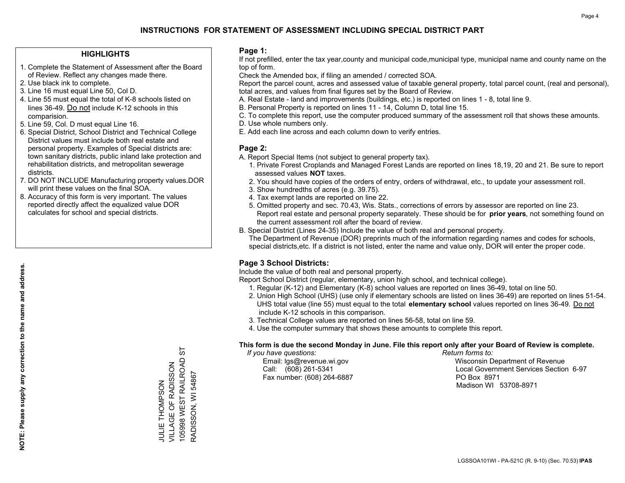## **INSTRUCTIONS FOR STATEMENT OF ASSESSMENT INCLUDING SPECIAL DISTRICT PART**

#### **HIGHLIGHTS**

- 1. Complete the Statement of Assessment after the Board of Review. Reflect any changes made there.
- 2. Use black ink to complete.
- 3. Line 16 must equal Line 50, Col D.
- 4. Line 55 must equal the total of K-8 schools listed on lines 36-49. Do not include K-12 schools in this comparision.
- 5. Line 59, Col. D must equal Line 16.
- 6. Special District, School District and Technical College District values must include both real estate and personal property. Examples of Special districts are: town sanitary districts, public inland lake protection and rehabilitation districts, and metropolitan sewerage districts.
- 7. DO NOT INCLUDE Manufacturing property values.DOR will print these values on the final SOA.

JULIE THOMPSON VILLAGE OF RADISSON 105998 WEST RAILROAD ST

**JULIE THOMPSON** 

RADISSON, WI 54867

RADISSON, WI 54867

5

105998 WEST RAILROAD VILLAGE OF RADISSON

 8. Accuracy of this form is very important. The values reported directly affect the equalized value DOR calculates for school and special districts.

#### **Page 1:**

 If not prefilled, enter the tax year,county and municipal code,municipal type, municipal name and county name on the top of form.

Check the Amended box, if filing an amended / corrected SOA.

 Report the parcel count, acres and assessed value of taxable general property, total parcel count, (real and personal), total acres, and values from final figures set by the Board of Review.

- A. Real Estate land and improvements (buildings, etc.) is reported on lines 1 8, total line 9.
- B. Personal Property is reported on lines 11 14, Column D, total line 15.
- C. To complete this report, use the computer produced summary of the assessment roll that shows these amounts.
- D. Use whole numbers only.
- E. Add each line across and each column down to verify entries.

#### **Page 2:**

- A. Report Special Items (not subject to general property tax).
- 1. Private Forest Croplands and Managed Forest Lands are reported on lines 18,19, 20 and 21. Be sure to report assessed values **NOT** taxes.
- 2. You should have copies of the orders of entry, orders of withdrawal, etc., to update your assessment roll.
	- 3. Show hundredths of acres (e.g. 39.75).
- 4. Tax exempt lands are reported on line 22.
- 5. Omitted property and sec. 70.43, Wis. Stats., corrections of errors by assessor are reported on line 23. Report real estate and personal property separately. These should be for **prior years**, not something found on the current assessment roll after the board of review.
- B. Special District (Lines 24-35) Include the value of both real and personal property.
- The Department of Revenue (DOR) preprints much of the information regarding names and codes for schools, special districts,etc. If a district is not listed, enter the name and value only, DOR will enter the proper code.

### **Page 3 School Districts:**

Include the value of both real and personal property.

Report School District (regular, elementary, union high school, and technical college).

- 1. Regular (K-12) and Elementary (K-8) school values are reported on lines 36-49, total on line 50.
- 2. Union High School (UHS) (use only if elementary schools are listed on lines 36-49) are reported on lines 51-54. UHS total value (line 55) must equal to the total **elementary school** values reported on lines 36-49. Do notinclude K-12 schools in this comparison.
- 3. Technical College values are reported on lines 56-58, total on line 59.
- 4. Use the computer summary that shows these amounts to complete this report.

#### **This form is due the second Monday in June. File this report only after your Board of Review is complete.**

 *If you have questions: Return forms to:*

Fax number: (608) 264-6887 PO Box 8971

 Email: lgs@revenue.wi.gov Wisconsin Department of Revenue Call: (608) 261-5341 Local Government Services Section 6-97Madison WI 53708-8971

LGSSOA101WI - PA-521C (R. 9-10) (Sec. 70.53) **IPAS**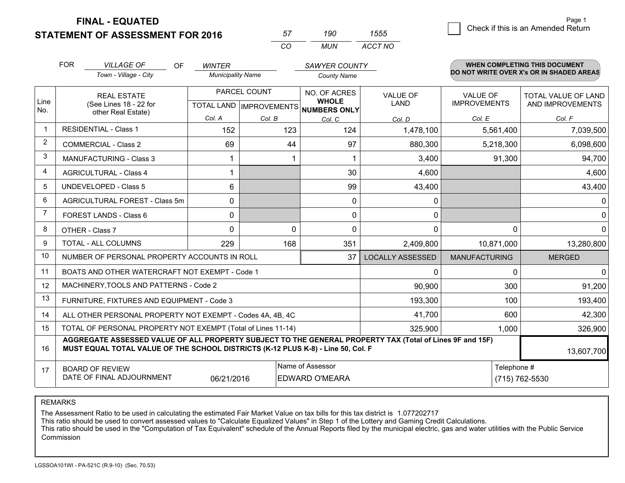**FINAL - EQUATED**

**STATEMENT OF ASSESSMENT FOR 2016** 

| 57       | un i  | מממו    |
|----------|-------|---------|
| $\cdots$ | MI IN | ACCT NO |

|                | <b>FOR</b>                                                                                                                    | <b>VILLAGE OF</b><br><b>OF</b><br>Town - Village - City                                                                                                                                      | <b>WINTER</b><br><b>Municipality Name</b> |              | <b>SAWYER COUNTY</b><br><b>County Name</b>                                      |                         |                                        | <b>WHEN COMPLETING THIS DOCUMENT</b><br>DO NOT WRITE OVER X's OR IN SHADED AREAS |
|----------------|-------------------------------------------------------------------------------------------------------------------------------|----------------------------------------------------------------------------------------------------------------------------------------------------------------------------------------------|-------------------------------------------|--------------|---------------------------------------------------------------------------------|-------------------------|----------------------------------------|----------------------------------------------------------------------------------|
| Line<br>No.    | <b>REAL ESTATE</b><br>(See Lines 18 - 22 for                                                                                  |                                                                                                                                                                                              |                                           | PARCEL COUNT | <b>NO. OF ACRES</b><br><b>WHOLE</b><br>TOTAL LAND   IMPROVEMENTS   NUMBERS ONLY | <b>VALUE OF</b><br>LAND | <b>VALUE OF</b><br><b>IMPROVEMENTS</b> | TOTAL VALUE OF LAND<br>AND IMPROVEMENTS                                          |
|                |                                                                                                                               | other Real Estate)                                                                                                                                                                           | Col. A                                    | Col. B       | Col. C                                                                          | Col. D                  | Col. E                                 | Col. F                                                                           |
| $\mathbf 1$    | <b>RESIDENTIAL - Class 1</b>                                                                                                  |                                                                                                                                                                                              | 152                                       | 123          | 124                                                                             | 1,478,100               | 5,561,400                              | 7,039,500                                                                        |
| $\overline{2}$ |                                                                                                                               | <b>COMMERCIAL - Class 2</b>                                                                                                                                                                  | 69                                        | 44           | 97                                                                              | 880,300                 | 5,218,300                              | 6,098,600                                                                        |
| 3              |                                                                                                                               | <b>MANUFACTURING - Class 3</b>                                                                                                                                                               |                                           |              | 1                                                                               | 3,400                   | 91,300                                 | 94,700                                                                           |
| $\overline{4}$ |                                                                                                                               | <b>AGRICULTURAL - Class 4</b>                                                                                                                                                                | 1                                         |              | 30                                                                              | 4,600                   |                                        | 4,600                                                                            |
| 5              |                                                                                                                               | <b>UNDEVELOPED - Class 5</b>                                                                                                                                                                 | 6                                         |              | 99                                                                              | 43,400                  |                                        | 43,400                                                                           |
| 6              |                                                                                                                               | AGRICULTURAL FOREST - Class 5m                                                                                                                                                               | $\Omega$                                  |              | 0                                                                               | $\mathbf{0}$            |                                        | 0                                                                                |
| $\overline{7}$ | FOREST LANDS - Class 6                                                                                                        |                                                                                                                                                                                              | 0                                         |              | $\Omega$                                                                        | 0                       |                                        | 0                                                                                |
| 8              |                                                                                                                               | OTHER - Class 7                                                                                                                                                                              | $\Omega$                                  | $\Omega$     | 0                                                                               | 0                       | 0                                      | 0                                                                                |
| 9              |                                                                                                                               | TOTAL - ALL COLUMNS                                                                                                                                                                          | 229                                       | 168          | 351                                                                             | 2,409,800               | 10,871,000                             | 13,280,800                                                                       |
| 10             |                                                                                                                               | NUMBER OF PERSONAL PROPERTY ACCOUNTS IN ROLL                                                                                                                                                 |                                           |              | 37                                                                              | <b>LOCALLY ASSESSED</b> | <b>MANUFACTURING</b>                   | <b>MERGED</b>                                                                    |
| 11             |                                                                                                                               | BOATS AND OTHER WATERCRAFT NOT EXEMPT - Code 1                                                                                                                                               |                                           |              |                                                                                 | $\Omega$                | $\mathbf 0$                            | $\mathbf{0}$                                                                     |
| 12             |                                                                                                                               | MACHINERY, TOOLS AND PATTERNS - Code 2                                                                                                                                                       |                                           |              |                                                                                 | 90,900                  | 300                                    | 91,200                                                                           |
| 13             |                                                                                                                               | FURNITURE, FIXTURES AND EQUIPMENT - Code 3                                                                                                                                                   |                                           |              |                                                                                 | 193,300                 | 100                                    | 193,400                                                                          |
| 14             |                                                                                                                               | ALL OTHER PERSONAL PROPERTY NOT EXEMPT - Codes 4A, 4B, 4C                                                                                                                                    |                                           |              |                                                                                 | 41,700                  | 600                                    | 42,300                                                                           |
| 15             |                                                                                                                               | TOTAL OF PERSONAL PROPERTY NOT EXEMPT (Total of Lines 11-14)                                                                                                                                 |                                           |              |                                                                                 | 325,900                 | 1,000                                  | 326,900                                                                          |
| 16             |                                                                                                                               | AGGREGATE ASSESSED VALUE OF ALL PROPERTY SUBJECT TO THE GENERAL PROPERTY TAX (Total of Lines 9F and 15F)<br>MUST EQUAL TOTAL VALUE OF THE SCHOOL DISTRICTS (K-12 PLUS K-8) - Line 50, Col. F |                                           |              |                                                                                 |                         |                                        | 13,607,700                                                                       |
| 17             | Name of Assessor<br>Telephone #<br><b>BOARD OF REVIEW</b><br>DATE OF FINAL ADJOURNMENT<br>06/21/2016<br><b>EDWARD O'MEARA</b> |                                                                                                                                                                                              |                                           |              |                                                                                 |                         | (715) 762-5530                         |                                                                                  |

REMARKS

The Assessment Ratio to be used in calculating the estimated Fair Market Value on tax bills for this tax district is 1.077202717

This ratio should be used to convert assessed values to "Calculate Equalized Values" in Step 1 of the Lottery and Gaming Credit Calculations.<br>This ratio should be used in the "Computation of Tax Equivalent" schedule of the Commission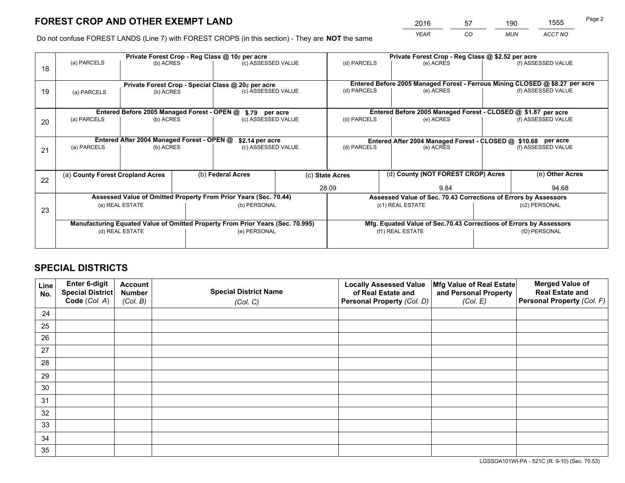# **FOREST CROP AND OTHER EXEMPT LAND**

 *YEAR CO MUN ACCT NO* <sup>2016</sup> <sup>57</sup> <sup>190</sup> <sup>1555</sup>

Do not confuse FOREST LANDS (Line 7) with FOREST CROPS (in this section) - They are **NOT** the same

|    |             |                                             |  | Private Forest Crop - Reg Class @ 10¢ per acre                                   |  |                                                       | Private Forest Crop - Reg Class @ \$2.52 per acre |                                                                    |               |                                                                              |
|----|-------------|---------------------------------------------|--|----------------------------------------------------------------------------------|--|-------------------------------------------------------|---------------------------------------------------|--------------------------------------------------------------------|---------------|------------------------------------------------------------------------------|
| 18 | (a) PARCELS | (b) ACRES                                   |  | (c) ASSESSED VALUE                                                               |  | (d) PARCELS                                           |                                                   | (e) ACRES                                                          |               | (f) ASSESSED VALUE                                                           |
|    |             |                                             |  | Private Forest Crop - Special Class @ 20¢ per acre                               |  |                                                       |                                                   |                                                                    |               | Entered Before 2005 Managed Forest - Ferrous Mining CLOSED @ \$8.27 per acre |
| 19 | (a) PARCELS | (b) ACRES                                   |  | (c) ASSESSED VALUE                                                               |  | (d) PARCELS                                           |                                                   | (e) ACRES                                                          |               | (f) ASSESSED VALUE                                                           |
|    |             | Entered Before 2005 Managed Forest - OPEN @ |  | \$.79 per acre                                                                   |  |                                                       |                                                   | Entered Before 2005 Managed Forest - CLOSED @ \$1.87 per acre      |               |                                                                              |
|    | (a) PARCELS | (b) ACRES                                   |  | (c) ASSESSED VALUE                                                               |  | (d) PARCELS                                           |                                                   | (e) ACRES                                                          |               | (f) ASSESSED VALUE                                                           |
| 20 |             |                                             |  |                                                                                  |  |                                                       |                                                   |                                                                    |               |                                                                              |
|    |             | Entered After 2004 Managed Forest - OPEN @  |  | \$2.14 per acre<br>Entered After 2004 Managed Forest - CLOSED @ \$10.68 per acre |  |                                                       |                                                   |                                                                    |               |                                                                              |
| 21 | (a) PARCELS | (b) ACRES                                   |  | (c) ASSESSED VALUE                                                               |  | (d) PARCELS<br>(e) ACRES                              |                                                   | (f) ASSESSED VALUE                                                 |               |                                                                              |
|    |             |                                             |  |                                                                                  |  |                                                       |                                                   |                                                                    |               |                                                                              |
| 22 |             | (a) County Forest Cropland Acres            |  | (b) Federal Acres                                                                |  | (d) County (NOT FOREST CROP) Acres<br>(c) State Acres |                                                   |                                                                    |               | (e) Other Acres                                                              |
|    |             |                                             |  |                                                                                  |  | 28.09<br>9.84                                         |                                                   |                                                                    |               | 94.68                                                                        |
|    |             |                                             |  | Assessed Value of Omitted Property From Prior Years (Sec. 70.44)                 |  |                                                       |                                                   | Assessed Value of Sec. 70.43 Corrections of Errors by Assessors    |               |                                                                              |
|    |             | (a) REAL ESTATE                             |  | (b) PERSONAL                                                                     |  |                                                       | (c1) REAL ESTATE                                  |                                                                    |               | (c2) PERSONAL                                                                |
| 23 |             |                                             |  |                                                                                  |  |                                                       |                                                   |                                                                    |               |                                                                              |
|    |             |                                             |  | Manufacturing Equated Value of Omitted Property From Prior Years (Sec. 70.995)   |  |                                                       |                                                   | Mfg. Equated Value of Sec.70.43 Corrections of Errors by Assessors |               |                                                                              |
|    |             | (d) REAL ESTATE                             |  | (e) PERSONAL                                                                     |  | (f1) REAL ESTATE                                      |                                                   |                                                                    | (f2) PERSONAL |                                                                              |
|    |             |                                             |  |                                                                                  |  |                                                       |                                                   |                                                                    |               |                                                                              |

# **SPECIAL DISTRICTS**

| Line<br>No. | Enter 6-digit<br>Special District<br>Code (Col. A) | <b>Account</b><br><b>Number</b> | <b>Special District Name</b> | <b>Locally Assessed Value</b><br>of Real Estate and | Mfg Value of Real Estate<br>and Personal Property | <b>Merged Value of</b><br><b>Real Estate and</b><br>Personal Property (Col. F) |
|-------------|----------------------------------------------------|---------------------------------|------------------------------|-----------------------------------------------------|---------------------------------------------------|--------------------------------------------------------------------------------|
|             |                                                    | (Col. B)                        | (Col. C)                     | Personal Property (Col. D)                          | (Col. E)                                          |                                                                                |
| 24          |                                                    |                                 |                              |                                                     |                                                   |                                                                                |
| 25          |                                                    |                                 |                              |                                                     |                                                   |                                                                                |
| 26          |                                                    |                                 |                              |                                                     |                                                   |                                                                                |
| 27          |                                                    |                                 |                              |                                                     |                                                   |                                                                                |
| 28          |                                                    |                                 |                              |                                                     |                                                   |                                                                                |
| 29          |                                                    |                                 |                              |                                                     |                                                   |                                                                                |
| 30          |                                                    |                                 |                              |                                                     |                                                   |                                                                                |
| 31          |                                                    |                                 |                              |                                                     |                                                   |                                                                                |
| 32          |                                                    |                                 |                              |                                                     |                                                   |                                                                                |
| 33          |                                                    |                                 |                              |                                                     |                                                   |                                                                                |
| 34          |                                                    |                                 |                              |                                                     |                                                   |                                                                                |
| 35          |                                                    |                                 |                              |                                                     |                                                   |                                                                                |

LGSSOA101WI-PA - 521C (R. 9-10) (Sec. 70.53)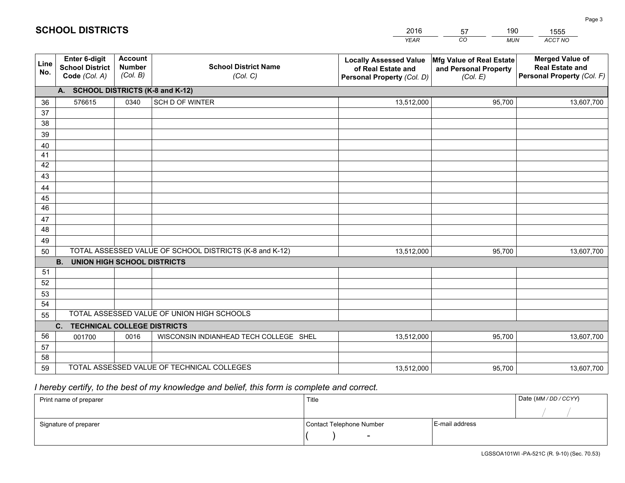|             |                                                                 |                                             |                                                         | YEAR                                                                              | CO<br><b>MUN</b>                                              | ACCT NO                                                                        |
|-------------|-----------------------------------------------------------------|---------------------------------------------|---------------------------------------------------------|-----------------------------------------------------------------------------------|---------------------------------------------------------------|--------------------------------------------------------------------------------|
| Line<br>No. | <b>Enter 6-digit</b><br><b>School District</b><br>Code (Col. A) | <b>Account</b><br><b>Number</b><br>(Col. B) | <b>School District Name</b><br>(Col. C)                 | <b>Locally Assessed Value</b><br>of Real Estate and<br>Personal Property (Col. D) | Mfg Value of Real Estate<br>and Personal Property<br>(Col. E) | <b>Merged Value of</b><br><b>Real Estate and</b><br>Personal Property (Col. F) |
|             | A. SCHOOL DISTRICTS (K-8 and K-12)                              |                                             |                                                         |                                                                                   |                                                               |                                                                                |
| 36          | 576615                                                          | 0340                                        | SCH D OF WINTER                                         | 13,512,000                                                                        | 95,700                                                        | 13,607,700                                                                     |
| 37          |                                                                 |                                             |                                                         |                                                                                   |                                                               |                                                                                |
| 38          |                                                                 |                                             |                                                         |                                                                                   |                                                               |                                                                                |
| 39          |                                                                 |                                             |                                                         |                                                                                   |                                                               |                                                                                |
| 40          |                                                                 |                                             |                                                         |                                                                                   |                                                               |                                                                                |
| 41<br>42    |                                                                 |                                             |                                                         |                                                                                   |                                                               |                                                                                |
| 43          |                                                                 |                                             |                                                         |                                                                                   |                                                               |                                                                                |
| 44          |                                                                 |                                             |                                                         |                                                                                   |                                                               |                                                                                |
| 45          |                                                                 |                                             |                                                         |                                                                                   |                                                               |                                                                                |
| 46          |                                                                 |                                             |                                                         |                                                                                   |                                                               |                                                                                |
| 47          |                                                                 |                                             |                                                         |                                                                                   |                                                               |                                                                                |
| 48          |                                                                 |                                             |                                                         |                                                                                   |                                                               |                                                                                |
| 49          |                                                                 |                                             |                                                         |                                                                                   |                                                               |                                                                                |
| 50          |                                                                 |                                             | TOTAL ASSESSED VALUE OF SCHOOL DISTRICTS (K-8 and K-12) | 13,512,000                                                                        | 95,700                                                        | 13,607,700                                                                     |
|             | <b>B.</b><br><b>UNION HIGH SCHOOL DISTRICTS</b>                 |                                             |                                                         |                                                                                   |                                                               |                                                                                |
| 51<br>52    |                                                                 |                                             |                                                         |                                                                                   |                                                               |                                                                                |
| 53          |                                                                 |                                             |                                                         |                                                                                   |                                                               |                                                                                |
| 54          |                                                                 |                                             |                                                         |                                                                                   |                                                               |                                                                                |
| 55          |                                                                 |                                             | TOTAL ASSESSED VALUE OF UNION HIGH SCHOOLS              |                                                                                   |                                                               |                                                                                |
|             | C.<br><b>TECHNICAL COLLEGE DISTRICTS</b>                        |                                             |                                                         |                                                                                   |                                                               |                                                                                |
| 56          | 001700                                                          | 0016                                        | WISCONSIN INDIANHEAD TECH COLLEGE SHEL                  | 13,512,000                                                                        | 95,700                                                        | 13,607,700                                                                     |
| 57          |                                                                 |                                             |                                                         |                                                                                   |                                                               |                                                                                |
| 58          |                                                                 |                                             |                                                         |                                                                                   |                                                               |                                                                                |
| 59          |                                                                 |                                             | TOTAL ASSESSED VALUE OF TECHNICAL COLLEGES              | 13,512,000                                                                        | 95,700                                                        | 13,607,700                                                                     |

2016

57

190

 *I hereby certify, to the best of my knowledge and belief, this form is complete and correct.*

**SCHOOL DISTRICTS**

| Print name of preparer | Title                    |                | Date (MM / DD / CCYY) |
|------------------------|--------------------------|----------------|-----------------------|
|                        |                          |                |                       |
| Signature of preparer  | Contact Telephone Number | E-mail address |                       |
|                        | $\overline{\phantom{0}}$ |                |                       |

1555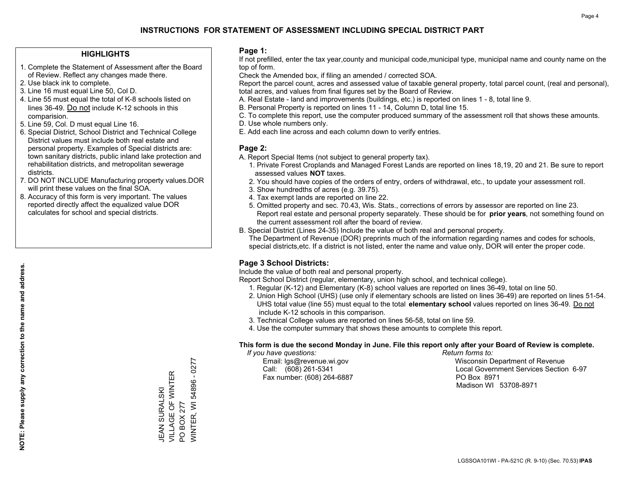## **INSTRUCTIONS FOR STATEMENT OF ASSESSMENT INCLUDING SPECIAL DISTRICT PART**

#### **HIGHLIGHTS**

- 1. Complete the Statement of Assessment after the Board of Review. Reflect any changes made there.
- 2. Use black ink to complete.
- 3. Line 16 must equal Line 50, Col D.
- 4. Line 55 must equal the total of K-8 schools listed on lines 36-49. Do not include K-12 schools in this comparision.
- 5. Line 59, Col. D must equal Line 16.
- 6. Special District, School District and Technical College District values must include both real estate and personal property. Examples of Special districts are: town sanitary districts, public inland lake protection and rehabilitation districts, and metropolitan sewerage districts.
- 7. DO NOT INCLUDE Manufacturing property values.DOR will print these values on the final SOA.

JEAN SURALSKI VILLAGE OF WINTER

JEAN SURALSKI<br>VILLAGE OF WINTER

PO BOX 277

PO BOX 277

WINTER, WI 54896 - 0277

/VINTER, WI 54896 - 0277

 8. Accuracy of this form is very important. The values reported directly affect the equalized value DOR calculates for school and special districts.

#### **Page 1:**

 If not prefilled, enter the tax year,county and municipal code,municipal type, municipal name and county name on the top of form.

Check the Amended box, if filing an amended / corrected SOA.

 Report the parcel count, acres and assessed value of taxable general property, total parcel count, (real and personal), total acres, and values from final figures set by the Board of Review.

- A. Real Estate land and improvements (buildings, etc.) is reported on lines 1 8, total line 9.
- B. Personal Property is reported on lines 11 14, Column D, total line 15.
- C. To complete this report, use the computer produced summary of the assessment roll that shows these amounts.
- D. Use whole numbers only.
- E. Add each line across and each column down to verify entries.

#### **Page 2:**

- A. Report Special Items (not subject to general property tax).
- 1. Private Forest Croplands and Managed Forest Lands are reported on lines 18,19, 20 and 21. Be sure to report assessed values **NOT** taxes.
- 2. You should have copies of the orders of entry, orders of withdrawal, etc., to update your assessment roll.
	- 3. Show hundredths of acres (e.g. 39.75).
- 4. Tax exempt lands are reported on line 22.
- 5. Omitted property and sec. 70.43, Wis. Stats., corrections of errors by assessor are reported on line 23. Report real estate and personal property separately. These should be for **prior years**, not something found on the current assessment roll after the board of review.
- B. Special District (Lines 24-35) Include the value of both real and personal property.
- The Department of Revenue (DOR) preprints much of the information regarding names and codes for schools, special districts,etc. If a district is not listed, enter the name and value only, DOR will enter the proper code.

### **Page 3 School Districts:**

Include the value of both real and personal property.

Report School District (regular, elementary, union high school, and technical college).

- 1. Regular (K-12) and Elementary (K-8) school values are reported on lines 36-49, total on line 50.
- 2. Union High School (UHS) (use only if elementary schools are listed on lines 36-49) are reported on lines 51-54. UHS total value (line 55) must equal to the total **elementary school** values reported on lines 36-49. Do notinclude K-12 schools in this comparison.
- 3. Technical College values are reported on lines 56-58, total on line 59.
- 4. Use the computer summary that shows these amounts to complete this report.

#### **This form is due the second Monday in June. File this report only after your Board of Review is complete.**

 *If you have questions: Return forms to:*

Fax number: (608) 264-6887 PO Box 8971

 Email: lgs@revenue.wi.gov Wisconsin Department of Revenue Call: (608) 261-5341 Local Government Services Section 6-97Madison WI 53708-8971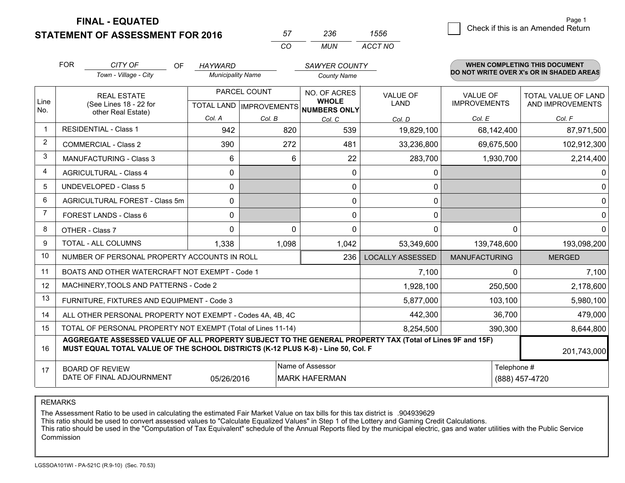**FINAL - EQUATED**

**STATEMENT OF ASSESSMENT FOR 2016** 

| 57. | 236  | 1556    |
|-----|------|---------|
| ററ  | MUN. | ACCT NO |

|                | <b>FOR</b>                                                                                                                                                                                   | CITY OF<br><b>OF</b>                                      | <b>HAYWARD</b>           |                                                          | <b>SAWYER COUNTY</b> |                                |                                        | WHEN COMPLETING THIS DOCUMENT                  |
|----------------|----------------------------------------------------------------------------------------------------------------------------------------------------------------------------------------------|-----------------------------------------------------------|--------------------------|----------------------------------------------------------|----------------------|--------------------------------|----------------------------------------|------------------------------------------------|
|                |                                                                                                                                                                                              | Town - Village - City                                     | <b>Municipality Name</b> |                                                          | <b>County Name</b>   |                                |                                        | DO NOT WRITE OVER X's OR IN SHADED AREAS       |
| Line           | <b>REAL ESTATE</b><br>(See Lines 18 - 22 for                                                                                                                                                 |                                                           |                          | PARCEL COUNT<br>TOTAL LAND   IMPROVEMENTS   NUMBERS ONLY |                      | <b>VALUE OF</b><br><b>LAND</b> | <b>VALUE OF</b><br><b>IMPROVEMENTS</b> | <b>TOTAL VALUE OF LAND</b><br>AND IMPROVEMENTS |
| No.            | other Real Estate)                                                                                                                                                                           | Col. A                                                    | Col. B                   | Col. C                                                   | Col. D               | Col. E                         | Col. F                                 |                                                |
| $\mathbf 1$    |                                                                                                                                                                                              | <b>RESIDENTIAL - Class 1</b>                              | 942                      | 820                                                      | 539                  | 19,829,100                     | 68,142,400                             | 87,971,500                                     |
| 2              |                                                                                                                                                                                              | <b>COMMERCIAL - Class 2</b>                               | 390                      | 272                                                      | 481                  | 33,236,800                     | 69,675,500                             | 102,912,300                                    |
| 3              |                                                                                                                                                                                              | <b>MANUFACTURING - Class 3</b>                            | 6                        | 6                                                        | 22                   | 283,700                        | 1,930,700                              | 2,214,400                                      |
| 4              |                                                                                                                                                                                              | <b>AGRICULTURAL - Class 4</b>                             | 0                        |                                                          | 0                    | 0                              |                                        | 0                                              |
| 5              |                                                                                                                                                                                              | <b>UNDEVELOPED - Class 5</b>                              | $\Omega$                 |                                                          | 0                    | 0                              |                                        | 0                                              |
| 6              |                                                                                                                                                                                              | <b>AGRICULTURAL FOREST - Class 5m</b>                     | 0                        |                                                          | 0                    | $\mathbf{0}$                   |                                        | 0                                              |
| $\overline{7}$ |                                                                                                                                                                                              | FOREST LANDS - Class 6                                    | 0                        |                                                          | $\Omega$             | 0                              |                                        | 0                                              |
| 8              |                                                                                                                                                                                              | OTHER - Class 7                                           | 0                        | 0                                                        | $\Omega$             | 0                              | $\Omega$                               | 0                                              |
| 9              |                                                                                                                                                                                              | TOTAL - ALL COLUMNS                                       | 1,338                    | 1,098                                                    | 1,042                | 53,349,600                     | 139,748,600                            | 193,098,200                                    |
| 10             | NUMBER OF PERSONAL PROPERTY ACCOUNTS IN ROLL<br>236                                                                                                                                          |                                                           |                          |                                                          |                      | <b>LOCALLY ASSESSED</b>        | <b>MANUFACTURING</b>                   | <b>MERGED</b>                                  |
| 11             |                                                                                                                                                                                              | BOATS AND OTHER WATERCRAFT NOT EXEMPT - Code 1            |                          |                                                          | 7,100                | $\Omega$                       | 7,100                                  |                                                |
| 12             | MACHINERY, TOOLS AND PATTERNS - Code 2                                                                                                                                                       |                                                           |                          |                                                          |                      | 1,928,100                      | 250,500                                | 2,178,600                                      |
| 13             |                                                                                                                                                                                              | FURNITURE, FIXTURES AND EQUIPMENT - Code 3                |                          |                                                          |                      | 5,877,000                      | 103,100                                | 5,980,100                                      |
| 14             |                                                                                                                                                                                              | ALL OTHER PERSONAL PROPERTY NOT EXEMPT - Codes 4A, 4B, 4C |                          | 442,300                                                  | 36,700               | 479,000                        |                                        |                                                |
| 15             | TOTAL OF PERSONAL PROPERTY NOT EXEMPT (Total of Lines 11-14)                                                                                                                                 |                                                           |                          |                                                          |                      |                                | 390,300                                | 8,644,800                                      |
| 16             | AGGREGATE ASSESSED VALUE OF ALL PROPERTY SUBJECT TO THE GENERAL PROPERTY TAX (Total of Lines 9F and 15F)<br>MUST EQUAL TOTAL VALUE OF THE SCHOOL DISTRICTS (K-12 PLUS K-8) - Line 50, Col. F |                                                           |                          |                                                          |                      |                                | 201,743,000                            |                                                |
| 17             | Name of Assessor<br>Telephone #<br><b>BOARD OF REVIEW</b><br>DATE OF FINAL ADJOURNMENT<br>05/26/2016<br><b>MARK HAFERMAN</b><br>(888) 457-4720                                               |                                                           |                          |                                                          |                      |                                |                                        |                                                |

REMARKS

The Assessment Ratio to be used in calculating the estimated Fair Market Value on tax bills for this tax district is .904939629<br>This ratio should be used to convert assessed values to "Calculate Equalized Values" in Step 1 Commission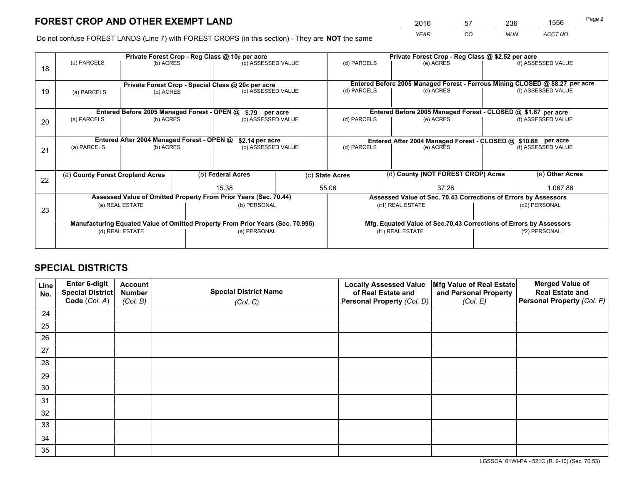# **FOREST CROP AND OTHER EXEMPT LAND**

 *YEAR CO MUN ACCT NO* <sup>2016</sup> <sup>57</sup> <sup>236</sup> <sup>1556</sup>

Do not confuse FOREST LANDS (Line 7) with FOREST CROPS (in this section) - They are **NOT** the same

|    | Private Forest Crop - Reg Class @ 10¢ per acre                                 |                                             |  |                                                    |                    | Private Forest Crop - Reg Class @ \$2.52 per acre                  |                                                                              |  |                    |  |
|----|--------------------------------------------------------------------------------|---------------------------------------------|--|----------------------------------------------------|--------------------|--------------------------------------------------------------------|------------------------------------------------------------------------------|--|--------------------|--|
| 18 | (a) PARCELS                                                                    | (b) ACRES                                   |  | (c) ASSESSED VALUE                                 |                    | (d) PARCELS                                                        | (e) ACRES                                                                    |  | (f) ASSESSED VALUE |  |
|    |                                                                                |                                             |  |                                                    |                    |                                                                    |                                                                              |  |                    |  |
|    |                                                                                |                                             |  | Private Forest Crop - Special Class @ 20¢ per acre |                    |                                                                    | Entered Before 2005 Managed Forest - Ferrous Mining CLOSED @ \$8.27 per acre |  |                    |  |
| 19 | (a) PARCELS                                                                    | (b) ACRES                                   |  | (c) ASSESSED VALUE                                 |                    | (d) PARCELS                                                        | (e) ACRES                                                                    |  | (f) ASSESSED VALUE |  |
|    |                                                                                |                                             |  |                                                    |                    |                                                                    |                                                                              |  |                    |  |
|    |                                                                                | Entered Before 2005 Managed Forest - OPEN @ |  | \$.79 per acre                                     |                    |                                                                    | Entered Before 2005 Managed Forest - CLOSED @ \$1.87 per acre                |  |                    |  |
| 20 | (a) PARCELS<br>(b) ACRES                                                       |                                             |  | (c) ASSESSED VALUE                                 |                    | (d) PARCELS                                                        | (e) ACRES                                                                    |  | (f) ASSESSED VALUE |  |
|    |                                                                                |                                             |  |                                                    |                    |                                                                    |                                                                              |  |                    |  |
|    |                                                                                | Entered After 2004 Managed Forest - OPEN @  |  | \$2.14 per acre                                    |                    | Entered After 2004 Managed Forest - CLOSED @ \$10.68 per acre      |                                                                              |  |                    |  |
| 21 | (a) PARCELS                                                                    | (b) ACRES                                   |  |                                                    | (c) ASSESSED VALUE |                                                                    | (e) ACRES                                                                    |  | (f) ASSESSED VALUE |  |
|    |                                                                                |                                             |  |                                                    |                    |                                                                    |                                                                              |  |                    |  |
|    |                                                                                |                                             |  |                                                    |                    |                                                                    |                                                                              |  |                    |  |
| 22 | (a) County Forest Cropland Acres                                               |                                             |  | (b) Federal Acres                                  |                    | (c) State Acres                                                    | (d) County (NOT FOREST CROP) Acres                                           |  | (e) Other Acres    |  |
|    |                                                                                |                                             |  | 15.38                                              |                    | 55.06<br>37.26                                                     |                                                                              |  | 1,067.88           |  |
|    | Assessed Value of Omitted Property From Prior Years (Sec. 70.44)               |                                             |  |                                                    |                    | Assessed Value of Sec. 70.43 Corrections of Errors by Assessors    |                                                                              |  |                    |  |
| 23 | (a) REAL ESTATE                                                                |                                             |  | (b) PERSONAL                                       |                    | (c1) REAL ESTATE                                                   |                                                                              |  | (c2) PERSONAL      |  |
|    |                                                                                |                                             |  |                                                    |                    |                                                                    |                                                                              |  |                    |  |
|    | Manufacturing Equated Value of Omitted Property From Prior Years (Sec. 70.995) |                                             |  |                                                    |                    | Mfg. Equated Value of Sec.70.43 Corrections of Errors by Assessors |                                                                              |  |                    |  |
|    | (d) REAL ESTATE                                                                |                                             |  | (e) PERSONAL                                       |                    | (f1) REAL ESTATE                                                   |                                                                              |  | (f2) PERSONAL      |  |
|    |                                                                                |                                             |  |                                                    |                    |                                                                    |                                                                              |  |                    |  |

# **SPECIAL DISTRICTS**

| Line<br>No. | Enter 6-digit<br><b>Special District</b> | <b>Account</b><br><b>Number</b> | <b>Special District Name</b> | <b>Locally Assessed Value</b><br>of Real Estate and | Mfg Value of Real Estate<br>and Personal Property | <b>Merged Value of</b><br><b>Real Estate and</b> |
|-------------|------------------------------------------|---------------------------------|------------------------------|-----------------------------------------------------|---------------------------------------------------|--------------------------------------------------|
|             | Code (Col. A)                            | (Col. B)                        | (Col. C)                     | Personal Property (Col. D)                          | (Col. E)                                          | Personal Property (Col. F)                       |
| 24          |                                          |                                 |                              |                                                     |                                                   |                                                  |
| 25          |                                          |                                 |                              |                                                     |                                                   |                                                  |
| 26          |                                          |                                 |                              |                                                     |                                                   |                                                  |
| 27          |                                          |                                 |                              |                                                     |                                                   |                                                  |
| 28          |                                          |                                 |                              |                                                     |                                                   |                                                  |
| 29          |                                          |                                 |                              |                                                     |                                                   |                                                  |
| 30          |                                          |                                 |                              |                                                     |                                                   |                                                  |
| 31          |                                          |                                 |                              |                                                     |                                                   |                                                  |
| 32          |                                          |                                 |                              |                                                     |                                                   |                                                  |
| 33          |                                          |                                 |                              |                                                     |                                                   |                                                  |
| 34          |                                          |                                 |                              |                                                     |                                                   |                                                  |
| 35          |                                          |                                 |                              |                                                     |                                                   |                                                  |

LGSSOA101WI-PA - 521C (R. 9-10) (Sec. 70.53)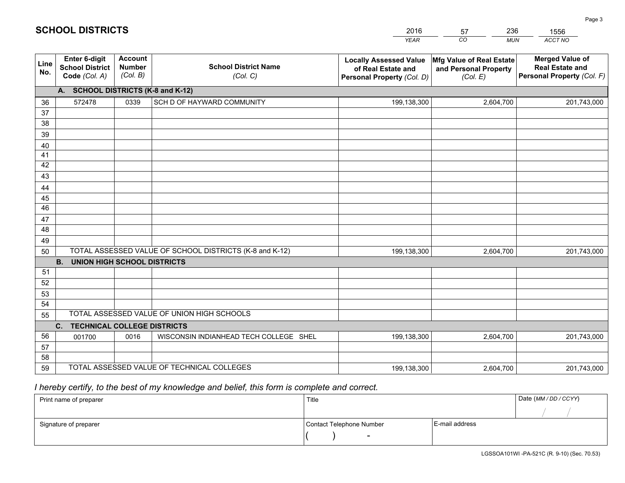|             |                                                                 |                                             |                                                         | <b>YEAR</b>                                                                       | CO<br><b>MUN</b>                                              | ACCT NO                                                                        |
|-------------|-----------------------------------------------------------------|---------------------------------------------|---------------------------------------------------------|-----------------------------------------------------------------------------------|---------------------------------------------------------------|--------------------------------------------------------------------------------|
| Line<br>No. | <b>Enter 6-digit</b><br><b>School District</b><br>Code (Col. A) | <b>Account</b><br><b>Number</b><br>(Col. B) | <b>School District Name</b><br>(Col. C)                 | <b>Locally Assessed Value</b><br>of Real Estate and<br>Personal Property (Col. D) | Mfg Value of Real Estate<br>and Personal Property<br>(Col. E) | <b>Merged Value of</b><br><b>Real Estate and</b><br>Personal Property (Col. F) |
|             | A. SCHOOL DISTRICTS (K-8 and K-12)                              |                                             |                                                         |                                                                                   |                                                               |                                                                                |
| 36          | 572478                                                          | 0339                                        | SCH D OF HAYWARD COMMUNITY                              | 199,138,300                                                                       | 2,604,700                                                     | 201,743,000                                                                    |
| 37          |                                                                 |                                             |                                                         |                                                                                   |                                                               |                                                                                |
| 38          |                                                                 |                                             |                                                         |                                                                                   |                                                               |                                                                                |
| 39          |                                                                 |                                             |                                                         |                                                                                   |                                                               |                                                                                |
| 40          |                                                                 |                                             |                                                         |                                                                                   |                                                               |                                                                                |
| 41          |                                                                 |                                             |                                                         |                                                                                   |                                                               |                                                                                |
| 42<br>43    |                                                                 |                                             |                                                         |                                                                                   |                                                               |                                                                                |
| 44          |                                                                 |                                             |                                                         |                                                                                   |                                                               |                                                                                |
| 45          |                                                                 |                                             |                                                         |                                                                                   |                                                               |                                                                                |
| 46          |                                                                 |                                             |                                                         |                                                                                   |                                                               |                                                                                |
| 47          |                                                                 |                                             |                                                         |                                                                                   |                                                               |                                                                                |
| 48          |                                                                 |                                             |                                                         |                                                                                   |                                                               |                                                                                |
| 49          |                                                                 |                                             |                                                         |                                                                                   |                                                               |                                                                                |
| 50          |                                                                 |                                             | TOTAL ASSESSED VALUE OF SCHOOL DISTRICTS (K-8 and K-12) | 199,138,300                                                                       | 2,604,700                                                     | 201,743,000                                                                    |
|             | <b>B.</b><br><b>UNION HIGH SCHOOL DISTRICTS</b>                 |                                             |                                                         |                                                                                   |                                                               |                                                                                |
| 51          |                                                                 |                                             |                                                         |                                                                                   |                                                               |                                                                                |
| 52          |                                                                 |                                             |                                                         |                                                                                   |                                                               |                                                                                |
| 53          |                                                                 |                                             |                                                         |                                                                                   |                                                               |                                                                                |
| 54          |                                                                 |                                             |                                                         |                                                                                   |                                                               |                                                                                |
| 55          |                                                                 |                                             | TOTAL ASSESSED VALUE OF UNION HIGH SCHOOLS              |                                                                                   |                                                               |                                                                                |
|             | C.<br><b>TECHNICAL COLLEGE DISTRICTS</b>                        |                                             |                                                         |                                                                                   |                                                               |                                                                                |
| 56          | 001700                                                          | 0016                                        | WISCONSIN INDIANHEAD TECH COLLEGE SHEL                  | 199,138,300                                                                       | 2,604,700                                                     | 201,743,000                                                                    |
| 57<br>58    |                                                                 |                                             |                                                         |                                                                                   |                                                               |                                                                                |
| 59          |                                                                 |                                             | TOTAL ASSESSED VALUE OF TECHNICAL COLLEGES              | 199,138,300                                                                       | 2,604,700                                                     | 201,743,000                                                                    |
|             |                                                                 |                                             |                                                         |                                                                                   |                                                               |                                                                                |

2016

57

236

 *I hereby certify, to the best of my knowledge and belief, this form is complete and correct.*

**SCHOOL DISTRICTS**

| Print name of preparer | Title                    | Date (MM / DD / CCYY) |  |
|------------------------|--------------------------|-----------------------|--|
|                        |                          |                       |  |
| Signature of preparer  | Contact Telephone Number | E-mail address        |  |
|                        | $\sim$                   |                       |  |

1556